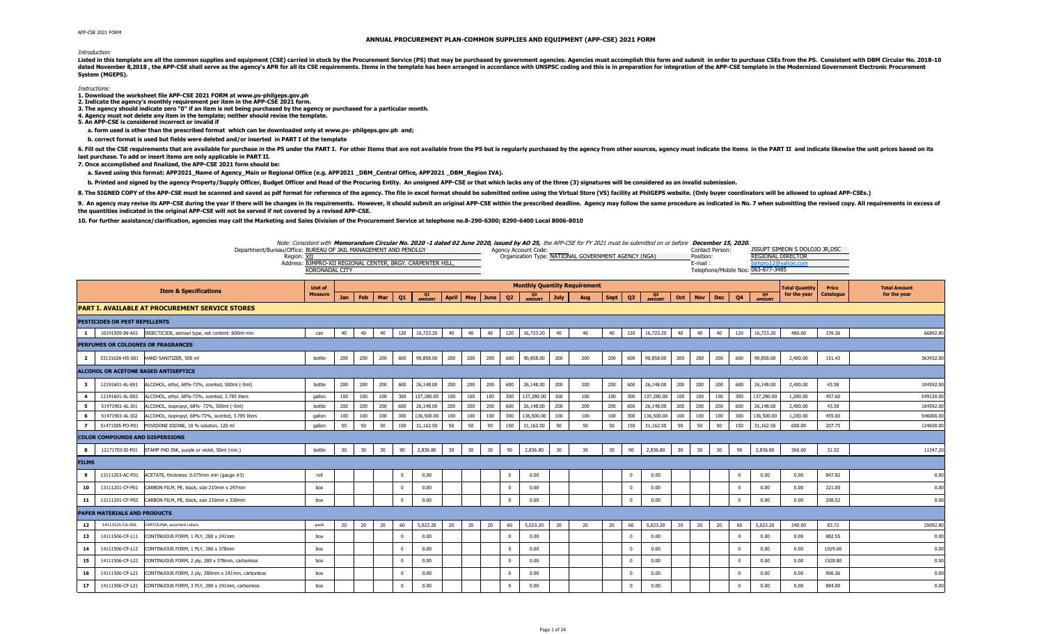## **ANNUAL PROCUREMENT PLAN-COMMON SUPPLIES AND EQUIPMENT (APP-CSE) 2021 FORM**

## Introduction:

Listed in this template are all the common supplies and equipment (CSE) carried in stock by the Procurement Service (PS) that may be purchased by government agencies. Agencies must accomplish this form and submit in order dated November 8,2018, the APP-CSE shall serve as the agency's APR for all its CSE requirements. Items in the template has been arranged in accordance with UNSPSC coding and this is in preparation for integration of the AP **System (MGEPS).** 

## Instructions:

- **1. Download the worksheet file APP-CSE 2021 FORM at www.ps-philgeps.gov.ph 2. Indicate the agency's monthly requirement per item in the APP-CSE 2021 form.**
- 
- **3. The agency should indicate zero "0" if an item is not being purchased by the agency or purchased for a particular month.**
- **4. Agency must not delete any item in the template; neither should revise the template.**
- **5. An APP-CSE is considered incorrect or invalid if**

 **a. form used is other than the prescribed format which can be downloaded only at www.ps- philgeps.gov.ph and;**

 **b. correct format is used but fields were deleted and/or inserted in PART I of the template** 

6. Fill out the CSE requirements that are available for purchase in the PS under the PART I. For other Items that are not available from the PS but is regularly purchased by the agency from other sources, agency must indic **last purchase. To add or insert items are only applicable in PART II.**

**7. Once accomplished and finalized, the APP-CSE 2021 form should be:**

 **a. Saved using this format: APP2021\_Name of Agency\_Main or Regional Office (e.g. APP2021 \_DBM\_Central Office, APP2021 \_DBM\_Region IVA).** 

b. Printed and signed by the agency Property/Supply Officer, Budget Officer and Head of the Procuring Entity. An unsigned APP-CSE or that which lacks any of the three (3) signatures will be considered as an invalid submiss

8. The SIGNED COPY of the APP-CSE must be scanned and saved as pdf format for reference of the agency. The file in excel format should be submitted online using the Virtual Store (VS) facility at PhilGEPS website. (Only bu

9. An agency may revise its APP-CSE during the year if there will be changes in its requirements. However, it should submit an original APP-CSE within the prescribed deadline. Agency may follow the same procedure as indica **the quantities indicated in the original APP-CSE will not be served if not covered by a revised APP-CSE.**

**10. For further assistance/clarification, agencies may call the Marketing and Sales Division of the Procurement Service at telephone no.8-290-6300; 8290-6400 Local 8006-8010**

Note: Consistent with **Memorandum Circular No. 2020 -1 dated 02 June 2020, issued by AO 25,** the APP-CSE for FY 2021 must be submitted on or before **December 15, 2020.**

|                         | Department/Bureau/Office: BUREAU OF JAIL MANAGEMENT AND PENOLGY       | NOTE: CONSISTENT WITH <b>Memorangum Circular No. 2020 -1 gated 02 June 2020, ISSued by AO 25,</b> the APP-CSE for FY 2021 must be submitted on or before <b>December 15, 2020.</b><br>Region: XII<br>Address: BJMPRO-XII REGIONAL CENTER, BRGY, CARPENTER HILL.<br><b>KORONADAL CITY</b> |     |     |     |                |              |              |     |      |                | Agency Account Code:     |             | Organization Type: NATIONAL GOVERNMENT AGENCY (NGA) |      |             |              |     | Position:<br>E-mail: | Contact Person: |                | Telephone/Mobile Nos: 083-877-3485 | JSSUPT SIMEON S DOLOJO JR, DSC<br><b>REGIONAL DIRECTOR</b><br>jmpro12@yahoo.com |                           |                                     |
|-------------------------|-----------------------------------------------------------------------|------------------------------------------------------------------------------------------------------------------------------------------------------------------------------------------------------------------------------------------------------------------------------------------|-----|-----|-----|----------------|--------------|--------------|-----|------|----------------|--------------------------|-------------|-----------------------------------------------------|------|-------------|--------------|-----|----------------------|-----------------|----------------|------------------------------------|---------------------------------------------------------------------------------|---------------------------|-------------------------------------|
|                         | <b>Item &amp; Specifications</b>                                      | <b>Unit of</b><br><b>Measure</b>                                                                                                                                                                                                                                                         |     |     |     |                |              |              |     |      |                |                          |             | <b>Monthly Quantity Requirement</b>                 |      |             |              |     |                      |                 |                |                                    | <b>Total Quantity</b><br>for the year                                           | Price<br><b>Catalogue</b> | <b>Total Amount</b><br>for the year |
|                         | <b>PART I. AVAILABLE AT PROCUREMENT SERVICE STORES</b>                |                                                                                                                                                                                                                                                                                          | Jan | Feb | Mar | Q1             | Q1<br>AMOUNT | <b>April</b> | May | June | Q <sub>2</sub> | Q <sub>2</sub><br>AMOUNT | <b>July</b> | Aug                                                 | Sept | Q3          | Q3<br>AMOUNT | Oct | <b>Nov</b>           | <b>Dec</b>      | Q <sub>4</sub> | Q4<br>AMOUNT                       |                                                                                 |                           |                                     |
|                         |                                                                       |                                                                                                                                                                                                                                                                                          |     |     |     |                |              |              |     |      |                |                          |             |                                                     |      |             |              |     |                      |                 |                |                                    |                                                                                 |                           |                                     |
|                         | PESTICIDES OR PEST REPELLENTS                                         |                                                                                                                                                                                                                                                                                          |     |     |     |                |              |              |     |      |                |                          |             |                                                     |      |             |              |     |                      |                 |                |                                    |                                                                                 |                           |                                     |
|                         | 10191509-IN-A01 INSECTICIDE, aerosol type, net content: 600ml min     | can                                                                                                                                                                                                                                                                                      | 40  | 40  | 40  | 120            | 16,723.20    | 40           | 40  | 40   | 120            | 16,723.20                | 40          | 40                                                  | 40   | 120         | 16,723.20    | 40  | 40                   | 40              | 120            | 16,723.20                          | 480.00                                                                          | 139.36                    | 66892.80                            |
|                         | PERFUMES OR COLOGNES OR FRAGRANCES                                    |                                                                                                                                                                                                                                                                                          |     |     |     |                |              |              |     |      |                |                          |             |                                                     |      |             |              |     |                      |                 |                |                                    |                                                                                 |                           |                                     |
| $\overline{\mathbf{2}}$ | 53131626-HS-S01<br>HAND SANITIZER, 500 ml                             | bottle                                                                                                                                                                                                                                                                                   | 200 | 200 | 200 | 600            | 90,858.00    | 200          | 200 | 200  | 600            | 90,858.00                | 200         | 200                                                 | 200  | 600         | 90,858.00    | 200 | 200                  | 200             | 600            | 90,858.00                          | 2,400.00                                                                        | 151.43                    | 363432.00                           |
|                         | <b>ALCOHOL OR ACETONE BASED ANTISEPTICS</b>                           |                                                                                                                                                                                                                                                                                          |     |     |     |                |              |              |     |      |                |                          |             |                                                     |      |             |              |     |                      |                 |                |                                    |                                                                                 |                           |                                     |
| 3                       | 12191601-AL-E01<br>ALCOHOL, ethyl, 68%-72%, scented, 500ml (-5ml)     | bottle                                                                                                                                                                                                                                                                                   | 200 | 200 | 200 | 600            | 26,148.00    | 200          | 200 | 200  | 600            | 26,148.00                | 200         | 200                                                 | 200  | 600         | 26,148.00    | 200 | 200                  | 200             | 600            | 26,148.00                          | 2,400.00                                                                        | 43.58                     | 104592.00                           |
| $\overline{a}$          | 12191601-AL-E02<br>ALCOHOL, ethyl, 68%-72%, scented, 3.785 liters     | qallon                                                                                                                                                                                                                                                                                   | 100 | 100 | 100 | 300            | 137,280.00   | 100          | 100 | 100  | 300            | 137,280.00               | 100         | 100                                                 | 100  | 300         | 137,280.00   | 100 | 100                  | 100             | 300            | 137,280.00                         | 1,200.00                                                                        | 457.60                    | 549120.0                            |
| 5                       | 51471901-AL-I01<br>ALCOHOL, isopropyl, 68%- 72%, 500ml (-5ml)         | bottle                                                                                                                                                                                                                                                                                   | 200 | 200 | 200 | 600            | 26,148.00    | 200          | 200 | 200  | 600            | 26,148.00                | 200         | 200                                                 | 200  | 600         | 26,148.00    | 200 | 200                  | 200             | 600            | 26,148.00                          | 2,400.00                                                                        | 43.58                     | 104592.00                           |
| 6                       | 51471901-AL-I02<br>ALCOHOL, isopropyl, 68%-72%, scented, 3.785 liters | gallon                                                                                                                                                                                                                                                                                   | 100 | 100 | 100 | 300            | 136,500.00   | 100          | 100 | 100  | 300            | 136,500.00               | 100         | 100                                                 | 100  | 300         | 136,500.00   | 100 | 100                  | 100             | 300            | 136,500.00                         | 1,200.00                                                                        | 455.00                    | 546000.00                           |
| $\overline{7}$          | 51471505-PO-P01 POVIDONE IODINE, 10 % solution, 120 ml                | qallon                                                                                                                                                                                                                                                                                   | 50  | 50  | 50  | 150            | 31,162.50    | 50           | 50  | 50   | 150            | 31,162.50                | 50          | 50                                                  | 50   | 150         | 31,162.50    | 50  | 50                   | 50              | 150            | 31,162.50                          | 600.00                                                                          | 207.75                    | 124650.00                           |
|                         | <b>COLOR COMPOUNDS AND DISPERSIONS</b>                                |                                                                                                                                                                                                                                                                                          |     |     |     |                |              |              |     |      |                |                          |             |                                                     |      |             |              |     |                      |                 |                |                                    |                                                                                 |                           |                                     |
| 8                       | 12171703-SI-P01<br>STAMP PAD INK, purple or violet, 50ml (min.)       | bottle                                                                                                                                                                                                                                                                                   | 30  | 30  | 30  | 90             | 2,836.80     | 30           | 30  | 30   | 90             | 2,836.80                 | 30          | 30                                                  | 30   | 90          | 2,836.80     | 30  | 30                   | 30              | 90             | 2,836.80                           | 360.00                                                                          | 31.52                     | 11347.20                            |
| <b>FILMS</b>            |                                                                       |                                                                                                                                                                                                                                                                                          |     |     |     |                |              |              |     |      |                |                          |             |                                                     |      |             |              |     |                      |                 |                |                                    |                                                                                 |                           |                                     |
| 9                       | 13111203-AC-F01<br>ACETATE, thickness: 0.075mm min (gauge #3)         | roll                                                                                                                                                                                                                                                                                     |     |     |     | $\overline{0}$ | 0.00         |              |     |      | $\mathbf 0$    | 0.00                     |             |                                                     |      | $\mathbf 0$ | 0.00         |     |                      |                 | $\mathbf{0}$   | 0.00                               | 0.00                                                                            | 847.82                    | 0.00                                |
| 10                      | 13111201-CF-P01<br>CARBON FILM, PE, black, size 210mm x 297mm         | box                                                                                                                                                                                                                                                                                      |     |     |     | $\overline{0}$ | 0.00         |              |     |      | $\mathbf 0$    | 0.00                     |             |                                                     |      | $\Omega$    | 0.00         |     |                      |                 | $\mathbf{0}$   | 0.00                               | 0.00                                                                            | 221.00                    | 0.00                                |
| 11                      | CARBON FILM, PE, black, size 216mm x 330mm<br>13111201-CF-P02         | box                                                                                                                                                                                                                                                                                      |     |     |     | $\overline{0}$ | 0.00         |              |     |      | $\Omega$       | 0.00                     |             |                                                     |      | $\Omega$    | 0.00         |     |                      |                 | $\mathbf{0}$   | 0.00                               | 0.00                                                                            | 208.52                    | 0.00                                |
|                         | <b>PAPER MATERIALS AND PRODUCTS</b>                                   |                                                                                                                                                                                                                                                                                          |     |     |     |                |              |              |     |      |                |                          |             |                                                     |      |             |              |     |                      |                 |                |                                    |                                                                                 |                           |                                     |
| 12                      | 14111525-CA-A01<br>CARTOLINA, assorted colors                         | pack                                                                                                                                                                                                                                                                                     | 20  | 20  | 20  | 60             | 5,023.20     | 20           | 20  | 20   | 60             | 5,023.20                 | 20          | 20                                                  | 20   | 60          | 5,023.20     | 20  | 20                   | 20              | 60             | 5,023.20                           | 240.00                                                                          | 83.72                     | 20092.8                             |
| 13                      | 14111506-CF-L11<br>CONTINUOUS FORM, 1 PLY, 280 x 241mm                | box                                                                                                                                                                                                                                                                                      |     |     |     | $\Omega$       | 0.00         |              |     |      | $\Omega$       | 0.00                     |             |                                                     |      |             | 0.00         |     |                      |                 | $\overline{0}$ | 0.00                               | 0.00                                                                            | 882.55                    | 0.00                                |
|                         |                                                                       |                                                                                                                                                                                                                                                                                          |     |     |     | $\overline{0}$ | 0.00         |              |     |      | $^{\circ}$     |                          |             |                                                     |      | $\Omega$    | 0.00         |     |                      |                 | $\mathbf{0}$   |                                    |                                                                                 |                           | 0.00                                |
| 14                      | 14111506-CF-L12<br>CONTINUOUS FORM, 1 PLY, 280 x 378mm                | box                                                                                                                                                                                                                                                                                      |     |     |     |                |              |              |     |      |                | 0.00                     |             |                                                     |      |             |              |     |                      |                 |                | 0.00                               | 0.00                                                                            | 1029.60                   |                                     |
| 15                      | 14111506-CF-L22<br>CONTINUOUS FORM, 2 ply, 280 x 378mm, carbonless    | box                                                                                                                                                                                                                                                                                      |     |     |     | $\overline{0}$ | 0.00         |              |     |      | $\mathbf{0}$   | 0.00                     |             |                                                     |      | $\Omega$    | 0.00         |     |                      |                 | $\mathbf{0}$   | 0.00                               | 0.00                                                                            | 1528.80                   | 0.00                                |
| 16                      | 14111506-CF-L21<br>CONTINUOUS FORM, 2 ply, 280mm x 241mm, carbonless  | box                                                                                                                                                                                                                                                                                      |     |     |     | $\Omega$       | 0.00         |              |     |      | $\Omega$       | 0.00                     |             |                                                     |      | $\Omega$    | 0.00         |     |                      |                 | $\mathbf{0}$   | 0.00                               | 0.00                                                                            | 906.36                    | 0.00                                |
| 17                      | 14111506-CF-L31<br>CONTINUOUS FORM, 3 PLY, 280 x 241mm, carbonless    | box                                                                                                                                                                                                                                                                                      |     |     |     | $\Omega$       | $0.00 -$     |              |     |      | $\Omega$       | 0.00                     |             |                                                     |      | $\Omega$    | 0.00         |     |                      |                 | $\Omega$       | 0.00                               | 0.00                                                                            | 884.00                    | 0.00                                |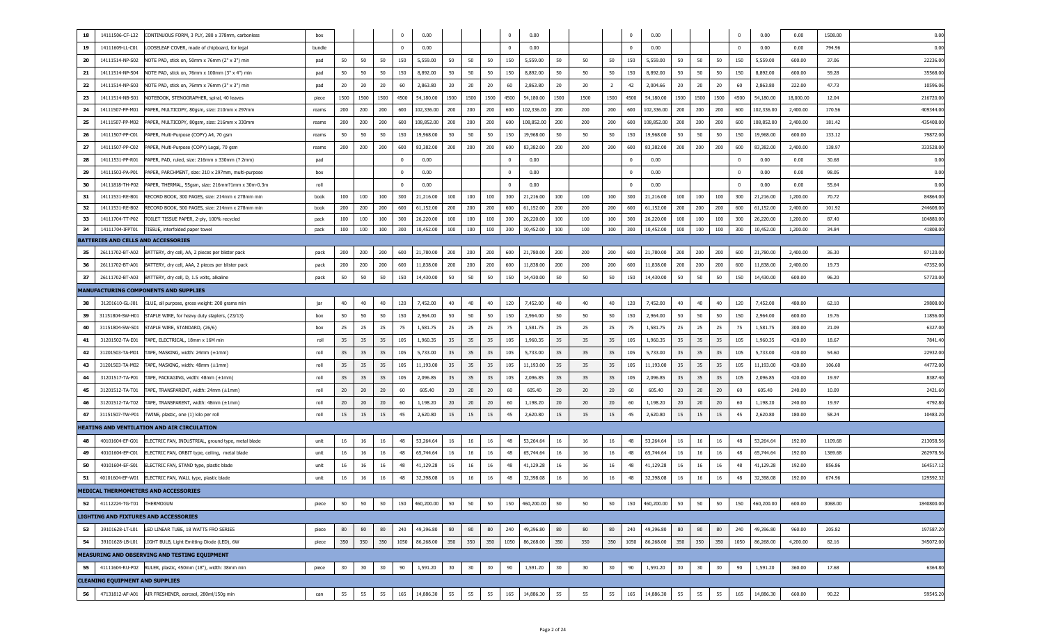| 18<br>14111506-CF-L32                                               | CONTINUOUS FORM, 3 PLY, 280 x 378mm, carbonless    | box    |      |      |      | $\mathbf 0$             | 0.00       |      |      |      | $\mathbf 0$             | 0.00       |      |      |                | $\Omega$ | 0.00       |      |      |      | $\mathbf 0$             | 0.00       | 0.00      | 1508.00 | 0.00       |
|---------------------------------------------------------------------|----------------------------------------------------|--------|------|------|------|-------------------------|------------|------|------|------|-------------------------|------------|------|------|----------------|----------|------------|------|------|------|-------------------------|------------|-----------|---------|------------|
| 19<br>14111609-LL-C01                                               | LOOSELEAF COVER, made of chipboard, for legal      | bundle |      |      |      | $\overline{0}$          | 0.00       |      |      |      | $\overline{0}$          | 0.00       |      |      |                | $\Omega$ | 0.00       |      |      |      | $\overline{\mathbf{0}}$ | 0.00       | 0.00      | 794.96  | 0.00       |
| 20<br>14111514-NP-S02                                               | NOTE PAD, stick on, 50mm x 76mm (2" x 3") min      | pad    | 50   | 50   | 50   | 150                     | 5,559.00   | 50   | 50   | 50   | 150                     | 5,559.00   | 50   | 50   | 50             | 150      | 5,559.00   | 50   | 50   | 50   | 150                     | 5,559.00   | 600.00    | 37.06   | 22236.00   |
| 21<br>14111514-NP-S04                                               | NOTE PAD, stick on, 76mm x 100mm (3" x 4") min     | pad    | 50   | 50   | 50   | 150                     | 8,892.00   | 50   | 50   | 50   | 150                     | 8,892.00   | 50   | 50   | 50             | 150      | 8,892.00   | 50   | 50   | 50   | 150                     | 8,892.00   | 600.00    | 59.28   | 35568.0    |
| 22<br>14111514-NP-S03                                               | NOTE PAD, stick on, 76mm x 76mm (3" x 3") min      | pad    | 20   | 20   | 20   | 60                      | 2,863.80   | 20   | 20   | 20   | 60                      | 2,863.80   | 20   | 20   | $\overline{2}$ | 42       | 2,004.66   | 20   | 20   | 20   | 60                      | 2,863.80   | 222.00    | 47.73   | 10596.0    |
| 23<br>14111514-NB-S01                                               | NOTEBOOK, STENOGRAPHER, spiral, 40 leaves          | piece  | 1500 | 1500 | 1500 | 4500                    | 54,180.00  | 1500 | 1500 | 1500 | 4500                    | 54,180.00  | 1500 | 1500 | 1500           | 4500     | 54,180.00  | 1500 | 1500 | 1500 | 4500                    | 54,180.00  | 18,000.00 | 12.04   | 216720.0   |
| 24<br>14111507-PP-M01                                               | PAPER, MULTICOPY, 80gsm, size: 210mm x 297mm       | reams  | 200  | 200  | 200  | 600                     | 102,336.00 | 200  | 200  | 200  | 600                     | 102,336.00 | 200  | 200  | 200            | 600      | 102,336.00 | 200  | 200  | 200  | 600                     | 102,336.00 | 2,400.00  | 170.56  | 409344.0   |
| 25<br>14111507-PP-M02                                               | PAPER, MULTICOPY, 80gsm, size: 216mm x 330mm       | reams  | 200  | 200  | 200  | 600                     | 108,852.00 | 200  | 200  | 200  | 600                     | 108,852.00 | 200  | 200  | 200            | 600      | 108,852.00 | 200  | 200  | 200  | 600                     | 108,852.00 | 2,400.00  | 181.42  | 435408.0   |
| 26<br>14111507-PP-C01<br>PAPER, Multi-Purpose (COPY) A4, 70 gsm     |                                                    | reams  | 50   | 50   | 50   | 150                     | 19,968.00  | 50   | 50   | 50   | 150                     | 19,968.00  | 50   | 50   | 50             | 150      | 19,968.00  | 50   | 50   | 50   | 150                     | 19,968.00  | 600.00    | 133.12  | 79872.00   |
| 27<br>14111507-PP-C02<br>PAPER, Multi-Purpose (COPY) Legal, 70 gsm  |                                                    | reams  | 200  | 200  | 200  | 600                     | 83,382.00  | 200  | 200  | 200  | 600                     | 83,382.00  | 200  | 200  | 200            | 600      | 83,382.00  | 200  | 200  | 200  | 600                     | 83,382.00  | 2,400.00  | 138.97  | 333528.0   |
| 28<br>14111531-PP-R01                                               | PAPER, PAD, ruled, size: 216mm x 330mm (? 2mm)     | pad    |      |      |      | 0                       | 0.00       |      |      |      | $^{\circ}$              | 0.00       |      |      |                | $\Omega$ | 0.00       |      |      |      | $\overline{\mathbf{0}}$ | 0.00       | 0.00      | 30.68   | 0.00       |
| 29<br>14111503-PA-P01                                               | PAPER, PARCHMENT, size: 210 x 297mm, multi-purpose | box    |      |      |      | $\overline{\mathbf{0}}$ | 0.00       |      |      |      | $\overline{\mathbf{0}}$ | 0.00       |      |      |                | $\Omega$ | 0.00       |      |      |      | $\overline{\mathbf{0}}$ | 0.00       | 0.00      | 98.05   | 0.00       |
| 30<br>14111818-TH-P02                                               | PAPER, THERMAL, 55gsm, size: 216mm?1mm x 30m-0.3m  | roll   |      |      |      | $^{\circ}$              | 0.00       |      |      |      | $\overline{\mathbf{0}}$ | 0.00       |      |      |                | $\Omega$ | 0.00       |      |      |      | $\overline{\mathbf{0}}$ | 0.00       | 0.00      | 55.64   | 0.00       |
| 14111531-RE-B01<br>31                                               | RECORD BOOK, 300 PAGES, size: 214mm x 278mm min    | book   | 100  | 100  | 100  | 300                     | 21,216.00  | 100  | 100  | 100  | 300                     | 21,216.00  | 100  | 100  | 100            | 300      | 21,216.00  | 100  | 100  | 100  | 300                     | 21,216.00  | 1,200.00  | 70.72   | 84864.00   |
| 32<br>14111531-RE-B02                                               | RECORD BOOK, 500 PAGES, size: 214mm x 278mm min    | book   | 200  | 200  | 200  | 600                     | 61,152.00  | 200  | 200  | 200  | 600                     | 61,152.00  | 200  | 200  | 200            | 600      | 61,152.00  | 200  | 200  | 200  | 600                     | 61,152.00  | 2,400.00  | 101.92  | 244608.00  |
| 33<br>14111704-TT-P02<br>TOILET TISSUE PAPER, 2-ply, 100% recycled  |                                                    | pack   | 100  | 100  | 100  | 300                     | 26,220.00  | 100  | 100  | 100  | 300                     | 26,220.00  | 100  | 100  | 100            | 300      | 26,220.00  | 100  | 100  | 100  | 300                     | 26,220.00  | 1,200.00  | 87.40   | 104880.0   |
| 34<br>14111704-IFPT01<br>TISSUE, interfolded paper towel            |                                                    | pack   | 100  | 100  | 100  | 300                     | 10,452.00  | 100  | 100  | 100  | 300                     | 10,452.00  | 100  | 100  | 100            | 300      | 10,452.00  | 100  | 100  | 100  | 300                     | 10,452.00  | 1,200.00  | 34.84   | 41808.00   |
| <b>BATTERIES AND CELLS AND ACCESSORIES</b>                          |                                                    |        |      |      |      |                         |            |      |      |      |                         |            |      |      |                |          |            |      |      |      |                         |            |           |         |            |
| 35<br>26111702-BT-A02                                               | BATTERY, dry cell, AA, 2 pieces per blister pack   | pack   | 200  | 200  | 200  | 600                     | 21,780.00  | 200  | 200  | 200  | 600                     | 21,780.00  | 200  | 200  | 200            | 600      | 21,780.00  | 200  | 200  | 200  | 600                     | 21,780.00  | 2,400.00  | 36.30   | 87120.0    |
| 36<br>26111702-BT-A01                                               | BATTERY, dry cell, AAA, 2 pieces per blister pack  | pack   | 200  | 200  | 200  | 600                     | 11,838.00  | 200  | 200  | 200  | 600                     | 11,838.00  | 200  | 200  | 200            | 600      | 11,838.00  | 200  | 200  | 200  | 600                     | 11,838.00  | 2,400.00  | 19.73   | 47352.0    |
| 37<br>26111702-BT-A03<br>BATTERY, dry cell, D, 1.5 volts, alkaline  |                                                    | pack   | 50   | 50   | 50   | 150                     | 14,430.00  | 50   | 50   | 50   | 150                     | 14,430.00  | 50   | 50   | 50             | 150      | 14,430.00  | 50   | 50   | 50   | 150                     | 14,430.00  | 600.00    | 96.20   | 57720.0    |
| MANUFACTURING COMPONENTS AND SUPPLIES                               |                                                    |        |      |      |      |                         |            |      |      |      |                         |            |      |      |                |          |            |      |      |      |                         |            |           |         |            |
| 38<br>31201610-GL-J01                                               | GLUE, all purpose, gross weight: 200 grams min     | jar    | 40   | 40   | 40   | 120                     | 7,452.00   | 40   | 40   | 40   | 120                     | 7,452.00   | 40   | 40   | 40             | 120      | 7,452.00   | 40   | 40   | 40   | 120                     | 7,452.00   | 480.00    | 62.10   | 29808.0    |
| 39<br>31151804-SW-H01                                               | STAPLE WIRE, for heavy duty staplers, (23/13)      | box    | 50   | 50   | 50   | 150                     | 2,964.00   | 50   | 50   | 50   | 150                     | 2,964.00   | 50   | 50   | 50             | 150      | 2,964.00   | 50   | 50   | 50   | 150                     | 2,964.00   | 600.00    | 19.76   | 11856.0    |
| 40<br>31151804-SW-S01<br>STAPLE WIRE, STANDARD, (26/6)              |                                                    | box    | 25   | 25   | 25   | 75                      | 1,581.75   | 25   | 25   | 25   | 75                      | 1,581.75   | 25   | 25   | 25             | 75       | 1,581.75   | 25   | 25   | 25   | 75                      | 1,581.75   | 300.00    | 21.09   | 6327.00    |
| 41<br>31201502-TA-E01<br>TAPE, ELECTRICAL, 18mm x 16M min           |                                                    | roll   | 35   | 35   | 35   | 105                     | 1,960.35   | 35   | 35   | 35   | 105                     | 1,960.35   | 35   | 35   | 35             | 105      | 1,960.35   | 35   | 35   | 35   | 105                     | 1,960.35   | 420.00    | 18.67   | 7841.4     |
| 42<br>31201503-TA-M01<br>TAPE, MASKING, width: 24mm (±1mm)          |                                                    | roll   | 35   | 35   | 35   | 105                     | 5,733.00   | 35   | 35   | 35   | 105                     | 5,733.00   | 35   | 35   | 35             | 105      | 5,733.00   | 35   | 35   | 35   | 105                     | 5,733.00   | 420.00    | 54.60   | 22932.0    |
| 43<br>31201503-TA-M02<br>TAPE, MASKING, width: 48mm (±1mm)          |                                                    | roll   | 35   | 35   | 35   | 105                     | 11,193.00  | 35   | 35   | 35   | 105                     | 11,193.00  | 35   | 35   | 35             | 105      | 11,193.00  | 35   | 35   | 35   | 105                     | 11,193.00  | 420.00    | 106.60  | 44772.00   |
| 44<br>31201517-TA-P01<br>TAPE, PACKAGING, width: 48mm (±1mm)        |                                                    | roll   | 35   | 35   | 35   | 105                     | 2,096.85   | 35   | 35   | 35   | 105                     | 2,096.85   | 35   | 35   | 35             | 105      | 2,096.85   | 35   | 35   | 35   | 105                     | 2,096.85   | 420.00    | 19.97   | 8387.4     |
| 45<br>31201512-TA-T01<br>TAPE, TRANSPARENT, width: 24mm (±1mm)      |                                                    | roll   | 20   | 20   | 20   | 60                      | 605.40     | 20   | 20   | 20   | 60                      | 605.40     | 20   | 20   | 20             | 60       | 605.40     | 20   | 20   | 20   | 60                      | 605.40     | 240.00    | 10.09   | 2421.6     |
| 46<br>31201512-TA-T02<br>TAPE, TRANSPARENT, width: 48mm (±1mm)      |                                                    | roll   | 20   | 20   | 20   | 60                      | 1,198.20   | 20   | 20   | 20   | 60                      | 1,198.20   | 20   | 20   | 20             | 60       | 1,198.20   | 20   | 20   | 20   | 60                      | 1,198.20   | 240.00    | 19.97   | 4792.8     |
| 47<br>31151507-TW-P01<br>TWINE, plastic, one (1) kilo per roll      |                                                    | roll   | 15   | 15   | 15   | 45                      | 2,620.80   | 15   | 15   | 15   | 45                      | 2,620.80   | 15   | 15   | 15             | 45       | 2,620.80   | 15   | 15   | 15   | 45                      | 2,620.80   | 180.00    | 58.24   | 10483.2    |
| <b>HEATING AND VENTILATION AND AIR CIRCULATION</b>                  |                                                    |        |      |      |      |                         |            |      |      |      |                         |            |      |      |                |          |            |      |      |      |                         |            |           |         |            |
| 48<br>40101604-EF-G01                                               | ELECTRIC FAN, INDUSTRIAL, ground type, metal blade | unit   | 16   | 16   | 16   | 48                      | 53,264.64  | 16   | 16   | 16   | 48                      | 53,264.64  | 16   | 16   | 16             | 48       | 53,264.64  | 16   | 16   | 16   | 48                      | 53,264.64  | 192.00    | 1109.68 | 213058.5   |
| 49<br>40101604-EF-C01                                               | ELECTRIC FAN, ORBIT type, ceiling, metal blade     | unit   | 16   | 16   | 16   | 48                      | 65,744.64  | 16   | 16   | 16   | 48                      | 65,744.64  | 16   | 16   | 16             | 48       | 65,744.64  | 16   | 16   | 16   | 48                      | 65,744.64  | 192.00    | 1369.68 | 262978.5   |
| 50<br>40101604-EF-S01<br>ELECTRIC FAN, STAND type, plastic blade    |                                                    | unit   | 16   | 16   | 16   | 48                      | 41,129.28  | 16   | 16   | 16   | 48                      | 41,129.28  | 16   | 16   | 16             | 48       | 41,129.28  | 16   | 16   | 16   | 48                      | 41,129.28  | 192.00    | 856.86  | 164517.1   |
| 51<br>40101604-EF-W01 ELECTRIC FAN, WALL type, plastic blade        |                                                    | unit   | 16   | 16   | 16   | 48                      | 32,398.08  | 16   | 16   | 16   | 48                      | 32,398.08  | 16   | 16   | 16             | 48       | 32,398.08  | 16   | 16   | 16   | 48                      | 32,398.08  | 192.00    | 674.96  | 129592.32  |
| MEDICAL THERMOMETERS AND ACCESSORIES                                |                                                    |        |      |      |      |                         |            |      |      |      |                         |            |      |      |                |          |            |      |      |      |                         |            |           |         |            |
| 52<br>41112224-TG-T01 THERMOGUN                                     |                                                    | piece  | 50   | 50   | 50   | 150                     | 460,200.00 | 50   | 50   | 50   | 150                     | 460,200.00 | 50   | 50   | 50             | 150      | 460,200.00 | 50   | 50   | 50   | 150                     | 460,200.00 | 600.00    | 3068.00 | 1840800.00 |
| <b>LIGHTING AND FIXTURES AND ACCESSORIES</b>                        |                                                    |        |      |      |      |                         |            |      |      |      |                         |            |      |      |                |          |            |      |      |      |                         |            |           |         |            |
| 39101628-LT-L01<br>LED LINEAR TUBE, 18 WATTS FRO SERIES<br>53       |                                                    | piece  | 80   | 80   | 80   | 240                     | 49,396.80  | 80   | 80   | 80   | 240                     | 49,396.80  | 80   | 80   | 80             | 240      | 49,396.80  | 80   | 80   | 80   | 240                     | 49,396.80  | 960.00    | 205.82  | 197587.20  |
| 54<br>39101628-LB-L01<br>LIGHT BULB, Light Emitting Diode (LED), 6W |                                                    | piece  | 350  | 350  | 350  | 1050                    | 86,268.00  | 350  | 350  | 350  | 1050                    | 86,268.00  | 350  | 350  | 350            | 1050     | 86,268.00  | 350  | 350  | 350  | 1050                    | 86,268.00  | 4,200.00  | 82.16   | 345072.00  |
| MEASURING AND OBSERVING AND TESTING EQUIPMENT                       |                                                    |        |      |      |      |                         |            |      |      |      |                         |            |      |      |                |          |            |      |      |      |                         |            |           |         |            |
| 41111604-RU-P02 RULER, plastic, 450mm (18"), width: 38mm min<br>55  |                                                    | piece  | 30   | 30   | 30   | 90                      | 1,591.20   | 30   | 30   | 30   | 90                      | 1,591.20   | 30   | 30   | 30             | 90       | 1,591.20   | 30   | 30   | 30   | 90                      | 1,591.20   | 360.00    | 17.68   | 6364.80    |
| <b>CLEANING EQUIPMENT AND SUPPLIES</b>                              |                                                    |        |      |      |      |                         |            |      |      |      |                         |            |      |      |                |          |            |      |      |      |                         |            |           |         |            |
| 47131812-AF-A01 AIR FRESHENER, aerosol, 280ml/150g min<br>56        |                                                    | can    | 55   | 55   | 55   | 165                     | 14,886.30  | 55   | 55   | 55   | 165                     | 14,886.30  | 55   | 55   | 55             | 165      | 14,886.30  | 55   | 55   | 55   | 165                     | 14,886.30  | 660.00    | 90.22   | 59545.20   |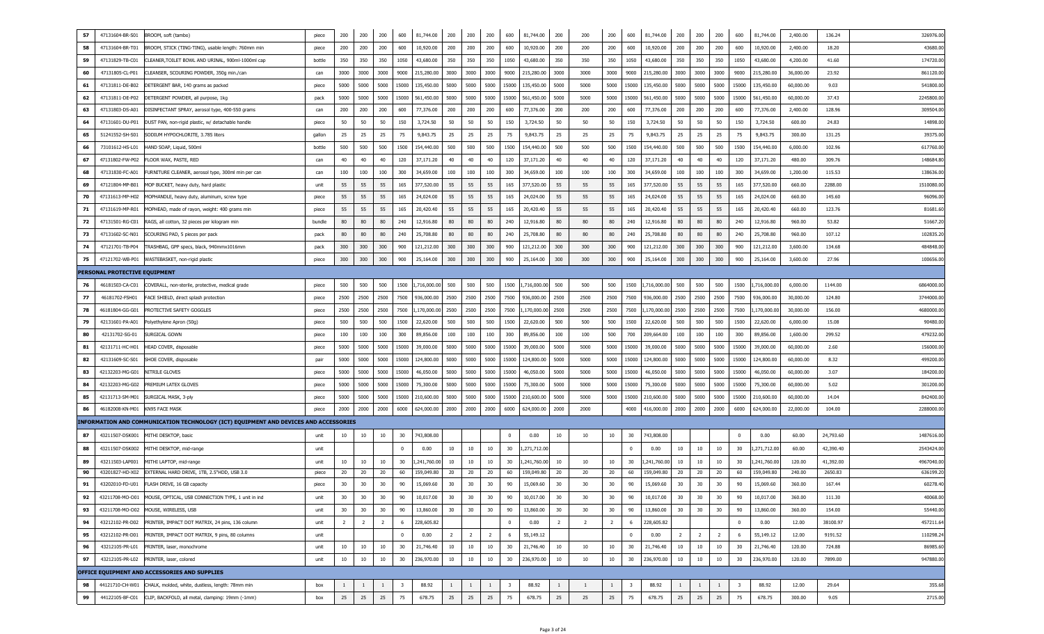| 57 | 47131604-BR-S01               | BROOM, soft (tambo)                                                                  | piece  | 200             | 200            | 200            | 600                     | 81,744.00         | 200            | 200            | 200            | 600                     | 81,744.00    | 200            | 200            | 200            | 600                     | 81,744.00   | 200            | 200            | 200            | 600                     | 81,744.00    | 2,400.00  | 136.24    | 326976.00  |
|----|-------------------------------|--------------------------------------------------------------------------------------|--------|-----------------|----------------|----------------|-------------------------|-------------------|----------------|----------------|----------------|-------------------------|--------------|----------------|----------------|----------------|-------------------------|-------------|----------------|----------------|----------------|-------------------------|--------------|-----------|-----------|------------|
| 58 | 47131604-BR-T01               | BROOM, STICK (TING-TING), usable length: 760mm min                                   | piece  | 200             | 200            | 200            | 600                     | 10,920.00         | 200            | 200            | 200            | 600                     | 10,920.00    | 200            | 200            | 200            | 600                     | 10,920.00   | 200            | 200            | 200            | 600                     | 10,920.00    | 2,400.00  | 18.20     | 43680.0    |
| 59 | 47131829-TB-C01               | CLEANER, TOILET BOWL AND URINAL, 900ml-1000ml cap                                    | bottle | 350             | 350            | 350            | 1050                    | 43,680.00         | 350            | 350            | 350            | 1050                    | 43,680.00    | 350            | 350            | 350            | 1050                    | 43,680.00   | 350            | 350            | 350            | 1050                    | 43,680.00    | 4,200.00  | 41.60     | 174720.0   |
| 60 | 47131805-CL-P01               | CLEANSER, SCOURING POWDER, 350g min./can                                             | can    | 3000            | 3000           | 3000           | 9000                    | 215,280.00        | 3000           | 3000           | 3000           | 9000                    | 215,280.00   | 3000           | 3000           | 3000           | 9000                    | 215,280.00  | 3000           | 3000           | 3000           | 9000                    | 215,280.00   | 36,000.00 | 23.92     | 861120.0   |
| 61 | 47131811-DE-B02               | DETERGENT BAR, 140 grams as packed                                                   | piece  | 5000            | 5000           | 5000           |                         | 15000 135,450.00  | 5000           | 5000           | 5000           | 15000                   | 135,450.00   | 5000           | 5000           | 5000           | 15000                   | 135,450.00  | 5000           | 5000           | 5000           | 15000                   | 135,450.00   | 60,000.00 | 9.03      | 541800.0   |
| 62 | 47131811-DE-P02               | DETERGENT POWDER, all purpose, 1kg                                                   | pack   | 5000            | 5000           | 5000           |                         | 15000 561,450.00  | 5000           | 5000           | 5000           | 15000                   | 561,450.00   | 5000           | 5000           | 5000           | 15000                   | 561,450.00  | 5000           | 5000           | 5000           | 15000                   | 561,450.00   | 60,000.00 | 37.43     | 2245800.0  |
| 63 | 47131803-DS-A01               | DISINFECTANT SPRAY, aerosol type, 400-550 grams                                      | can    | 200             | 200            | 200            | 600                     | 77,376.00         | 200            | 200            | 200            | 600                     | 77,376.00    | 200            | 200            | 200            | 600                     | 77,376.00   | 200            | 200            | 200            | 600                     | 77,376.00    | 2,400.00  | 128.96    | 309504.0   |
| 64 | 47131601-DU-P01               | DUST PAN, non-rigid plastic, w/ detachable handle                                    | piece  | 50              | 50             | 50             | 150                     | 3,724.50          | 50             | 50             | 50             | 150                     | 3,724.50     | 50             | 50             | 50             | 150                     | 3,724.50    | 50             | 50             | 50             | 150                     | 3,724.50     | 600.00    | 24.83     | 14898.0    |
| 65 | 51241552-SH-S01               | SODIUM HYPOCHLORITE, 3.785 liters                                                    | gallon | 25              | 25             | 25             | 75                      | 9,843.75          | 25             | 25             | 25             | 75                      | 9,843.75     | 25             | 25             | 25             | 75                      | 9,843.75    | 25             | 25             | 25             | 75                      | 9,843.75     | 300.00    | 131.25    | 39375.0    |
| 66 | 73101612-HS-L01               | HAND SOAP, Liquid, 500ml                                                             | bottle | 500             | 500            | 500            | 1500                    | 154,440.00        | 500            | 500            | 500            | 1500                    | 154,440.00   | 500            | 500            | 500            | 1500                    | 154,440.00  | 500            | 500            | 500            | 1500                    | 154,440.00   | 6,000.00  | 102.96    | 617760.0   |
| 67 | 47131802-FW-P02               | FLOOR WAX, PASTE, RED                                                                | can    | 40              | 40             | 40             | 120                     | 37,171.20         | 40             | 40             | 40             | 120                     | 37,171.20    | 40             | 40             | 40             | 120                     | 37,171.20   | 40             | 40             | 40             | 120                     | 37,171.20    | 480.00    | 309.76    | 148684.8   |
| 68 | 47131830-FC-A01               | FURNITURE CLEANER, aerosol type, 300ml min per can                                   | can    | 100             | 100            | 100            | 300                     | 34,659.00         | 100            | 100            | 100            | 300                     | 34,659.00    | 100            | 100            | 100            | 300                     | 34,659.00   | 100            | 100            | 100            | 300                     | 34,659.00    | 1,200.00  | 115.53    | 138636.0   |
| 69 | 47121804-MP-B01               | MOP BUCKET, heavy duty, hard plastic                                                 | unit   | 55              | 55             | 55             | 165                     | 377,520.00        | 55             | 55             | 55             | 165                     | 377,520.00   | 55             | 55             | 55             | 165                     | 377,520.00  | 55             | 55             | 55             | 165                     | 377,520.00   | 660.00    | 2288.00   | 1510080.0  |
| 70 | 47131613-MP-H02               | MOPHANDLE, heavy duty, aluminum, screw type                                          | piece  | 55              | 55             | 55             | 165                     | 24,024.00         | 55             | 55             | 55             | 165                     | 24,024.00    | 55             | 55             | 55             | 165                     | 24,024.00   | 55             | 55             | 55             | 165                     | 24,024.00    | 660.00    | 145.60    | 96096.0    |
| 71 | 47131619-MP-R01               | MOPHEAD, made of rayon, weight: 400 grams min                                        | piece  | 55              | 55             | 55             | 165                     | 20,420.40         | 55             | 55             | 55             | 165                     | 20,420.40    | 55             | 55             | 55             | 165                     | 20,420.40   | 55             | 55             | 55             | 165                     | 20,420.40    | 660.00    | 123.76    | 81681.6    |
| 72 | 47131501-RG-C01               | RAGS, all cotton, 32 pieces per kilogram min                                         | bundle | 80              | 80             | 80             | 240                     | 12,916.80         | 80             | 80             | 80             | 240                     | 12,916.80    | 80             | 80             | 80             | 240                     | 12,916.80   | 80             | 80             | 80             | 240                     | 12,916.80    | 960.00    | 53.82     | 51667.2    |
| 73 | 47131602-SC-N01               | SCOURING PAD, 5 pieces per pack                                                      | pack   | 80              | 80             | 80             | 240                     | 25,708.80         | 80             | 80             | 80             | 240                     | 25,708.80    | 80             | 80             | 80             | 240                     | 25,708.80   | 80             | 80             | 80             | 240                     | 25,708.80    | 960.00    | 107.12    | 102835.2   |
| 74 | 47121701-TB-P04               | TRASHBAG, GPP specs, black, 940mmx1016mm                                             | pack   | 300             | 300            | 300            | 900                     | 121,212.00        | 300            | 300            | 300            | 900                     | 121,212.00   | 300            | 300            | 300            | 900                     | 121,212.00  | 300            | 300            | 300            | 900                     | 121,212.00   | 3,600.00  | 134.68    | 484848.0   |
| 75 | 47121702-WB-P01               | WASTEBASKET, non-rigid plastic                                                       | piece  | 300             | 300            | 300            | 900                     | 25,164.00         | 300            | 300            | 300            | 900                     | 25,164.00    | 300            | 300            | 300            | 900                     | 25,164.00   | 300            | 300            | 300            | 900                     | 25,164.00    | 3,600.00  | 27.96     | 100656.0   |
|    | PERSONAL PROTECTIVE EQUIPMENT |                                                                                      |        |                 |                |                |                         |                   |                |                |                |                         |              |                |                |                |                         |             |                |                |                |                         |              |           |           |            |
| 76 | 46181503-CA-C01               | COVERALL, non-sterile, protective, medical grade                                     | piece  | 500             | 500            | 500            |                         | 1500 1,716,000.00 | 500            | 500            | 500            | 1500                    | 1,716,000.00 | 500            | 500            | 500            | 1500                    | ,716,000.00 | 500            | 500            | 500            | 1500                    | L,716,000.00 | 6,000.00  | 1144.00   | 6864000.0  |
| 77 | 46181702-FSH01                | FACE SHIELD, direct splash protection                                                | piece  | 2500            | 2500           | 2500           | 7500                    | 936,000.00        | 2500           | 2500           | 2500           | 7500                    | 936,000.00   | 2500           | 2500           | 2500           | 7500                    | 936,000.00  | 2500           | 2500           | 2500           | 7500                    | 936,000.00   | 30,000.00 | 124.80    | 3744000.0  |
| 78 | 46181804-GG-G01               | PROTECTIVE SAFETY GOGGLES                                                            | piece  | 2500            | 2500           | 2500           | 7500                    | 1,170,000.00      | 2500           | 2500           | 2500           | 7500                    | ,170,000.00  | 2500           | 2500           | 2500           | 7500                    | ,170,000.00 | 2500           | 2500           | 2500           | 7500                    | 170,000.00   | 30,000.00 | 156.00    | 4680000.0  |
| 79 | 42131601-PA-A01               | Polyethylene Apron (50g)                                                             | piece  | 500             | 500            | 500            | 1500                    | 22,620.00         | 500            | 500            | 500            | 1500                    | 22,620.00    | 500            | 500            | 500            | 1500                    | 22,620.00   | 500            | 500            | 500            | 1500                    | 22,620.00    | 6,000.00  | 15.08     | 90480.0    |
| 80 | 42131702-SG-01                | Surgical Gown                                                                        | piece  | 100             | 100            | 100            | 300                     | 89,856.00         | 100            | 100            | 100            | 300                     | 89,856.00    | 100            | 100            | 500            | 700                     | 209,664.00  | 100            | 100            | 100            | 300                     | 89,856.00    | 1,600.00  | 299.52    | 479232.0   |
| 81 | 42131711-HC-H01               | HEAD COVER, disposable                                                               | piece  | 5000            | 5000           | 5000           | 15000                   | 39,000.00         | 5000           | 5000           | 5000           | 15000                   | 39,000.00    | 5000           | 5000           | 5000           | 15000                   | 39,000.00   | 5000           | 5000           | 5000           | 15000                   | 39,000.00    | 60,000.00 | 2.60      | 156000.0   |
| 82 | 42131609-SC-S01               | SHOE COVER, disposable                                                               | pair   | 5000            | 5000           | 5000           | 15000                   | 124,800.00        | 5000           | 5000           | 5000           | 15000                   | 124,800.00   | 5000           | 5000           | 5000           | 15000                   | 124,800.00  | 5000           | 5000           | 5000           | 15000                   | 124,800.00   | 60,000.00 | 8.32      | 499200.0   |
| 83 | 42132203-MG-G01               | NITRILE GLOVES                                                                       | piece  | 5000            | 5000           | 5000           | 15000                   | 46,050.00         | 5000           | 5000           | 5000           | 15000                   | 46,050.00    | 5000           | 5000           | 5000           | 15000                   | 46,050.00   | 5000           | 5000           | 5000           | 15000                   | 46,050.00    | 60,000.00 | 3.07      | 184200.0   |
| 84 | 42132203-MG-G02               | PREMIUM LATEX GLOVES                                                                 | piece  | 5000            | 5000           | 5000           | 15000                   | 75,300.00         | 5000           | 5000           | 5000           | 15000                   | 75,300.00    | 5000           | 5000           | 5000           | 15000                   | 75,300.00   | 5000           | 5000           | 5000           | 15000                   | 75,300.00    | 60,000.00 | 5.02      | 301200.0   |
| 85 | 42131713-SM-M01               | SURGICAL MASK, 3-ply                                                                 | piece  | 5000            | 5000           | 5000           | 15000                   | 210,600.00        | 5000           | 5000           | 5000           | 15000                   | 210,600.00   | 5000           | 5000           | 5000           | 15000                   | 210,600.00  | 5000           | 5000           | 5000           | 15000                   | 210,600.00   | 60,000.00 | 14.04     | 842400.0   |
| 86 | 46182008-KN-M01               | KN95 FACE MASK                                                                       | piece  | 2000            | 2000           | 2000           |                         | 6000 624,000.00   | 2000           | 2000           | 2000           | 6000                    | 624,000.00   | 2000           | 2000           |                | 4000                    | 416,000.00  | 2000           | 2000           | 2000           | 6000                    | 624,000.00   | 22,000.00 | 104.00    | 2288000.0  |
|    |                               | INFORMATION AND COMMUNICATION TECHNOLOGY (ICT) EQUIPMENT AND DEVICES AND ACCESSORIES |        |                 |                |                |                         |                   |                |                |                |                         |              |                |                |                |                         |             |                |                |                |                         |              |           |           |            |
| 87 | 43211507-DSK001               | MITHI DESKTOP, basic                                                                 | unit   | 10              | 10             | 10             | 30                      | 743,808.00        |                |                |                | $\Omega$                | 0.00         | 10             | 10             | 10             | 30                      | 743,808.00  |                |                |                | $\mathbf{0}$            | 0.00         | 60.00     | 24,793.60 | 1487616.00 |
| 88 | 43211507-DSK002               | MITHI DESKTOP, mid-range                                                             | unit   |                 |                |                | $\mathbf{0}$            | 0.00              | 10             | 10             | 10             | 30                      | 1,271,712.00 |                |                |                | $\Omega$                | 0.00        | 10             | 10             | 10             | 30                      | 1,271,712.00 | 60.00     | 42,390.40 | 2543424.00 |
| 89 | 43211503-LAP001               | MITHI LAPTOP, mid-range                                                              | unit   | 10              | 10             | 10             | 30                      | 1,241,760.00      | 10             | 10             | 10             | 30                      | ,241,760.00  | 10             | 10             | 10             | 30                      | ,241,760.00 | 10             | 10             | 10             | 30                      | ,241,760.00  | 120.00    | 41,392.00 | 4967040.00 |
| 90 | 43201827-HD-X02               | EXTERNAL HARD DRIVE, 1TB, 2.5"HDD, USB 3.0                                           | piece  | 20              | 20             | 20             | 60                      | 159,049.80        | 20             | 20             | 20             | 60                      | 159,049.80   | 20             | 20             | 20             | 60                      | 159,049.80  | 20             | 20             | 20             | 60                      | 159,049.80   | 240.00    | 2650.83   | 636199.20  |
| 91 | 43202010-FD-U01               | FLASH DRIVE, 16 GB capacity                                                          | piece  | 30              | 30             | 30             | 90                      | 15,069.60         | 30             | 30             | 30             | 90                      | 15,069.60    | 30             | 30             | 30             | 90                      | 15,069.60   | 30             | 30             | 30             | 90                      | 15,069.60    | 360.00    | 167.44    | 60278.4    |
| 92 | 43211708-MO-O01               | MOUSE, OPTICAL, USB CONNECTION TYPE, 1 unit in ind                                   | unit   | 30              | 30             | 30             | 90                      | 10,017.00         | 30             | 30             | 30             | 90                      | 10,017.00    | 30             | 30             | 30             | 90                      | 10,017.00   | 30             | 30             | 30             | 90                      | 10,017.00    | 360.00    | 111.30    | 40068.00   |
| 93 | 43211708-MO-O02               | MOUSE, WIRELESS, USB                                                                 | unit   | 30 <sub>o</sub> | 30             | 30             | 90                      | 13,860.00         | 30             | 30             | 30             | 90                      | 13,860.00    | 30             | 30             | 30             | 90                      | 13,860.00   | 30             | 30             | 30             | 90                      | 13,860.00    | 360.00    | 154.00    | 55440.00   |
| 94 | 43212102-PR-D02               | PRINTER, IMPACT DOT MATRIX, 24 pins, 136 column                                      | unit   | $\overline{2}$  | $\overline{2}$ | $\overline{2}$ | 6                       | 228,605.82        |                |                |                | $\mathbf{0}$            | 0.00         | $\overline{2}$ | $\overline{2}$ | $\overline{2}$ | 6                       | 228,605.82  |                |                |                | $\overline{0}$          | 0.00         | 12.00     | 38100.97  | 457211.64  |
| 95 | 43212102-PR-D01               | PRINTER, IMPACT DOT MATRIX, 9 pins, 80 columns                                       | unit   |                 |                |                | $\overline{0}$          | 0.00              | $\overline{2}$ | $\overline{2}$ | $\overline{2}$ | 6                       | 55,149.12    |                |                |                | $\overline{0}$          | 0.00        | $\overline{2}$ | $\overline{2}$ | $\overline{2}$ | 6                       | 55,149.12    | 12.00     | 9191.52   | 110298.24  |
| 96 | 43212105-PR-L01               | PRINTER, laser, monochrome                                                           | unit   | 10              | $10\,$         | 10             | 30                      | 21,746.40         | 10             | 10             | 10             | 30                      | 21,746.40    | 10             | $10\,$         | 10             | 30                      | 21,746.40   | 10             | 10             | 10             | 30                      | 21,746.40    | 120.00    | 724.88    | 86985.60   |
| 97 | 43212105-PR-L02               | PRINTER, laser, colored                                                              | unit   | 10              | $10\,$         | 10             | 30                      | 236,970.00        | 10             | 10             | 10             | 30                      | 236,970.00   | 10             | 10             | 10             | 30                      | 236,970.00  | 10             | 10             | 10             | 30                      | 236,970.00   | 120.00    | 7899.00   | 947880.00  |
|    |                               | OFFICE EQUIPMENT AND ACCESSORIES AND SUPPLIES                                        |        |                 |                |                |                         |                   |                |                |                |                         |              |                |                |                |                         |             |                |                |                |                         |              |           |           |            |
| 98 | 44121710-CH-W01               | CHALK, molded, white, dustless, length: 78mm min                                     | box    | -1              | $\overline{1}$ | $\mathbf{1}$   | $\overline{\mathbf{3}}$ | 88.92             | <sup>1</sup>   | <sup>1</sup>   | 1              | $\overline{\mathbf{3}}$ | 88.92        | <sup>1</sup>   | $\overline{1}$ | $\mathbf{1}$   | $\overline{\mathbf{3}}$ | 88.92       | -1             | -1             | $\overline{1}$ | $\overline{\mathbf{3}}$ | 88.92        | 12.00     | 29.64     | 355.68     |
| 99 | 44122105-BF-C01               | CLIP, BACKFOLD, all metal, clamping: 19mm (-1mm)                                     | box    | 25              | 25             | 25             | 75                      | 678.75            | 25             | 25             | 25             | 75                      | 678.75       | 25             | 25             | 25             | 75                      | 678.75      | 25             | 25             | 25             | 75                      | 678.75       | 300.00    | 9.05      | 2715.00    |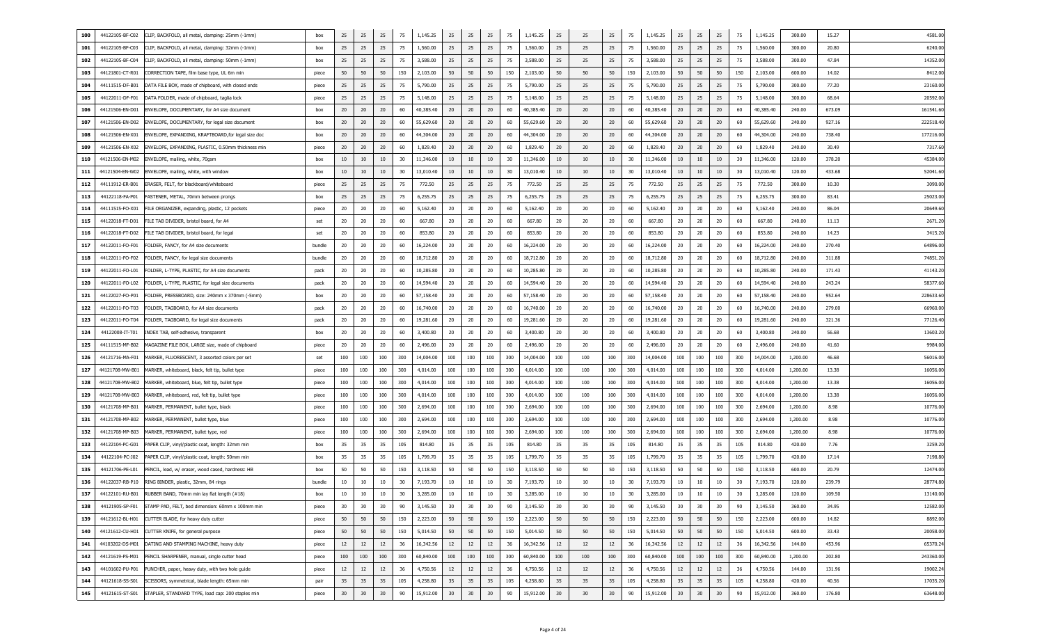| 100 | 44122105-BF-C02 | CLIP, BACKFOLD, all metal, clamping: 25mm (-1mm)                  | box        | 25  | 25  | 25  | 75  | 1,145.25  | 25  | 25  | 25  | 75  | 1,145.25  | 25  | 25  | 25  | 75  | 1,145.25  | 25  | 25  | 25  | 75  | 1,145.25  | 300.00   | 15.27  | 4581.0    |
|-----|-----------------|-------------------------------------------------------------------|------------|-----|-----|-----|-----|-----------|-----|-----|-----|-----|-----------|-----|-----|-----|-----|-----------|-----|-----|-----|-----|-----------|----------|--------|-----------|
| 101 | 44122105-BF-C03 | CLIP, BACKFOLD, all metal, clamping: 32mm (-1mm)                  | box        | 25  | 25  | 25  | 75  | 1,560.00  | 25  | 25  | 25  | 75  | 1,560.00  | 25  | 25  | 25  | 75  | 1,560.00  | 25  | 25  | 25  | 75  | 1,560.00  | 300.00   | 20.80  | 6240.00   |
| 102 | 44122105-BF-C04 | CLIP, BACKFOLD, all metal, clamping: 50mm (-1mm)                  | box        | 25  | 25  | 25  | 75  | 3,588.00  | 25  | 25  | 25  | 75  | 3,588.00  | 25  | 25  | 25  | 75  | 3,588.00  | 25  | 25  | 25  | 75  | 3,588.00  | 300.00   | 47.84  | 14352.0   |
| 103 | 44121801-CT-R01 | CORRECTION TAPE, film base type, UL 6m min                        | piece      | 50  | 50  | 50  | 150 | 2,103.00  | 50  | 50  | 50  | 150 | 2,103.00  | 50  | 50  | 50  | 150 | 2,103.00  | 50  | 50  | 50  | 150 | 2,103.00  | 600.00   | 14.02  | 8412.00   |
| 104 | 44111515-DF-B01 | DATA FILE BOX, made of chipboard, with closed ends                | piece      | 25  | 25  | 25  | 75  | 5,790.00  | 25  | 25  | 25  | 75  | 5,790.00  | 25  | 25  | 25  | 75  | 5,790.00  | 25  | 25  | 25  | 75  | 5,790.00  | 300.00   | 77.20  | 23160.0   |
| 105 | 44122011-DF-F01 | DATA FOLDER, made of chipboard, taglia lock                       | piece      | 25  | 25  | 25  | 75  | 5,148.00  | 25  | 25  | 25  | 75  | 5,148.00  | 25  | 25  | 25  | 75  | 5,148.00  | 25  | 25  | 25  | 75  | 5,148.00  | 300.00   | 68.64  | 20592.0   |
| 106 | 44121506-EN-D01 | ENVELOPE, DOCUMENTARY, for A4 size document                       | box        | 20  | 20  | 20  | 60  | 40,385.40 | 20  | 20  | 20  | 60  | 40,385.40 | 20  | 20  | 20  | 60  | 40,385.40 | 20  | 20  | 20  | 60  | 40,385.40 | 240.00   | 673.09 | 161541.6  |
| 107 | 44121506-EN-D02 | ENVELOPE, DOCUMENTARY, for legal size document                    | box        | 20  | 20  | 20  | 60  | 55,629.60 | 20  | 20  | 20  | 60  | 55,629.60 | 20  | 20  | 20  | 60  | 55,629.60 | 20  | 20  | 20  | 60  | 55,629.60 | 240.00   | 927.16 | 222518.4  |
| 108 | 44121506-EN-X01 | ENVELOPE, EXPANDING, KRAFTBOARD, for legal size doc               | box        | 20  | 20  | 20  | 60  | 44,304.00 | 20  | 20  | 20  | 60  | 44,304.00 | 20  | 20  | 20  | 60  | 44,304.00 | 20  | 20  | 20  | 60  | 44,304.00 | 240.00   | 738.40 | 177216.00 |
| 109 | 44121506-EN-X02 | ENVELOPE, EXPANDING, PLASTIC, 0.50mm thickness min                | piece      | 20  | 20  | 20  | 60  | 1,829.40  | 20  | 20  | 20  | 60  | 1,829.40  | 20  | 20  | 20  | 60  | 1,829.40  | 20  | 20  | 20  | 60  | 1,829.40  | 240.00   | 30.49  | 7317.6    |
| 110 | 44121506-EN-M02 | ENVELOPE, mailing, white, 70gsm                                   | box        | 10  | 10  | 10  | 30  | 11,346.00 | 10  | 10  | 10  | 30  | 11,346.00 | 10  | 10  | 10  | 30  | 11,346.00 | 10  | 10  | 10  | 30  | 11,346.00 | 120.00   | 378.20 | 45384.0   |
| 111 | 44121504-EN-W02 | ENVELOPE, mailing, white, with window                             | box        | 10  | 10  | 10  | 30  | 13,010.40 | 10  | 10  | 10  | 30  | 13,010.40 | 10  | 10  | 10  | 30  | 13,010.40 | 10  | 10  | 10  | 30  | 13,010.40 | 120.00   | 433.68 | 52041.6   |
| 112 | 44111912-ER-B01 | ERASER, FELT, for blackboard/whiteboard                           | piece      | 25  | 25  | 25  | 75  | 772.50    | 25  | 25  | 25  | 75  | 772.50    | 25  | 25  | 25  | 75  | 772.50    | 25  | 25  | 25  | 75  | 772.50    | 300.00   | 10.30  | 3090.0    |
| 113 | 44122118-FA-P01 | FASTENER, METAL, 70mm between prongs                              | box        | 25  | 25  | 25  | 75  | 6,255.75  | 25  | 25  | 25  | 75  | 6,255.75  | 25  | 25  | 25  | 75  | 6,255.75  | 25  | 25  | 25  | 75  | 6,255.75  | 300.00   | 83.41  | 25023.0   |
| 114 | 44111515-FO-X01 | FILE ORGANIZER, expanding, plastic, 12 pockets                    | piece      | 20  | 20  | 20  | 60  | 5,162.40  | 20  | 20  | 20  | 60  | 5,162.40  | 20  | 20  | 20  | 60  | 5,162.40  | 20  | 20  | 20  | 60  | 5,162.40  | 240.00   | 86.04  | 20649.6   |
| 115 | 44122018-FT-D01 | FILE TAB DIVIDER, bristol board, for A4                           | set        | 20  | 20  | 20  | 60  | 667.80    | 20  | 20  | 20  | 60  | 667.80    | -20 | -20 | 20  | 60  | 667.80    | 20  | 20  | 20  | 60  | 667.80    | 240.00   | 11.13  | 2671.2    |
| 116 | 44122018-FT-D02 | FILE TAB DIVIDER, bristol board, for legal                        | set        | 20  | 20  | 20  | 60  | 853.80    | 20  | 20  | 20  | 60  | 853.80    | 20  | 20  | 20  | 60  | 853.80    | 20  | 20  | 20  | 60  | 853.80    | 240.00   | 14.23  | 3415.2    |
| 117 | 44122011-FO-F01 | FOLDER, FANCY, for A4 size documents                              | bundle     | 20  | 20  | 20  | 60  | 16,224.00 | 20  | 20  | 20  | 60  | 16,224.00 | 20  | 20  | 20  | 60  | 16,224.00 | 20  | 20  | 20  | 60  | 16,224.00 | 240.00   | 270.40 | 64896.00  |
| 118 | 44122011-FO-F02 | FOLDER, FANCY, for legal size documents                           | bundle     | 20  | 20  | 20  | 60  | 18,712.80 | 20  | 20  | 20  | 60  | 18,712.80 | 20  | 20  | 20  | 60  | 18,712.80 | 20  | 20  | 20  | 60  | 18,712.80 | 240.00   | 311.88 | 74851.2   |
| 119 | 44122011-FO-L01 | FOLDER, L-TYPE, PLASTIC, for A4 size documents                    | pack       | 20  | 20  | 20  | 60  | 10,285.80 | 20  | 20  | 20  | 60  | 10,285.80 | 20  | 20  | 20  | 60  | 10,285.80 | 20  | 20  | 20  | 60  | 10,285.80 | 240.00   | 171.43 | 41143.2   |
| 120 | 44122011-FO-L02 | FOLDER, L-TYPE, PLASTIC, for legal size documents                 | pack       | 20  | 20  | 20  | 60  | 14,594.40 | 20  | 20  | 20  | 60  | 14,594.40 | 20  | 20  | 20  | 60  | 14,594.40 | 20  | 20  | 20  | 60  | 14,594.40 | 240.00   | 243.24 | 58377.6   |
| 121 | 44122027-FO-P01 | FOLDER, PRESSBOARD, size: 240mm x 370mm (-5mm)                    | box        | 20  | 20  | 20  | 60  | 57,158.40 | 20  | 20  | 20  | 60  | 57,158.40 | 20  | 20  | 20  | 60  | 57,158.40 | 20  | 20  | 20  | 60  | 57,158.40 | 240.00   | 952.64 | 228633.6  |
| 122 | 44122011-FO-T03 | FOLDER, TAGBOARD, for A4 size documents                           | pack       | 20  | 20  | 20  | 60  | 16,740.00 | 20  | 20  | 20  | 60  | 16,740.00 | 20  | 20  | 20  | 60  | 16,740.00 | 20  | 20  | 20  | 60  | 16,740.00 | 240.00   | 279.00 | 66960.0   |
| 123 | 44122011-FO-T04 | FOLDER, TAGBOARD, for legal size documents                        | pack       | 20  | 20  | 20  | 60  | 19,281.60 | 20  | 20  | -20 | 60  | 19,281.60 | 20  | 20  | 20  | 60  | 19,281.60 | 20  | -20 | 20  | 60  | 19,281.60 | 240.00   | 321.36 | 77126.4   |
| 124 | 44122008-IT-T01 | INDEX TAB, self-adhesive, transparent                             | box        | 20  | 20  | 20  | 60  | 3,400.80  | 20  | 20  | -20 | 60  | 3,400.80  | 20  | 20  | 20  | 60  | 3,400.80  | 20  | -20 | 20  | 60  | 3,400.80  | 240.00   | 56.68  | 13603.2   |
| 125 | 44111515-MF-B02 | MAGAZINE FILE BOX, LARGE size, made of chipboard                  | piece      | 20  | 20  | 20  | 60  | 2,496.00  | 20  | 20  | 20  | 60  | 2,496.00  | 20  | -20 | 20  | 60  | 2,496.00  | 20  | 20  | 20  | 60  | 2,496.00  | 240.00   | 41.60  | 9984.0    |
| 126 | 44121716-MA-F01 | MARKER, FLUORESCENT, 3 assorted colors per set                    | set        | 100 | 100 | 100 | 300 | 14,004.00 | 100 | 100 | 100 | 300 | 14,004.00 | 100 | 100 | 100 | 300 | 14,004.00 | 100 | 100 | 100 | 300 | 14,004.00 | 1,200.00 | 46.68  | 56016.0   |
| 127 | 44121708-MW-B01 | MARKER, whiteboard, black, felt tip, bullet type                  | piece      | 100 | 100 | 100 | 300 | 4,014.00  | 100 | 100 | 100 | 300 | 4,014.00  | 100 | 100 | 100 | 300 | 4,014.00  | 100 | 100 | 100 | 300 | 4,014.00  | 1,200.00 | 13.38  | 16056.00  |
| 128 | 44121708-MW-B02 | MARKER, whiteboard, blue, felt tip, bullet type                   | piece      | 100 | 100 | 100 | 300 | 4,014.00  | 100 | 100 | 100 | 300 | 4,014.00  | 100 | 100 | 100 | 300 | 4,014.00  | 100 | 100 | 100 | 300 | 4,014.00  | 1,200.00 | 13.38  | 16056.00  |
| 129 | 44121708-MW-B03 | MARKER, whiteboard, red, felt tip, bullet type                    | piece      | 100 | 100 | 100 | 300 | 4,014.00  | 100 | 100 | 100 | 300 | 4,014.00  | 100 | 100 | 100 | 300 | 4,014.00  | 100 | 100 | 100 | 300 | 4,014.00  | 1,200.00 | 13.38  | 16056.0   |
| 130 | 44121708-MP-B01 | MARKER, PERMANENT, bullet type, black                             | piece      | 100 | 100 | 100 | 300 | 2,694.00  | 100 | 100 | 100 | 300 | 2,694.00  | 100 | 100 | 100 | 300 | 2,694.00  | 100 | 100 | 100 | 300 | 2,694.00  | 1,200.00 | 8.98   | 10776.00  |
| 131 | 44121708-MP-B02 | MARKER, PERMANENT, bullet type, blue                              | piece      | 100 | 100 | 100 | 300 | 2,694.00  | 100 | 100 | 100 | 300 | 2,694.00  | 100 | 100 | 100 | 300 | 2,694.00  | 100 | 100 | 100 | 300 | 2,694.00  | 1,200.00 | 8.98   | 10776.0   |
| 132 | 44121708-MP-B03 | MARKER, PERMANENT, bullet type, red                               | piece      | 100 | 100 | 100 | 300 | 2,694.00  | 100 | 100 | 100 | 300 | 2,694.00  | 100 | 100 | 100 | 300 | 2,694.00  | 100 | 100 | 100 | 300 | 2,694.00  | 1,200.00 | 8.98   | 10776.0   |
| 133 | 44122104-PC-G01 | PAPER CLIP, vinyl/plastic coat, length: 32mm min                  | box        | 35  | 35  | 35  | 105 | 814.80    | 35  | 35  | 35  | 105 | 814.80    | 35  | 35  | 35  | 105 | 814.80    | 35  | 35  | 35  | 105 | 814.80    | 420.00   | 7.76   | 3259.2    |
| 134 | 44122104-PC-J02 | PAPER CLIP, vinyl/plastic coat, length: 50mm min                  | box        | 35  | 35  | 35  | 105 | 1,799.70  | 35  | 35  | 35  | 105 | 1,799.70  | 35  | 35  | 35  | 105 | 1,799.70  | 35  | 35  | 35  | 105 | 1,799.70  | 420.00   | 17.14  | 7198.8    |
| 135 | 44121706-PE-L01 | PENCIL, lead, w/ eraser, wood cased, hardness: HB                 | box        | 50  | 50  | 50  | 150 | 3,118.50  | 50  | 50  | 50  | 150 | 3,118.50  | 50  | 50  | 50  | 150 | 3,118.50  | 50  | 50  | 50  | 150 | 3,118.50  | 600.00   | 20.79  | 12474.00  |
| 136 | 44122037-RB-P10 | RING BINDER, plastic, 32mm, 84 rings                              | bundle     | 10  | 10  | 10  | 30  | 7,193.70  | 10  | 10  | 10  | 30  | 7,193.70  | 10  | 10  | 10  | 30  | 7,193.70  | 10  | 10  | 10  | 30  | 7,193.70  | 120.00   | 239.79 | 28774.80  |
|     |                 | 137 44122101-RU-B01 RUBBER BAND, 70mm min lay flat length (#18)   | <b>DOX</b> | 10  | 10  | 10  | 30  | 3,285.00  | 10  | 10  | 10  | 30  | 3,285.00  | 10  | 10  | 10  | 30  | 3,285.00  | 10  | 10  | 10  | 30  | 3,285.00  | 120.00   | 109.50 | 13140.00  |
| 138 | 44121905-SP-F01 | STAMP PAD, FELT, bed dimension: 60mm x 100mm min                  | piece      | 30  | 30  | 30  | 90  | 3,145.50  | 30  | 30  | 30  | 90  | 3,145.50  | 30  | 30  | 30  | 90  | 3,145.50  | 30  | 30  | 30  | 90  | 3,145.50  | 360.00   | 34.95  | 12582.00  |
| 139 | 44121612-BL-H01 | CUTTER BLADE, for heavy duty cutter                               | piece      | 50  | 50  | 50  | 150 | 2,223.00  | 50  | 50  | 50  | 150 | 2,223.00  | 50  | 50  | 50  | 150 | 2,223.00  | 50  | 50  | 50  | 150 | 2,223.00  | 600.00   | 14.82  | 8892.00   |
| 140 | 44121612-CU-H01 | CUTTER KNIFE, for general purpose                                 | piece      | 50  | 50  | 50  | 150 | 5,014.50  | 50  | 50  | 50  | 150 | 5,014.50  | 50  | 50  | 50  | 150 | 5,014.50  | 50  | 50  | 50  | 150 | 5,014.50  | 600.00   | 33.43  | 20058.00  |
| 141 | 44103202-DS-M01 | DATING AND STAMPING MACHINE, heavy duty                           | piece      | 12  | 12  | 12  | 36  | 16,342.56 | 12  | 12  | 12  | 36  | 16,342.56 | 12  | 12  | 12  | 36  | 16,342.56 | 12  | 12  | 12  | 36  | 16,342.56 | 144.00   | 453.96 | 65370.24  |
| 142 | 44121619-PS-M01 | PENCIL SHARPENER, manual, single cutter head                      | piece      | 100 | 100 | 100 | 300 | 60,840.00 | 100 | 100 | 100 | 300 | 60,840.00 | 100 | 100 | 100 | 300 | 60,840.00 | 100 | 100 | 100 | 300 | 60,840.00 | 1,200.00 | 202.80 | 243360.00 |
| 143 |                 | 44101602-PU-P01   PUNCHER, paper, heavy duty, with two hole guide | piece      | 12  | 12  | 12  | 36  | 4,750.56  | 12  | 12  | 12  | 36  | 4,750.56  | 12  | 12  | 12  | 36  | 4,750.56  | 12  | 12  | 12  | 36  | 4,750.56  | 144.00   | 131.96 | 19002.24  |
| 144 |                 | 44121618-SS-S01 SCISSORS, symmetrical, blade length: 65mm min     | pair       | 35  | 35  | 35  | 105 | 4,258.80  | 35  | 35  | 35  | 105 | 4,258.80  | 35  | 35  | 35  | 105 | 4,258.80  | 35  | 35  | 35  | 105 | 4,258.80  | 420.00   | 40.56  | 17035.20  |
| 145 |                 | 44121615-ST-S01 STAPLER, STANDARD TYPE, load cap: 200 staples min | piece      | 30  | 30  | 30  | 90  | 15,912.00 | 30  | 30  | 30  | 90  | 15,912.00 | 30  | 30  | 30  | 90  | 15,912.00 | 30  | 30  | 30  | 90  | 15,912.00 | 360.00   | 176.80 | 63648.00  |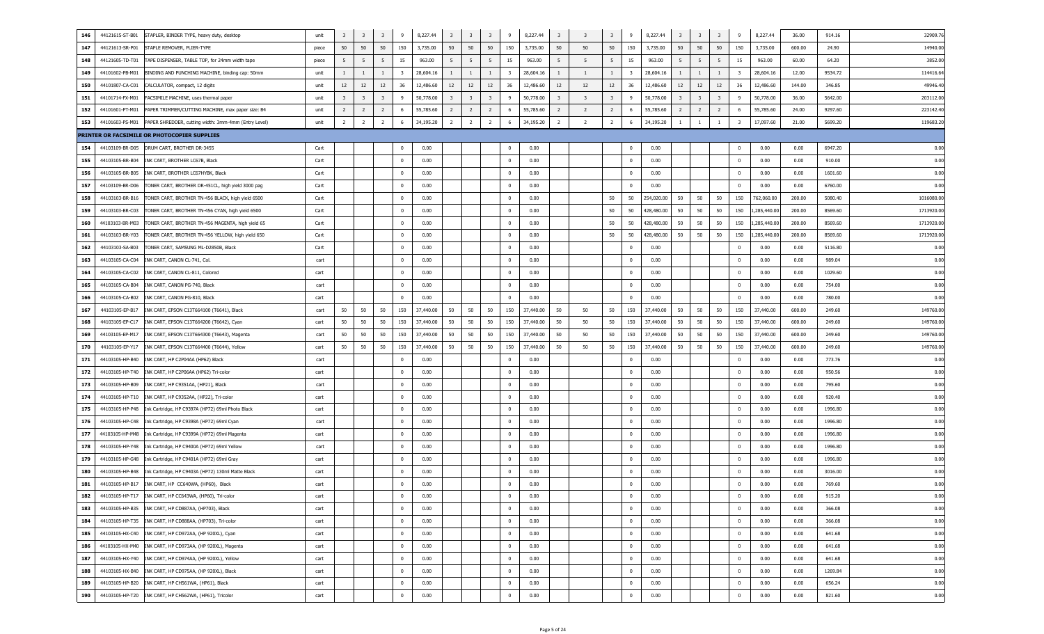| 146<br>44121615-ST-B01<br>STAPLER, BINDER TYPE, heavy duty, desktop            | unit  | 3                       | $\overline{\mathbf{3}}$ | $\overline{\mathbf{3}}$ | 9                       | 8,227.44  | $\overline{\mathbf{3}}$ | $\overline{\mathbf{3}}$ | $\overline{\mathbf{3}}$ | 9                       | 8,227.44  | $\overline{\mathbf{3}}$ | $\overline{3}$          | 3                       | 9              | 8,227.44   | $\overline{\mathbf{3}}$ | $\overline{\mathbf{3}}$ | $\overline{\mathbf{3}}$ | -9                      | 8,227.44    | 36.00  | 914.16  | 32909.7   |
|--------------------------------------------------------------------------------|-------|-------------------------|-------------------------|-------------------------|-------------------------|-----------|-------------------------|-------------------------|-------------------------|-------------------------|-----------|-------------------------|-------------------------|-------------------------|----------------|------------|-------------------------|-------------------------|-------------------------|-------------------------|-------------|--------|---------|-----------|
| 147<br>44121613-SR-P01<br>STAPLE REMOVER, PLIER-TYPE                           | piece | 50                      | 50                      | 50                      | 150                     | 3,735.00  | 50                      | 50                      | 50                      | 150                     | 3,735.00  | 50                      | 50                      | 50                      | 150            | 3,735.00   | 50                      | 50                      | 50                      | 150                     | 3,735.00    | 600.00 | 24.90   | 14940.00  |
| 44121605-TD-T01<br>148<br>TAPE DISPENSER, TABLE TOP, for 24mm width tape       | piece | 5                       | 5                       | 5                       | 15                      | 963.00    | 5                       | 5                       | - 5                     | 15                      | 963.00    | 5                       | 5                       | 5                       | 15             | 963.00     | 5                       | 5                       | 5                       | 15                      | 963.00      | 60.00  | 64.20   | 3852.00   |
| 149<br>44101602-PB-M01<br>BINDING AND PUNCHING MACHINE, binding cap: 50mm      | unit  | 1                       | 1                       | $\mathbf{1}$            | $\overline{\mathbf{3}}$ | 28,604.16 | $\mathbf{1}$            | $\mathbf{1}$            | <sup>1</sup>            | $\overline{\mathbf{3}}$ | 28,604.16 | $\overline{1}$          | $\overline{1}$          | 1                       | 3              | 28,604.16  | $\mathbf{1}$            | <sup>1</sup>            | 1                       | - 3                     | 28,604.16   | 12.00  | 9534.72 | 114416.6  |
| 150<br>44101807-CA-C01<br>CALCULATOR, compact, 12 digits                       | unit  | 12                      | 12                      | 12                      | 36                      | 12,486.60 | 12                      | 12                      | 12                      | 36                      | 12,486.60 | 12                      | 12                      | 12                      | 36             | 12,486.60  | 12                      | 12                      | 12                      | 36                      | 12,486.60   | 144.00 | 346.85  | 49946.40  |
| 151<br>44101714-FX-M01<br>FACSIMILE MACHINE, uses thermal paper                | unit  | $\overline{\mathbf{3}}$ | $\overline{\mathbf{3}}$ | $\overline{\mathbf{3}}$ | 9                       | 50,778.00 | $\overline{\mathbf{3}}$ | $\overline{\mathbf{3}}$ | $\overline{\mathbf{3}}$ | 9                       | 50,778.00 | $\overline{\mathbf{3}}$ | $\overline{\mathbf{3}}$ | $\overline{\mathbf{3}}$ | 9              | 50,778.00  | $\overline{\mathbf{3}}$ | $\overline{\mathbf{3}}$ | $\overline{\mathbf{3}}$ | - 9                     | 50,778.00   | 36.00  | 5642.00 | 203112.00 |
| 152<br>44101601-PT-M01<br>PAPER TRIMMER/CUTTING MACHINE, max paper size: B4    | unit  | $\overline{2}$          | $\overline{2}$          | $\overline{2}$          | 6                       | 55,785.60 | $\overline{2}$          | $\overline{2}$          | $\overline{2}$          | 6                       | 55,785.60 | $\overline{2}$          | $\overline{2}$          | $\overline{2}$          | - 6            | 55,785.60  | $\overline{2}$          | $\overline{2}$          | $\overline{2}$          | -6                      | 55,785.60   | 24.00  | 9297.60 | 223142.4  |
| 153<br>44101603-PS-M01<br>PAPER SHREDDER, cutting width: 3mm-4mm (Entry Level) | unit  | $\overline{2}$          | $\overline{2}$          | $\overline{2}$          | -6                      | 34,195.20 | $\overline{2}$          | $\overline{2}$          | $\overline{2}$          | 6                       | 34,195.20 | $\overline{2}$          | $\overline{2}$          | $\overline{2}$          | -6             | 34,195.20  | -1                      | -1                      | 1                       | 3                       | 17,097.60   | 21.00  | 5699.20 | 119683.2  |
| PRINTER OR FACSIMILE OR PHOTOCOPIER SUPPLIES                                   |       |                         |                         |                         |                         |           |                         |                         |                         |                         |           |                         |                         |                         |                |            |                         |                         |                         |                         |             |        |         |           |
| 154<br>44103109-BR-D05 DRUM CART, BROTHER DR-3455                              | Cart  |                         |                         |                         | $\mathbf 0$             | 0.00      |                         |                         |                         | $\mathbf{0}$            | 0.00      |                         |                         |                         | $\mathbf 0$    | 0.00       |                         |                         |                         | 0                       | 0.00        | 0.00   | 6947.20 | 0.00      |
| 155<br>44103105-BR-B04<br>INK CART, BROTHER LC67B, Black                       | Cart  |                         |                         |                         | 0                       | 0.00      |                         |                         |                         | $\overline{\mathbf{0}}$ | 0.00      |                         |                         |                         | $\overline{0}$ | 0.00       |                         |                         |                         | $\mathbf 0$             | 0.00        | 0.00   | 910.00  | 0.00      |
| 156<br>44103105-BR-B05<br>INK CART, BROTHER LC67HYBK, Black                    | Cart  |                         |                         |                         | 0                       | 0.00      |                         |                         |                         | $\overline{0}$          | 0.00      |                         |                         |                         | $^{\circ}$     | 0.00       |                         |                         |                         | $\mathbf 0$             | 0.00        | 0.00   | 1601.60 | 0.00      |
| 157<br>44103109-BR-D06<br>TONER CART, BROTHER DR-451CL, high yield 3000 pag    | Cart  |                         |                         |                         | 0                       | 0.00      |                         |                         |                         | $\overline{0}$          | 0.00      |                         |                         |                         | $^{\circ}$     | 0.00       |                         |                         |                         | 0                       | 0.00        | 0.00   | 6760.00 | 0.00      |
| 158<br>44103103-BR-B16<br>TONER CART, BROTHER TN-456 BLACK, high yield 6500    | Cart  |                         |                         |                         | 0                       | 0.00      |                         |                         |                         | $\overline{0}$          | 0.00      |                         |                         | 50                      | 50             | 254,020.00 | 50                      | 50                      | 50                      | 150                     | 762,060.00  | 200.00 | 5080.40 | 1016080.0 |
| 159<br>44103103-BR-C03<br>TONER CART, BROTHER TN-456 CYAN, high yield 6500     | Cart  |                         |                         |                         | 0                       | 0.00      |                         |                         |                         | $\overline{0}$          | 0.00      |                         |                         | 50                      | 50             | 428,480.00 | 50                      | 50                      | 50                      | 150                     | ,285,440.00 | 200.00 | 8569.60 | 1713920.0 |
| 160<br>44103103-BR-M03<br>TONER CART, BROTHER TN-456 MAGENTA, high yield 65    | Cart  |                         |                         |                         | 0                       | 0.00      |                         |                         |                         | $\overline{0}$          | 0.00      |                         |                         | 50                      | 50             | 428,480.00 | 50                      | 50                      | 50                      | 150                     | ,285,440.00 | 200.00 | 8569.60 | 1713920.0 |
| 161<br>44103103-BR-Y03<br>TONER CART, BROTHER TN-456 YELLOW, high yield 650    | Cart  |                         |                         |                         | 0                       | 0.00      |                         |                         |                         | $\overline{0}$          | 0.00      |                         |                         | 50                      | 50             | 428,480.00 | 50                      | 50                      | 50                      | 150                     | ,285,440.00 | 200.00 | 8569.60 | 1713920.0 |
| 162<br>44103103-SA-B03<br>TONER CART, SAMSUNG ML-D2850B, Black                 | Cart  |                         |                         |                         | 0                       | 0.00      |                         |                         |                         | $\overline{0}$          | 0.00      |                         |                         |                         | $^{\circ}$     | 0.00       |                         |                         |                         | 0                       | 0.00        | 0.00   | 5116.80 | 0.00      |
| 163<br>44103105-CA-C04<br>INK CART, CANON CL-741, Col.                         | cart  |                         |                         |                         | 0                       | 0.00      |                         |                         |                         | $\overline{0}$          | 0.00      |                         |                         |                         | $\overline{0}$ | 0.00       |                         |                         |                         | $\overline{\mathbf{0}}$ | 0.00        | 0.00   | 989.04  | 0.00      |
| 164<br>44103105-CA-C02<br>INK CART, CANON CL-811, Colored                      | cart  |                         |                         |                         | 0                       | 0.00      |                         |                         |                         | $\overline{0}$          | 0.00      |                         |                         |                         | $\overline{0}$ | 0.00       |                         |                         |                         | $\overline{\mathbf{0}}$ | 0.00        | 0.00   | 1029.60 | 0.00      |
| 165<br>44103105-CA-B04<br>INK CART, CANON PG-740, Black                        | cart  |                         |                         |                         | 0                       | 0.00      |                         |                         |                         | $\overline{0}$          | 0.00      |                         |                         |                         | $\overline{0}$ | 0.00       |                         |                         |                         | $\overline{\mathbf{0}}$ | 0.00        | 0.00   | 754.00  | 0.00      |
| 166<br>44103105-CA-B02<br>INK CART, CANON PG-810, Black                        | cart  |                         |                         |                         | 0                       | 0.00      |                         |                         |                         | $\overline{\mathbf{0}}$ | 0.00      |                         |                         |                         | $\overline{0}$ | 0.00       |                         |                         |                         | $\mathbf 0$             | 0.00        | 0.00   | 780.00  | 0.00      |
| 167<br>44103105-EP-B17<br>INK CART, EPSON C13T664100 (T6641), Black            | cart  | 50                      | 50                      | 50                      | 150                     | 37,440.00 | 50                      | 50                      | 50                      | 150                     | 37,440.00 | 50                      | 50                      | 50                      | 150            | 37,440.00  | 50                      | 50                      | 50                      | 150                     | 37,440.00   | 600.00 | 249.60  | 149760.00 |
| 168<br>44103105-EP-C17<br>INK CART, EPSON C13T664200 (T6642), Cyan             | cart  | 50                      | 50                      | 50                      | 150                     | 37,440.00 | 50                      | 50                      | 50                      | 150                     | 37,440.00 | 50                      | 50                      | 50                      | 150            | 37,440.00  | 50                      | 50                      | 50                      | 150                     | 37,440.00   | 600.00 | 249.60  | 149760.0  |
| 169<br>44103105-EP-M17<br>INK CART, EPSON C13T664300 (T6643), Magenta          | cart  | 50                      | 50                      | 50                      | 150                     | 37,440.00 | 50                      | 50                      | 50                      | 150                     | 37,440.00 | 50                      | 50                      | 50                      | 150            | 37,440.00  | 50                      | 50                      | 50                      | 150                     | 37,440.00   | 600.00 | 249.60  | 149760.0  |
| 170<br>44103105-EP-Y17<br>INK CART, EPSON C13T664400 (T6644), Yellow           | cart  | 50                      | 50                      | 50                      | 150                     | 37,440.00 | 50                      | 50                      | 50                      | 150                     | 37,440.00 | 50                      | 50                      | 50                      | 150            | 37,440.00  | 50                      | 50                      | 50                      | 150                     | 37,440.00   | 600.00 | 249.60  | 149760.0  |
| 171<br>44103105-HP-B40<br>INK CART, HP C2P04AA (HP62) Black                    | cart  |                         |                         |                         | $\Omega$                | 0.00      |                         |                         |                         | $\mathbf 0$             | 0.00      |                         |                         |                         | $^{\circ}$     | 0.00       |                         |                         |                         | 0                       | 0.00        | 0.00   | 773.76  | 0.00      |
| 172<br>44103105-HP-T40<br>INK CART, HP C2P06AA (HP62) Tri-color                | cart  |                         |                         |                         | 0                       | 0.00      |                         |                         |                         | $\overline{0}$          | 0.00      |                         |                         |                         | $^{\circ}$     | 0.00       |                         |                         |                         | $\mathbf 0$             | 0.00        | 0.00   | 950.56  | 0.00      |
| 173<br>44103105-HP-B09<br>INK CART, HP C9351AA, (HP21), Black                  | cart  |                         |                         |                         | 0                       | 0.00      |                         |                         |                         | $\overline{0}$          | 0.00      |                         |                         |                         | $^{\circ}$     | 0.00       |                         |                         |                         | $\overline{\mathbf{0}}$ | 0.00        | 0.00   | 795.60  | 0.00      |
| 174<br>44103105-HP-T10<br>INK CART, HP C9352AA, (HP22), Tri-color              | cart  |                         |                         |                         | 0                       | 0.00      |                         |                         |                         | $\overline{0}$          | 0.00      |                         |                         |                         | $^{\circ}$     | 0.00       |                         |                         |                         | $\overline{\mathbf{0}}$ | 0.00        | 0.00   | 920.40  | 0.00      |
| 175<br>44103105-HP-P48<br>Ink Cartridge, HP C9397A (HP72) 69ml Photo Black     | cart  |                         |                         |                         | 0                       | 0.00      |                         |                         |                         | $\overline{\mathbf{0}}$ | 0.00      |                         |                         |                         | $^{\circ}$     | 0.00       |                         |                         |                         | $\overline{\mathbf{0}}$ | 0.00        | 0.00   | 1996.80 | 0.00      |
| 176<br>44103105-HP-C48<br>Ink Cartridge, HP C9398A (HP72) 69ml Cyan            | cart  |                         |                         |                         | 0                       | 0.00      |                         |                         |                         | $\overline{0}$          | 0.00      |                         |                         |                         | $^{\circ}$     | 0.00       |                         |                         |                         | $\overline{\mathbf{0}}$ | 0.00        | 0.00   | 1996.80 | 0.00      |
| 177<br>44103105-HP-M48<br>Ink Cartridge, HP C9399A (HP72) 69ml Magenta         | cart  |                         |                         |                         | 0                       | 0.00      |                         |                         |                         | $\overline{0}$          | 0.00      |                         |                         |                         | $\overline{0}$ | 0.00       |                         |                         |                         | $\overline{\mathbf{0}}$ | 0.00        | 0.00   | 1996.80 | 0.00      |
| 178<br>44103105-HP-Y48<br>Ink Cartridge, HP C9400A (HP72) 69ml Yellow          | cart  |                         |                         |                         | 0                       | 0.00      |                         |                         |                         | $\overline{0}$          | 0.00      |                         |                         |                         | $\overline{0}$ | 0.00       |                         |                         |                         | $\overline{\mathbf{0}}$ | 0.00        | 0.00   | 1996.80 | 0.00      |
| 179<br>44103105-HP-G48<br>Ink Cartridge, HP C9401A (HP72) 69ml Gray            | cart  |                         |                         |                         | 0                       | 0.00      |                         |                         |                         | $\overline{0}$          | 0.00      |                         |                         |                         | $\overline{0}$ | 0.00       |                         |                         |                         | $\overline{\mathbf{0}}$ | 0.00        | 0.00   | 1996.80 | 0.00      |
| 180<br>44103105-HP-B48                                                         | cart  |                         |                         |                         | 0                       | 0.00      |                         |                         |                         | $\overline{0}$          | 0.00      |                         |                         |                         | $\overline{0}$ | 0.00       |                         |                         |                         | $\mathbf 0$             | 0.00        | 0.00   | 3016.00 | 0.00      |
| Ink Cartridge, HP C9403A (HP72) 130ml Matte Black<br>181                       |       |                         |                         |                         | $\mathbf 0$             | 0.00      |                         |                         |                         | $\overline{\mathbf{0}}$ | 0.00      |                         |                         |                         | $\overline{0}$ | 0.00       |                         |                         |                         | $\pmb{0}$               | 0.00        | 0.00   | 769.60  | 0.00      |
| 44103105-HP-B17   INK CART, HP CC640WA, (HP60), Black                          | cart  |                         |                         |                         |                         |           |                         |                         |                         |                         |           |                         |                         |                         |                |            |                         |                         |                         |                         |             |        |         |           |
| 182 44103105-HP-T17 INK CART, HP CC643WA, (HP60), Tri-color                    | cart  |                         |                         |                         | 0                       | 0.00      |                         |                         |                         | 0                       | 0.00      |                         |                         |                         | $\mathbf{0}$   | 0.00       |                         |                         |                         | 0                       | 0.00        | 0.00   | 915.20  | 0.00      |
| 183<br>44103105-HP-B35 INK CART, HP CD887AA, (HP703), Black                    | cart  |                         |                         |                         | $\bf{0}$                | 0.00      |                         |                         |                         | $\overline{0}$          | 0.00      |                         |                         |                         | $\overline{0}$ | 0.00       |                         |                         |                         | $\bf{0}$                | 0.00        | 0.00   | 366.08  | 0.00      |
| 184<br>44103105-HP-T35 INK CART, HP CD888AA, (HP703), Tri-color                | cart  |                         |                         |                         | $\bf{0}$                | 0.00      |                         |                         |                         | $\overline{0}$          | 0.00      |                         |                         |                         | $\overline{0}$ | 0.00       |                         |                         |                         | $\overline{0}$          | 0.00        | 0.00   | 366.08  | 0.00      |
| 185<br>44103105-HX-C40   INK CART, HP CD972AA, (HP 920XL), Cyan                | cart  |                         |                         |                         | $\bf{0}$                | 0.00      |                         |                         |                         | $\overline{0}$          | 0.00      |                         |                         |                         | $\overline{0}$ | 0.00       |                         |                         |                         | $\overline{0}$          | 0.00        | 0.00   | 641.68  | 0.00      |
| 186<br>44103105-HX-M40   INK CART, HP CD973AA, (HP 920XL), Magenta             | cart  |                         |                         |                         | $\bf{0}$                | 0.00      |                         |                         |                         | $\overline{0}$          | 0.00      |                         |                         |                         | $\overline{0}$ | 0.00       |                         |                         |                         | $\overline{0}$          | 0.00        | 0.00   | 641.68  | 0.00      |
| 187<br>44103105-HX-Y40   INK CART, HP CD974AA, (HP 920XL), Yellow              | cart  |                         |                         |                         | $\overline{0}$          | 0.00      |                         |                         |                         | $\overline{0}$          | 0.00      |                         |                         |                         | $\overline{0}$ | 0.00       |                         |                         |                         | $\overline{0}$          | 0.00        | 0.00   | 641.68  | 0.00      |
| 188<br>44103105-HX-B40   INK CART, HP CD975AA, (HP 920XL), Black               | cart  |                         |                         |                         | $\overline{0}$          | 0.00      |                         |                         |                         | $\overline{\mathbf{0}}$ | 0.00      |                         |                         |                         | $\overline{0}$ | 0.00       |                         |                         |                         | $\overline{0}$          | 0.00        | 0.00   | 1269.84 | 0.00      |
| 189<br>44103105-HP-B20   INK CART, HP CH561WA, (HP61), Black                   | cart  |                         |                         |                         | $\overline{0}$          | 0.00      |                         |                         |                         | $\overline{\mathbf{0}}$ | 0.00      |                         |                         |                         | $\overline{0}$ | 0.00       |                         |                         |                         | $\overline{0}$          | 0.00        | 0.00   | 656.24  | 0.00      |
| 190<br>44103105-HP-T20 INK CART, HP CH562WA, (HP61), Tricolor                  | cart  |                         |                         |                         | $\overline{0}$          | 0.00      |                         |                         |                         | $\overline{0}$          | 0.00      |                         |                         |                         | $\bf{0}$       | 0.00       |                         |                         |                         | $\overline{\mathbf{0}}$ | 0.00        | 0.00   | 821.60  | 0.00      |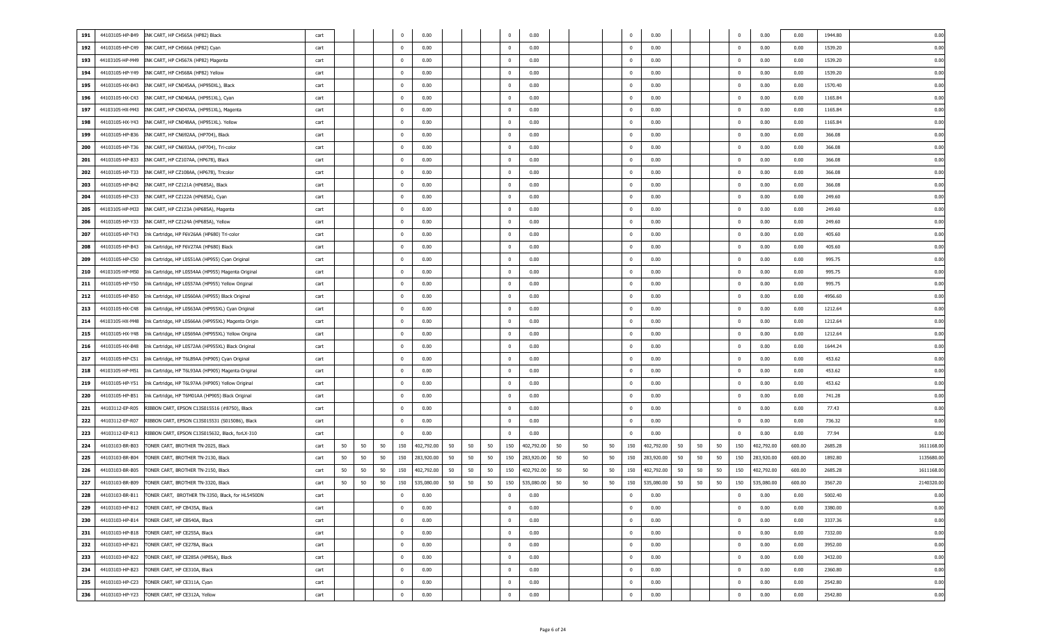| 191 | 44103105-HP-B49 | INK CART, HP CH565A (HP82) Black                   | cart |    |    | 0                       | 0.00       |    |    |    |                | 0.00       |    |    |    |                | 0.00       |    |    |    | 0                       | 0.00       | 0.00   | 1944.80 | 0.00       |
|-----|-----------------|----------------------------------------------------|------|----|----|-------------------------|------------|----|----|----|----------------|------------|----|----|----|----------------|------------|----|----|----|-------------------------|------------|--------|---------|------------|
| 192 | 44103105-HP-C49 | INK CART, HP CH566A (HP82) Cyan                    | cart |    |    | $\overline{0}$          | 0.00       |    |    |    | $^{\circ}$     | 0.00       |    |    |    | $\Omega$       | 0.00       |    |    |    | $\overline{\mathbf{0}}$ | 0.00       | 0.00   | 1539.20 | 0.00       |
| 193 | 44103105-HP-M49 | INK CART, HP CH567A (HP82) Magenta                 | cart |    |    | $\overline{\mathbf{0}}$ | 0.00       |    |    |    | $\bf{0}$       | 0.00       |    |    |    | $^{\circ}$     | 0.00       |    |    |    | $\overline{\mathbf{0}}$ | 0.00       | 0.00   | 1539.20 | 0.00       |
| 194 | 44103105-HP-Y49 | INK CART, HP CH568A (HP82) Yellow                  | cart |    |    | $\overline{\mathbf{0}}$ | 0.00       |    |    |    | $\bf{0}$       | 0.00       |    |    |    | $^{\circ}$     | 0.00       |    |    |    | $\overline{\mathbf{0}}$ | 0.00       | 0.00   | 1539.20 | 0.00       |
| 195 | 44103105-HX-B43 | INK CART, HP CN045AA, (HP950XL), Black             | cart |    |    | $\overline{\mathbf{0}}$ | 0.00       |    |    |    | $\bf{0}$       | 0.00       |    |    |    | $^{\circ}$     | 0.00       |    |    |    | $\overline{\mathbf{0}}$ | 0.00       | 0.00   | 1570.40 | 0.00       |
| 196 | 44103105-HX-C43 |                                                    |      |    |    | $^{\circ}$              | 0.00       |    |    |    |                | 0.00       |    |    |    | $^{\circ}$     | 0.00       |    |    |    |                         |            |        | 1165.84 | 0.00       |
|     |                 | INK CART, HP CN046AA, (HP951XL), Cyan              | cart |    |    |                         |            |    |    |    | $\bf{0}$       |            |    |    |    |                |            |    |    |    | $\overline{\mathbf{0}}$ | 0.00       | 0.00   |         |            |
| 197 | 44103105-HX-M43 | INK CART, HP CN047AA, (HP951XL), Magenta           | cart |    |    | $^{\circ}$              | 0.00       |    |    |    | $\mathbf{0}$   | 0.00       |    |    |    | $^{\circ}$     | 0.00       |    |    |    | $\overline{\mathbf{0}}$ | 0.00       | 0.00   | 1165.84 | 0.00       |
| 198 | 44103105-HX-Y43 | INK CART, HP CN048AA, (HP951XL). Yellow            | cart |    |    | $^{\circ}$              | 0.00       |    |    |    | $\bf{0}$       | 0.00       |    |    |    | $^{\circ}$     | 0.00       |    |    |    | $\overline{\mathbf{0}}$ | 0.00       | 0.00   | 1165.84 | 0.00       |
| 199 | 44103105-HP-B36 | INK CART, HP CN692AA, (HP704), Black               | cart |    |    | $^{\circ}$              | 0.00       |    |    |    | $\bf{0}$       | 0.00       |    |    |    | $^{\circ}$     | 0.00       |    |    |    | $\overline{\mathbf{0}}$ | 0.00       | 0.00   | 366.08  | 0.00       |
| 200 | 44103105-HP-T36 | INK CART, HP CN693AA, (HP704), Tri-color           | cart |    |    | $\mathbf 0$             | 0.00       |    |    |    | $\overline{0}$ | 0.00       |    |    |    | $^{\circ}$     | 0.00       |    |    |    | $\overline{\mathbf{0}}$ | 0.00       | 0.00   | 366.08  | 0.00       |
| 201 | 44103105-HP-B33 | INK CART, HP CZ107AA, (HP678), Black               | cart |    |    | $\mathbf 0$             | 0.00       |    |    |    | $\overline{0}$ | 0.00       |    |    |    | $^{\circ}$     | 0.00       |    |    |    | $\overline{\mathbf{0}}$ | 0.00       | 0.00   | 366.08  | 0.00       |
| 202 | 44103105-HP-T33 | INK CART, HP CZ108AA, (HP678), Tricolor            | cart |    |    | $\mathbf 0$             | 0.00       |    |    |    | $\overline{0}$ | 0.00       |    |    |    | $^{\circ}$     | 0.00       |    |    |    | $\overline{\mathbf{0}}$ | 0.00       | 0.00   | 366.08  | 0.00       |
| 203 | 44103105-HP-B42 | INK CART, HP CZ121A (HP685A), Black                | cart |    |    | $\overline{\mathbf{0}}$ | 0.00       |    |    |    | $\mathbf{0}$   | 0.00       |    |    |    | $^{\circ}$     | 0.00       |    |    |    | $\overline{\mathbf{0}}$ | 0.00       | 0.00   | 366.08  | 0.00       |
| 204 | 44103105-HP-C33 | INK CART, HP CZ122A (HP685A), Cyan                 | cart |    |    | $\overline{\mathbf{0}}$ | 0.00       |    |    |    | $\overline{0}$ | 0.00       |    |    |    | $^{\circ}$     | 0.00       |    |    |    | $\overline{\mathbf{0}}$ | 0.00       | 0.00   | 249.60  | 0.00       |
| 205 | 44103105-HP-M33 | INK CART, HP CZ123A (HP685A), Magenta              | cart |    |    | $\overline{\mathbf{0}}$ | 0.00       |    |    |    | $\mathbf{0}$   | 0.00       |    |    |    | $^{\circ}$     | 0.00       |    |    |    | $\overline{\mathbf{0}}$ | 0.00       | 0.00   | 249.60  | 0.00       |
| 206 | 44103105-HP-Y33 | INK CART, HP CZ124A (HP685A), Yellow               | cart |    |    | $\overline{\mathbf{0}}$ | 0.00       |    |    |    | $\mathbf{0}$   | 0.00       |    |    |    | $^{\circ}$     | 0.00       |    |    |    | $\overline{\mathbf{0}}$ | 0.00       | 0.00   | 249.60  | 0.00       |
| 207 | 44103105-HP-T43 | Ink Cartridge, HP F6V26AA (HP680) Tri-color        | cart |    |    | $^{\circ}$              | 0.00       |    |    |    | $\mathbf{0}$   | 0.00       |    |    |    | $^{\circ}$     | 0.00       |    |    |    | $\overline{\mathbf{0}}$ | 0.00       | 0.00   | 405.60  | 0.00       |
| 208 | 44103105-HP-B43 | Ink Cartridge, HP F6V27AA (HP680) Black            | cart |    |    | $^{\circ}$              | 0.00       |    |    |    | $\mathbf{0}$   | 0.00       |    |    |    | $^{\circ}$     | 0.00       |    |    |    | $\overline{\mathbf{0}}$ | 0.00       | 0.00   | 405.60  | 0.00       |
| 209 | 44103105-HP-C50 | Ink Cartridge, HP L0S51AA (HP955) Cyan Original    | cart |    |    | $^{\circ}$              | 0.00       |    |    |    | $\bf{0}$       | 0.00       |    |    |    | $^{\circ}$     | 0.00       |    |    |    | $\overline{\mathbf{0}}$ | 0.00       | 0.00   | 995.75  | 0.00       |
| 210 | 44103105-HP-M50 | Ink Cartridge, HP L0S54AA (HP955) Magenta Original | cart |    |    | $\overline{\mathbf{0}}$ | 0.00       |    |    |    | $\bf{0}$       | 0.00       |    |    |    | $^{\circ}$     | 0.00       |    |    |    | $\overline{\mathbf{0}}$ | 0.00       | 0.00   | 995.75  | 0.00       |
| 211 | 44103105-HP-Y50 | Ink Cartridge, HP L0S57AA (HP955) Yellow Original  | cart |    |    | $\mathbf 0$             | 0.00       |    |    |    | $\overline{0}$ | 0.00       |    |    |    | $^{\circ}$     | 0.00       |    |    |    | $\overline{\mathbf{0}}$ | 0.00       | 0.00   | 995.75  | 0.00       |
| 212 | 44103105-HP-B50 | Ink Cartridge, HP L0S60AA (HP955) Black Original   | cart |    |    | $\mathbf 0$             | 0.00       |    |    |    | $\overline{0}$ | 0.00       |    |    |    | $^{\circ}$     | 0.00       |    |    |    | $\overline{\mathbf{0}}$ | 0.00       | 0.00   | 4956.60 | 0.00       |
| 213 | 44103105-HX-C48 | Ink Cartridge, HP L0S63AA (HP955XL) Cyan Original  | cart |    |    | $\overline{\mathbf{0}}$ | 0.00       |    |    |    | $\overline{0}$ | 0.00       |    |    |    | $^{\circ}$     | 0.00       |    |    |    | $\overline{\mathbf{0}}$ | 0.00       | 0.00   | 1212.64 | 0.00       |
| 214 | 44103105-HX-M48 | Ink Cartridge, HP L0S66AA (HP955XL) Magenta Origin | cart |    |    | $\overline{\mathbf{0}}$ | 0.00       |    |    |    | $\overline{0}$ | 0.00       |    |    |    | $^{\circ}$     | 0.00       |    |    |    | $\overline{\mathbf{0}}$ | 0.00       | 0.00   | 1212.64 | 0.00       |
| 215 | 44103105-HX-Y48 | Ink Cartridge, HP L0S69AA (HP955XL) Yellow Origina | cart |    |    | $\overline{\mathbf{0}}$ | 0.00       |    |    |    | $\overline{0}$ | 0.00       |    |    |    | $^{\circ}$     | 0.00       |    |    |    | $\overline{\mathbf{0}}$ | 0.00       | 0.00   | 1212.64 | 0.00       |
| 216 | 44103105-HX-B48 | Ink Cartridge, HP L0S72AA (HP955XL) Black Original | cart |    |    | $\overline{\mathbf{0}}$ | 0.00       |    |    |    | $\bf{0}$       | 0.00       |    |    |    | $^{\circ}$     | 0.00       |    |    |    | $\overline{\mathbf{0}}$ | 0.00       | 0.00   | 1644.24 | 0.00       |
| 217 | 44103105-HP-C51 | Ink Cartridge, HP T6L89AA (HP905) Cyan Original    | cart |    |    | $\overline{\mathbf{0}}$ | 0.00       |    |    |    | $\mathbf{0}$   | 0.00       |    |    |    | $^{\circ}$     | 0.00       |    |    |    | $\overline{\mathbf{0}}$ | 0.00       | 0.00   | 453.62  | 0.00       |
| 218 | 44103105-HP-M51 | Ink Cartridge, HP T6L93AA (HP905) Magenta Original | cart |    |    | $\overline{\mathbf{0}}$ | 0.00       |    |    |    | $\mathbf{0}$   | 0.00       |    |    |    | $^{\circ}$     | 0.00       |    |    |    | $\overline{\mathbf{0}}$ | 0.00       | 0.00   | 453.62  | 0.00       |
| 219 | 44103105-HP-Y51 | Ink Cartridge, HP T6L97AA (HP905) Yellow Original  | cart |    |    | $\overline{\mathbf{0}}$ | 0.00       |    |    |    | $\bf{0}$       | 0.00       |    |    |    | $^{\circ}$     | 0.00       |    |    |    | $\overline{\mathbf{0}}$ | 0.00       | 0.00   | 453.62  | 0.00       |
| 220 | 44103105-HP-B51 | Ink Cartridge, HP T6M01AA (HP905) Black Original   | cart |    |    | $\overline{\mathbf{0}}$ | 0.00       |    |    |    | $\bf{0}$       | 0.00       |    |    |    | $^{\circ}$     | 0.00       |    |    |    | $\overline{\mathbf{0}}$ | 0.00       | 0.00   | 741.28  | 0.00       |
| 221 | 44103112-EP-R05 | RIBBON CART, EPSON C13S015516 (#8750), Black       | cart |    |    | $\mathbf 0$             | 0.00       |    |    |    | $\bf{0}$       | 0.00       |    |    |    | $^{\circ}$     | 0.00       |    |    |    | $\overline{\mathbf{0}}$ | 0.00       | 0.00   | 77.43   | 0.00       |
| 222 | 44103112-EP-R07 | RIBBON CART, EPSON C13S015531 (S015086), Black     | cart |    |    | $\mathbf 0$             | 0.00       |    |    |    | $\overline{0}$ | 0.00       |    |    |    | $^{\circ}$     | 0.00       |    |    |    | $\overline{\mathbf{0}}$ | 0.00       | 0.00   | 736.32  | 0.00       |
| 223 | 44103112-EP-R13 | RIBBON CART, EPSON C13S015632, Black, forLX-310    | cart |    |    | $^{\circ}$              | 0.00       |    |    |    | $^{\circ}$     | 0.00       |    |    |    | $\Omega$       | 0.00       |    |    |    | $\overline{\mathbf{0}}$ | 0.00       | 0.00   | 77.94   | 0.00       |
| 224 | 44103103-BR-B03 | TONER CART, BROTHER TN-2025, Black                 | cart | 50 | 50 | 50<br>150               | 402,792.00 | 50 | 50 | 50 | 150            | 402,792.00 | 50 | 50 | 50 | 150            | 402,792.00 | 50 | 50 | 50 | 150                     | 402,792.00 | 600.00 | 2685.28 | 1611168.0  |
| 225 | 44103103-BR-B04 | TONER CART, BROTHER TN-2130, Black                 | cart | 50 | 50 | 50<br>150               | 283,920.00 | 50 | 50 | 50 | 150            | 283,920.00 | 50 | 50 | 50 | 150            | 283,920.00 | 50 | 50 | 50 | 150                     | 283,920.00 | 600.00 | 1892.80 | 1135680.0  |
| 226 | 44103103-BR-B05 | TONER CART, BROTHER TN-2150, Black                 | cart | 50 | 50 | 50<br>150               | 402,792.00 | 50 | 50 | 50 | 150            | 402,792.00 | 50 | 50 | 50 | 150            | 402,792.00 | 50 | 50 | 50 | 150                     | 402,792.00 | 600.00 | 2685.28 | 1611168.0  |
| 227 | 44103103-BR-B09 | TONER CART, BROTHER TN-3320, Black                 | cart | 50 | 50 | 50<br>150               | 535,080.00 | 50 | 50 | 50 | 150            | 535,080.00 | 50 | 50 | 50 | 150            | 535,080.00 | 50 | 50 | 50 | 150                     | 535,080.00 | 600.00 | 3567.20 | 2140320.00 |
|     |                 |                                                    |      |    |    |                         |            |    |    |    |                |            |    |    |    |                |            |    |    |    |                         |            |        |         |            |
| 228 | 44103103-BR-B11 | TONER CART, BROTHER TN-3350, Black, for HL5450DN   | cart |    |    | $\mathbf 0$             | 0.00       |    |    |    | $\bf{0}$       | 0.00       |    |    |    | $\mathbf 0$    | 0.00       |    |    |    | $\overline{\mathbf{0}}$ | 0.00       | 0.00   | 5002.40 | 0.00       |
| 229 | 44103103-HP-B12 | TONER CART, HP CB435A, Black                       | cart |    |    | $\overline{0}$          | 0.00       |    |    |    | $\overline{0}$ | 0.00       |    |    |    | $\overline{0}$ | 0.00       |    |    |    | $\overline{0}$          | 0.00       | 0.00   | 3380.00 | 0.00       |
| 230 | 44103103-HP-B14 | TONER CART, HP CB540A, Black                       | cart |    |    | $\overline{0}$          | 0.00       |    |    |    | $\overline{0}$ | 0.00       |    |    |    | $^{\circ}$     | 0.00       |    |    |    | $\overline{0}$          | 0.00       | 0.00   | 3337.36 | 0.00       |
| 231 | 44103103-HP-B18 | TONER CART, HP CE255A, Black                       | cart |    |    | $\overline{0}$          | 0.00       |    |    |    | $\overline{0}$ | 0.00       |    |    |    | $\mathbf 0$    | 0.00       |    |    |    | $\overline{0}$          | 0.00       | 0.00   | 7332.00 | 0.00       |
| 232 | 44103103-HP-B21 | TONER CART, HP CE278A, Black                       | cart |    |    | $\overline{0}$          | 0.00       |    |    |    | $\overline{0}$ | 0.00       |    |    |    | $\mathbf 0$    | 0.00       |    |    |    | $\overline{0}$          | 0.00       | 0.00   | 3952.00 | 0.00       |
| 233 | 44103103-HP-B22 | TONER CART, HP CE285A (HP85A), Black               | cart |    |    | $\overline{0}$          | 0.00       |    |    |    | $\mathbf{0}$   | 0.00       |    |    |    | $\mathbf 0$    | 0.00       |    |    |    | $\overline{0}$          | 0.00       | 0.00   | 3432.00 | 0.00       |
| 234 | 44103103-HP-B23 | TONER CART, HP CE310A, Black                       | cart |    |    | $\overline{0}$          | 0.00       |    |    |    | $\mathbf{0}$   | 0.00       |    |    |    | $\mathbf 0$    | 0.00       |    |    |    | $\overline{0}$          | 0.00       | 0.00   | 2360.80 | 0.00       |
| 235 | 44103103-HP-C23 | TONER CART, HP CE311A, Cyan                        | cart |    |    | $\overline{0}$          | 0.00       |    |    |    | $\overline{0}$ | 0.00       |    |    |    | $\mathbf 0$    | 0.00       |    |    |    | $\overline{0}$          | 0.00       | 0.00   | 2542.80 | 0.00       |
| 236 | 44103103-HP-Y23 | TONER CART, HP CE312A, Yellow                      | cart |    |    | $\overline{0}$          | 0.00       |    |    |    | $\bf{0}$       | 0.00       |    |    |    | $\bf{0}$       | 0.00       |    |    |    | $\overline{0}$          | 0.00       | 0.00   | 2542.80 | 0.00       |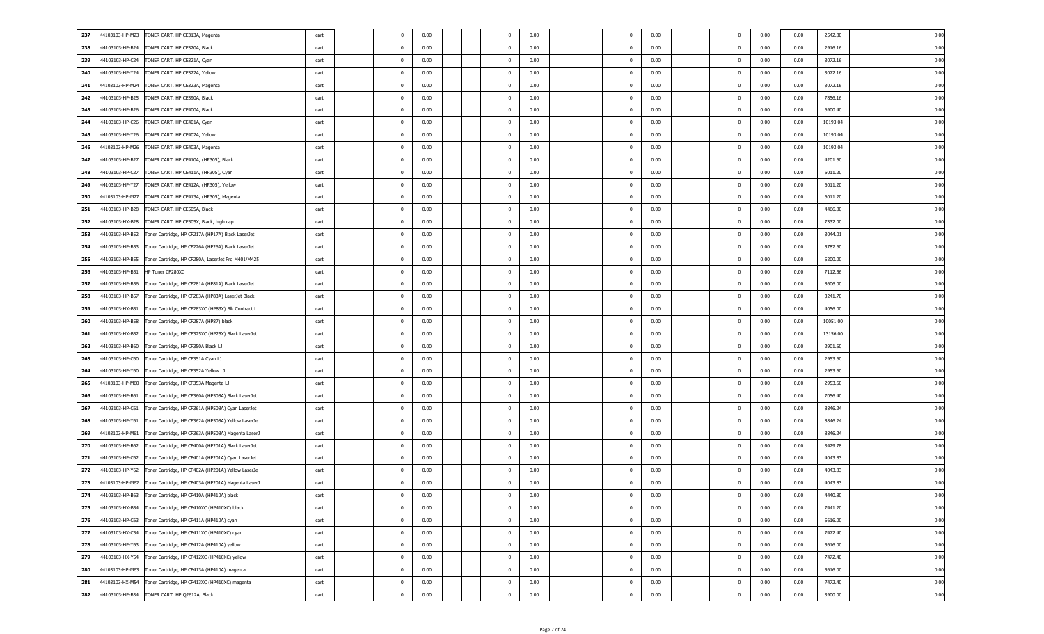| 237 | 44103103-HP-M23 | TONER CART, HP CE313A, Magenta                     | cart | $^{\circ}$     | 0.00 |  | $^{\circ}$     | 0.00 | $\overline{0}$ | 0.00 | $^{\circ}$              | 0.00 | 0.00 | 0.00<br>2542.80  |
|-----|-----------------|----------------------------------------------------|------|----------------|------|--|----------------|------|----------------|------|-------------------------|------|------|------------------|
| 238 | 44103103-HP-B24 | TONER CART, HP CE320A, Black                       | cart | $^{\circ}$     | 0.00 |  | $\mathbf{0}$   | 0.00 | $^{\circ}$     | 0.00 | $\overline{\mathbf{0}}$ | 0.00 | 0.00 | 0.00<br>2916.16  |
| 239 | 44103103-HP-C24 | TONER CART, HP CE321A, Cyan                        | cart | $^{\circ}$     | 0.00 |  | $\mathbf{0}$   | 0.00 | $^{\circ}$     | 0.00 | $\overline{\mathbf{0}}$ | 0.00 | 0.00 | 0.00<br>3072.16  |
| 240 | 44103103-HP-Y24 | TONER CART, HP CE322A, Yellow                      | cart | $^{\circ}$     | 0.00 |  | $\mathbf{0}$   | 0.00 | $^{\circ}$     | 0.00 | $\overline{\mathbf{0}}$ | 0.00 | 0.00 | 0.00<br>3072.16  |
| 241 | 44103103-HP-M24 | TONER CART, HP CE323A, Magenta                     | cart | $\overline{0}$ | 0.00 |  | $\mathbf{0}$   | 0.00 | $\overline{0}$ | 0.00 | $\mathbf 0$             | 0.00 | 0.00 | 0.00<br>3072.16  |
| 242 | 44103103-HP-B25 | TONER CART, HP CE390A, Black                       | cart | $\overline{0}$ | 0.00 |  | $\mathbf{0}$   | 0.00 | $\overline{0}$ | 0.00 | $\mathbf 0$             | 0.00 | 0.00 | 0.00<br>7856.16  |
| 243 | 44103103-HP-B26 | TONER CART, HP CE400A, Black                       | cart | $\overline{0}$ | 0.00 |  | $\mathbf{0}$   | 0.00 | $\overline{0}$ | 0.00 | $\mathbf{0}$            | 0.00 | 0.00 | 0.00<br>6900.40  |
| 244 | 44103103-HP-C26 | TONER CART, HP CE401A, Cyan                        | cart | $\overline{0}$ | 0.00 |  | $\mathbf{0}$   | 0.00 | $^{\circ}$     | 0.00 | $\mathbf{0}$            | 0.00 | 0.00 | 0.00<br>10193.04 |
| 245 | 44103103-HP-Y26 | TONER CART, HP CE402A, Yellow                      | cart | $\overline{0}$ | 0.00 |  | $\mathbf{0}$   | 0.00 | $^{\circ}$     | 0.00 | $\overline{\mathbf{0}}$ | 0.00 | 0.00 | 0.00<br>10193.04 |
|     |                 |                                                    |      | 0              |      |  | $\mathbf{0}$   |      | $^{\circ}$     | 0.00 | $\overline{\mathbf{0}}$ | 0.00 |      | 0.00             |
| 246 | 44103103-HP-M26 | TONER CART, HP CE403A, Magenta                     | cart |                | 0.00 |  |                | 0.00 |                |      |                         |      | 0.00 | 10193.04         |
| 247 | 44103103-HP-B27 | TONER CART, HP CE410A, (HP305), Black              | cart | 0              | 0.00 |  | $\mathbf{0}$   | 0.00 | $^{\circ}$     | 0.00 | $\overline{\mathbf{0}}$ | 0.00 | 0.00 | 0.00<br>4201.60  |
| 248 | 44103103-HP-C27 | TONER CART, HP CE411A, (HP305), Cyan               | cart | 0              | 0.00 |  | $\mathbf{0}$   | 0.00 | $^{\circ}$     | 0.00 | $\overline{\mathbf{0}}$ | 0.00 | 0.00 | 0.00<br>6011.20  |
| 249 | 44103103-HP-Y27 | TONER CART, HP CE412A, (HP305), Yellow             | cart | 0              | 0.00 |  | $\mathbf{0}$   | 0.00 | $^{\circ}$     | 0.00 | $\overline{\mathbf{0}}$ | 0.00 | 0.00 | 0.00<br>6011.20  |
| 250 | 44103103-HP-M27 | TONER CART, HP CE413A, (HP305), Magenta            | cart | 0              | 0.00 |  | $\mathbf{0}$   | 0.00 | $^{\circ}$     | 0.00 | $\overline{\mathbf{0}}$ | 0.00 | 0.00 | 0.00<br>6011.20  |
| 251 | 44103103-HP-B28 | TONER CART, HP CE505A, Black                       | cart | $\overline{0}$ | 0.00 |  | $\mathbf{0}$   | 0.00 | $^{\circ}$     | 0.00 | $\overline{\mathbf{0}}$ | 0.00 | 0.00 | 0.00<br>4466.80  |
| 252 | 44103103-HX-B28 | TONER CART, HP CE505X, Black, high cap             | cart | $\overline{0}$ | 0.00 |  | $\mathbf{0}$   | 0.00 | $\overline{0}$ | 0.00 | $\mathbf 0$             | 0.00 | 0.00 | 0.00<br>7332.00  |
| 253 | 44103103-HP-B52 | Toner Cartridge, HP CF217A (HP17A) Black LaserJet  | cart | $\overline{0}$ | 0.00 |  | $\mathbf{0}$   | 0.00 | $\overline{0}$ | 0.00 | $\mathbf 0$             | 0.00 | 0.00 | 0.00<br>3044.01  |
| 254 | 44103103-HP-B53 | Toner Cartridge, HP CF226A (HP26A) Black LaserJet  | cart | $\overline{0}$ | 0.00 |  | $\mathbf{0}$   | 0.00 | $\overline{0}$ | 0.00 | $\mathbf{0}$            | 0.00 | 0.00 | 0.00<br>5787.60  |
| 255 | 44103103-HP-B55 | Toner Cartridge, HP CF280A, LaserJet Pro M401/M425 | cart | $\overline{0}$ | 0.00 |  | $\mathbf{0}$   | 0.00 | $^{\circ}$     | 0.00 | $\overline{\mathbf{0}}$ | 0.00 | 0.00 | 0.00<br>5200.00  |
| 256 | 44103103-HP-B51 | HP Toner CF280XC                                   | cart | 0              | 0.00 |  | $\mathbf{0}$   | 0.00 | $^{\circ}$     | 0.00 | $\overline{\mathbf{0}}$ | 0.00 | 0.00 | 0.00<br>7112.56  |
| 257 | 44103103-HP-B56 | Toner Cartridge, HP CF281A (HP81A) Black LaserJet  | cart | 0              | 0.00 |  | $\mathbf{0}$   | 0.00 | $^{\circ}$     | 0.00 | $\overline{\mathbf{0}}$ | 0.00 | 0.00 | 0.00<br>8606.00  |
| 258 | 44103103-HP-B57 | Toner Cartridge, HP CF283A (HP83A) LaserJet Black  | cart | 0              | 0.00 |  | $\mathbf{0}$   | 0.00 | $^{\circ}$     | 0.00 | $\overline{\mathbf{0}}$ | 0.00 | 0.00 | 0.00<br>3241.70  |
|     |                 |                                                    |      |                |      |  |                |      |                |      |                         |      |      |                  |
| 259 | 44103103-HX-B51 | Toner Cartridge, HP CF283XC (HP83X) Blk Contract L | cart | 0              | 0.00 |  | $\mathbf{0}$   | 0.00 | $^{\circ}$     | 0.00 | $\overline{\mathbf{0}}$ | 0.00 | 0.00 | 0.00<br>4056.00  |
| 260 | 44103103-HP-B58 | Toner Cartridge, HP CF287A (HP87) black            | cart | 0              | 0.00 |  | $\mathbf{0}$   | 0.00 | $^{\circ}$     | 0.00 | $\overline{\mathbf{0}}$ | 0.00 | 0.00 | 0.00<br>10051.00 |
| 261 | 44103103-HX-B52 | Toner Cartridge, HP CF325XC (HP25X) Black LaserJet | cart | 0              | 0.00 |  | $\mathbf{0}$   | 0.00 | $^{\circ}$     | 0.00 | $\overline{\mathbf{0}}$ | 0.00 | 0.00 | 0.00<br>13156.00 |
| 262 | 44103103-HP-B60 | Toner Cartridge, HP CF350A Black LJ                | cart | $\overline{0}$ | 0.00 |  | $\mathbf{0}$   | 0.00 | $\overline{0}$ | 0.00 | $\overline{\mathbf{0}}$ | 0.00 | 0.00 | 0.00<br>2901.60  |
| 263 | 44103103-HP-C60 | Toner Cartridge, HP CF351A Cyan LJ                 | cart | $\overline{0}$ | 0.00 |  | $\mathbf{0}$   | 0.00 | $\overline{0}$ | 0.00 | $\mathbf 0$             | 0.00 | 0.00 | 0.00<br>2953.60  |
| 264 | 44103103-HP-Y60 | Toner Cartridge, HP CF352A Yellow LJ               | cart | $\overline{0}$ | 0.00 |  | $\mathbf{0}$   | 0.00 | $\overline{0}$ | 0.00 | $\mathbf{0}$            | 0.00 | 0.00 | 0.00<br>2953.60  |
| 265 | 44103103-HP-M60 | Toner Cartridge, HP CF353A Magenta LJ              | cart | $\overline{0}$ | 0.00 |  | $\mathbf{0}$   | 0.00 | $\overline{0}$ | 0.00 | $\mathbf{0}$            | 0.00 | 0.00 | 0.00<br>2953.60  |
| 266 | 44103103-HP-B61 | Toner Cartridge, HP CF360A (HP508A) Black LaserJet | cart | $\overline{0}$ | 0.00 |  | $\mathbf{0}$   | 0.00 | $^{\circ}$     | 0.00 | $\overline{\mathbf{0}}$ | 0.00 | 0.00 | 0.00<br>7056.40  |
| 267 | 44103103-HP-C61 | Toner Cartridge, HP CF361A (HP508A) Cyan LaserJet  | cart | 0              | 0.00 |  | $\mathbf{0}$   | 0.00 | $^{\circ}$     | 0.00 | $\overline{\mathbf{0}}$ | 0.00 | 0.00 | 0.00<br>8846.24  |
| 268 | 44103103-HP-Y61 | Toner Cartridge, HP CF362A (HP508A) Yellow LaserJe | cart | 0              | 0.00 |  | $\mathbf{0}$   | 0.00 | $^{\circ}$     | 0.00 | $\overline{\mathbf{0}}$ | 0.00 | 0.00 | 0.00<br>8846.24  |
| 269 | 44103103-HP-M61 | Toner Cartridge, HP CF363A (HP508A) Magenta LaserJ | cart | 0              | 0.00 |  | $\mathbf{0}$   | 0.00 | $^{\circ}$     | 0.00 | $\overline{\mathbf{0}}$ | 0.00 | 0.00 | 0.00<br>8846.24  |
| 270 | 44103103-HP-B62 | Toner Cartridge, HP CF400A (HP201A) Black LaserJet | cart | 0              | 0.00 |  | $\mathbf{0}$   | 0.00 | $^{\circ}$     | 0.00 | $\overline{\mathbf{0}}$ | 0.00 | 0.00 | 0.00<br>3429.78  |
| 271 | 44103103-HP-C62 | Toner Cartridge, HP CF401A (HP201A) Cyan LaserJet  | cart | 0              | 0.00 |  | $\mathbf{0}$   | 0.00 | $^{\circ}$     | 0.00 | $\overline{\mathbf{0}}$ | 0.00 | 0.00 | 0.00<br>4043.83  |
| 272 |                 |                                                    |      | 0              |      |  | $\mathbf{0}$   |      | $^{\circ}$     |      | $\mathbf{0}$            |      |      | 0.00             |
|     | 44103103-HP-Y62 | Toner Cartridge, HP CF402A (HP201A) Yellow LaserJe | cart |                | 0.00 |  |                | 0.00 |                | 0.00 |                         | 0.00 | 0.00 | 4043.83          |
| 273 | 44103103-HP-M62 | Toner Cartridge, HP CF403A (HP201A) Magenta LaserJ | cart | $^{\circ}$     | 0.00 |  | $\mathbf{0}$   | 0.00 | $\overline{0}$ | 0.00 | $\mathbf{0}$            | 0.00 | 0.00 | 0.00<br>4043.83  |
| 274 | 44103103-HP-B63 | Toner Cartridge, HP CF410A (HP410A) black          | cart | 0              | 0.00 |  | $\mathbf 0$    | 0.00 | $\mathbf 0$    | 0.00 | $\mathbf 0$             | 0.00 | 0.00 | 4440.80<br>0.00  |
| 275 | 44103103-HX-B54 | Toner Cartridge, HP CF410XC (HP410XC) black        | cart | $\mathbf 0$    | 0.00 |  | $\mathbf 0$    | 0.00 | $\overline{0}$ | 0.00 | $\overline{0}$          | 0.00 | 0.00 | 0.00<br>7441.20  |
| 276 | 44103103-HP-C63 | Toner Cartridge, HP CF411A (HP410A) cyan           | cart | $\overline{0}$ | 0.00 |  | $\overline{0}$ | 0.00 | $\overline{0}$ | 0.00 | $\overline{0}$          | 0.00 | 0.00 | 5616.00<br>0.00  |
| 277 | 44103103-HX-C54 | Toner Cartridge, HP CF411XC (HP410XC) cyan         | cart | $\overline{0}$ | 0.00 |  | $\overline{0}$ | 0.00 | $\overline{0}$ | 0.00 | $\overline{0}$          | 0.00 | 0.00 | 0.00<br>7472.40  |
| 278 | 44103103-HP-Y63 | Toner Cartridge, HP CF412A (HP410A) yellow         | cart | $\overline{0}$ | 0.00 |  | $\overline{0}$ | 0.00 | $\overline{0}$ | 0.00 | $\overline{0}$          | 0.00 | 0.00 | 0.00<br>5616.00  |
| 279 | 44103103-HX-Y54 | Toner Cartridge, HP CF412XC (HP410XC) yellow       | cart | $\overline{0}$ | 0.00 |  | $\overline{0}$ | 0.00 | $\overline{0}$ | 0.00 | $\overline{\mathbf{0}}$ | 0.00 | 0.00 | 0.00<br>7472.40  |
| 280 | 44103103-HP-M63 | Toner Cartridge, HP CF413A (HP410A) magenta        | cart | $\overline{0}$ | 0.00 |  | $\overline{0}$ | 0.00 | $\overline{0}$ | 0.00 | $\overline{0}$          | 0.00 | 0.00 | 0.00<br>5616.00  |
| 281 | 44103103-HX-M54 | Toner Cartridge, HP CF413XC (HP410XC) magenta      | cart | $\overline{0}$ | 0.00 |  | $\overline{0}$ | 0.00 | $\overline{0}$ | 0.00 | $\overline{\mathbf{0}}$ | 0.00 | 0.00 | 7472.40<br>0.00  |
| 282 | 44103103-HP-B34 | TONER CART, HP Q2612A, Black                       | cart | $\overline{0}$ | 0.00 |  | $\mathbf{0}$   | 0.00 | $\mathbf 0$    | 0.00 | $\overline{0}$          | 0.00 | 0.00 | 3900.00<br>0.00  |
|     |                 |                                                    |      |                |      |  |                |      |                |      |                         |      |      |                  |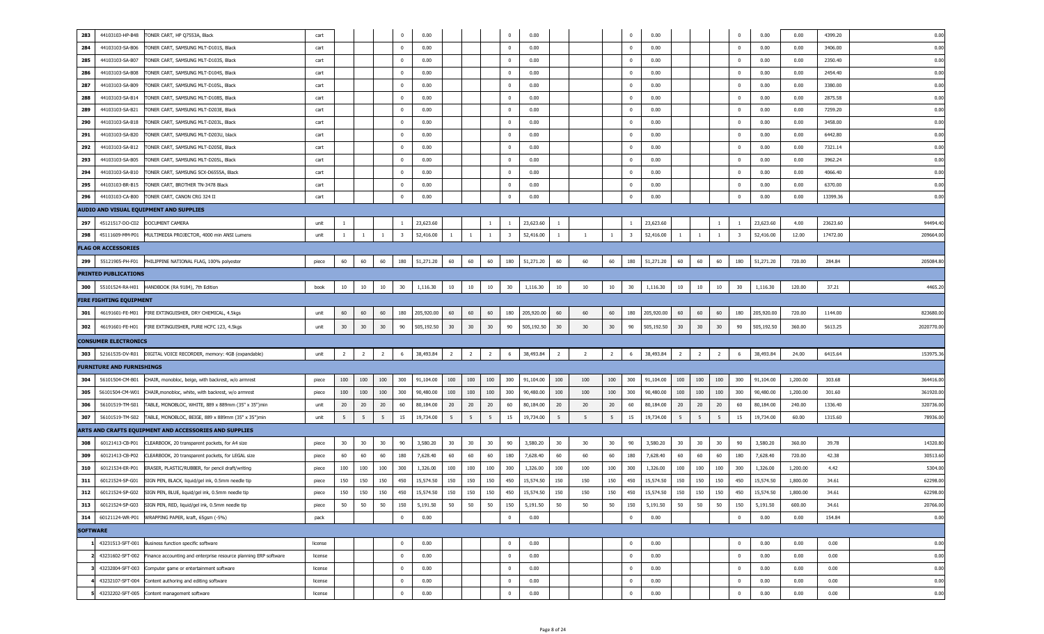| 283             | 44103103-HP-B48                  | TONER CART, HP Q7553A, Black                                                        | cart    |                |                |                | $\overline{0}$          | 0.00       |                |                |                | $\overline{0}$          | 0.00       |                |                |                | $\overline{0}$          | 0.00       |                |                |                | $\mathbf 0$ | 0.00       | 0.00     | 4399.20  | 0.00      |
|-----------------|----------------------------------|-------------------------------------------------------------------------------------|---------|----------------|----------------|----------------|-------------------------|------------|----------------|----------------|----------------|-------------------------|------------|----------------|----------------|----------------|-------------------------|------------|----------------|----------------|----------------|-------------|------------|----------|----------|-----------|
| 284             | 44103103-SA-B06                  | TONER CART, SAMSUNG MLT-D101S, Black                                                | cart    |                |                |                | $\overline{0}$          | 0.00       |                |                |                | $\overline{\mathbf{0}}$ | 0.00       |                |                |                | $\overline{0}$          | 0.00       |                |                |                | $\mathbf 0$ | 0.00       | 0.00     | 3406.00  | 0.00      |
| 285             | 44103103-SA-B07                  | TONER CART, SAMSUNG MLT-D103S, Black                                                | cart    |                |                |                | $\overline{0}$          | 0.00       |                |                |                | $\overline{\mathbf{0}}$ | 0.00       |                |                |                | $\overline{0}$          | 0.00       |                |                |                | 0           | 0.00       | 0.00     | 2350.40  | 0.00      |
| 286             | 44103103-SA-B08                  | TONER CART, SAMSUNG MLT-D104S, Black                                                | cart    |                |                |                | $\overline{0}$          | 0.00       |                |                |                | $\overline{\mathbf{0}}$ | 0.00       |                |                |                | $\overline{0}$          | 0.00       |                |                |                | 0           | 0.00       | 0.00     | 2454.40  | 0.00      |
| 287             | 44103103-SA-B09                  | TONER CART, SAMSUNG MLT-D105L, Black                                                | cart    |                |                |                | $\overline{0}$          | 0.00       |                |                |                | $\overline{\mathbf{0}}$ | 0.00       |                |                |                | $\overline{0}$          | 0.00       |                |                |                | 0           | 0.00       | 0.00     | 3380.00  | 0.00      |
| 288             | 44103103-SA-B14                  | TONER CART, SAMSUNG MLT-D108S, Black                                                | cart    |                |                |                | $\overline{0}$          | 0.00       |                |                |                | $\overline{\mathbf{0}}$ | 0.00       |                |                |                | $\overline{0}$          | 0.00       |                |                |                | 0           | 0.00       | 0.00     | 2875.58  | 0.00      |
| 289             | 44103103-SA-B21                  | TONER CART, SAMSUNG MLT-D203E, Black                                                | cart    |                |                |                | $\mathbf{0}$            | 0.00       |                |                |                | $\overline{\mathbf{0}}$ | 0.00       |                |                |                | $\overline{0}$          | 0.00       |                |                |                | 0           | 0.00       | 0.00     | 7259.20  | 0.00      |
| 290             | 44103103-SA-B18                  | TONER CART, SAMSUNG MLT-D203L, Black                                                | cart    |                |                |                | $\mathbf{0}$            | 0.00       |                |                |                | $\overline{\mathbf{0}}$ | 0.00       |                |                |                | $\overline{0}$          | 0.00       |                |                |                | 0           | 0.00       | 0.00     | 3458.00  | 0.00      |
| 291             | 44103103-SA-B20                  | TONER CART, SAMSUNG MLT-D203U, black                                                | cart    |                |                |                | $\mathbf{0}$            | 0.00       |                |                |                | $\overline{\mathbf{0}}$ | 0.00       |                |                |                | $\overline{0}$          | 0.00       |                |                |                | 0           | 0.00       | 0.00     | 6442.80  | 0.00      |
| 292             | 44103103-SA-B12                  | TONER CART, SAMSUNG MLT-D205E, Black                                                | cart    |                |                |                | $\mathbf{0}$            | 0.00       |                |                |                | $\overline{\mathbf{0}}$ | 0.00       |                |                |                | $\overline{0}$          | 0.00       |                |                |                | 0           | 0.00       | 0.00     | 7321.14  | 0.00      |
| 293             | 44103103-SA-B05                  | TONER CART, SAMSUNG MLT-D205L, Black                                                | cart    |                |                |                | $\mathbf{0}$            | 0.00       |                |                |                | $\overline{\mathbf{0}}$ | 0.00       |                |                |                | $\overline{0}$          | 0.00       |                |                |                | 0           | 0.00       | 0.00     | 3962.24  | 0.00      |
| 294             | 44103103-SA-B10                  | TONER CART, SAMSUNG SCX-D6555A, Black                                               | cart    |                |                |                | $\mathbf{0}$            | 0.00       |                |                |                | $\overline{\mathbf{0}}$ | 0.00       |                |                |                | $\overline{0}$          | 0.00       |                |                |                | 0           | 0.00       | 0.00     | 4066.40  | 0.00      |
| 295             | 44103103-BR-B15                  | TONER CART, BROTHER TN-3478 Black                                                   | cart    |                |                |                | $\overline{0}$          | 0.00       |                |                |                | $\overline{\mathbf{0}}$ | 0.00       |                |                |                | $\overline{0}$          | 0.00       |                |                |                | 0           | 0.00       | 0.00     | 6370.00  | 0.00      |
| 296             | 44103103-CA-B00                  | TONER CART, CANON CRG 324 II                                                        | cart    |                |                |                | $\overline{0}$          | 0.00       |                |                |                | $\overline{\mathbf{0}}$ | 0.00       |                |                |                | $\overline{0}$          | 0.00       |                |                |                | $\mathbf 0$ | 0.00       | 0.00     | 13399.36 | 0.00      |
|                 |                                  | AUDIO AND VISUAL EQUIPMENT AND SUPPLIES                                             |         |                |                |                |                         |            |                |                |                |                         |            |                |                |                |                         |            |                |                |                |             |            |          |          |           |
| 297             | 45121517-DO-C02                  | DOCUMENT CAMERA                                                                     | unit    | -1             |                |                |                         | 23,623.60  |                |                | -1             | $\overline{1}$          | 23,623.60  | $\overline{1}$ |                |                |                         | 23,623.60  |                |                | -1             | -1          | 23,623.60  | 4.00     | 23623.60 | 94494.4   |
| 298             | 45111609-MM-P01                  | MULTIMEDIA PROJECTOR, 4000 min ANSI Lumens                                          | unit    | -1             |                | $\mathbf{1}$   | $\overline{\mathbf{3}}$ | 52,416.00  |                | -1             | 1              | $\overline{\mathbf{3}}$ | 52,416.00  | $\overline{1}$ |                | $\mathbf{1}$   | $\overline{\mathbf{3}}$ | 52,416.00  |                | 1              | <sup>1</sup>   | - 3         | 52,416.00  | 12.00    | 17472.00 | 209664.0  |
|                 | <b>FLAG OR ACCESSORIES</b>       |                                                                                     |         |                |                |                |                         |            |                |                |                |                         |            |                |                |                |                         |            |                |                |                |             |            |          |          |           |
|                 | 299 55121905-PH-F01              | PHILIPPINE NATIONAL FLAG, 100% polyester                                            | piece   | 60             | 60             | 60             | 180                     | 51,271.20  | 60             | 60             | 60             | 180                     | 51,271.20  | 60             | 60             | 60             | 180                     | 51,271.20  | 60             | 60             | 60             | 180         | 51,271.20  | 720.00   | 284.84   | 205084.8  |
|                 | <b>PRINTED PUBLICATIONS</b>      |                                                                                     |         |                |                |                |                         |            |                |                |                |                         |            |                |                |                |                         |            |                |                |                |             |            |          |          |           |
|                 |                                  | 300 55101524-RA-H01 HANDBOOK (RA 9184), 7th Edition                                 | book    | 10             | 10             | 10             | 30                      | 1,116.30   | 10             | 10             | 10             | 30                      | 1,116.30   | 10             | 10             | 10             | 30                      | 1,116.30   | 10             | 10             | 10             | 30          | 1,116.30   | 120.00   | 37.21    | 4465.20   |
|                 | FIRE FIGHTING EQUIPMENT          |                                                                                     |         |                |                |                |                         |            |                |                |                |                         |            |                |                |                |                         |            |                |                |                |             |            |          |          |           |
|                 | 301 46191601-FE-M01              | FIRE EXTINGUISHER, DRY CHEMICAL, 4.5kgs                                             | unit    | 60             | 60             | 60             | 180                     | 205,920.00 | 60             | 60             | 60             | 180                     | 205,920.00 | 60             | 60             | 60             | 180                     | 205,920.00 | 60             | 60             | 60             | 180         | 205,920.00 | 720.00   | 1144.00  | 823680.0  |
| 302             | 46191601-FE-H01                  | FIRE EXTINGUISHER, PURE HCFC 123, 4.5kgs                                            | unit    | 30             | 30             | 30             | 90                      | 505,192.50 | 30             | 30             | 30             | 90                      | 505,192.50 | 30             | 30             | 30             | 90                      | 505,192.50 | 30             | 30             | 30             | 90          | 505,192.50 | 360.00   | 5613.25  | 2020770.0 |
|                 | <b>CONSUMER ELECTRONICS</b>      |                                                                                     |         |                |                |                |                         |            |                |                |                |                         |            |                |                |                |                         |            |                |                |                |             |            |          |          |           |
|                 | 303 52161535-DV-R01              | DIGITAL VOICE RECORDER, memory: 4GB (expandable)                                    | unit    | $\overline{2}$ | $\overline{2}$ | $\overline{2}$ | 6                       | 38,493.84  | $\overline{2}$ | $\overline{2}$ | $\overline{2}$ | 6                       | 38,493.84  | $\overline{2}$ | $\overline{2}$ | $\overline{2}$ | 6                       | 38,493.84  | $\overline{2}$ | $\overline{2}$ | $\overline{2}$ | 6           | 38,493.84  | 24.00    | 6415.64  | 153975.3  |
|                 | <b>FURNITURE AND FURNISHINGS</b> |                                                                                     |         |                |                |                |                         |            |                |                |                |                         |            |                |                |                |                         |            |                |                |                |             |            |          |          |           |
| 304             | 56101504-CM-B01                  | CHAIR, monobloc, beige, with backrest, w/o armrest                                  | piece   | 100            | 100            | 100            | 300                     | 91,104.00  | 100            | 100            | 100            | 300                     | 91,104.00  | 100            | 100            | 100            | 300                     | 91,104.00  | 100            | 100            | 100            | 300         | 91,104.00  | 1,200.00 | 303.68   | 364416.00 |
| 305             | 56101504-CM-W01                  | CHAIR, monobloc, white, with backrest, w/o armrest                                  | piece   | 100            | 100            | 100            | 300                     | 90,480.00  | 100            | 100            | 100            | 300                     | 90,480.00  | 100            | 100            | 100            | 300                     | 90,480.00  | 100            | 100            | 100            | 300         | 90,480.00  | 1,200.00 | 301.60   | 361920.00 |
| 306             | 56101519-TM-S01                  | TABLE, MONOBLOC, WHITE, 889 x 889mm (35" x 35")min                                  | unit    | 20             | 20             | 20             | 60                      | 80,184.00  | 20             | 20             | 20             | 60                      | 80,184.00  | 20             | 20             | 20             | 60                      | 80,184.00  | 20             | 20             | 20             | 60          | 80,184.00  | 240.00   | 1336.40  | 320736.00 |
| 307             | 56101519-TM-S02                  | TABLE, MONOBLOC, BEIGE, 889 x 889mm (35" x 35")min                                  | unit    | 5              | 5              | 5              | 15                      | 19,734.00  | 5              | 5              | 5              | 15                      | 19,734.00  | 5              | 5              | 5 <sup>5</sup> | 15                      | 19,734.00  | 5              | 5              | 5              | 15          | 19,734.00  | 60.00    | 1315.60  | 78936.00  |
|                 |                                  | ARTS AND CRAFTS EQUIPMENT AND ACCESSORIES AND SUPPLIES                              |         |                |                |                |                         |            |                |                |                |                         |            |                |                |                |                         |            |                |                |                |             |            |          |          |           |
| 308             | 60121413-CB-P01                  | CLEARBOOK, 20 transparent pockets, for A4 size                                      | piece   | 30             | 30             | 30             | 90                      | 3,580.20   | 30             | 30             | 30             | 90                      | 3,580.20   | 30             | 30             | 30             | 90                      | 3,580.20   | 30             | 30             | 30             | 90          | 3,580.20   | 360.00   | 39.78    | 14320.8   |
| 309             | 60121413-CB-P02                  | CLEARBOOK, 20 transparent pockets, for LEGAL size                                   | piece   | 60             | 60             | 60             | 180                     | 7,628.40   | 60             | 60             | 60             | 180                     | 7,628.40   | 60             | 60             | 60             | 180                     | 7,628.40   | 60             | 60             | 60             | 180         | 7,628.40   | 720.00   | 42.38    | 30513.60  |
| 310             | 60121534-ER-P01                  | ERASER, PLASTIC/RUBBER, for pencil draft/writing                                    | piece   | 100            | 100            | 100            | 300                     | 1,326.00   | 100            | 100            | 100            | 300                     | 1,326.00   | 100            | 100            | 100            | 300                     | 1,326.00   | 100            | 100            | 100            | 300         | 1,326.00   | 1,200.00 | 4.42     | 5304.00   |
| 311             | 60121524-SP-G01                  | SIGN PEN, BLACK, liquid/gel ink, 0.5mm needle tip                                   | piece   | 150            | 150            | 150            | 450                     | 15,574.50  | 150            | 150            | 150            | 450                     | 15,574.50  | 150            | 150            | 150            | 450                     | 15,574.50  | 150            | 150            | 150            | 450         | 15,574.50  | 1,800.00 | 34.61    | 62298.00  |
|                 | 312 60121524-SP-G02              | SIGN PEN, BLUE, liquid/gel ink, 0.5mm needle tip                                    | piece   | 150            | 150            | 150            | 450                     | 15,574.50  | 150            | 150            | 150            | 450                     | 15,574.50  | 150            | 150            | 150            | 450                     | 15,574.50  | 150            | 150            | 150            | 450         | 15,574.50  | 1,800.00 | 34.61    | 62298.00  |
|                 | 313 60121524-SP-G03              | SIGN PEN, RED, liquid/gel ink, 0.5mm needle tip                                     | piece   | 50             | 50             | 50             | 150                     | 5,191.50   | 50             | 50             | 50             | 150                     | 5,191.50   | 50             | 50             | 50             | 150                     | 5,191.50   | 50             | 50             | 50             | 150         | 5,191.50   | 600.00   | 34.61    | 20766.00  |
|                 |                                  | 314 60121124-WR-P01 WRAPPING PAPER, kraft, 65gsm (-5%)                              | pack    |                |                |                | $\overline{0}$          | 0.00       |                |                |                | $\bf{0}$                | 0.00       |                |                |                | $\overline{0}$          | 0.00       |                |                |                | $\bf{0}$    | 0.00       | 0.00     | 154.84   | 0.00      |
| <b>SOFTWARE</b> |                                  |                                                                                     |         |                |                |                |                         |            |                |                |                |                         |            |                |                |                |                         |            |                |                |                |             |            |          |          |           |
|                 |                                  | 1 43231513-SFT-001 Business function specific software                              | license |                |                |                | $\overline{0}$          | 0.00       |                |                |                | $\overline{0}$          | 0.00       |                |                |                | $\overline{0}$          | 0.00       |                |                |                | $\mathbf 0$ | 0.00       | 0.00     | 0.00     | 0.00      |
|                 |                                  | 2 43231602-SFT-002 Finance accounting and enterprise resource planning ERP software | license |                |                |                | $\overline{0}$          | 0.00       |                |                |                | $\overline{0}$          | 0.00       |                |                |                | $\overline{0}$          | 0.00       |                |                |                | $\mathbf 0$ | 0.00       | 0.00     | 0.00     | 0.00      |
|                 |                                  | 3 43232004-SFT-003 Computer game or entertainment software                          | license |                |                |                | $\overline{0}$          | 0.00       |                |                |                | $\overline{\mathbf{0}}$ | 0.00       |                |                |                | $\mathbf{0}$            | 0.00       |                |                |                | 0           | 0.00       | 0.00     | 0.00     | 0.00      |
|                 |                                  | 4 43232107-SFT-004 Content authoring and editing software                           | license |                |                |                | $\overline{0}$          | 0.00       |                |                |                | $\overline{\mathbf{0}}$ | 0.00       |                |                |                | $\mathbf{0}$            | 0.00       |                |                |                | 0           | 0.00       | 0.00     | 0.00     | 0.00      |
|                 |                                  | 5 43232202-SFT-005 Content management software                                      | license |                |                |                | $\overline{\mathbf{0}}$ | 0.00       |                |                |                | $\overline{\mathbf{0}}$ | 0.00       |                |                |                | $\overline{0}$          | 0.00       |                |                |                | 0           | 0.00       | 0.00     | 0.00     | 0.00      |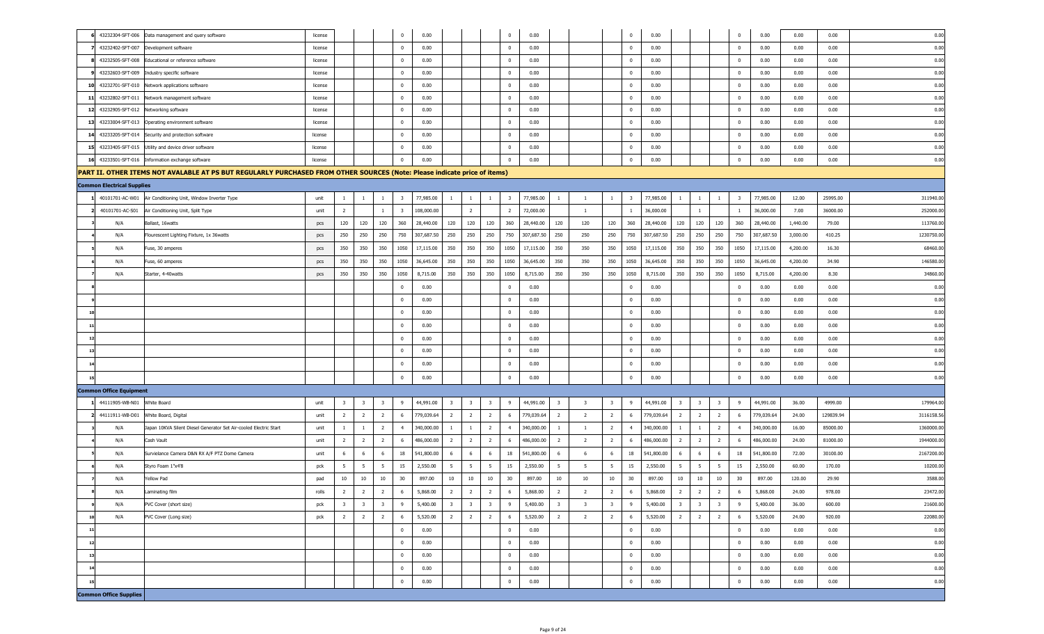| 43232304-SFT-006 Data management and query software                                                                       | license |                         |                         |                         | $^{\circ}$              | 0.00       |                         |                         |                         | $\overline{0}$          | 0.00       |                         |                         |                         | $\overline{\mathbf{0}}$ | 0.00       |                         |                         |                         | $\mathbf 0$             | 0.00       | 0.00     | 0.00      | 0.00      |
|---------------------------------------------------------------------------------------------------------------------------|---------|-------------------------|-------------------------|-------------------------|-------------------------|------------|-------------------------|-------------------------|-------------------------|-------------------------|------------|-------------------------|-------------------------|-------------------------|-------------------------|------------|-------------------------|-------------------------|-------------------------|-------------------------|------------|----------|-----------|-----------|
| 43232402-SFT-007<br>Development software                                                                                  | license |                         |                         |                         | $\overline{0}$          | 0.00       |                         |                         |                         | $\overline{\mathbf{0}}$ | 0.00       |                         |                         |                         | $\overline{\mathbf{0}}$ | 0.00       |                         |                         |                         | $\bf{0}$                | 0.00       | 0.00     | 0.00      | 0.00      |
| 43232505-SFT-008<br>Educational or reference software                                                                     | license |                         |                         |                         | 0                       | 0.00       |                         |                         |                         | $\overline{0}$          | 0.00       |                         |                         |                         | $\overline{\mathbf{0}}$ | 0.00       |                         |                         |                         | $\bf{0}$                | 0.00       | 0.00     | 0.00      | 0.00      |
| 43232603-SFT-009<br>Industry specific software                                                                            | license |                         |                         |                         | 0                       | 0.00       |                         |                         |                         | $\overline{0}$          | 0.00       |                         |                         |                         | $\overline{\mathbf{0}}$ | 0.00       |                         |                         |                         | $\bf{0}$                | 0.00       | 0.00     | 0.00      | 0.00      |
| 10 43232701-SFT-010<br>Network applications software                                                                      | license |                         |                         |                         | 0                       | 0.00       |                         |                         |                         | $\overline{\mathbf{0}}$ | 0.00       |                         |                         |                         | $\overline{\mathbf{0}}$ | 0.00       |                         |                         |                         | $\bf{0}$                | 0.00       | 0.00     | 0.00      | 0.00      |
| 43232802-SFT-011<br>Network management software<br>-11                                                                    | license |                         |                         |                         | 0                       | 0.00       |                         |                         |                         | $\overline{0}$          | 0.00       |                         |                         |                         | $\overline{\mathbf{0}}$ | 0.00       |                         |                         |                         | $\bf{0}$                | 0.00       | 0.00     | 0.00      | 0.00      |
| 12 43232905-SFT-012<br>Networking software                                                                                | license |                         |                         |                         | 0                       | 0.00       |                         |                         |                         | $\overline{0}$          | 0.00       |                         |                         |                         | $\overline{\mathbf{0}}$ | 0.00       |                         |                         |                         | $\bf{0}$                | 0.00       | 0.00     | 0.00      | 0.00      |
| 13 43233004-SFT-013<br>Operating environment software                                                                     | license |                         |                         |                         | 0                       | 0.00       |                         |                         |                         | $\overline{0}$          | 0.00       |                         |                         |                         | $\overline{\mathbf{0}}$ | 0.00       |                         |                         |                         | $\bf{0}$                | 0.00       | 0.00     | 0.00      | 0.00      |
| 14 43233205-SFT-014<br>Security and protection software                                                                   | license |                         |                         |                         | 0                       | 0.00       |                         |                         |                         | $\overline{0}$          | 0.00       |                         |                         |                         | $\overline{\mathbf{0}}$ | 0.00       |                         |                         |                         | $\bf{0}$                | 0.00       | 0.00     | 0.00      | 0.00      |
| 15 43233405-SFT-015<br>Utility and device driver software                                                                 | license |                         |                         |                         | 0                       | 0.00       |                         |                         |                         | $\overline{\mathbf{0}}$ | 0.00       |                         |                         |                         | $\overline{\mathbf{0}}$ | 0.00       |                         |                         |                         | $\bf{0}$                | 0.00       | 0.00     | 0.00      | 0.00      |
| 16 43233501-SFT-016 Information exchange software                                                                         | license |                         |                         |                         | $^{\circ}$              | 0.00       |                         |                         |                         | $\overline{\mathbf{0}}$ | 0.00       |                         |                         |                         | $\overline{\mathbf{0}}$ | 0.00       |                         |                         |                         | $\bf{0}$                | 0.00       | 0.00     | 0.00      | 0.00      |
| PART II. OTHER ITEMS NOT AVALABLE AT PS BUT REGULARLY PURCHASED FROM OTHER SOURCES (Note: Please indicate price of items) |         |                         |                         |                         |                         |            |                         |                         |                         |                         |            |                         |                         |                         |                         |            |                         |                         |                         |                         |            |          |           |           |
| <b>Common Electrical Supplies</b>                                                                                         |         |                         |                         |                         |                         |            |                         |                         |                         |                         |            |                         |                         |                         |                         |            |                         |                         |                         |                         |            |          |           |           |
| 40101701-AC-W01<br>Air Conditioning Unit, Window Inverter Type                                                            | unit    | $\mathbf{1}$            | $\overline{1}$          | $\mathbf{1}$            | $\overline{\mathbf{3}}$ | 77,985.00  | $\mathbf{1}$            | $\mathbf{1}$            | $\mathbf{1}$            | $\overline{\mathbf{3}}$ | 77,985.00  | $\mathbf{1}$            | $\overline{1}$          | $\mathbf{1}$            | $\overline{\mathbf{3}}$ | 77,985.00  | $\overline{1}$          | -1                      | <sup>1</sup>            | $\overline{\mathbf{3}}$ | 77,985.00  | 12.00    | 25995.00  | 311940.0  |
| 40101701-AC-S01<br>Air Conditioning Unit, Split Type                                                                      | unit    | $\overline{2}$          |                         | $\mathbf{1}$            | $\overline{\mathbf{3}}$ | 108,000.00 |                         | $\overline{2}$          |                         | $\overline{2}$          | 72,000.00  |                         | $\overline{1}$          |                         | $\mathbf{1}$            | 36,000.00  |                         | $\mathbf{1}$            |                         | -1                      | 36,000.00  | 7.00     | 36000.00  | 252000.0  |
| N/A<br>Ballast, 16watts                                                                                                   | pcs     | 120                     | 120                     | 120                     | 360                     | 28,440.00  | 120                     | 120                     | 120                     | 360                     | 28,440.00  | 120                     | 120                     | 120                     | 360                     | 28,440.00  | 120                     | 120                     | 120                     | 360                     | 28,440.00  | 1,440.00 | 79.00     | 113760.0  |
| N/A<br>Flourescent Lighting Fixture, 1x 36watts                                                                           | pcs     | 250                     | 250                     | 250                     | 750                     | 307,687.50 | 250                     | 250                     | 250                     | 750                     | 307,687.50 | 250                     | 250                     | 250                     | 750                     | 307,687.50 | 250                     | 250                     | 250                     | 750                     | 307,687.50 | 3,000.00 | 410.25    | 1230750.0 |
| N/A<br>Fuse, 30 amperes                                                                                                   | pcs     | 350                     | 350                     | 350                     | 1050                    | 17,115.00  | 350                     | 350                     | 350                     | 1050                    | 17,115.00  | 350                     | 350                     | 350                     | 1050                    | 17,115.00  | 350                     | 350                     | 350                     | 1050                    | 17,115.00  | 4,200.00 | 16.30     | 68460.0   |
| N/A<br>Fuse, 60 amperes                                                                                                   | pcs     | 350                     | 350                     | 350                     | 1050                    | 36,645.00  | 350                     | 350                     | 350                     | 1050                    | 36,645.00  | 350                     | 350                     | 350                     | 1050                    | 36,645.00  | 350                     | 350                     | 350                     | 1050                    | 36,645.00  | 4,200.00 | 34.90     | 146580.0  |
| N/A<br>Starter, 4-40watts                                                                                                 | pcs     | 350                     | 350                     | 350                     | 1050                    | 8,715.00   | 350                     | 350                     | 350                     | 1050                    | 8,715.00   | 350                     | 350                     | 350                     | 1050                    | 8,715.00   | 350                     | 350                     | 350                     | 1050                    | 8,715.00   | 4,200.00 | 8.30      | 34860.00  |
|                                                                                                                           |         |                         |                         |                         | $^{\circ}$              | 0.00       |                         |                         |                         | $\overline{0}$          | 0.00       |                         |                         |                         | $\overline{\mathbf{0}}$ | 0.00       |                         |                         |                         | $\mathbf 0$             | 0.00       | 0.00     | 0.00      | 0.00      |
|                                                                                                                           |         |                         |                         |                         | $^{\circ}$              | 0.00       |                         |                         |                         | $\overline{0}$          | 0.00       |                         |                         |                         | $\overline{\mathbf{0}}$ | 0.00       |                         |                         |                         | $\mathbf 0$             | 0.00       | 0.00     | 0.00      | 0.00      |
| 10                                                                                                                        |         |                         |                         |                         | $^{\circ}$              | 0.00       |                         |                         |                         | $\overline{\mathbf{0}}$ | 0.00       |                         |                         |                         | $\overline{\mathbf{0}}$ | 0.00       |                         |                         |                         | $\mathbf 0$             | 0.00       | 0.00     | 0.00      | 0.00      |
| $11$                                                                                                                      |         |                         |                         |                         | 0                       | 0.00       |                         |                         |                         | $\overline{\mathbf{0}}$ | 0.00       |                         |                         |                         | $\overline{\mathbf{0}}$ | 0.00       |                         |                         |                         | $\mathbf 0$             | 0.00       | 0.00     | 0.00      | 0.00      |
| 12                                                                                                                        |         |                         |                         |                         | 0                       | 0.00       |                         |                         |                         | $\overline{0}$          | 0.00       |                         |                         |                         | $\overline{\mathbf{0}}$ | 0.00       |                         |                         |                         | $\mathbf 0$             | 0.00       | 0.00     | 0.00      | 0.00      |
| 13                                                                                                                        |         |                         |                         |                         | 0                       | 0.00       |                         |                         |                         | $\overline{0}$          | 0.00       |                         |                         |                         | $\overline{\mathbf{0}}$ | 0.00       |                         |                         |                         | $\mathbf 0$             | 0.00       | 0.00     | 0.00      | 0.00      |
| 14                                                                                                                        |         |                         |                         |                         | 0                       | 0.00       |                         |                         |                         | $\overline{0}$          | 0.00       |                         |                         |                         | $\overline{\mathbf{0}}$ | 0.00       |                         |                         |                         | $\mathbf 0$             | 0.00       | 0.00     | 0.00      | 0.00      |
| 15                                                                                                                        |         |                         |                         |                         | 0                       | 0.00       |                         |                         |                         | $\overline{0}$          | 0.00       |                         |                         |                         | $\overline{\mathbf{0}}$ | 0.00       |                         |                         |                         | $\mathbf 0$             | 0.00       | 0.00     | 0.00      | 0.00      |
| <b>Common Office Equipment</b>                                                                                            |         |                         |                         |                         |                         |            |                         |                         |                         |                         |            |                         |                         |                         |                         |            |                         |                         |                         |                         |            |          |           |           |
| 44111905-WB-N01<br>White Board                                                                                            | unit    | $\overline{\mathbf{3}}$ | $\overline{\mathbf{3}}$ | $\overline{\mathbf{3}}$ | 9                       | 44,991.00  | $\overline{\mathbf{3}}$ | $\overline{\mathbf{3}}$ | $\overline{\mathbf{3}}$ | 9                       | 44,991.00  | $\overline{\mathbf{3}}$ | $\overline{\mathbf{3}}$ | $\overline{\mathbf{3}}$ | 9                       | 44,991.00  | $\overline{\mathbf{3}}$ | $\overline{\mathbf{3}}$ | $\overline{\mathbf{3}}$ | 9                       | 44,991.00  | 36.00    | 4999.00   | 179964.0  |
| 2 44111911-WB-D01<br>White Board, Digital                                                                                 | unit    | $\overline{2}$          | $\overline{2}$          | $\overline{2}$          | 6                       | 779,039.64 | $\overline{2}$          | $\overline{2}$          | $\overline{2}$          | 6                       | 779,039.64 | $\overline{2}$          | $\overline{2}$          | $\overline{2}$          | - 6                     | 779,039.64 | $\overline{2}$          | $\overline{2}$          | $\overline{2}$          | 6                       | 779,039.64 | 24.00    | 129839.94 | 3116158.5 |
| N/A<br>Japan 10KVA Silent Diesel Generator Set Air-cooled Electric Start                                                  | unit    | $\mathbf{1}$            | $\overline{1}$          | $\overline{2}$          | $\overline{4}$          | 340,000.00 | $\mathbf{1}$            | $\mathbf{1}$            | $\overline{2}$          | $\overline{4}$          | 340,000.00 | $\overline{1}$          | $\overline{1}$          | $\overline{2}$          | $\overline{4}$          | 340,000.00 | $\overline{1}$          | $\mathbf{1}$            | $\overline{2}$          | $\overline{4}$          | 340,000.00 | 16.00    | 85000.00  | 1360000.0 |
| N/A<br>Cash Vault                                                                                                         | unit    | $\overline{2}$          | $\overline{2}$          | $\overline{2}$          | 6                       | 486,000.00 | $\overline{2}$          | $\overline{2}$          | $\overline{2}$          | 6                       | 486,000.00 | $\overline{2}$          | $\overline{2}$          | $\overline{2}$          | - 6                     | 486,000.00 | $\overline{2}$          | $\overline{2}$          | $\overline{2}$          | - 6                     | 486,000.00 | 24.00    | 81000.00  | 1944000.0 |
| Survielance Camera D&N RX A/F PTZ Dome Camera<br>N/A                                                                      | unit    | 6                       | 6                       | 6                       | 18                      | 541,800.00 | 6                       | 6                       | -6                      | 18                      | 541,800.00 | 6                       | 6                       | 6                       | 18                      | 541,800.00 | 6                       | -6                      | 6                       | 18                      | 541,800.00 | 72.00    | 30100.00  | 2167200.0 |
| N/A<br>Styro Foam 1"x4'8                                                                                                  | pck     | 5                       | 5                       | 5                       | 15                      | 2,550.00   | $5^{\circ}$             | 5                       | - 5                     | 15                      | 2,550.00   | $5^{\circ}$             | 5                       | 5                       | 15                      | 2,550.00   | 5                       | 5                       | $5^{\circ}$             | 15                      | 2,550.00   | 60.00    | 170.00    | 10200.00  |
| N/A<br>Yellow Pad                                                                                                         | pad     | 10                      | 10                      | 10                      | 30                      | 897.00     | 10                      | 10                      | 10                      | 30                      | 897.00     | 10                      | 10                      | 10                      | 30                      | 897.00     | 10                      | 10                      | 10                      | 30                      | 897.00     | 120.00   | 29.90     | 3588.00   |
| N/A<br>aminating film                                                                                                     | rolls   |                         | $\overline{2}$          | $\overline{z}$          | 6                       | 5,868.00   | $\overline{2}$          | $\overline{2}$          |                         | $6\,$                   | 5,868.00   | $\overline{2}$          | $\overline{2}$          |                         | $\boldsymbol{6}$        | 5,868.00   | $\overline{2}$          | $\overline{z}$          | $\overline{2}$          | 6                       | 5,868.00   | 24.00    | 978.00    | 23472.00  |
| N/A<br>PVC Cover (short size)                                                                                             | pck     | $\overline{\mathbf{3}}$ | $\overline{\mathbf{3}}$ | $\overline{\mathbf{3}}$ | 9                       | 5,400.00   | $\overline{\mathbf{3}}$ | $\overline{\mathbf{3}}$ | $\overline{\mathbf{3}}$ | $\overline{9}$          | 5,400.00   | $\overline{\mathbf{3}}$ | $\overline{\mathbf{3}}$ | $\overline{\mathbf{3}}$ | 9                       | 5,400.00   | $\overline{\mathbf{3}}$ | $\overline{\mathbf{3}}$ | $\overline{\mathbf{3}}$ | 9                       | 5,400.00   | 36.00    | 600.00    | 21600.00  |
| N/A<br>PVC Cover (Long size)<br>10                                                                                        | pck     | $\overline{2}$          | $\overline{2}$          | $\overline{2}$          | 6                       | 5,520.00   | $\overline{2}$          | $\overline{2}$          | $\overline{2}$          | 6                       | 5,520.00   | $\overline{2}$          | $\overline{2}$          | $\overline{2}$          | 6                       | 5,520.00   | $\overline{2}$          | $\overline{2}$          | $\overline{2}$          | 6                       | 5,520.00   | 24.00    | 920.00    | 22080.00  |
| $11$                                                                                                                      |         |                         |                         |                         | $\pmb{0}$               | 0.00       |                         |                         |                         | $\overline{0}$          | 0.00       |                         |                         |                         | $\overline{\mathbf{0}}$ | 0.00       |                         |                         |                         | $\mathbf 0$             | 0.00       | 0.00     | 0.00      | 0.00      |
| 12                                                                                                                        |         |                         |                         |                         | $\mathbf 0$             | 0.00       |                         |                         |                         | $\overline{\mathbf{0}}$ | 0.00       |                         |                         |                         | $\mathbf 0$             | 0.00       |                         |                         |                         | $\bf{0}$                | 0.00       | 0.00     | 0.00      | 0.00      |
| $13$                                                                                                                      |         |                         |                         |                         | $\pmb{0}$               | 0.00       |                         |                         |                         | $\overline{\mathbf{0}}$ | 0.00       |                         |                         |                         | $\mathbf 0$             | 0.00       |                         |                         |                         | $\mathbf 0$             | 0.00       | 0.00     | 0.00      | 0.00      |
| 14                                                                                                                        |         |                         |                         |                         | $\mathbf 0$             | 0.00       |                         |                         |                         | $\bf{0}$                | 0.00       |                         |                         |                         | $\overline{\mathbf{0}}$ | 0.00       |                         |                         |                         | $\mathbf 0$             | 0.00       | 0.00     | 0.00      | 0.00      |
| 15                                                                                                                        |         |                         |                         |                         | $\mathbf{0}$            | 0.00       |                         |                         |                         | $\mathbf 0$             | 0.00       |                         |                         |                         | $\overline{\mathbf{0}}$ | 0.00       |                         |                         |                         | $\mathbf 0$             | 0.00       | 0.00     | 0.00      | 0.00      |
| <b>Common Office Supplies</b>                                                                                             |         |                         |                         |                         |                         |            |                         |                         |                         |                         |            |                         |                         |                         |                         |            |                         |                         |                         |                         |            |          |           |           |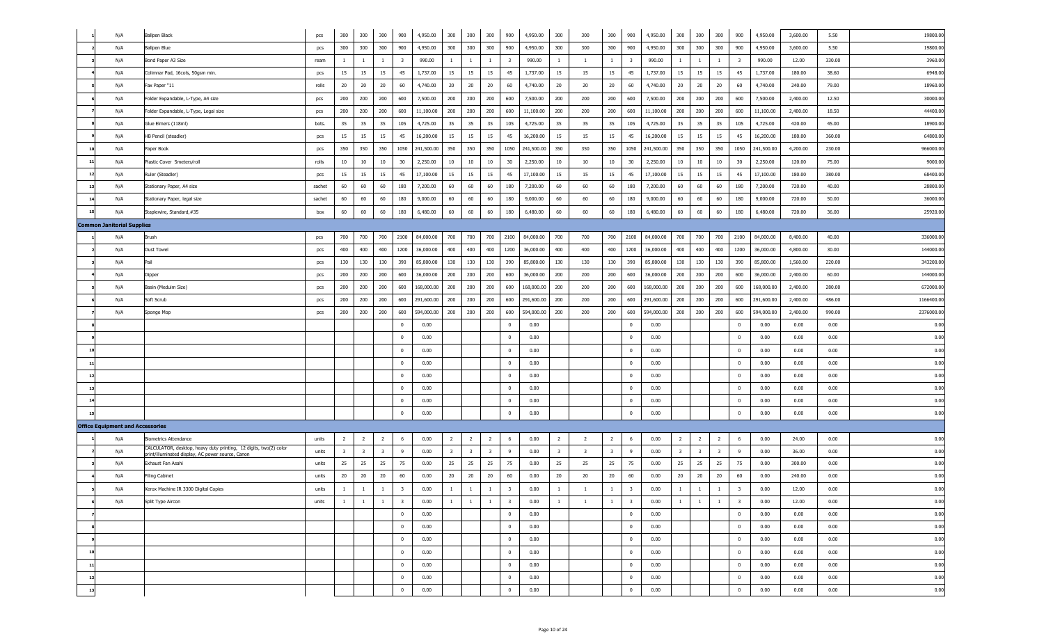| N/A                                     | <b>Ballpen Black</b>                                                                                                   | pcs    | 300                     | 300                     | 300                     | 900                     | 4,950.00       | 300                     | 300                     | 300                     | 900                     | 4,950.00   | 300                     | 300                     | 300                     | 900                      | 4,950.00   | 300                     | 300                     | 300                     | 900                     | 4,950.00   | 3,600.00 | 5.50   | 19800.00  |
|-----------------------------------------|------------------------------------------------------------------------------------------------------------------------|--------|-------------------------|-------------------------|-------------------------|-------------------------|----------------|-------------------------|-------------------------|-------------------------|-------------------------|------------|-------------------------|-------------------------|-------------------------|--------------------------|------------|-------------------------|-------------------------|-------------------------|-------------------------|------------|----------|--------|-----------|
| N/A                                     | <b>Ballpen Blue</b>                                                                                                    | pcs    | 300                     | 300                     | 300                     | 900                     | 4,950.00       | 300                     | 300                     | 300                     | 900                     | 4,950.00   | 300                     | 300                     | 300                     | 900                      | 4,950.00   | 300                     | 300                     | 300                     | 900                     | 4,950.00   | 3,600.00 | 5.50   | 19800.0   |
| N/A                                     | Bond Paper A3 Size                                                                                                     | ream   | -1                      | $\mathbf{1}$            | 1                       | $\overline{\mathbf{3}}$ | 990.00         | $\mathbf{1}$            | $\mathbf{1}$            | -1                      | 3                       | 990.00     | 1                       | -1                      | $\mathbf{1}$            | $\overline{\mathbf{3}}$  | 990.00     | 1                       | $\mathbf{1}$            | $\mathbf{1}$            | 3                       | 990.00     | 12.00    | 330.00 | 3960.0    |
| N/A                                     | Colimnar Pad, 16cols, 50gsm min.                                                                                       | pcs    | 15                      | 15                      | 15                      | 45                      | 1,737.00       | 15                      | 15                      | 15                      | 45                      | 1,737.00   | 15                      | 15                      | 15                      | 45                       | 1,737.00   | 15                      | 15                      | 15                      | 45                      | 1,737.00   | 180.00   | 38.60  | 6948.0    |
| N/A                                     | Fax Paper "11                                                                                                          | rolls  | 20                      | 20                      | 20                      | 60                      | 4,740.00       | 20                      | 20                      | 20                      | 60                      | 4,740.00   | 20                      | 20                      | 20                      | 60                       | 4,740.00   | 20                      | 20                      | 20                      | 60                      | 4,740.00   | 240.00   | 79.00  | 18960.0   |
| N/A                                     | Folder Expandable, L-Type, A4 size                                                                                     | pcs    | 200                     | 200                     | 200                     | 600                     | 7,500.00       | 200                     | 200                     | 200                     | 600                     | 7,500.00   | 200                     | 200                     | 200                     | 600                      | 7,500.00   | 200                     | 200                     | 200                     | 600                     | 7,500.00   | 2,400.00 | 12.50  | 30000.0   |
| N/A                                     | Folder Expandable, L-Type, Legal size                                                                                  | pcs    | 200                     | 200                     | 200                     | 600                     | 11,100.00      | 200                     | 200                     | 200                     | 600                     | 11,100.00  | 200                     | 200                     | 200                     | 600                      | 11,100.00  | 200                     | 200                     | 200                     | 600                     | 11,100.00  | 2,400.00 | 18.50  | 44400.00  |
| N/A                                     | Glue Elmers (118ml)                                                                                                    | bots.  | 35                      | 35                      | 35                      | 105                     | 4,725.00       | 35                      | 35                      | 35                      | 105                     | 4,725.00   | 35                      | 35                      | 35                      | 105                      | 4,725.00   | 35                      | 35                      | 35                      | 105                     | 4,725.00   | 420.00   | 45.00  | 18900.0   |
| N/A                                     | HB Pencil (steadler)                                                                                                   | pcs    | 15                      | 15                      | 15                      | 45                      | 16,200.00      | 15                      | 15                      | 15                      | 45                      | 16,200.00  | 15                      | 15                      | 15                      | 45                       | 16,200.00  | 15                      | 15                      | 15                      | 45                      | 16,200.00  | 180.00   | 360.00 | 64800.0   |
| N/A<br>10                               | Paper Book                                                                                                             | pcs    | 350                     | 350                     | 350                     | 1050                    | 241,500.00     | 350                     | 350                     | 350                     | 1050                    | 241,500.00 | 350                     | 350                     | 350                     | 1050                     | 241,500.00 | 350                     | 350                     | 350                     | 1050                    | 241,500.00 | 4,200.00 | 230.00 | 966000.0  |
| N/A<br>11                               | Plastic Cover 5meters/roll                                                                                             | rolls  | 10                      | 10                      | 10                      | 30                      | 2,250.00       | 10                      | 10                      | 10                      | 30                      | 2,250.00   | 10                      | 10                      | 10                      | 30                       | 2,250.00   | 10                      | 10                      | 10                      | 30                      | 2,250.00   | 120.00   | 75.00  | 9000.00   |
| N/A<br>12                               | Ruler (Steadler)                                                                                                       | pcs    | 15                      | 15                      | 15                      | 45                      | 17,100.00      | 15                      | 15                      | 15                      | 45                      | 17,100.00  | 15                      | 15                      | 15                      | 45                       | 17,100.00  | 15                      | 15                      | 15                      | 45                      | 17,100.00  | 180.00   | 380.00 | 68400.00  |
| N/A<br>13                               | Stationary Paper, A4 size                                                                                              | sachet | 60                      | 60                      | 60                      | 180                     | 7,200.00       | 60                      | 60                      | 60                      | 180                     | 7,200.00   | 60                      | 60                      | 60                      | 180                      | 7,200.00   | 60                      | 60                      | 60                      | 180                     | 7,200.00   | 720.00   | 40.00  | 28800.00  |
| N/A<br>14                               | Stationary Paper, legal size                                                                                           | sachet | 60                      | 60                      | 60                      | 180                     | 9,000.00       | 60                      | 60                      | 60                      | 180                     | 9,000.00   | 60                      | 60                      | 60                      | 180                      | 9,000.00   | 60                      | 60                      | 60                      | 180                     | 9,000.00   | 720.00   | 50.00  | 36000.00  |
| 15<br>N/A                               | Staplewire, Standard, #35                                                                                              | box    | 60                      | 60                      | 60                      | 180                     | 6,480.00       | 60                      | 60                      | 60                      | 180                     | 6,480.00   | 60                      | 60                      | 60                      | 180                      | 6,480.00   | 60                      | 60                      | 60                      | 180                     | 6,480.00   | 720.00   | 36.00  | 25920.00  |
| <b>Common Janitorial Supplies</b>       |                                                                                                                        |        |                         |                         |                         |                         |                |                         |                         |                         |                         |            |                         |                         |                         |                          |            |                         |                         |                         |                         |            |          |        |           |
| N/A                                     | Brush                                                                                                                  | pcs    | 700                     | 700                     | 700                     |                         | 2100 84,000.00 | 700                     | 700                     | 700                     | 2100                    | 84,000.00  | 700                     | 700                     | 700                     | 2100                     | 84,000.00  | 700                     | 700                     | 700                     | 2100                    | 84,000.00  | 8,400.00 | 40.00  | 336000.00 |
| N/A                                     | <b>Dust Towel</b>                                                                                                      | pcs    | 400                     | 400                     | 400                     | 1200                    | 36,000.00      | 400                     | 400                     | 400                     | 1200                    | 36,000.00  | 400                     | 400                     | 400                     | 1200                     | 36,000.00  | 400                     | 400                     | 400                     | 1200                    | 36,000.00  | 4,800.00 | 30.00  | 144000.00 |
| N/A                                     | Pail                                                                                                                   | pcs    | 130                     | 130                     | 130                     | 390                     | 85,800.00      | 130                     | 130                     | 130                     | 390                     | 85,800.00  | 130                     | 130                     | 130                     | 390                      | 85,800.00  | 130                     | 130                     | 130                     | 390                     | 85,800.00  | 1,560.00 | 220.00 | 343200.00 |
| N/A                                     | Dipper                                                                                                                 | pcs    | 200                     | 200                     | 200                     | 600                     | 36,000.00      | 200                     | 200                     | 200                     | 600                     | 36,000.00  | 200                     | 200                     | 200                     | 600                      | 36,000.00  | 200                     | 200                     | 200                     | 600                     | 36,000.00  | 2,400.00 | 60.00  | 144000.00 |
| N/A                                     | Basin (Meduim Size)                                                                                                    | pcs    | 200                     | 200                     | 200                     | 600                     | 168,000.00     | 200                     | 200                     | 200                     | 600                     | 168,000.00 | 200                     | 200                     | 200                     | 600                      | 168,000.00 | 200                     | 200                     | 200                     | 600                     | 168,000.00 | 2,400.00 | 280.00 | 672000.00 |
| N/A                                     | Soft Scrub                                                                                                             | pcs    | 200                     | 200                     | 200                     | 600                     | 291,600.00     | 200                     | 200                     | 200                     | 600                     | 291,600.00 | 200                     | 200                     | 200                     | 600                      | 291,600.00 | 200                     | 200                     | 200                     | 600                     | 291,600.00 | 2,400.00 | 486.00 | 1166400.0 |
| N/A                                     | Sponge Mop                                                                                                             | pcs    | 200                     | 200                     | 200                     | 600                     | 594,000.00     | 200                     | 200                     | 200                     | 600                     | 594,000.00 | 200                     | 200                     | 200                     | 600                      | 594,000.00 | 200                     | 200                     | 200                     | 600                     | 594,000.00 | 2,400.00 | 990.00 | 2376000.0 |
|                                         |                                                                                                                        |        |                         |                         |                         | $\overline{0}$          | 0.00           |                         |                         |                         | $\mathbf 0$             | 0.00       |                         |                         |                         | $\overline{\mathbf{0}}$  | 0.00       |                         |                         |                         | $\mathbf 0$             | 0.00       | 0.00     | 0.00   | 0.00      |
|                                         |                                                                                                                        |        |                         |                         |                         | $\overline{0}$          | 0.00           |                         |                         |                         | $\mathbf 0$             | 0.00       |                         |                         |                         | $\overline{\phantom{0}}$ | 0.00       |                         |                         |                         | $\overline{0}$          | 0.00       | 0.00     | 0.00   | 0.00      |
| 10                                      |                                                                                                                        |        |                         |                         |                         | $\overline{0}$          | 0.00           |                         |                         |                         | $^{\circ}$              | 0.00       |                         |                         |                         | $\overline{\mathbf{0}}$  | 0.00       |                         |                         |                         | $\mathbf 0$             | 0.00       | 0.00     | 0.00   | 0.00      |
| 11                                      |                                                                                                                        |        |                         |                         |                         | $\mathbf 0$             | 0.00           |                         |                         |                         | $\mathbf{0}$            | 0.00       |                         |                         |                         | $\overline{\mathbf{0}}$  | 0.00       |                         |                         |                         | $\overline{0}$          | 0.00       | 0.00     | 0.00   | 0.00      |
| 12                                      |                                                                                                                        |        |                         |                         |                         | $\mathbf 0$             | 0.00           |                         |                         |                         | $\mathbf{0}$            | 0.00       |                         |                         |                         | $\overline{\mathbf{0}}$  | 0.00       |                         |                         |                         | $\overline{0}$          | 0.00       | 0.00     | 0.00   | 0.00      |
| 13                                      |                                                                                                                        |        |                         |                         |                         | $\mathbf 0$             | 0.00           |                         |                         |                         | $^{\circ}$              | 0.00       |                         |                         |                         | $\overline{\mathbf{0}}$  | 0.00       |                         |                         |                         | $\overline{0}$          | 0.00       | 0.00     | 0.00   | 0.00      |
| 14                                      |                                                                                                                        |        |                         |                         |                         | $\mathbf 0$             | 0.00           |                         |                         |                         | $\mathbf{0}$            | 0.00       |                         |                         |                         | $\overline{\mathbf{0}}$  | 0.00       |                         |                         |                         | $\mathbf 0$             | 0.00       | 0.00     | 0.00   | 0.00      |
|                                         |                                                                                                                        |        |                         |                         |                         | $\overline{0}$          | 0.00           |                         |                         |                         | $\bf{0}$                | 0.00       |                         |                         |                         | $\overline{\mathbf{0}}$  | 0.00       |                         |                         |                         | $\pmb{0}$               | 0.00       | 0.00     | 0.00   | 0.00      |
| <b>Office Equipment and Accessories</b> |                                                                                                                        |        |                         |                         |                         |                         |                |                         |                         |                         |                         |            |                         |                         |                         |                          |            |                         |                         |                         |                         |            |          |        |           |
| N/A                                     | <b>Biometrics Attendance</b>                                                                                           | units  | $\overline{2}$          | $\overline{2}$          | $\overline{2}$          | 6                       | 0.00           | $\overline{2}$          | $\overline{2}$          | $\overline{2}$          | 6                       | 0.00       | $\overline{2}$          | $\overline{2}$          | $\overline{2}$          | 6                        | 0.00       | $\overline{2}$          | $\overline{2}$          | $\overline{2}$          | 6                       | 0.00       | 24.00    | 0.00   | 0.00      |
| N/A                                     | CALCULATOR, desktop, heavy duty printing, 12 digits, two(2) color<br>print/illuminated display, AC power source, Canon | units  | $\overline{\mathbf{3}}$ | $\overline{\mathbf{3}}$ | $\overline{\mathbf{3}}$ | 9                       | 0.00           | $\overline{\mathbf{3}}$ | $\overline{\mathbf{3}}$ | $\overline{\mathbf{3}}$ | 9                       | 0.00       | $\overline{\mathbf{3}}$ | $\overline{\mathbf{3}}$ | $\overline{\mathbf{3}}$ | - 9                      | 0.00       | $\overline{\mathbf{3}}$ | $\overline{\mathbf{3}}$ | $\overline{\mathbf{3}}$ | - 9                     | 0.00       | 36.00    | 0.00   | 0.00      |
| N/A                                     | Exhaust Fan Asahi                                                                                                      | units  | 25                      | 25                      | 25                      | 75                      | 0.00           | 25                      | 25                      | 25                      | 75                      | 0.00       | 25                      | 25                      | 25                      | 75                       | 0.00       | 25                      | 25                      | 25                      | 75                      | 0.00       | 300.00   | 0.00   | 0.00      |
| N/A                                     | Filing Cabinet                                                                                                         | units  | 20                      | 20                      | 20                      | 60                      | 0.00           | 20                      | 20                      | 20                      | 60                      | 0.00       | 20                      | 20                      | 20                      | 60                       | 0.00       | 20                      | 20                      | 20                      | 60                      | 0.00       | 240.00   | 0.00   | 0.00      |
| N/A                                     | Xerox Machine IR 3300 Digital Copies                                                                                   | units  | $\overline{1}$          | $\mathbf{1}$            | 1                       | $\overline{3}$          | 0.00           | $\overline{1}$          | $\overline{1}$          | $\overline{1}$          | 3                       | 0.00       | $\overline{1}$          |                         | $\overline{1}$          | $\overline{\mathbf{3}}$  | 0.00       | $\mathbf{1}$            | $\overline{1}$          | $\overline{1}$          | $\overline{\mathbf{3}}$ | 0.00       | 12.00    | 0.00   | 0.00      |
| N/A                                     | Split Type Aircon                                                                                                      | units  | $\overline{1}$          | $\mathbf{1}$            | $\mathbf{1}$            | $\overline{\mathbf{3}}$ | 0.00           | <sup>1</sup>            | $\mathbf{1}$            | $\overline{1}$          | $\overline{\mathbf{3}}$ | 0.00       | $\mathbf{1}$            | $\overline{1}$          | $\mathbf{1}$            | $\overline{\mathbf{3}}$  | 0.00       | $\mathbf{1}$            | $\overline{1}$          | $\mathbf{1}$            | $\overline{\mathbf{3}}$ | 0.00       | 12.00    | 0.00   | 0.00      |
|                                         |                                                                                                                        |        |                         |                         |                         | $\overline{0}$          | 0.00           |                         |                         |                         | $\mathbf{0}$            | 0.00       |                         |                         |                         | $\overline{\mathbf{0}}$  | 0.00       |                         |                         |                         | $\overline{0}$          | 0.00       | 0.00     | 0.00   | 0.00      |
|                                         |                                                                                                                        |        |                         |                         |                         | $\overline{0}$          | 0.00           |                         |                         |                         | $\overline{0}$          | 0.00       |                         |                         |                         | $\overline{\mathbf{0}}$  | 0.00       |                         |                         |                         | $\overline{0}$          | 0.00       | 0.00     | 0.00   | 0.00      |
|                                         |                                                                                                                        |        |                         |                         |                         | $\overline{0}$          | 0.00           |                         |                         |                         | $\mathbf{0}$            | 0.00       |                         |                         |                         | $\overline{\mathbf{0}}$  | 0.00       |                         |                         |                         | $\overline{0}$          | 0.00       | 0.00     | 0.00   | 0.00      |
| 10                                      |                                                                                                                        |        |                         |                         |                         | $\overline{0}$          | 0.00           |                         |                         |                         | $\bf{0}$                | 0.00       |                         |                         |                         | $\overline{0}$           | 0.00       |                         |                         |                         | $\overline{0}$          | 0.00       | 0.00     | 0.00   | 0.00      |
| 11                                      |                                                                                                                        |        |                         |                         |                         | $\overline{0}$          | 0.00           |                         |                         |                         | $\bf{0}$                | 0.00       |                         |                         |                         | $\overline{0}$           | 0.00       |                         |                         |                         | $\bf{0}$                | 0.00       | 0.00     | 0.00   | 0.00      |
| 12                                      |                                                                                                                        |        |                         |                         |                         | $\overline{0}$          | 0.00           |                         |                         |                         | $\bf{0}$                | 0.00       |                         |                         |                         | $\overline{0}$           | 0.00       |                         |                         |                         | $\bf{0}$                | 0.00       | 0.00     | 0.00   | 0.00      |
| 13                                      |                                                                                                                        |        |                         |                         |                         | $\overline{0}$          | 0.00           |                         |                         |                         | $\bf{0}$                | 0.00       |                         |                         |                         | $\bf{0}$                 | 0.00       |                         |                         |                         | $\bf{0}$                | 0.00       | 0.00     | 0.00   | 0.00      |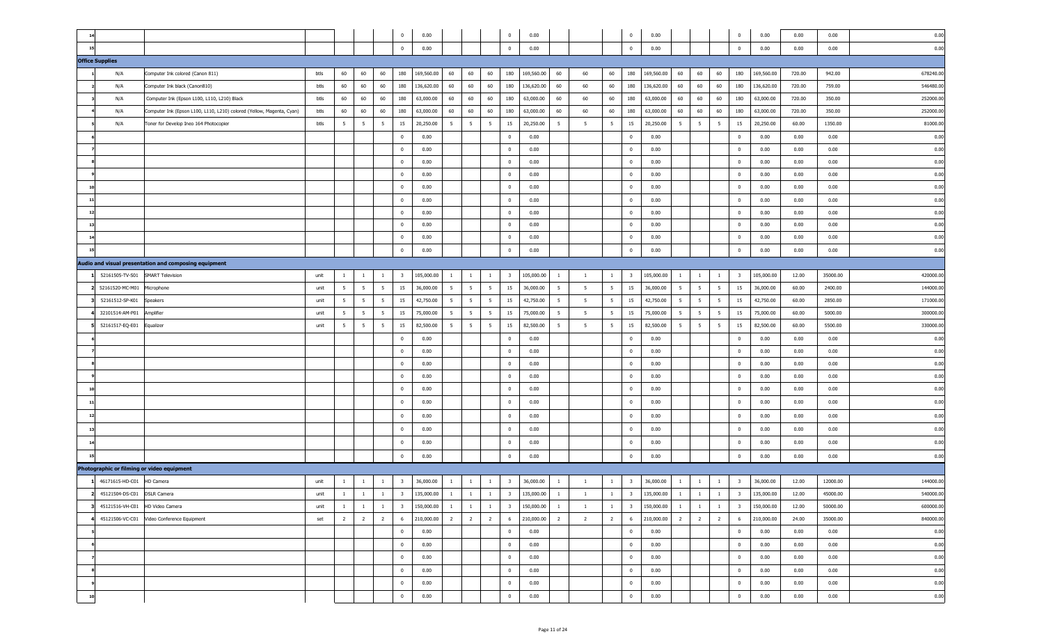| 0.00<br>0.00<br>15<br>$\overline{0}$<br>0.00<br>$\overline{0}$<br>0.00<br>$\overline{0}$<br>0.00<br>$\overline{0}$<br>0.00<br>0.00<br>60<br>60<br>180<br>169,560.00<br>60<br>60<br>60<br>180<br>169,560.00<br>60<br>60<br>180<br>169,560.00<br>60<br>60<br>169,560.00<br>720.00<br>678240.00<br>Computer Ink colored (Canon 811)<br>btls<br>60<br>60<br>60<br>180<br>942.00<br>N/A<br>60<br>60<br>60<br>60<br>180<br>136,620.00<br>60<br>180<br>60<br>136,620.00<br>546480.00<br>N/A<br>Computer Ink black (Canon810)<br>60<br>180<br>136,620.00<br>60<br>60<br>60<br>136,620.00<br>60<br>180<br>720.00<br>759.00<br>btls<br>60<br>60<br>60<br>60<br>180<br>60<br>60<br>252000.00<br>Computer Ink (Epson L100, L110, L210) Black<br>60<br>180<br>63,000.00<br>60<br>60<br>63,000.00<br>60<br>60<br>180<br>63,000.00<br>60<br>180<br>63,000.00<br>720.00<br>350.00<br>N/A<br>btls<br>60<br>60<br>60<br>60<br>60<br>60<br>180<br>60<br>180<br>60<br>252000.00<br>Computer Ink (Epson L100, L110, L210) colored (Yellow, Magenta, Cyan)<br>60<br>180<br>63,000.00<br>63,000.00<br>60<br>60<br>63,000.00<br>60<br>60<br>180<br>63,000.00<br>720.00<br>350.00<br>N/A<br>btls<br>5<br>5<br>20,250.00<br>15<br>5<br>81000.00<br>N/A<br>Toner for Develop Ineo 164 Photocopier<br>btls<br>5<br>15<br>20,250.00<br>5 <sup>5</sup><br>5<br>5<br>15<br>5<br>5<br>20,250.00<br>5<br>5<br>15<br>20,250.00<br>60.00<br>1350.00<br>- 5<br>0.00<br>$\mathbf 0$<br>0.00<br>$\overline{0}$<br>0.00<br>$\overline{\mathbf{0}}$<br>0.00<br>0.00<br>0.00<br>0.00<br>$\mathbf{0}$<br>0.00<br>0.00<br>$\mathbf 0$<br>0.00<br>$\overline{0}$<br>0.00<br>$\overline{0}$<br>0.00<br>0.00<br>0.00<br>$\mathbf{0}$<br>0.00<br>0.00<br>$\mathbf{0}$<br>0.00<br>$\overline{0}$<br>0.00<br>$\overline{\mathbf{0}}$<br>0.00<br>0.00<br>0.00<br>$\mathbf{0}$<br>0.00<br>0.00<br>$\mathbf{0}$<br>0.00<br>$\overline{0}$<br>0.00<br>$\overline{\mathbf{0}}$<br>0.00<br>0.00<br>0.00<br>$\mathbf{0}$<br>0.00<br>0.00<br>$\bf{0}$<br>0.00<br>$\overline{\mathbf{0}}$<br>0.00<br>0.00<br>0.00<br>0.00<br>$\mathbf{0}$<br>$\overline{\mathbf{0}}$<br>10<br>0.00<br>0.00<br>$\bf{0}$<br>0.00<br>0.00<br>0.00<br>$11$<br>$\mathbf{0}$<br>$\overline{0}$<br>0.00<br>$\overline{\mathbf{0}}$<br>0.00<br>0.00<br>0.00<br>0.00<br>12<br>0.00<br>$\bf{0}$<br>$\overline{0}$<br>0.00<br>$\overline{\mathbf{0}}$<br>0.00<br>0.00<br>$^{\circ}$<br>0.00<br>0.00<br>13<br>0.00<br>$\bf{0}$<br>$\overline{0}$<br>0.00<br>$\overline{\mathbf{0}}$<br>0.00<br>0.00<br>0.00<br>$^{\circ}$<br>0.00<br>14<br>0.00<br>$\bf{0}$<br>0.00<br>$\overline{0}$<br>0.00<br>$\overline{\mathbf{0}}$<br>0.00<br>0.00<br>0.00<br>$^{\circ}$<br>0.00<br>$\mathbf 0$<br>0.00<br>$\overline{\mathbf{0}}$<br>0.00<br>$\mathbf 0$<br>0.00<br>0.00<br>0.00<br>0.00<br>$\mathbf{0}$<br>Audio and visual presentation and composing equipment<br><b>SMART Television</b><br>105,000.00<br>$\overline{\mathbf{3}}$<br>105,000.00<br>105,000.00<br>105,000.00<br>35000.00<br>420000.00<br>52161505-TV-S01<br>$\mathbf{1}$<br>$\overline{\mathbf{3}}$<br>$\mathbf{1}$<br>$\overline{\mathbf{3}}$<br>$\mathbf{1}$<br>$\overline{\mathbf{3}}$<br>12.00<br>unit<br>$\mathbf{1}$<br>$\mathbf{1}$<br>$\mathbf{1}$<br>$\mathbf{1}$<br>$\mathbf{1}$<br>$\mathbf{1}$<br>$\mathbf{1}$<br>-1<br>1<br>$5\overline{5}$<br>$5\overline{5}$<br>$5\overline{5}$<br>15<br>$5\overline{5}$<br>144000.00<br>52161520-MC-M01<br>5 <sup>5</sup><br>15<br>36,000.00<br>5 <sup>5</sup><br>5 <sub>5</sub><br>15<br>36,000.00<br>$5^{\circ}$<br>$5\overline{5}$<br>5<br>36,000.00<br>5<br>15<br>36,000.00<br>60.00<br>2400.00<br>unit<br>5<br>Microphone<br>$5\overline{5}$<br>$5\overline{5}$<br>$5\overline{5}$<br>171000.00<br>52161512-SP-K01<br>5 <sup>5</sup><br>15<br>42,750.00<br>5 <sup>5</sup><br>5 <sub>5</sub><br>5<br>15<br>42,750.00<br>5<br>15<br>42,750.00<br>$5\overline{5}$<br>5<br>15<br>42,750.00<br>60.00<br>2850.00<br>Speakers<br>unit<br>5<br>5<br>$5\overline{5}$<br>$5\overline{5}$<br>$5\overline{5}$<br>$5\overline{5}$<br>15<br>15<br>$5\overline{5}$<br>300000.00<br>32101514-AM-P01<br>5<br>15<br>75,000.00<br>5 <sup>5</sup><br>75,000.00<br>$5^{\circ}$<br>5<br>5<br>75,000.00<br>$5\overline{5}$<br>5<br>15<br>75,000.00<br>60.00<br>5000.00<br>Amplifier<br>unit<br>5<br>$5\overline{5}$<br>15<br>15<br>330000.00<br>52161517-EQ-E01<br>5<br>5<br>15<br>82,500.00<br>5 <sup>5</sup><br>5<br>82,500.00<br>5<br>5<br>82,500.00<br>5<br>5<br>5<br>15<br>82,500.00<br>60.00<br>5500.00<br>Equalizer<br>unit<br>-5<br>0.00<br>$\mathbf 0$<br>0.00<br>$\overline{0}$<br>0.00<br>$\overline{0}$<br>0.00<br>0.00<br>0.00<br>0.00<br>$\mathbf{0}$<br>0.00<br>$\mathbf{0}$<br>0.00<br>$\overline{0}$<br>0.00<br>$\overline{0}$<br>0.00<br>0.00<br>0.00<br>0.00<br>$\mathbf{0}$<br>0.00<br>0.00<br>$\overline{0}$<br>0.00<br>$\overline{0}$<br>0.00<br>$\overline{0}$<br>0.00<br>0.00<br>0.00<br>$\mathbf{0}$<br>0.00<br>0.00<br>$\overline{0}$<br>0.00<br>$\overline{0}$<br>0.00<br>$\overline{0}$<br>0.00<br>0.00<br>0.00<br>$\mathbf{0}$<br>0.00<br>0.00<br>$\overline{0}$<br>0.00<br>$\overline{\mathbf{0}}$<br>0.00<br>0.00<br>0.00<br>0.00<br>$\mathbf{0}$<br>$\overline{\mathbf{0}}$<br>10<br>0.00<br>11<br>0.00<br>$\overline{0}$<br>0.00<br>$\overline{\mathbf{0}}$<br>0.00<br>$\overline{\mathbf{0}}$<br>0.00<br>0.00<br>0.00<br>$\mathbf{0}$<br>0.00<br>0.00<br>$\bf{0}$<br>0.00<br>$\overline{\mathbf{0}}$<br>0.00<br>0.00<br>0.00<br>0.00<br>12<br>$\mathbf{0}$<br>$\overline{0}$<br>0.00<br>$13$<br>$\mathbf 0$<br>0.00<br>$\bf{0}$<br>0.00<br>$\overline{0}$<br>0.00<br>$\overline{\mathbf{0}}$<br>0.00<br>0.00<br>0.00<br>0.00<br>14<br>0.00<br>$\mathbf 0$<br>0.00<br>$\overline{\mathbf{0}}$<br>0.00<br>$\overline{\mathbf{0}}$<br>0.00<br>0.00<br>0.00<br>$\mathbf{0}$<br>0.00<br>0.00<br>$\bf{0}$<br>0.00<br>$\overline{\mathbf{0}}$<br>0.00<br>$\overline{\mathbf{0}}$<br>0.00<br>0.00<br>0.00<br>15<br>$^{\circ}$<br>Photographic or filming or video equipment<br>1 46171615-HD-C01 HD Camera<br>144000.00<br>36,000.00<br>$\overline{\mathbf{3}}$<br>36,000.00<br>$\overline{\mathbf{3}}$<br>36,000.00<br>$\overline{\mathbf{3}}$<br>36,000.00<br>12.00<br>12000.00<br>unit<br>$\mathbf{1}$<br>$\mathbf{1}$<br>$\overline{1}$<br>$\overline{\mathbf{3}}$<br><sup>1</sup><br>$\mathbf{1}$<br><sup>1</sup><br>$\mathbf{1}$<br>$\mathbf{1}$<br>$\mathbf{1}$<br>$\mathbf{1}$<br>1<br>1<br>2 45121504-DS-C01 DSLR Camera<br>unit<br>$\mathbf{1}$<br>$\mathbf{1}$<br>$\mathbf{1}$<br>3   135,000.00   1<br>$\mathbf{1}$<br>$\mathbf{1}$<br>3 135,000.00<br>$\mathbf{1}$<br>$\mathbf{1}$<br>$\mathbf{1}$<br>$3 \mid 135,000.00 \mid 1 \mid 1$<br>$\mathbf{1}$<br>$\overline{\mathbf{3}}$<br>135,000.00<br>12.00<br>45000.00<br>540000.00<br>600000.00<br>3 45121516-VH-C01 HD Video Camera<br>1<br>$\mathbf{1}$<br>$\mathbf{1}$<br>3 150,000.00<br>$\mathbf{1}$<br>$\mathbf{1}$<br>$\mathbf{1}$<br>$\overline{\mathbf{3}}$<br>150,000.00<br>$\overline{\mathbf{3}}$<br>150,000.00<br>$\mathbf{1}$<br>$\mathbf{1}$<br>$\overline{\mathbf{3}}$<br>150,000.00<br>50000.00<br>unit<br>$\mathbf{1}$<br>$\mathbf{1}$<br>$\mathbf{1}$<br>$\mathbf{1}$<br>12.00<br>$\overline{2}$<br>4 45121506-VC-C01 Video Conference Equipment<br>$\overline{2}$<br>$\overline{2}$<br>6 210,000.00<br>$\overline{2}$<br>$\overline{2}$<br>$6\overline{6}$<br>$\overline{2}$<br>6<br>$\overline{2}$<br>840000.00<br>set<br>$\overline{2}$<br>210,000.00<br>$\overline{2}$<br>$\overline{2}$<br>210,000.00<br>$\overline{2}$<br>$\overline{2}$<br>$6\overline{6}$<br>210,000.00<br>24.00<br>35000.00<br>0.00<br>0.00<br>$\bf{0}$<br>0.00<br>$\overline{0}$<br>0.00<br>$\overline{0}$<br>0.00<br>$\bf{0}$<br>0.00<br>0.00<br>0.00<br>$\overline{0}$<br>0.00<br>0.00<br>0.00<br>$\overline{0}$<br>0.00<br>0.00<br>$\overline{\mathbf{0}}$<br>$\overline{0}$<br>0.00<br>0.00<br>$\overline{0}$<br>0.00<br>$\overline{0}$<br>0.00<br>0.00<br>$\overline{0}$<br>0.00<br>0.00<br>0.00<br>$\overline{0}$ | 14                     |  |  | $\mathbf 0$    | 0.00 |  | $\overline{0}$ | 0.00 |  | $\overline{0}$ | 0.00 |  | $\pmb{0}$      | 0.00 | 0.00 | 0.00 | 0.00 |
|---------------------------------------------------------------------------------------------------------------------------------------------------------------------------------------------------------------------------------------------------------------------------------------------------------------------------------------------------------------------------------------------------------------------------------------------------------------------------------------------------------------------------------------------------------------------------------------------------------------------------------------------------------------------------------------------------------------------------------------------------------------------------------------------------------------------------------------------------------------------------------------------------------------------------------------------------------------------------------------------------------------------------------------------------------------------------------------------------------------------------------------------------------------------------------------------------------------------------------------------------------------------------------------------------------------------------------------------------------------------------------------------------------------------------------------------------------------------------------------------------------------------------------------------------------------------------------------------------------------------------------------------------------------------------------------------------------------------------------------------------------------------------------------------------------------------------------------------------------------------------------------------------------------------------------------------------------------------------------------------------------------------------------------------------------------------------------------------------------------------------------------------------------------------------------------------------------------------------------------------------------------------------------------------------------------------------------------------------------------------------------------------------------------------------------------------------------------------------------------------------------------------------------------------------------------------------------------------------------------------------------------------------------------------------------------------------------------------------------------------------------------------------------------------------------------------------------------------------------------------------------------------------------------------------------------------------------------------------------------------------------------------------------------------------------------------------------------------------------------------------------------------------------------------------------------------------------------------------------------------------------------------------------------------------------------------------------------------------------------------------------------------------------------------------------------------------------------------------------------------------------------------------------------------------------------------------------------------------------------------------------------------------------------------------------------------------------------------------------------------------------------------------------------------------------------------------------------------------------------------------------------------------------------------------------------------------------------------------------------------------------------------------------------------------------------------------------------------------------------------------------------------------------------------------------------------------------------------------------------------------------------------------------------------------------------------------------------------------------------------------------------------------------------------------------------------------------------------------------------------------------------------------------------------------------------------------------------------------------------------------------------------------------------------------------------------------------------------------------------------------------------------------------------------------------------------------------------------------------------------------------------------------------------------------------------------------------------------------------------------------------------------------------------------------------------------------------------------------------------------------------------------------------------------------------------------------------------------------------------------------------------------------------------------------------------------------------------------------------------------------------------------------------------------------------------------------------------------------------------------------------------------------------------------------------------------------------------------------------------------------------------------------------------------------------------------------------------------------------------------------------------------------------------------------------------------------------------------------------------------------------------------------------------------------------------------------------------------------------------------------------------------------------------------------------------------------------------------------------------------------------------------------------------------------------------------------------------------------------------------------------------------------------------------------------------------------------------------------------------------------------------------------------------------------------------------------------------------------------------------------------------------------------------------------------------------------------------------------------------------------------------------------------------------------------------------------------------------------------------------------------------------------------------------------------------------------------------------------------------------------------------------------------------------------------------------------------------------------------------------------------------------------------------------------------------------------------------------------------------------------------------------------------------------------------------------------------------------------------------------------------------------------------------------------------------------------------------------------------------------------------------------------------------------------------------------------------------------------------------------------------------------------------------------------------------------------------------------------------------------------------------------------------------------------------------------------------------------------------------------------------------------------------------------------------------------------------------------------------------------------------------------------------------------------------------------------------------------------------------------------------------|------------------------|--|--|----------------|------|--|----------------|------|--|----------------|------|--|----------------|------|------|------|------|
|                                                                                                                                                                                                                                                                                                                                                                                                                                                                                                                                                                                                                                                                                                                                                                                                                                                                                                                                                                                                                                                                                                                                                                                                                                                                                                                                                                                                                                                                                                                                                                                                                                                                                                                                                                                                                                                                                                                                                                                                                                                                                                                                                                                                                                                                                                                                                                                                                                                                                                                                                                                                                                                                                                                                                                                                                                                                                                                                                                                                                                                                                                                                                                                                                                                                                                                                                                                                                                                                                                                                                                                                                                                                                                                                                                                                                                                                                                                                                                                                                                                                                                                                                                                                                                                                                                                                                                                                                                                                                                                                                                                                                                                                                                                                                                                                                                                                                                                                                                                                                                                                                                                                                                                                                                                                                                                                                                                                                                                                                                                                                                                                                                                                                                                                                                                                                                                                                                                                                                                                                                                                                                                                                                                                                                                                                                                                                                                                                                                                                                                                                                                                                                                                                                                                                                                                                                                                                                                                                                                                                                                                                                                                                                                                                                                                                                                                                                                                                                                                                                                                                                                                                                                                                                                                                                                                                                                                                                                                                                                                               |                        |  |  |                |      |  |                |      |  |                |      |  |                |      |      |      |      |
|                                                                                                                                                                                                                                                                                                                                                                                                                                                                                                                                                                                                                                                                                                                                                                                                                                                                                                                                                                                                                                                                                                                                                                                                                                                                                                                                                                                                                                                                                                                                                                                                                                                                                                                                                                                                                                                                                                                                                                                                                                                                                                                                                                                                                                                                                                                                                                                                                                                                                                                                                                                                                                                                                                                                                                                                                                                                                                                                                                                                                                                                                                                                                                                                                                                                                                                                                                                                                                                                                                                                                                                                                                                                                                                                                                                                                                                                                                                                                                                                                                                                                                                                                                                                                                                                                                                                                                                                                                                                                                                                                                                                                                                                                                                                                                                                                                                                                                                                                                                                                                                                                                                                                                                                                                                                                                                                                                                                                                                                                                                                                                                                                                                                                                                                                                                                                                                                                                                                                                                                                                                                                                                                                                                                                                                                                                                                                                                                                                                                                                                                                                                                                                                                                                                                                                                                                                                                                                                                                                                                                                                                                                                                                                                                                                                                                                                                                                                                                                                                                                                                                                                                                                                                                                                                                                                                                                                                                                                                                                                                               | <b>Office Supplies</b> |  |  |                |      |  |                |      |  |                |      |  |                |      |      |      |      |
|                                                                                                                                                                                                                                                                                                                                                                                                                                                                                                                                                                                                                                                                                                                                                                                                                                                                                                                                                                                                                                                                                                                                                                                                                                                                                                                                                                                                                                                                                                                                                                                                                                                                                                                                                                                                                                                                                                                                                                                                                                                                                                                                                                                                                                                                                                                                                                                                                                                                                                                                                                                                                                                                                                                                                                                                                                                                                                                                                                                                                                                                                                                                                                                                                                                                                                                                                                                                                                                                                                                                                                                                                                                                                                                                                                                                                                                                                                                                                                                                                                                                                                                                                                                                                                                                                                                                                                                                                                                                                                                                                                                                                                                                                                                                                                                                                                                                                                                                                                                                                                                                                                                                                                                                                                                                                                                                                                                                                                                                                                                                                                                                                                                                                                                                                                                                                                                                                                                                                                                                                                                                                                                                                                                                                                                                                                                                                                                                                                                                                                                                                                                                                                                                                                                                                                                                                                                                                                                                                                                                                                                                                                                                                                                                                                                                                                                                                                                                                                                                                                                                                                                                                                                                                                                                                                                                                                                                                                                                                                                                               |                        |  |  |                |      |  |                |      |  |                |      |  |                |      |      |      |      |
|                                                                                                                                                                                                                                                                                                                                                                                                                                                                                                                                                                                                                                                                                                                                                                                                                                                                                                                                                                                                                                                                                                                                                                                                                                                                                                                                                                                                                                                                                                                                                                                                                                                                                                                                                                                                                                                                                                                                                                                                                                                                                                                                                                                                                                                                                                                                                                                                                                                                                                                                                                                                                                                                                                                                                                                                                                                                                                                                                                                                                                                                                                                                                                                                                                                                                                                                                                                                                                                                                                                                                                                                                                                                                                                                                                                                                                                                                                                                                                                                                                                                                                                                                                                                                                                                                                                                                                                                                                                                                                                                                                                                                                                                                                                                                                                                                                                                                                                                                                                                                                                                                                                                                                                                                                                                                                                                                                                                                                                                                                                                                                                                                                                                                                                                                                                                                                                                                                                                                                                                                                                                                                                                                                                                                                                                                                                                                                                                                                                                                                                                                                                                                                                                                                                                                                                                                                                                                                                                                                                                                                                                                                                                                                                                                                                                                                                                                                                                                                                                                                                                                                                                                                                                                                                                                                                                                                                                                                                                                                                                               |                        |  |  |                |      |  |                |      |  |                |      |  |                |      |      |      |      |
|                                                                                                                                                                                                                                                                                                                                                                                                                                                                                                                                                                                                                                                                                                                                                                                                                                                                                                                                                                                                                                                                                                                                                                                                                                                                                                                                                                                                                                                                                                                                                                                                                                                                                                                                                                                                                                                                                                                                                                                                                                                                                                                                                                                                                                                                                                                                                                                                                                                                                                                                                                                                                                                                                                                                                                                                                                                                                                                                                                                                                                                                                                                                                                                                                                                                                                                                                                                                                                                                                                                                                                                                                                                                                                                                                                                                                                                                                                                                                                                                                                                                                                                                                                                                                                                                                                                                                                                                                                                                                                                                                                                                                                                                                                                                                                                                                                                                                                                                                                                                                                                                                                                                                                                                                                                                                                                                                                                                                                                                                                                                                                                                                                                                                                                                                                                                                                                                                                                                                                                                                                                                                                                                                                                                                                                                                                                                                                                                                                                                                                                                                                                                                                                                                                                                                                                                                                                                                                                                                                                                                                                                                                                                                                                                                                                                                                                                                                                                                                                                                                                                                                                                                                                                                                                                                                                                                                                                                                                                                                                                               |                        |  |  |                |      |  |                |      |  |                |      |  |                |      |      |      |      |
|                                                                                                                                                                                                                                                                                                                                                                                                                                                                                                                                                                                                                                                                                                                                                                                                                                                                                                                                                                                                                                                                                                                                                                                                                                                                                                                                                                                                                                                                                                                                                                                                                                                                                                                                                                                                                                                                                                                                                                                                                                                                                                                                                                                                                                                                                                                                                                                                                                                                                                                                                                                                                                                                                                                                                                                                                                                                                                                                                                                                                                                                                                                                                                                                                                                                                                                                                                                                                                                                                                                                                                                                                                                                                                                                                                                                                                                                                                                                                                                                                                                                                                                                                                                                                                                                                                                                                                                                                                                                                                                                                                                                                                                                                                                                                                                                                                                                                                                                                                                                                                                                                                                                                                                                                                                                                                                                                                                                                                                                                                                                                                                                                                                                                                                                                                                                                                                                                                                                                                                                                                                                                                                                                                                                                                                                                                                                                                                                                                                                                                                                                                                                                                                                                                                                                                                                                                                                                                                                                                                                                                                                                                                                                                                                                                                                                                                                                                                                                                                                                                                                                                                                                                                                                                                                                                                                                                                                                                                                                                                                               |                        |  |  |                |      |  |                |      |  |                |      |  |                |      |      |      |      |
|                                                                                                                                                                                                                                                                                                                                                                                                                                                                                                                                                                                                                                                                                                                                                                                                                                                                                                                                                                                                                                                                                                                                                                                                                                                                                                                                                                                                                                                                                                                                                                                                                                                                                                                                                                                                                                                                                                                                                                                                                                                                                                                                                                                                                                                                                                                                                                                                                                                                                                                                                                                                                                                                                                                                                                                                                                                                                                                                                                                                                                                                                                                                                                                                                                                                                                                                                                                                                                                                                                                                                                                                                                                                                                                                                                                                                                                                                                                                                                                                                                                                                                                                                                                                                                                                                                                                                                                                                                                                                                                                                                                                                                                                                                                                                                                                                                                                                                                                                                                                                                                                                                                                                                                                                                                                                                                                                                                                                                                                                                                                                                                                                                                                                                                                                                                                                                                                                                                                                                                                                                                                                                                                                                                                                                                                                                                                                                                                                                                                                                                                                                                                                                                                                                                                                                                                                                                                                                                                                                                                                                                                                                                                                                                                                                                                                                                                                                                                                                                                                                                                                                                                                                                                                                                                                                                                                                                                                                                                                                                                               |                        |  |  |                |      |  |                |      |  |                |      |  |                |      |      |      |      |
|                                                                                                                                                                                                                                                                                                                                                                                                                                                                                                                                                                                                                                                                                                                                                                                                                                                                                                                                                                                                                                                                                                                                                                                                                                                                                                                                                                                                                                                                                                                                                                                                                                                                                                                                                                                                                                                                                                                                                                                                                                                                                                                                                                                                                                                                                                                                                                                                                                                                                                                                                                                                                                                                                                                                                                                                                                                                                                                                                                                                                                                                                                                                                                                                                                                                                                                                                                                                                                                                                                                                                                                                                                                                                                                                                                                                                                                                                                                                                                                                                                                                                                                                                                                                                                                                                                                                                                                                                                                                                                                                                                                                                                                                                                                                                                                                                                                                                                                                                                                                                                                                                                                                                                                                                                                                                                                                                                                                                                                                                                                                                                                                                                                                                                                                                                                                                                                                                                                                                                                                                                                                                                                                                                                                                                                                                                                                                                                                                                                                                                                                                                                                                                                                                                                                                                                                                                                                                                                                                                                                                                                                                                                                                                                                                                                                                                                                                                                                                                                                                                                                                                                                                                                                                                                                                                                                                                                                                                                                                                                                               |                        |  |  |                |      |  |                |      |  |                |      |  |                |      |      |      |      |
|                                                                                                                                                                                                                                                                                                                                                                                                                                                                                                                                                                                                                                                                                                                                                                                                                                                                                                                                                                                                                                                                                                                                                                                                                                                                                                                                                                                                                                                                                                                                                                                                                                                                                                                                                                                                                                                                                                                                                                                                                                                                                                                                                                                                                                                                                                                                                                                                                                                                                                                                                                                                                                                                                                                                                                                                                                                                                                                                                                                                                                                                                                                                                                                                                                                                                                                                                                                                                                                                                                                                                                                                                                                                                                                                                                                                                                                                                                                                                                                                                                                                                                                                                                                                                                                                                                                                                                                                                                                                                                                                                                                                                                                                                                                                                                                                                                                                                                                                                                                                                                                                                                                                                                                                                                                                                                                                                                                                                                                                                                                                                                                                                                                                                                                                                                                                                                                                                                                                                                                                                                                                                                                                                                                                                                                                                                                                                                                                                                                                                                                                                                                                                                                                                                                                                                                                                                                                                                                                                                                                                                                                                                                                                                                                                                                                                                                                                                                                                                                                                                                                                                                                                                                                                                                                                                                                                                                                                                                                                                                                               |                        |  |  |                |      |  |                |      |  |                |      |  |                |      |      |      |      |
|                                                                                                                                                                                                                                                                                                                                                                                                                                                                                                                                                                                                                                                                                                                                                                                                                                                                                                                                                                                                                                                                                                                                                                                                                                                                                                                                                                                                                                                                                                                                                                                                                                                                                                                                                                                                                                                                                                                                                                                                                                                                                                                                                                                                                                                                                                                                                                                                                                                                                                                                                                                                                                                                                                                                                                                                                                                                                                                                                                                                                                                                                                                                                                                                                                                                                                                                                                                                                                                                                                                                                                                                                                                                                                                                                                                                                                                                                                                                                                                                                                                                                                                                                                                                                                                                                                                                                                                                                                                                                                                                                                                                                                                                                                                                                                                                                                                                                                                                                                                                                                                                                                                                                                                                                                                                                                                                                                                                                                                                                                                                                                                                                                                                                                                                                                                                                                                                                                                                                                                                                                                                                                                                                                                                                                                                                                                                                                                                                                                                                                                                                                                                                                                                                                                                                                                                                                                                                                                                                                                                                                                                                                                                                                                                                                                                                                                                                                                                                                                                                                                                                                                                                                                                                                                                                                                                                                                                                                                                                                                                               |                        |  |  |                |      |  |                |      |  |                |      |  |                |      |      |      |      |
|                                                                                                                                                                                                                                                                                                                                                                                                                                                                                                                                                                                                                                                                                                                                                                                                                                                                                                                                                                                                                                                                                                                                                                                                                                                                                                                                                                                                                                                                                                                                                                                                                                                                                                                                                                                                                                                                                                                                                                                                                                                                                                                                                                                                                                                                                                                                                                                                                                                                                                                                                                                                                                                                                                                                                                                                                                                                                                                                                                                                                                                                                                                                                                                                                                                                                                                                                                                                                                                                                                                                                                                                                                                                                                                                                                                                                                                                                                                                                                                                                                                                                                                                                                                                                                                                                                                                                                                                                                                                                                                                                                                                                                                                                                                                                                                                                                                                                                                                                                                                                                                                                                                                                                                                                                                                                                                                                                                                                                                                                                                                                                                                                                                                                                                                                                                                                                                                                                                                                                                                                                                                                                                                                                                                                                                                                                                                                                                                                                                                                                                                                                                                                                                                                                                                                                                                                                                                                                                                                                                                                                                                                                                                                                                                                                                                                                                                                                                                                                                                                                                                                                                                                                                                                                                                                                                                                                                                                                                                                                                                               |                        |  |  |                |      |  |                |      |  |                |      |  |                |      |      |      |      |
|                                                                                                                                                                                                                                                                                                                                                                                                                                                                                                                                                                                                                                                                                                                                                                                                                                                                                                                                                                                                                                                                                                                                                                                                                                                                                                                                                                                                                                                                                                                                                                                                                                                                                                                                                                                                                                                                                                                                                                                                                                                                                                                                                                                                                                                                                                                                                                                                                                                                                                                                                                                                                                                                                                                                                                                                                                                                                                                                                                                                                                                                                                                                                                                                                                                                                                                                                                                                                                                                                                                                                                                                                                                                                                                                                                                                                                                                                                                                                                                                                                                                                                                                                                                                                                                                                                                                                                                                                                                                                                                                                                                                                                                                                                                                                                                                                                                                                                                                                                                                                                                                                                                                                                                                                                                                                                                                                                                                                                                                                                                                                                                                                                                                                                                                                                                                                                                                                                                                                                                                                                                                                                                                                                                                                                                                                                                                                                                                                                                                                                                                                                                                                                                                                                                                                                                                                                                                                                                                                                                                                                                                                                                                                                                                                                                                                                                                                                                                                                                                                                                                                                                                                                                                                                                                                                                                                                                                                                                                                                                                               |                        |  |  |                |      |  |                |      |  |                |      |  |                |      |      |      |      |
|                                                                                                                                                                                                                                                                                                                                                                                                                                                                                                                                                                                                                                                                                                                                                                                                                                                                                                                                                                                                                                                                                                                                                                                                                                                                                                                                                                                                                                                                                                                                                                                                                                                                                                                                                                                                                                                                                                                                                                                                                                                                                                                                                                                                                                                                                                                                                                                                                                                                                                                                                                                                                                                                                                                                                                                                                                                                                                                                                                                                                                                                                                                                                                                                                                                                                                                                                                                                                                                                                                                                                                                                                                                                                                                                                                                                                                                                                                                                                                                                                                                                                                                                                                                                                                                                                                                                                                                                                                                                                                                                                                                                                                                                                                                                                                                                                                                                                                                                                                                                                                                                                                                                                                                                                                                                                                                                                                                                                                                                                                                                                                                                                                                                                                                                                                                                                                                                                                                                                                                                                                                                                                                                                                                                                                                                                                                                                                                                                                                                                                                                                                                                                                                                                                                                                                                                                                                                                                                                                                                                                                                                                                                                                                                                                                                                                                                                                                                                                                                                                                                                                                                                                                                                                                                                                                                                                                                                                                                                                                                                               |                        |  |  |                |      |  |                |      |  |                |      |  |                |      |      |      |      |
|                                                                                                                                                                                                                                                                                                                                                                                                                                                                                                                                                                                                                                                                                                                                                                                                                                                                                                                                                                                                                                                                                                                                                                                                                                                                                                                                                                                                                                                                                                                                                                                                                                                                                                                                                                                                                                                                                                                                                                                                                                                                                                                                                                                                                                                                                                                                                                                                                                                                                                                                                                                                                                                                                                                                                                                                                                                                                                                                                                                                                                                                                                                                                                                                                                                                                                                                                                                                                                                                                                                                                                                                                                                                                                                                                                                                                                                                                                                                                                                                                                                                                                                                                                                                                                                                                                                                                                                                                                                                                                                                                                                                                                                                                                                                                                                                                                                                                                                                                                                                                                                                                                                                                                                                                                                                                                                                                                                                                                                                                                                                                                                                                                                                                                                                                                                                                                                                                                                                                                                                                                                                                                                                                                                                                                                                                                                                                                                                                                                                                                                                                                                                                                                                                                                                                                                                                                                                                                                                                                                                                                                                                                                                                                                                                                                                                                                                                                                                                                                                                                                                                                                                                                                                                                                                                                                                                                                                                                                                                                                                               |                        |  |  |                |      |  |                |      |  |                |      |  |                |      |      |      |      |
|                                                                                                                                                                                                                                                                                                                                                                                                                                                                                                                                                                                                                                                                                                                                                                                                                                                                                                                                                                                                                                                                                                                                                                                                                                                                                                                                                                                                                                                                                                                                                                                                                                                                                                                                                                                                                                                                                                                                                                                                                                                                                                                                                                                                                                                                                                                                                                                                                                                                                                                                                                                                                                                                                                                                                                                                                                                                                                                                                                                                                                                                                                                                                                                                                                                                                                                                                                                                                                                                                                                                                                                                                                                                                                                                                                                                                                                                                                                                                                                                                                                                                                                                                                                                                                                                                                                                                                                                                                                                                                                                                                                                                                                                                                                                                                                                                                                                                                                                                                                                                                                                                                                                                                                                                                                                                                                                                                                                                                                                                                                                                                                                                                                                                                                                                                                                                                                                                                                                                                                                                                                                                                                                                                                                                                                                                                                                                                                                                                                                                                                                                                                                                                                                                                                                                                                                                                                                                                                                                                                                                                                                                                                                                                                                                                                                                                                                                                                                                                                                                                                                                                                                                                                                                                                                                                                                                                                                                                                                                                                                               |                        |  |  |                |      |  |                |      |  |                |      |  |                |      |      |      |      |
|                                                                                                                                                                                                                                                                                                                                                                                                                                                                                                                                                                                                                                                                                                                                                                                                                                                                                                                                                                                                                                                                                                                                                                                                                                                                                                                                                                                                                                                                                                                                                                                                                                                                                                                                                                                                                                                                                                                                                                                                                                                                                                                                                                                                                                                                                                                                                                                                                                                                                                                                                                                                                                                                                                                                                                                                                                                                                                                                                                                                                                                                                                                                                                                                                                                                                                                                                                                                                                                                                                                                                                                                                                                                                                                                                                                                                                                                                                                                                                                                                                                                                                                                                                                                                                                                                                                                                                                                                                                                                                                                                                                                                                                                                                                                                                                                                                                                                                                                                                                                                                                                                                                                                                                                                                                                                                                                                                                                                                                                                                                                                                                                                                                                                                                                                                                                                                                                                                                                                                                                                                                                                                                                                                                                                                                                                                                                                                                                                                                                                                                                                                                                                                                                                                                                                                                                                                                                                                                                                                                                                                                                                                                                                                                                                                                                                                                                                                                                                                                                                                                                                                                                                                                                                                                                                                                                                                                                                                                                                                                                               |                        |  |  |                |      |  |                |      |  |                |      |  |                |      |      |      |      |
|                                                                                                                                                                                                                                                                                                                                                                                                                                                                                                                                                                                                                                                                                                                                                                                                                                                                                                                                                                                                                                                                                                                                                                                                                                                                                                                                                                                                                                                                                                                                                                                                                                                                                                                                                                                                                                                                                                                                                                                                                                                                                                                                                                                                                                                                                                                                                                                                                                                                                                                                                                                                                                                                                                                                                                                                                                                                                                                                                                                                                                                                                                                                                                                                                                                                                                                                                                                                                                                                                                                                                                                                                                                                                                                                                                                                                                                                                                                                                                                                                                                                                                                                                                                                                                                                                                                                                                                                                                                                                                                                                                                                                                                                                                                                                                                                                                                                                                                                                                                                                                                                                                                                                                                                                                                                                                                                                                                                                                                                                                                                                                                                                                                                                                                                                                                                                                                                                                                                                                                                                                                                                                                                                                                                                                                                                                                                                                                                                                                                                                                                                                                                                                                                                                                                                                                                                                                                                                                                                                                                                                                                                                                                                                                                                                                                                                                                                                                                                                                                                                                                                                                                                                                                                                                                                                                                                                                                                                                                                                                                               |                        |  |  |                |      |  |                |      |  |                |      |  |                |      |      |      |      |
|                                                                                                                                                                                                                                                                                                                                                                                                                                                                                                                                                                                                                                                                                                                                                                                                                                                                                                                                                                                                                                                                                                                                                                                                                                                                                                                                                                                                                                                                                                                                                                                                                                                                                                                                                                                                                                                                                                                                                                                                                                                                                                                                                                                                                                                                                                                                                                                                                                                                                                                                                                                                                                                                                                                                                                                                                                                                                                                                                                                                                                                                                                                                                                                                                                                                                                                                                                                                                                                                                                                                                                                                                                                                                                                                                                                                                                                                                                                                                                                                                                                                                                                                                                                                                                                                                                                                                                                                                                                                                                                                                                                                                                                                                                                                                                                                                                                                                                                                                                                                                                                                                                                                                                                                                                                                                                                                                                                                                                                                                                                                                                                                                                                                                                                                                                                                                                                                                                                                                                                                                                                                                                                                                                                                                                                                                                                                                                                                                                                                                                                                                                                                                                                                                                                                                                                                                                                                                                                                                                                                                                                                                                                                                                                                                                                                                                                                                                                                                                                                                                                                                                                                                                                                                                                                                                                                                                                                                                                                                                                                               |                        |  |  |                |      |  |                |      |  |                |      |  |                |      |      |      |      |
|                                                                                                                                                                                                                                                                                                                                                                                                                                                                                                                                                                                                                                                                                                                                                                                                                                                                                                                                                                                                                                                                                                                                                                                                                                                                                                                                                                                                                                                                                                                                                                                                                                                                                                                                                                                                                                                                                                                                                                                                                                                                                                                                                                                                                                                                                                                                                                                                                                                                                                                                                                                                                                                                                                                                                                                                                                                                                                                                                                                                                                                                                                                                                                                                                                                                                                                                                                                                                                                                                                                                                                                                                                                                                                                                                                                                                                                                                                                                                                                                                                                                                                                                                                                                                                                                                                                                                                                                                                                                                                                                                                                                                                                                                                                                                                                                                                                                                                                                                                                                                                                                                                                                                                                                                                                                                                                                                                                                                                                                                                                                                                                                                                                                                                                                                                                                                                                                                                                                                                                                                                                                                                                                                                                                                                                                                                                                                                                                                                                                                                                                                                                                                                                                                                                                                                                                                                                                                                                                                                                                                                                                                                                                                                                                                                                                                                                                                                                                                                                                                                                                                                                                                                                                                                                                                                                                                                                                                                                                                                                                               |                        |  |  |                |      |  |                |      |  |                |      |  |                |      |      |      |      |
|                                                                                                                                                                                                                                                                                                                                                                                                                                                                                                                                                                                                                                                                                                                                                                                                                                                                                                                                                                                                                                                                                                                                                                                                                                                                                                                                                                                                                                                                                                                                                                                                                                                                                                                                                                                                                                                                                                                                                                                                                                                                                                                                                                                                                                                                                                                                                                                                                                                                                                                                                                                                                                                                                                                                                                                                                                                                                                                                                                                                                                                                                                                                                                                                                                                                                                                                                                                                                                                                                                                                                                                                                                                                                                                                                                                                                                                                                                                                                                                                                                                                                                                                                                                                                                                                                                                                                                                                                                                                                                                                                                                                                                                                                                                                                                                                                                                                                                                                                                                                                                                                                                                                                                                                                                                                                                                                                                                                                                                                                                                                                                                                                                                                                                                                                                                                                                                                                                                                                                                                                                                                                                                                                                                                                                                                                                                                                                                                                                                                                                                                                                                                                                                                                                                                                                                                                                                                                                                                                                                                                                                                                                                                                                                                                                                                                                                                                                                                                                                                                                                                                                                                                                                                                                                                                                                                                                                                                                                                                                                                               |                        |  |  |                |      |  |                |      |  |                |      |  |                |      |      |      |      |
|                                                                                                                                                                                                                                                                                                                                                                                                                                                                                                                                                                                                                                                                                                                                                                                                                                                                                                                                                                                                                                                                                                                                                                                                                                                                                                                                                                                                                                                                                                                                                                                                                                                                                                                                                                                                                                                                                                                                                                                                                                                                                                                                                                                                                                                                                                                                                                                                                                                                                                                                                                                                                                                                                                                                                                                                                                                                                                                                                                                                                                                                                                                                                                                                                                                                                                                                                                                                                                                                                                                                                                                                                                                                                                                                                                                                                                                                                                                                                                                                                                                                                                                                                                                                                                                                                                                                                                                                                                                                                                                                                                                                                                                                                                                                                                                                                                                                                                                                                                                                                                                                                                                                                                                                                                                                                                                                                                                                                                                                                                                                                                                                                                                                                                                                                                                                                                                                                                                                                                                                                                                                                                                                                                                                                                                                                                                                                                                                                                                                                                                                                                                                                                                                                                                                                                                                                                                                                                                                                                                                                                                                                                                                                                                                                                                                                                                                                                                                                                                                                                                                                                                                                                                                                                                                                                                                                                                                                                                                                                                                               |                        |  |  |                |      |  |                |      |  |                |      |  |                |      |      |      |      |
|                                                                                                                                                                                                                                                                                                                                                                                                                                                                                                                                                                                                                                                                                                                                                                                                                                                                                                                                                                                                                                                                                                                                                                                                                                                                                                                                                                                                                                                                                                                                                                                                                                                                                                                                                                                                                                                                                                                                                                                                                                                                                                                                                                                                                                                                                                                                                                                                                                                                                                                                                                                                                                                                                                                                                                                                                                                                                                                                                                                                                                                                                                                                                                                                                                                                                                                                                                                                                                                                                                                                                                                                                                                                                                                                                                                                                                                                                                                                                                                                                                                                                                                                                                                                                                                                                                                                                                                                                                                                                                                                                                                                                                                                                                                                                                                                                                                                                                                                                                                                                                                                                                                                                                                                                                                                                                                                                                                                                                                                                                                                                                                                                                                                                                                                                                                                                                                                                                                                                                                                                                                                                                                                                                                                                                                                                                                                                                                                                                                                                                                                                                                                                                                                                                                                                                                                                                                                                                                                                                                                                                                                                                                                                                                                                                                                                                                                                                                                                                                                                                                                                                                                                                                                                                                                                                                                                                                                                                                                                                                                               |                        |  |  |                |      |  |                |      |  |                |      |  |                |      |      |      |      |
|                                                                                                                                                                                                                                                                                                                                                                                                                                                                                                                                                                                                                                                                                                                                                                                                                                                                                                                                                                                                                                                                                                                                                                                                                                                                                                                                                                                                                                                                                                                                                                                                                                                                                                                                                                                                                                                                                                                                                                                                                                                                                                                                                                                                                                                                                                                                                                                                                                                                                                                                                                                                                                                                                                                                                                                                                                                                                                                                                                                                                                                                                                                                                                                                                                                                                                                                                                                                                                                                                                                                                                                                                                                                                                                                                                                                                                                                                                                                                                                                                                                                                                                                                                                                                                                                                                                                                                                                                                                                                                                                                                                                                                                                                                                                                                                                                                                                                                                                                                                                                                                                                                                                                                                                                                                                                                                                                                                                                                                                                                                                                                                                                                                                                                                                                                                                                                                                                                                                                                                                                                                                                                                                                                                                                                                                                                                                                                                                                                                                                                                                                                                                                                                                                                                                                                                                                                                                                                                                                                                                                                                                                                                                                                                                                                                                                                                                                                                                                                                                                                                                                                                                                                                                                                                                                                                                                                                                                                                                                                                                               |                        |  |  |                |      |  |                |      |  |                |      |  |                |      |      |      |      |
|                                                                                                                                                                                                                                                                                                                                                                                                                                                                                                                                                                                                                                                                                                                                                                                                                                                                                                                                                                                                                                                                                                                                                                                                                                                                                                                                                                                                                                                                                                                                                                                                                                                                                                                                                                                                                                                                                                                                                                                                                                                                                                                                                                                                                                                                                                                                                                                                                                                                                                                                                                                                                                                                                                                                                                                                                                                                                                                                                                                                                                                                                                                                                                                                                                                                                                                                                                                                                                                                                                                                                                                                                                                                                                                                                                                                                                                                                                                                                                                                                                                                                                                                                                                                                                                                                                                                                                                                                                                                                                                                                                                                                                                                                                                                                                                                                                                                                                                                                                                                                                                                                                                                                                                                                                                                                                                                                                                                                                                                                                                                                                                                                                                                                                                                                                                                                                                                                                                                                                                                                                                                                                                                                                                                                                                                                                                                                                                                                                                                                                                                                                                                                                                                                                                                                                                                                                                                                                                                                                                                                                                                                                                                                                                                                                                                                                                                                                                                                                                                                                                                                                                                                                                                                                                                                                                                                                                                                                                                                                                                               |                        |  |  |                |      |  |                |      |  |                |      |  |                |      |      |      |      |
|                                                                                                                                                                                                                                                                                                                                                                                                                                                                                                                                                                                                                                                                                                                                                                                                                                                                                                                                                                                                                                                                                                                                                                                                                                                                                                                                                                                                                                                                                                                                                                                                                                                                                                                                                                                                                                                                                                                                                                                                                                                                                                                                                                                                                                                                                                                                                                                                                                                                                                                                                                                                                                                                                                                                                                                                                                                                                                                                                                                                                                                                                                                                                                                                                                                                                                                                                                                                                                                                                                                                                                                                                                                                                                                                                                                                                                                                                                                                                                                                                                                                                                                                                                                                                                                                                                                                                                                                                                                                                                                                                                                                                                                                                                                                                                                                                                                                                                                                                                                                                                                                                                                                                                                                                                                                                                                                                                                                                                                                                                                                                                                                                                                                                                                                                                                                                                                                                                                                                                                                                                                                                                                                                                                                                                                                                                                                                                                                                                                                                                                                                                                                                                                                                                                                                                                                                                                                                                                                                                                                                                                                                                                                                                                                                                                                                                                                                                                                                                                                                                                                                                                                                                                                                                                                                                                                                                                                                                                                                                                                               |                        |  |  |                |      |  |                |      |  |                |      |  |                |      |      |      |      |
|                                                                                                                                                                                                                                                                                                                                                                                                                                                                                                                                                                                                                                                                                                                                                                                                                                                                                                                                                                                                                                                                                                                                                                                                                                                                                                                                                                                                                                                                                                                                                                                                                                                                                                                                                                                                                                                                                                                                                                                                                                                                                                                                                                                                                                                                                                                                                                                                                                                                                                                                                                                                                                                                                                                                                                                                                                                                                                                                                                                                                                                                                                                                                                                                                                                                                                                                                                                                                                                                                                                                                                                                                                                                                                                                                                                                                                                                                                                                                                                                                                                                                                                                                                                                                                                                                                                                                                                                                                                                                                                                                                                                                                                                                                                                                                                                                                                                                                                                                                                                                                                                                                                                                                                                                                                                                                                                                                                                                                                                                                                                                                                                                                                                                                                                                                                                                                                                                                                                                                                                                                                                                                                                                                                                                                                                                                                                                                                                                                                                                                                                                                                                                                                                                                                                                                                                                                                                                                                                                                                                                                                                                                                                                                                                                                                                                                                                                                                                                                                                                                                                                                                                                                                                                                                                                                                                                                                                                                                                                                                                               |                        |  |  |                |      |  |                |      |  |                |      |  |                |      |      |      |      |
|                                                                                                                                                                                                                                                                                                                                                                                                                                                                                                                                                                                                                                                                                                                                                                                                                                                                                                                                                                                                                                                                                                                                                                                                                                                                                                                                                                                                                                                                                                                                                                                                                                                                                                                                                                                                                                                                                                                                                                                                                                                                                                                                                                                                                                                                                                                                                                                                                                                                                                                                                                                                                                                                                                                                                                                                                                                                                                                                                                                                                                                                                                                                                                                                                                                                                                                                                                                                                                                                                                                                                                                                                                                                                                                                                                                                                                                                                                                                                                                                                                                                                                                                                                                                                                                                                                                                                                                                                                                                                                                                                                                                                                                                                                                                                                                                                                                                                                                                                                                                                                                                                                                                                                                                                                                                                                                                                                                                                                                                                                                                                                                                                                                                                                                                                                                                                                                                                                                                                                                                                                                                                                                                                                                                                                                                                                                                                                                                                                                                                                                                                                                                                                                                                                                                                                                                                                                                                                                                                                                                                                                                                                                                                                                                                                                                                                                                                                                                                                                                                                                                                                                                                                                                                                                                                                                                                                                                                                                                                                                                               |                        |  |  |                |      |  |                |      |  |                |      |  |                |      |      |      |      |
|                                                                                                                                                                                                                                                                                                                                                                                                                                                                                                                                                                                                                                                                                                                                                                                                                                                                                                                                                                                                                                                                                                                                                                                                                                                                                                                                                                                                                                                                                                                                                                                                                                                                                                                                                                                                                                                                                                                                                                                                                                                                                                                                                                                                                                                                                                                                                                                                                                                                                                                                                                                                                                                                                                                                                                                                                                                                                                                                                                                                                                                                                                                                                                                                                                                                                                                                                                                                                                                                                                                                                                                                                                                                                                                                                                                                                                                                                                                                                                                                                                                                                                                                                                                                                                                                                                                                                                                                                                                                                                                                                                                                                                                                                                                                                                                                                                                                                                                                                                                                                                                                                                                                                                                                                                                                                                                                                                                                                                                                                                                                                                                                                                                                                                                                                                                                                                                                                                                                                                                                                                                                                                                                                                                                                                                                                                                                                                                                                                                                                                                                                                                                                                                                                                                                                                                                                                                                                                                                                                                                                                                                                                                                                                                                                                                                                                                                                                                                                                                                                                                                                                                                                                                                                                                                                                                                                                                                                                                                                                                                               |                        |  |  |                |      |  |                |      |  |                |      |  |                |      |      |      |      |
|                                                                                                                                                                                                                                                                                                                                                                                                                                                                                                                                                                                                                                                                                                                                                                                                                                                                                                                                                                                                                                                                                                                                                                                                                                                                                                                                                                                                                                                                                                                                                                                                                                                                                                                                                                                                                                                                                                                                                                                                                                                                                                                                                                                                                                                                                                                                                                                                                                                                                                                                                                                                                                                                                                                                                                                                                                                                                                                                                                                                                                                                                                                                                                                                                                                                                                                                                                                                                                                                                                                                                                                                                                                                                                                                                                                                                                                                                                                                                                                                                                                                                                                                                                                                                                                                                                                                                                                                                                                                                                                                                                                                                                                                                                                                                                                                                                                                                                                                                                                                                                                                                                                                                                                                                                                                                                                                                                                                                                                                                                                                                                                                                                                                                                                                                                                                                                                                                                                                                                                                                                                                                                                                                                                                                                                                                                                                                                                                                                                                                                                                                                                                                                                                                                                                                                                                                                                                                                                                                                                                                                                                                                                                                                                                                                                                                                                                                                                                                                                                                                                                                                                                                                                                                                                                                                                                                                                                                                                                                                                                               |                        |  |  |                |      |  |                |      |  |                |      |  |                |      |      |      |      |
|                                                                                                                                                                                                                                                                                                                                                                                                                                                                                                                                                                                                                                                                                                                                                                                                                                                                                                                                                                                                                                                                                                                                                                                                                                                                                                                                                                                                                                                                                                                                                                                                                                                                                                                                                                                                                                                                                                                                                                                                                                                                                                                                                                                                                                                                                                                                                                                                                                                                                                                                                                                                                                                                                                                                                                                                                                                                                                                                                                                                                                                                                                                                                                                                                                                                                                                                                                                                                                                                                                                                                                                                                                                                                                                                                                                                                                                                                                                                                                                                                                                                                                                                                                                                                                                                                                                                                                                                                                                                                                                                                                                                                                                                                                                                                                                                                                                                                                                                                                                                                                                                                                                                                                                                                                                                                                                                                                                                                                                                                                                                                                                                                                                                                                                                                                                                                                                                                                                                                                                                                                                                                                                                                                                                                                                                                                                                                                                                                                                                                                                                                                                                                                                                                                                                                                                                                                                                                                                                                                                                                                                                                                                                                                                                                                                                                                                                                                                                                                                                                                                                                                                                                                                                                                                                                                                                                                                                                                                                                                                                               |                        |  |  |                |      |  |                |      |  |                |      |  |                |      |      |      |      |
|                                                                                                                                                                                                                                                                                                                                                                                                                                                                                                                                                                                                                                                                                                                                                                                                                                                                                                                                                                                                                                                                                                                                                                                                                                                                                                                                                                                                                                                                                                                                                                                                                                                                                                                                                                                                                                                                                                                                                                                                                                                                                                                                                                                                                                                                                                                                                                                                                                                                                                                                                                                                                                                                                                                                                                                                                                                                                                                                                                                                                                                                                                                                                                                                                                                                                                                                                                                                                                                                                                                                                                                                                                                                                                                                                                                                                                                                                                                                                                                                                                                                                                                                                                                                                                                                                                                                                                                                                                                                                                                                                                                                                                                                                                                                                                                                                                                                                                                                                                                                                                                                                                                                                                                                                                                                                                                                                                                                                                                                                                                                                                                                                                                                                                                                                                                                                                                                                                                                                                                                                                                                                                                                                                                                                                                                                                                                                                                                                                                                                                                                                                                                                                                                                                                                                                                                                                                                                                                                                                                                                                                                                                                                                                                                                                                                                                                                                                                                                                                                                                                                                                                                                                                                                                                                                                                                                                                                                                                                                                                                               |                        |  |  |                |      |  |                |      |  |                |      |  |                |      |      |      |      |
|                                                                                                                                                                                                                                                                                                                                                                                                                                                                                                                                                                                                                                                                                                                                                                                                                                                                                                                                                                                                                                                                                                                                                                                                                                                                                                                                                                                                                                                                                                                                                                                                                                                                                                                                                                                                                                                                                                                                                                                                                                                                                                                                                                                                                                                                                                                                                                                                                                                                                                                                                                                                                                                                                                                                                                                                                                                                                                                                                                                                                                                                                                                                                                                                                                                                                                                                                                                                                                                                                                                                                                                                                                                                                                                                                                                                                                                                                                                                                                                                                                                                                                                                                                                                                                                                                                                                                                                                                                                                                                                                                                                                                                                                                                                                                                                                                                                                                                                                                                                                                                                                                                                                                                                                                                                                                                                                                                                                                                                                                                                                                                                                                                                                                                                                                                                                                                                                                                                                                                                                                                                                                                                                                                                                                                                                                                                                                                                                                                                                                                                                                                                                                                                                                                                                                                                                                                                                                                                                                                                                                                                                                                                                                                                                                                                                                                                                                                                                                                                                                                                                                                                                                                                                                                                                                                                                                                                                                                                                                                                                               |                        |  |  |                |      |  |                |      |  |                |      |  |                |      |      |      |      |
|                                                                                                                                                                                                                                                                                                                                                                                                                                                                                                                                                                                                                                                                                                                                                                                                                                                                                                                                                                                                                                                                                                                                                                                                                                                                                                                                                                                                                                                                                                                                                                                                                                                                                                                                                                                                                                                                                                                                                                                                                                                                                                                                                                                                                                                                                                                                                                                                                                                                                                                                                                                                                                                                                                                                                                                                                                                                                                                                                                                                                                                                                                                                                                                                                                                                                                                                                                                                                                                                                                                                                                                                                                                                                                                                                                                                                                                                                                                                                                                                                                                                                                                                                                                                                                                                                                                                                                                                                                                                                                                                                                                                                                                                                                                                                                                                                                                                                                                                                                                                                                                                                                                                                                                                                                                                                                                                                                                                                                                                                                                                                                                                                                                                                                                                                                                                                                                                                                                                                                                                                                                                                                                                                                                                                                                                                                                                                                                                                                                                                                                                                                                                                                                                                                                                                                                                                                                                                                                                                                                                                                                                                                                                                                                                                                                                                                                                                                                                                                                                                                                                                                                                                                                                                                                                                                                                                                                                                                                                                                                                               |                        |  |  |                |      |  |                |      |  |                |      |  |                |      |      |      |      |
|                                                                                                                                                                                                                                                                                                                                                                                                                                                                                                                                                                                                                                                                                                                                                                                                                                                                                                                                                                                                                                                                                                                                                                                                                                                                                                                                                                                                                                                                                                                                                                                                                                                                                                                                                                                                                                                                                                                                                                                                                                                                                                                                                                                                                                                                                                                                                                                                                                                                                                                                                                                                                                                                                                                                                                                                                                                                                                                                                                                                                                                                                                                                                                                                                                                                                                                                                                                                                                                                                                                                                                                                                                                                                                                                                                                                                                                                                                                                                                                                                                                                                                                                                                                                                                                                                                                                                                                                                                                                                                                                                                                                                                                                                                                                                                                                                                                                                                                                                                                                                                                                                                                                                                                                                                                                                                                                                                                                                                                                                                                                                                                                                                                                                                                                                                                                                                                                                                                                                                                                                                                                                                                                                                                                                                                                                                                                                                                                                                                                                                                                                                                                                                                                                                                                                                                                                                                                                                                                                                                                                                                                                                                                                                                                                                                                                                                                                                                                                                                                                                                                                                                                                                                                                                                                                                                                                                                                                                                                                                                                               |                        |  |  |                |      |  |                |      |  |                |      |  |                |      |      |      |      |
|                                                                                                                                                                                                                                                                                                                                                                                                                                                                                                                                                                                                                                                                                                                                                                                                                                                                                                                                                                                                                                                                                                                                                                                                                                                                                                                                                                                                                                                                                                                                                                                                                                                                                                                                                                                                                                                                                                                                                                                                                                                                                                                                                                                                                                                                                                                                                                                                                                                                                                                                                                                                                                                                                                                                                                                                                                                                                                                                                                                                                                                                                                                                                                                                                                                                                                                                                                                                                                                                                                                                                                                                                                                                                                                                                                                                                                                                                                                                                                                                                                                                                                                                                                                                                                                                                                                                                                                                                                                                                                                                                                                                                                                                                                                                                                                                                                                                                                                                                                                                                                                                                                                                                                                                                                                                                                                                                                                                                                                                                                                                                                                                                                                                                                                                                                                                                                                                                                                                                                                                                                                                                                                                                                                                                                                                                                                                                                                                                                                                                                                                                                                                                                                                                                                                                                                                                                                                                                                                                                                                                                                                                                                                                                                                                                                                                                                                                                                                                                                                                                                                                                                                                                                                                                                                                                                                                                                                                                                                                                                                               |                        |  |  |                |      |  |                |      |  |                |      |  |                |      |      |      |      |
|                                                                                                                                                                                                                                                                                                                                                                                                                                                                                                                                                                                                                                                                                                                                                                                                                                                                                                                                                                                                                                                                                                                                                                                                                                                                                                                                                                                                                                                                                                                                                                                                                                                                                                                                                                                                                                                                                                                                                                                                                                                                                                                                                                                                                                                                                                                                                                                                                                                                                                                                                                                                                                                                                                                                                                                                                                                                                                                                                                                                                                                                                                                                                                                                                                                                                                                                                                                                                                                                                                                                                                                                                                                                                                                                                                                                                                                                                                                                                                                                                                                                                                                                                                                                                                                                                                                                                                                                                                                                                                                                                                                                                                                                                                                                                                                                                                                                                                                                                                                                                                                                                                                                                                                                                                                                                                                                                                                                                                                                                                                                                                                                                                                                                                                                                                                                                                                                                                                                                                                                                                                                                                                                                                                                                                                                                                                                                                                                                                                                                                                                                                                                                                                                                                                                                                                                                                                                                                                                                                                                                                                                                                                                                                                                                                                                                                                                                                                                                                                                                                                                                                                                                                                                                                                                                                                                                                                                                                                                                                                                               |                        |  |  |                |      |  |                |      |  |                |      |  |                |      |      |      |      |
|                                                                                                                                                                                                                                                                                                                                                                                                                                                                                                                                                                                                                                                                                                                                                                                                                                                                                                                                                                                                                                                                                                                                                                                                                                                                                                                                                                                                                                                                                                                                                                                                                                                                                                                                                                                                                                                                                                                                                                                                                                                                                                                                                                                                                                                                                                                                                                                                                                                                                                                                                                                                                                                                                                                                                                                                                                                                                                                                                                                                                                                                                                                                                                                                                                                                                                                                                                                                                                                                                                                                                                                                                                                                                                                                                                                                                                                                                                                                                                                                                                                                                                                                                                                                                                                                                                                                                                                                                                                                                                                                                                                                                                                                                                                                                                                                                                                                                                                                                                                                                                                                                                                                                                                                                                                                                                                                                                                                                                                                                                                                                                                                                                                                                                                                                                                                                                                                                                                                                                                                                                                                                                                                                                                                                                                                                                                                                                                                                                                                                                                                                                                                                                                                                                                                                                                                                                                                                                                                                                                                                                                                                                                                                                                                                                                                                                                                                                                                                                                                                                                                                                                                                                                                                                                                                                                                                                                                                                                                                                                                               |                        |  |  |                |      |  |                |      |  |                |      |  |                |      |      |      |      |
|                                                                                                                                                                                                                                                                                                                                                                                                                                                                                                                                                                                                                                                                                                                                                                                                                                                                                                                                                                                                                                                                                                                                                                                                                                                                                                                                                                                                                                                                                                                                                                                                                                                                                                                                                                                                                                                                                                                                                                                                                                                                                                                                                                                                                                                                                                                                                                                                                                                                                                                                                                                                                                                                                                                                                                                                                                                                                                                                                                                                                                                                                                                                                                                                                                                                                                                                                                                                                                                                                                                                                                                                                                                                                                                                                                                                                                                                                                                                                                                                                                                                                                                                                                                                                                                                                                                                                                                                                                                                                                                                                                                                                                                                                                                                                                                                                                                                                                                                                                                                                                                                                                                                                                                                                                                                                                                                                                                                                                                                                                                                                                                                                                                                                                                                                                                                                                                                                                                                                                                                                                                                                                                                                                                                                                                                                                                                                                                                                                                                                                                                                                                                                                                                                                                                                                                                                                                                                                                                                                                                                                                                                                                                                                                                                                                                                                                                                                                                                                                                                                                                                                                                                                                                                                                                                                                                                                                                                                                                                                                                               |                        |  |  |                |      |  |                |      |  |                |      |  |                |      |      |      |      |
|                                                                                                                                                                                                                                                                                                                                                                                                                                                                                                                                                                                                                                                                                                                                                                                                                                                                                                                                                                                                                                                                                                                                                                                                                                                                                                                                                                                                                                                                                                                                                                                                                                                                                                                                                                                                                                                                                                                                                                                                                                                                                                                                                                                                                                                                                                                                                                                                                                                                                                                                                                                                                                                                                                                                                                                                                                                                                                                                                                                                                                                                                                                                                                                                                                                                                                                                                                                                                                                                                                                                                                                                                                                                                                                                                                                                                                                                                                                                                                                                                                                                                                                                                                                                                                                                                                                                                                                                                                                                                                                                                                                                                                                                                                                                                                                                                                                                                                                                                                                                                                                                                                                                                                                                                                                                                                                                                                                                                                                                                                                                                                                                                                                                                                                                                                                                                                                                                                                                                                                                                                                                                                                                                                                                                                                                                                                                                                                                                                                                                                                                                                                                                                                                                                                                                                                                                                                                                                                                                                                                                                                                                                                                                                                                                                                                                                                                                                                                                                                                                                                                                                                                                                                                                                                                                                                                                                                                                                                                                                                                               |                        |  |  |                |      |  |                |      |  |                |      |  |                |      |      |      |      |
|                                                                                                                                                                                                                                                                                                                                                                                                                                                                                                                                                                                                                                                                                                                                                                                                                                                                                                                                                                                                                                                                                                                                                                                                                                                                                                                                                                                                                                                                                                                                                                                                                                                                                                                                                                                                                                                                                                                                                                                                                                                                                                                                                                                                                                                                                                                                                                                                                                                                                                                                                                                                                                                                                                                                                                                                                                                                                                                                                                                                                                                                                                                                                                                                                                                                                                                                                                                                                                                                                                                                                                                                                                                                                                                                                                                                                                                                                                                                                                                                                                                                                                                                                                                                                                                                                                                                                                                                                                                                                                                                                                                                                                                                                                                                                                                                                                                                                                                                                                                                                                                                                                                                                                                                                                                                                                                                                                                                                                                                                                                                                                                                                                                                                                                                                                                                                                                                                                                                                                                                                                                                                                                                                                                                                                                                                                                                                                                                                                                                                                                                                                                                                                                                                                                                                                                                                                                                                                                                                                                                                                                                                                                                                                                                                                                                                                                                                                                                                                                                                                                                                                                                                                                                                                                                                                                                                                                                                                                                                                                                               |                        |  |  |                |      |  |                |      |  |                |      |  |                |      |      |      |      |
|                                                                                                                                                                                                                                                                                                                                                                                                                                                                                                                                                                                                                                                                                                                                                                                                                                                                                                                                                                                                                                                                                                                                                                                                                                                                                                                                                                                                                                                                                                                                                                                                                                                                                                                                                                                                                                                                                                                                                                                                                                                                                                                                                                                                                                                                                                                                                                                                                                                                                                                                                                                                                                                                                                                                                                                                                                                                                                                                                                                                                                                                                                                                                                                                                                                                                                                                                                                                                                                                                                                                                                                                                                                                                                                                                                                                                                                                                                                                                                                                                                                                                                                                                                                                                                                                                                                                                                                                                                                                                                                                                                                                                                                                                                                                                                                                                                                                                                                                                                                                                                                                                                                                                                                                                                                                                                                                                                                                                                                                                                                                                                                                                                                                                                                                                                                                                                                                                                                                                                                                                                                                                                                                                                                                                                                                                                                                                                                                                                                                                                                                                                                                                                                                                                                                                                                                                                                                                                                                                                                                                                                                                                                                                                                                                                                                                                                                                                                                                                                                                                                                                                                                                                                                                                                                                                                                                                                                                                                                                                                                               |                        |  |  |                |      |  |                |      |  |                |      |  |                |      |      |      |      |
|                                                                                                                                                                                                                                                                                                                                                                                                                                                                                                                                                                                                                                                                                                                                                                                                                                                                                                                                                                                                                                                                                                                                                                                                                                                                                                                                                                                                                                                                                                                                                                                                                                                                                                                                                                                                                                                                                                                                                                                                                                                                                                                                                                                                                                                                                                                                                                                                                                                                                                                                                                                                                                                                                                                                                                                                                                                                                                                                                                                                                                                                                                                                                                                                                                                                                                                                                                                                                                                                                                                                                                                                                                                                                                                                                                                                                                                                                                                                                                                                                                                                                                                                                                                                                                                                                                                                                                                                                                                                                                                                                                                                                                                                                                                                                                                                                                                                                                                                                                                                                                                                                                                                                                                                                                                                                                                                                                                                                                                                                                                                                                                                                                                                                                                                                                                                                                                                                                                                                                                                                                                                                                                                                                                                                                                                                                                                                                                                                                                                                                                                                                                                                                                                                                                                                                                                                                                                                                                                                                                                                                                                                                                                                                                                                                                                                                                                                                                                                                                                                                                                                                                                                                                                                                                                                                                                                                                                                                                                                                                                               |                        |  |  | $\overline{0}$ | 0.00 |  | $\overline{0}$ | 0.00 |  | $\overline{0}$ | 0.00 |  | $\overline{0}$ | 0.00 | 0.00 | 0.00 | 0.00 |
| 0.00<br>0.00<br>$\bf{0}$<br>0.00<br>$\overline{0}$<br>0.00<br>$\overline{0}$<br>0.00<br>$\overline{\mathbf{0}}$<br>0.00<br>0.00                                                                                                                                                                                                                                                                                                                                                                                                                                                                                                                                                                                                                                                                                                                                                                                                                                                                                                                                                                                                                                                                                                                                                                                                                                                                                                                                                                                                                                                                                                                                                                                                                                                                                                                                                                                                                                                                                                                                                                                                                                                                                                                                                                                                                                                                                                                                                                                                                                                                                                                                                                                                                                                                                                                                                                                                                                                                                                                                                                                                                                                                                                                                                                                                                                                                                                                                                                                                                                                                                                                                                                                                                                                                                                                                                                                                                                                                                                                                                                                                                                                                                                                                                                                                                                                                                                                                                                                                                                                                                                                                                                                                                                                                                                                                                                                                                                                                                                                                                                                                                                                                                                                                                                                                                                                                                                                                                                                                                                                                                                                                                                                                                                                                                                                                                                                                                                                                                                                                                                                                                                                                                                                                                                                                                                                                                                                                                                                                                                                                                                                                                                                                                                                                                                                                                                                                                                                                                                                                                                                                                                                                                                                                                                                                                                                                                                                                                                                                                                                                                                                                                                                                                                                                                                                                                                                                                                                                               |                        |  |  |                |      |  |                |      |  |                |      |  |                |      |      |      |      |
| $\bf{0}$<br>$\overline{0}$<br>0.00<br>0.00<br>$\overline{0}$<br>$\bf{0}$<br>0.00<br>10<br>0.00<br>0.00<br>0.00<br>0.00                                                                                                                                                                                                                                                                                                                                                                                                                                                                                                                                                                                                                                                                                                                                                                                                                                                                                                                                                                                                                                                                                                                                                                                                                                                                                                                                                                                                                                                                                                                                                                                                                                                                                                                                                                                                                                                                                                                                                                                                                                                                                                                                                                                                                                                                                                                                                                                                                                                                                                                                                                                                                                                                                                                                                                                                                                                                                                                                                                                                                                                                                                                                                                                                                                                                                                                                                                                                                                                                                                                                                                                                                                                                                                                                                                                                                                                                                                                                                                                                                                                                                                                                                                                                                                                                                                                                                                                                                                                                                                                                                                                                                                                                                                                                                                                                                                                                                                                                                                                                                                                                                                                                                                                                                                                                                                                                                                                                                                                                                                                                                                                                                                                                                                                                                                                                                                                                                                                                                                                                                                                                                                                                                                                                                                                                                                                                                                                                                                                                                                                                                                                                                                                                                                                                                                                                                                                                                                                                                                                                                                                                                                                                                                                                                                                                                                                                                                                                                                                                                                                                                                                                                                                                                                                                                                                                                                                                                        |                        |  |  |                |      |  |                |      |  |                |      |  |                |      |      |      |      |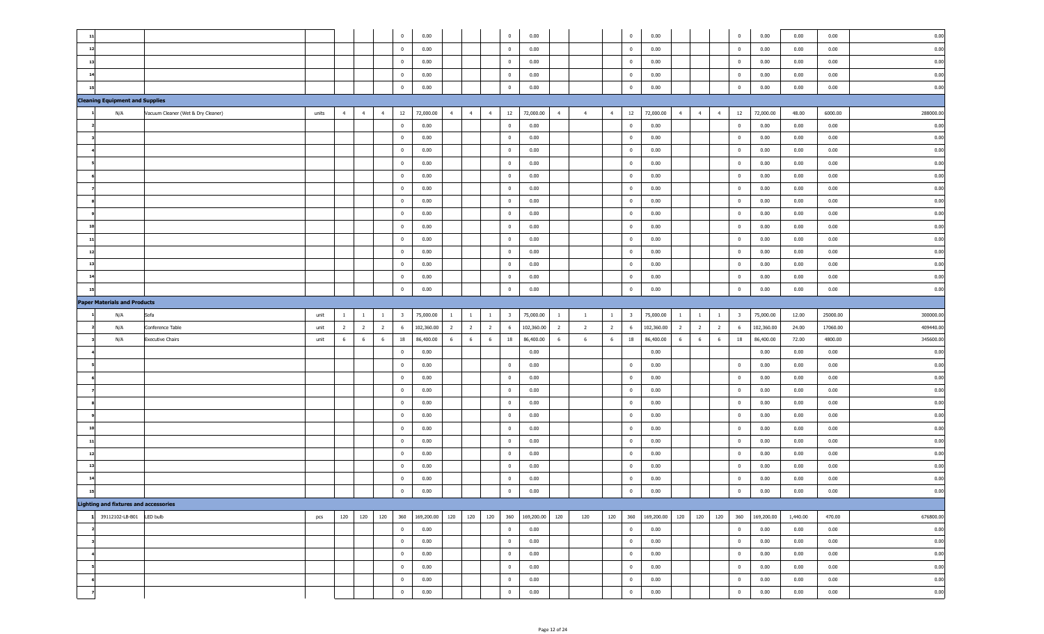| $\mathbf{1}$                                 |                                    |       |                                  |                | $\overline{0}$                   | 0.00           |                |                |                | $\overline{0}$                 | 0.00                                           |                | $\overline{\mathbf{0}}$                   | 0.00                                                             | $\overline{0}$                   | 0.00         | 0.00         | 0.00         | 0.00         |
|----------------------------------------------|------------------------------------|-------|----------------------------------|----------------|----------------------------------|----------------|----------------|----------------|----------------|--------------------------------|------------------------------------------------|----------------|-------------------------------------------|------------------------------------------------------------------|----------------------------------|--------------|--------------|--------------|--------------|
| 12                                           |                                    |       |                                  |                | $\mathbf{0}$                     | 0.00           |                |                |                | $\overline{0}$                 | 0.00                                           |                | $\overline{\mathbf{0}}$                   | 0.00                                                             | $\overline{0}$                   | 0.00         | 0.00         | 0.00         | 0.00         |
| 13                                           |                                    |       |                                  |                | $\overline{0}$                   | 0.00           |                |                |                | $\bf{0}$                       | 0.00                                           |                | $\overline{\mathbf{0}}$                   | 0.00                                                             | $\overline{0}$                   | 0.00         | 0.00         | 0.00         | 0.00         |
| 14                                           |                                    |       |                                  |                | $\overline{0}$                   | 0.00           |                |                |                | $\overline{0}$                 | 0.00                                           |                | $\overline{\mathbf{0}}$                   | 0.00                                                             | $\overline{\mathbf{0}}$          | 0.00         | 0.00         | 0.00         | 0.00         |
| 15                                           |                                    |       |                                  |                | $\overline{0}$                   | 0.00           |                |                |                | $\bf{0}$                       | 0.00                                           |                | $\overline{0}$                            | 0.00                                                             | $\overline{0}$                   | 0.00         | 0.00         | 0.00         | 0.00         |
| <b>Cleaning Equipment and Supplies</b>       |                                    |       |                                  |                |                                  |                |                |                |                |                                |                                                |                |                                           |                                                                  |                                  |              |              |              |              |
| N/A                                          | Vacuum Cleaner (Wet & Dry Cleaner) | units | $\overline{4}$<br>$\overline{4}$ | $\overline{4}$ | 12                               | 72,000.00      | $-4$           | $\overline{4}$ | $\overline{4}$ | 12                             | 72,000.00<br>$\overline{4}$<br>$\overline{4}$  | 4              | 12                                        | 72,000.00<br>$\overline{4}$<br>$\overline{4}$<br>$\overline{4}$  | 12                               | 72,000.00    | 48.00        | 6000.00      | 288000.00    |
|                                              |                                    |       |                                  |                | $\bf{0}$                         | 0.00           |                |                |                | $\bf{0}$                       | 0.00                                           |                | $\overline{\mathbf{0}}$                   | 0.00                                                             | $\overline{\mathbf{0}}$          | 0.00         | 0.00         | 0.00         | 0.00         |
|                                              |                                    |       |                                  |                | $\bf{0}$                         | 0.00           |                |                |                | $\overline{0}$                 | 0.00                                           |                | $\overline{\mathbf{0}}$                   |                                                                  |                                  | 0.00         |              | 0.00         | 0.00         |
|                                              |                                    |       |                                  |                |                                  | 0.00           |                |                |                | $\overline{0}$                 |                                                |                | $\overline{\mathbf{0}}$                   | 0.00                                                             | $\overline{\mathbf{0}}$          |              | 0.00         | 0.00         |              |
|                                              |                                    |       |                                  |                | $\bf{0}$                         |                |                |                |                |                                | 0.00                                           |                |                                           | 0.00                                                             | $\overline{\mathbf{0}}$          | 0.00         | 0.00         |              | 0.00         |
|                                              |                                    |       |                                  |                | $\overline{0}$                   | 0.00           |                |                |                | $\overline{0}$                 | 0.00                                           |                | $\overline{\mathbf{0}}$                   | 0.00                                                             | $\overline{\mathbf{0}}$          | 0.00         | 0.00         | 0.00         | 0.00         |
|                                              |                                    |       |                                  |                | $\overline{0}$                   | 0.00           |                |                |                | $\overline{0}$                 | 0.00                                           |                | $\overline{\mathbf{0}}$                   | 0.00                                                             | $\overline{0}$                   | 0.00         | 0.00         | 0.00         | 0.00         |
|                                              |                                    |       |                                  |                | $\overline{0}$                   | 0.00           |                |                |                | $\overline{0}$                 | 0.00                                           |                | $\overline{\mathbf{0}}$                   | 0.00                                                             | $\overline{0}$                   | 0.00         | 0.00         | 0.00         | 0.00         |
|                                              |                                    |       |                                  |                | $\mathbf{0}$                     | 0.00           |                |                |                | $\mathbf{0}$                   | 0.00                                           |                | $\overline{\mathbf{0}}$                   | 0.00                                                             | $\overline{0}$                   | 0.00         | 0.00         | 0.00         | 0.00         |
|                                              |                                    |       |                                  |                | $\overline{0}$                   | 0.00           |                |                |                | $\mathbf{0}$                   | 0.00                                           |                | $\overline{\mathbf{0}}$                   | 0.00                                                             | $\bf{0}$                         | 0.00         | 0.00         | 0.00         | 0.00         |
| 10                                           |                                    |       |                                  |                | $\overline{0}$                   | 0.00           |                |                |                | $\bf{0}$                       | 0.00                                           |                | $\overline{\mathbf{0}}$                   | 0.00                                                             | $\overline{\mathbf{0}}$          | 0.00         | 0.00         | 0.00         | 0.00         |
| 11                                           |                                    |       |                                  |                | $\overline{0}$                   | 0.00           |                |                |                | $\bf{0}$                       | 0.00                                           |                | $\overline{0}$                            | 0.00                                                             | $\overline{\mathbf{0}}$          | 0.00         | 0.00         | 0.00         | 0.00         |
| 12                                           |                                    |       |                                  |                | $\overline{0}$                   | 0.00           |                |                |                | $\bf{0}$                       | 0.00                                           |                | $\overline{0}$                            | 0.00                                                             | $\overline{\mathbf{0}}$          | 0.00         | 0.00         | 0.00         | 0.00         |
| 13                                           |                                    |       |                                  |                | $\overline{0}$                   | 0.00           |                |                |                | $\bf{0}$                       | 0.00                                           |                | $\overline{0}$                            | 0.00                                                             | $\overline{\mathbf{0}}$          | 0.00         | 0.00         | 0.00         | 0.00         |
| 14                                           |                                    |       |                                  |                | $\overline{0}$                   | 0.00           |                |                |                | $\bf{0}$                       | 0.00                                           |                | $\overline{\mathbf{0}}$                   | 0.00                                                             | $\overline{\mathbf{0}}$          | 0.00         | 0.00         | 0.00         | 0.00         |
|                                              |                                    |       |                                  |                | $\overline{0}$                   | 0.00           |                |                |                | $\mathbf 0$                    | 0.00                                           |                | $\mathbf 0$                               | 0.00                                                             | $\overline{0}$                   | 0.00         | 0.00         | 0.00         | 0.00         |
| <b>Paper Materials and Products</b>          |                                    |       |                                  |                |                                  |                |                |                |                |                                |                                                |                |                                           |                                                                  |                                  |              |              |              |              |
| N/A                                          | Sofa                               | unit  | $\mathbf{1}$<br>$\overline{1}$   | $\mathbf{1}$   | $\overline{\mathbf{3}}$          | 75,000.00      | $\mathbf{1}$   | $\overline{1}$ | $\mathbf{1}$   | $\overline{\mathbf{3}}$        | 75,000.00<br>$\mathbf{1}$<br>$\overline{1}$    | $\mathbf{1}$   | $\overline{\mathbf{3}}$                   | 75,000.00<br>$\mathbf{1}$<br>$\mathbf{1}$<br>$\overline{1}$      | $\overline{\mathbf{3}}$          | 75,000.00    | 12.00        | 25000.00     | 300000.00    |
| N/A                                          | Conference Table                   | unit  | $\overline{2}$<br>$\overline{2}$ | $\overline{2}$ | 6                                | 102,360.00     | $\overline{2}$ | $\overline{2}$ | $\overline{2}$ | 6                              | 102,360.00<br>$\overline{2}$<br>$\overline{2}$ | $\overline{2}$ | 6                                         | $\overline{2}$<br>102,360.00<br>$\overline{2}$<br>$\overline{2}$ | 6                                | 102,360.00   | 24.00        | 17060.00     | 409440.00    |
| N/A                                          | <b>Executive Chairs</b>            |       |                                  |                |                                  |                |                | 6              | 6              | 18                             | 86,400.00<br>6                                 |                | 18                                        | 86,400.00<br>6<br>6<br>6                                         |                                  |              |              |              |              |
|                                              |                                    | unit  | 6<br>6                           | 6              | 18                               | 86,400.00      | 6              |                |                |                                | 6                                              | 6              |                                           |                                                                  | 18                               | 86,400.00    | 72.00        | 4800.00      | 345600.00    |
|                                              |                                    |       |                                  |                | $\overline{0}$                   | 0.00           |                |                |                |                                | 0.00                                           |                |                                           | 0.00                                                             |                                  | 0.00         | 0.00         | 0.00         | 0.00         |
|                                              |                                    |       |                                  |                | $\mathbf{0}$                     | 0.00           |                |                |                | $\overline{0}$                 | 0.00                                           |                | $\overline{\mathbf{0}}$                   | 0.00                                                             | $\overline{\mathbf{0}}$          | 0.00         | 0.00         | 0.00         | 0.00         |
|                                              |                                    |       |                                  |                | $\mathbf{0}$                     | 0.00           |                |                |                | $\overline{0}$                 | 0.00                                           |                | $\overline{\mathbf{0}}$                   | 0.00                                                             | $\overline{\mathbf{0}}$          | 0.00         | 0.00         | 0.00         | 0.00         |
|                                              |                                    |       |                                  |                | $\overline{0}$                   | 0.00           |                |                |                | $\overline{0}$                 | 0.00                                           |                | $\overline{\mathbf{0}}$                   | 0.00                                                             | $\overline{\mathbf{0}}$          | 0.00         | 0.00         | 0.00         | 0.00         |
|                                              |                                    |       |                                  |                | $\overline{0}$                   | 0.00           |                |                |                | $\overline{0}$                 | 0.00                                           |                | $\overline{\mathbf{0}}$                   | 0.00                                                             | $\overline{0}$                   | 0.00         | 0.00         | 0.00         | 0.00         |
|                                              |                                    |       |                                  |                | $\overline{0}$                   | 0.00           |                |                |                | $\overline{0}$                 | 0.00                                           |                | $\overline{\mathbf{0}}$                   | 0.00                                                             | $\overline{0}$                   | 0.00         | 0.00         | 0.00         | 0.00         |
| 10                                           |                                    |       |                                  |                | $\overline{0}$                   | 0.00           |                |                |                | $\mathbf{0}$                   | 0.00                                           |                | $\overline{\mathbf{0}}$                   | 0.00                                                             | $\bf{0}$                         | 0.00         | 0.00         | 0.00         | 0.00         |
| 11                                           |                                    |       |                                  |                | $\overline{0}$                   | 0.00           |                |                |                | $\overline{0}$                 | 0.00                                           |                | $\overline{\mathbf{0}}$                   | 0.00                                                             | $\overline{\mathbf{0}}$          | 0.00         | 0.00         | 0.00         | 0.00         |
| 12                                           |                                    |       |                                  |                | $\overline{0}$                   |                |                |                |                | $\overline{0}$                 |                                                |                | $\overline{\mathbf{0}}$                   |                                                                  | $\overline{0}$                   | 0.00         |              | 0.00         |              |
| 13                                           |                                    |       |                                  |                | $\overline{0}$                   | 0.00           |                |                |                | $\mathbf{0}$                   | 0.00                                           |                | $\overline{\mathbf{0}}$                   | 0.00                                                             | $\overline{0}$                   | 0.00         | 0.00         | 0.00         | 0.00         |
| 14                                           |                                    |       |                                  |                | $\overline{0}$                   | 0.00           |                |                |                | $\mathbf{0}$                   | 0.00                                           |                | $\overline{0}$                            | 0.00                                                             | $\mathbf 0$                      |              | 0.00         | 0.00         | 0.00         |
|                                              |                                    |       |                                  |                | $\mathbf 0$                      | 0.00           |                |                |                | $\mathbf 0$                    | 0.00                                           |                | $\mathbf{0}$                              | 0.00                                                             | $\overline{0}$                   | 0.00         | 0.00         |              | 0.00         |
|                                              |                                    |       |                                  |                |                                  | 0.00           |                |                |                |                                | 0.00                                           |                |                                           | 0.00                                                             |                                  | 0.00         | 0.00         | 0.00         | 0.00         |
| <b>Lighting and fixtures and accessories</b> |                                    |       |                                  |                |                                  |                |                |                |                |                                |                                                |                |                                           |                                                                  |                                  |              |              |              |              |
| 1 39112102-LB-B01 LED bulb                   |                                    | pcs   | 120<br>120                       | 120            |                                  | 360 169,200.00 | 120            | 120            | 120            |                                | 360 169,200.00<br>120<br>120                   | 120            |                                           | 360 169,200.00<br>120<br>120<br>120                              | 360                              | 169,200.00   | 1,440.00     | 470.00       | 676800.00    |
|                                              |                                    |       |                                  |                | $\overline{0}$                   | 0.00           |                |                |                | $\overline{0}$                 | 0.00                                           |                | $\overline{\mathbf{0}}$                   | 0.00                                                             | $\bf{0}$                         | 0.00         | 0.00         | 0.00         | 0.00         |
|                                              |                                    |       |                                  |                | $\overline{0}$                   | 0.00           |                |                |                | $\mathbf 0$                    | 0.00                                           |                | $\overline{\mathbf{0}}$                   | 0.00                                                             | $\overline{0}$                   | 0.00         | 0.00         | 0.00         | 0.00         |
|                                              |                                    |       |                                  |                | $\overline{0}$                   | 0.00           |                |                |                | $\overline{0}$                 | 0.00                                           |                | $\overline{\mathbf{0}}$                   | 0.00                                                             | $\overline{0}$                   | 0.00         | 0.00         | 0.00         | 0.00         |
|                                              |                                    |       |                                  |                | $\overline{0}$                   | 0.00           |                |                |                | $\overline{0}$                 | 0.00                                           |                | $\overline{\mathbf{0}}$                   | 0.00                                                             | $\mathbf 0$                      | 0.00         | 0.00         | 0.00         | 0.00         |
|                                              |                                    |       |                                  |                | $\overline{0}$<br>$\overline{0}$ | 0.00<br>0.00   |                |                |                | $\mathbf{0}$<br>$\overline{0}$ | 0.00<br>0.00                                   |                | $\overline{\mathbf{0}}$<br>$\overline{0}$ | 0.00<br>0.00                                                     | $\overline{0}$<br>$\overline{0}$ | 0.00<br>0.00 | 0.00<br>0.00 | 0.00<br>0.00 | 0.00<br>0.00 |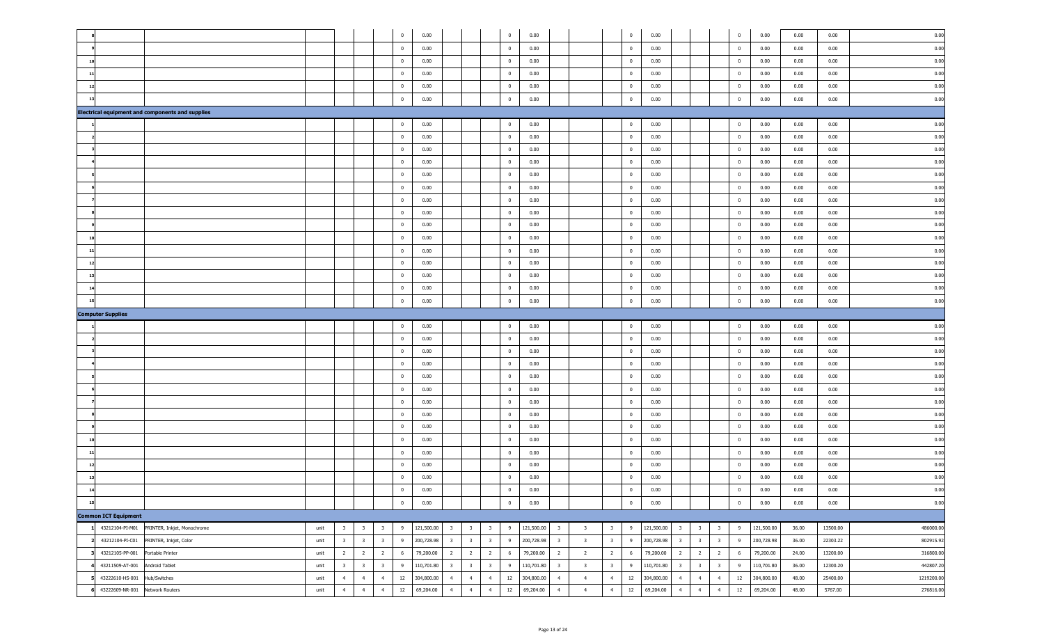|                                                         |      |                         |                         |                         | $\mathbf 0$    | 0.00       |                         |                         |                         | $\overline{0}$          | 0.00       |                                                    |                         | $\overline{\mathbf{0}}$ | 0.00                                  |                                                    | $\pmb{0}$               | 0.00       | 0.00  | 0.00     | 0.00       |
|---------------------------------------------------------|------|-------------------------|-------------------------|-------------------------|----------------|------------|-------------------------|-------------------------|-------------------------|-------------------------|------------|----------------------------------------------------|-------------------------|-------------------------|---------------------------------------|----------------------------------------------------|-------------------------|------------|-------|----------|------------|
|                                                         |      |                         |                         |                         | 0              | 0.00       |                         |                         |                         | $\overline{\mathbf{0}}$ | 0.00       |                                                    |                         | $\overline{\mathbf{0}}$ | 0.00                                  |                                                    | $\bf{0}$                | 0.00       | 0.00  | 0.00     | 0.00       |
| 10                                                      |      |                         |                         |                         | 0              | 0.00       |                         |                         |                         | $\overline{\mathbf{0}}$ | 0.00       |                                                    |                         | $\overline{\mathbf{0}}$ | 0.00                                  |                                                    | $\bf{0}$                | 0.00       | 0.00  | 0.00     | 0.00       |
| $11$                                                    |      |                         |                         |                         | 0              | 0.00       |                         |                         |                         | $\overline{0}$          | 0.00       |                                                    |                         | $\overline{\mathbf{0}}$ | 0.00                                  |                                                    | $\bf{0}$                | 0.00       | 0.00  | 0.00     | 0.00       |
| 12                                                      |      |                         |                         |                         | 0              | 0.00       |                         |                         |                         | $\overline{\mathbf{0}}$ | 0.00       |                                                    |                         | $\overline{\mathbf{0}}$ | 0.00                                  |                                                    | $\bf{0}$                | 0.00       | 0.00  | 0.00     | 0.00       |
| 13                                                      |      |                         |                         |                         | $\mathbf 0$    | 0.00       |                         |                         |                         | $\overline{0}$          | 0.00       |                                                    |                         | $\overline{\mathbf{0}}$ | 0.00                                  |                                                    | $\overline{0}$          | 0.00       | 0.00  | 0.00     | 0.00       |
| <b>Electrical equipment and components and supplies</b> |      |                         |                         |                         |                |            |                         |                         |                         |                         |            |                                                    |                         |                         |                                       |                                                    |                         |            |       |          |            |
|                                                         |      |                         |                         |                         | $\bf{0}$       | 0.00       |                         |                         |                         | $\overline{0}$          | 0.00       |                                                    |                         | $\overline{\mathbf{0}}$ | 0.00                                  |                                                    | $\overline{0}$          | 0.00       | 0.00  | 0.00     | 0.00       |
|                                                         |      |                         |                         |                         | $\bf{0}$       | 0.00       |                         |                         |                         | $\overline{0}$          | 0.00       |                                                    |                         | $\overline{\mathbf{0}}$ | 0.00                                  |                                                    | $\overline{\mathbf{0}}$ | 0.00       | 0.00  | 0.00     | 0.00       |
|                                                         |      |                         |                         |                         | $\mathbf 0$    | 0.00       |                         |                         |                         | $\overline{0}$          | 0.00       |                                                    |                         | $\overline{\mathbf{0}}$ | 0.00                                  |                                                    | $\overline{\mathbf{0}}$ | 0.00       | 0.00  | 0.00     | 0.00       |
|                                                         |      |                         |                         |                         | $\mathbf 0$    | 0.00       |                         |                         |                         | $\overline{0}$          | 0.00       |                                                    |                         | $\overline{\mathbf{0}}$ | 0.00                                  |                                                    | $\overline{\mathbf{0}}$ | 0.00       | 0.00  | 0.00     | 0.00       |
|                                                         |      |                         |                         |                         | $\overline{0}$ | 0.00       |                         |                         |                         | $\overline{0}$          | 0.00       |                                                    |                         | $\overline{\mathbf{0}}$ | 0.00                                  |                                                    | $\overline{0}$          | 0.00       | 0.00  | 0.00     | 0.00       |
|                                                         |      |                         |                         |                         | $\mathbf 0$    | 0.00       |                         |                         |                         | $\overline{\mathbf{0}}$ | 0.00       |                                                    |                         | $\overline{\mathbf{0}}$ | 0.00                                  |                                                    | $\overline{0}$          | 0.00       | 0.00  | 0.00     | 0.00       |
|                                                         |      |                         |                         |                         | $\mathbf 0$    | 0.00       |                         |                         |                         | $\overline{\mathbf{0}}$ | 0.00       |                                                    |                         | $\overline{\mathbf{0}}$ | 0.00                                  |                                                    | $\overline{0}$          | 0.00       | 0.00  | 0.00     | 0.00       |
|                                                         |      |                         |                         |                         | $\mathbf 0$    | 0.00       |                         |                         |                         | $\overline{\mathbf{0}}$ | 0.00       |                                                    |                         | $\overline{\mathbf{0}}$ | 0.00                                  |                                                    | $\overline{0}$          | 0.00       | 0.00  | 0.00     | 0.00       |
|                                                         |      |                         |                         |                         | $\mathbf 0$    | 0.00       |                         |                         |                         | $\overline{0}$          | 0.00       |                                                    |                         | $\overline{\mathbf{0}}$ | 0.00                                  |                                                    | $\overline{0}$          | 0.00       | 0.00  | 0.00     | 0.00       |
| 10                                                      |      |                         |                         |                         | $\mathbf{0}$   | 0.00       |                         |                         |                         | $\overline{0}$          | 0.00       |                                                    |                         | $\overline{\mathbf{0}}$ | 0.00                                  |                                                    | $\bf{0}$                | 0.00       | 0.00  | 0.00     | 0.00       |
| 11                                                      |      |                         |                         |                         | $\mathbf 0$    | 0.00       |                         |                         |                         | $\overline{0}$          | 0.00       |                                                    |                         | $\overline{\mathbf{0}}$ | 0.00                                  |                                                    | $\overline{0}$          | 0.00       | 0.00  | 0.00     | 0.00       |
| 12                                                      |      |                         |                         |                         | $\mathbf 0$    | 0.00       |                         |                         |                         | $\overline{0}$          | 0.00       |                                                    |                         | $\overline{\mathbf{0}}$ | 0.00                                  |                                                    | $\overline{0}$          | 0.00       | 0.00  | 0.00     | 0.00       |
| 13                                                      |      |                         |                         |                         | $\mathbf 0$    | 0.00       |                         |                         |                         | $\overline{0}$          | 0.00       |                                                    |                         | $\overline{\mathbf{0}}$ | 0.00                                  |                                                    | $\overline{0}$          | 0.00       | 0.00  | 0.00     | 0.00       |
| 14                                                      |      |                         |                         |                         | $\pmb{0}$      | 0.00       |                         |                         |                         | $\overline{0}$          | 0.00       |                                                    |                         | $\overline{\mathbf{0}}$ | 0.00                                  |                                                    | $\mathbf 0$             | 0.00       | 0.00  | 0.00     | 0.00       |
| 15                                                      |      |                         |                         |                         | $\mathbf{0}$   | 0.00       |                         |                         |                         | $\mathbf{0}$            | 0.00       |                                                    |                         | $\overline{\mathbf{0}}$ | 0.00                                  |                                                    | $\mathbf 0$             | 0.00       | 0.00  | 0.00     | 0.00       |
| <b>Computer Supplies</b>                                |      |                         |                         |                         |                |            |                         |                         |                         |                         |            |                                                    |                         |                         |                                       |                                                    |                         |            |       |          |            |
|                                                         |      |                         |                         |                         | $\mathbf 0$    | 0.00       |                         |                         |                         | $\overline{0}$          | 0.00       |                                                    |                         | $\overline{\mathbf{0}}$ | 0.00                                  |                                                    | $\mathbf 0$             | 0.00       | 0.00  | 0.00     | 0.00       |
|                                                         |      |                         |                         |                         | $\mathbf{0}$   | 0.00       |                         |                         |                         | $\overline{0}$          | 0.00       |                                                    |                         | $\overline{\mathbf{0}}$ | 0.00                                  |                                                    | $\overline{\mathbf{0}}$ | 0.00       | 0.00  | 0.00     | 0.00       |
|                                                         |      |                         |                         |                         | $\mathbf{0}$   | 0.00       |                         |                         |                         | $\overline{0}$          | 0.00       |                                                    |                         | $\overline{\mathbf{0}}$ | 0.00                                  |                                                    | $\overline{\mathbf{0}}$ | 0.00       | 0.00  | 0.00     | 0.00       |
|                                                         |      |                         |                         |                         | $\mathbf{0}$   | 0.00       |                         |                         |                         | $\overline{0}$          | 0.00       |                                                    |                         | $\overline{\mathbf{0}}$ | 0.00                                  |                                                    | $\overline{0}$          | 0.00       | 0.00  | 0.00     | 0.00       |
|                                                         |      |                         |                         |                         | $\mathbf{0}$   | 0.00       |                         |                         |                         | $\overline{\mathbf{0}}$ | 0.00       |                                                    |                         | $\overline{\mathbf{0}}$ | 0.00                                  |                                                    | $\overline{\mathbf{0}}$ | 0.00       | 0.00  | 0.00     | 0.00       |
|                                                         |      |                         |                         |                         | $\mathbf{0}$   | 0.00       |                         |                         |                         | $\overline{\mathbf{0}}$ | 0.00       |                                                    |                         | $\overline{\mathbf{0}}$ | 0.00                                  |                                                    | $\bf{0}$                | 0.00       | 0.00  | 0.00     | 0.00       |
|                                                         |      |                         |                         |                         | $\mathbf{0}$   | 0.00       |                         |                         |                         | $\overline{\mathbf{0}}$ | 0.00       |                                                    |                         | $\overline{\mathbf{0}}$ | 0.00                                  |                                                    | $\overline{0}$          | 0.00       | 0.00  | 0.00     | 0.00       |
|                                                         |      |                         |                         |                         | $\bf{0}$       | 0.00       |                         |                         |                         | $\overline{0}$          | 0.00       |                                                    |                         | $\overline{\mathbf{0}}$ | 0.00                                  |                                                    | $\overline{0}$          | 0.00       | 0.00  | 0.00     | 0.00       |
|                                                         |      |                         |                         |                         | $\bf{0}$       | 0.00       |                         |                         |                         | $\overline{0}$          | 0.00       |                                                    |                         | $\overline{\mathbf{0}}$ | 0.00                                  |                                                    | $\overline{0}$          | 0.00       | 0.00  | 0.00     | 0.00       |
| 10                                                      |      |                         |                         |                         | $\mathbf{0}$   | 0.00       |                         |                         |                         | $\overline{\mathbf{0}}$ | 0.00       |                                                    |                         | $\overline{\mathbf{0}}$ | 0.00                                  |                                                    | $\bf{0}$                | 0.00       | 0.00  | 0.00     | 0.00       |
| $11$                                                    |      |                         |                         |                         | $\mathbf{0}$   | 0.00       |                         |                         |                         | $\overline{\mathbf{0}}$ | 0.00       |                                                    |                         | $\overline{\mathbf{0}}$ | 0.00                                  |                                                    | $\bf{0}$                | 0.00       | 0.00  | 0.00     | 0.00       |
| 12                                                      |      |                         |                         |                         | 0              | 0.00       |                         |                         |                         | $\overline{\mathbf{0}}$ | 0.00       |                                                    |                         | $\overline{\mathbf{0}}$ | 0.00                                  |                                                    | $\overline{\mathbf{0}}$ | 0.00       | 0.00  | 0.00     | 0.00       |
| 13                                                      |      |                         |                         |                         | 0              | 0.00       |                         |                         |                         | $\overline{0}$          | 0.00       |                                                    |                         | $\overline{\mathbf{0}}$ | 0.00                                  |                                                    | $\mathbf 0$             | 0.00       | 0.00  | 0.00     | 0.00       |
| 14                                                      |      |                         |                         |                         | $\mathbf 0$    | 0.00       |                         |                         |                         | $\bf{0}$                | 0.00       |                                                    |                         | $\mathbf 0$             | 0.00                                  |                                                    | $\mathbf 0$             | 0.00       | 0.00  | 0.00     | 0.00       |
| 15                                                      |      |                         |                         |                         | $\mathbf 0$    | 0.00       |                         |                         |                         | $\mathbf 0$             | 0.00       |                                                    |                         | $\bf{0}$                | 0.00                                  |                                                    | $\mathbf 0$             | 0.00       | 0.00  | 0.00     | 0.00       |
| <b>Common ICT Equipment</b>                             |      |                         |                         |                         |                |            |                         |                         |                         |                         |            |                                                    |                         |                         |                                       |                                                    |                         |            |       |          |            |
| 1 43212104-PI-M01<br>PRINTER, Inkjet, Monochrome        | unit | $\overline{\mathbf{3}}$ | $\overline{\mathbf{3}}$ | $\overline{\mathbf{3}}$ | 9              | 121,500.00 | $\overline{\mathbf{3}}$ | $\overline{\mathbf{3}}$ | $\overline{\mathbf{3}}$ | 9                       | 121,500.00 | $\overline{\mathbf{3}}$<br>$\overline{\mathbf{3}}$ |                         | $3^{\circ}$<br>9        | 121,500.00<br>$\overline{\mathbf{3}}$ | $\overline{\mathbf{3}}$<br>$\overline{\mathbf{3}}$ | 9                       | 121,500.00 | 36.00 | 13500.00 | 486000.00  |
| 43212104-PI-C01<br>PRINTER, Inkjet, Color               | unit | $\overline{\mathbf{3}}$ | $\overline{\mathbf{3}}$ | $\overline{\mathbf{3}}$ | 9              | 200,728.98 | $\overline{\mathbf{3}}$ | $\overline{\mathbf{3}}$ | $\overline{\mathbf{3}}$ | 9                       | 200,728.98 | $\overline{\mathbf{3}}$<br>$\overline{\mathbf{3}}$ | $\overline{\mathbf{3}}$ | 9                       | 200,728.98<br>$\overline{\mathbf{3}}$ | $\overline{\mathbf{3}}$<br>$\overline{\mathbf{3}}$ | 9                       | 200,728.98 | 36.00 | 22303.22 | 802915.92  |
| 43212105-PP-001<br>Portable Printer                     | unit | $\overline{2}$          | $\overline{2}$          | $\overline{2}$          | 6              | 79,200.00  | $\overline{2}$          | $\overline{2}$          | $\overline{2}$          | 6                       | 79,200.00  | $\overline{2}$<br>$\overline{2}$                   | $\overline{2}$          | 6                       | 79,200.00<br>$\overline{2}$           | $\overline{2}$<br>$\overline{2}$                   | 6                       | 79,200.00  | 24.00 | 13200.00 | 316800.00  |
| 43211509-AT-001<br>Android Tablet                       | unit | $\overline{\mathbf{3}}$ | $\overline{\mathbf{3}}$ | $\overline{\mathbf{3}}$ | 9              | 110,701.80 | $\overline{\mathbf{3}}$ | $\overline{\mathbf{3}}$ | $\overline{\mathbf{3}}$ | 9                       | 110,701.80 | $\overline{\mathbf{3}}$<br>$\overline{\mathbf{3}}$ | $\overline{\mathbf{3}}$ | 9                       | 110,701.80<br>$\overline{\mathbf{3}}$ | $\overline{\mathbf{3}}$<br>$\overline{\mathbf{3}}$ | 9                       | 110,701.80 | 36.00 | 12300.20 | 442807.20  |
| 43222610-HS-001<br>Hub/Switches                         | unit | $\overline{4}$          | $\overline{4}$          | $\overline{4}$          | 12             | 304,800.00 | $\overline{4}$          | $\overline{4}$          | $\overline{4}$          | 12                      | 304,800.00 | $\overline{4}$<br>$\overline{4}$                   | $\overline{4}$          | 12                      | 304,800.00<br>$\overline{4}$          | $\overline{4}$<br>$\overline{4}$                   | 12                      | 304,800.00 | 48.00 | 25400.00 | 1219200.00 |
| 43222609-NR-001<br>Network Routers                      | unit | $\overline{4}$          | $\overline{4}$          | $\overline{4}$          | 12             | 69,204.00  | $\overline{4}$          | $\overline{4}$          | $\overline{4}$          | 12                      | 69,204.00  | $\overline{4}$<br>$\overline{4}$                   | $\overline{4}$          | 12                      | 69,204.00<br>$\overline{4}$           | $\overline{4}$<br>$\overline{4}$                   | 12                      | 69,204.00  | 48.00 | 5767.00  | 276816.00  |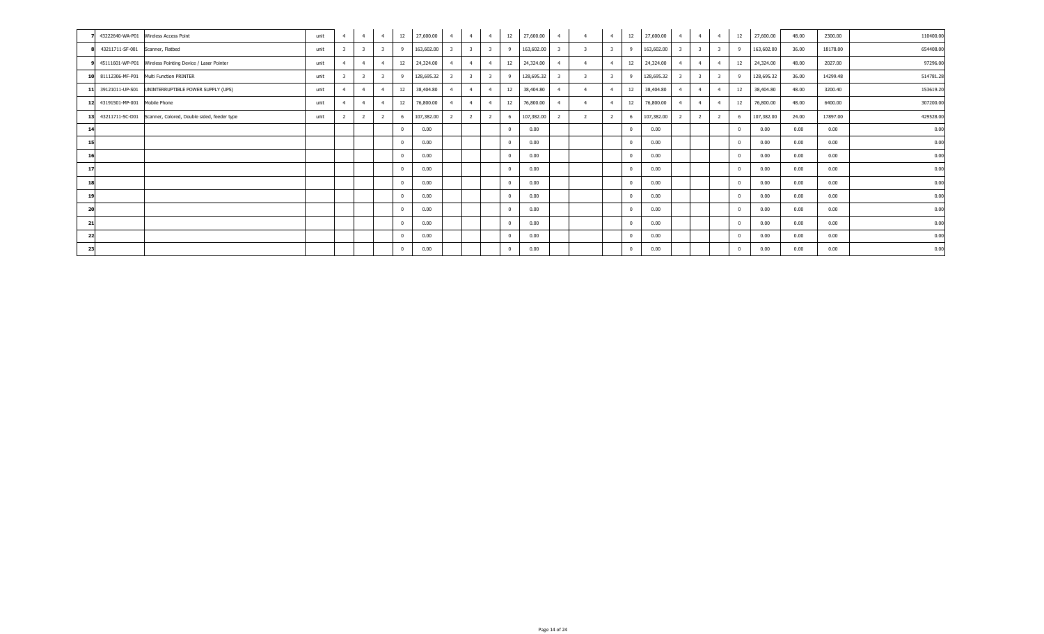| 43222640-WA-P01 Wireless Access Point                          | unit | $\overline{4}$ | $\overline{4}$ | $\overline{4}$          | 12       | 27,600.00  | $\overline{4}$ | $\overline{4}$ | $-4$                    | 12           | 27,600.00  | $\overline{4}$ |                | 4              | 12       | 27,600.00  | $\overline{4}$ | $\overline{4}$ | $\overline{4}$          | 12 | 27,600.00  | 48.00 | 2300.00  | 110400.00 |
|----------------------------------------------------------------|------|----------------|----------------|-------------------------|----------|------------|----------------|----------------|-------------------------|--------------|------------|----------------|----------------|----------------|----------|------------|----------------|----------------|-------------------------|----|------------|-------|----------|-----------|
| 8 43211711-SF-001 Scanner, Flatbed                             | unit |                |                |                         | - 9      | 163,602.00 |                | 3              | $\mathbf{R}$            | $\mathbf{Q}$ | 163,602.00 |                |                |                |          | 163,602.00 |                | $\mathbf{R}$   | $\overline{3}$          |    | 163,602.00 | 36.00 | 18178.00 | 654408.00 |
| 9 45111601-WP-P01 Wireless Pointing Device / Laser Pointer     | unit | $\overline{4}$ | $\overline{4}$ | $\overline{4}$          | 12       | 24,324.00  |                | $\overline{4}$ | $\overline{4}$          | 12           | 24,324.00  | $\overline{4}$ |                | $\overline{4}$ |          | 24,324.00  |                | $\overline{4}$ | $\overline{4}$          | 12 | 24,324.00  | 48.00 | 2027.00  | 97296.00  |
| 10 81112306-MF-P01 Multi Function PRINTER                      | unit |                | -3             | $\overline{\mathbf{3}}$ | - 9      | 128,695.32 |                |                | $\overline{\mathbf{3}}$ |              | 128,695.32 |                |                |                |          | 128,695.32 |                | -3             | $\overline{\mathbf{3}}$ |    | 128,695.32 | 36.00 | 14299.48 | 514781.28 |
| 11 39121011-UP-S01 UNINTERRUPTIBLE POWER SUPPLY (UPS)          | unit |                | $\mathbf{A}$   | $\overline{4}$          | 12       | 38,404.80  |                | $\mathbf{A}$   | $\overline{4}$          | 12           | 38,404.80  | $\overline{4}$ |                | $\overline{4}$ | 12       | 38,404.80  |                | $\overline{4}$ | $\overline{4}$          | 12 | 38,404.80  | 48.00 | 3200.40  | 153619.20 |
| 12 43191501-MP-001 Mobile Phone                                | unit | $\overline{4}$ | $\overline{4}$ | $\overline{4}$          | 12       | 76,800.00  |                | $\overline{4}$ | $\overline{4}$          | 12           | 76,800.00  | $\overline{4}$ |                | $\overline{4}$ | 12       | 76,800.00  |                | $\overline{4}$ | $\overline{4}$          | 12 | 76,800.00  | 48.00 | 6400.00  | 307200.00 |
| 13 43211711-SC-D01 Scanner, Colored, Double sided, feeder type | unit |                | $\overline{z}$ | 2                       | -6       | 107,382.00 | -2             | <sup>2</sup>   | <sup>2</sup>            | 6            | 107,382.00 |                | $\overline{2}$ |                | -6       | 107,382.00 |                | $\overline{z}$ | $\overline{2}$          |    | 107,382.00 | 24.00 | 17897.00 | 429528.00 |
|                                                                |      |                |                |                         |          | 0.00       |                |                |                         |              | 0.00       |                |                |                | $\Omega$ | 0.00       |                |                |                         |    | 0.00       | 0.00  | 0.00     | 0.00      |
| 15                                                             |      |                |                |                         |          | 0.00       |                |                |                         |              | 0.00       |                |                |                | $\Omega$ | 0.00       |                |                |                         |    | 0.00       | 0.00  | 0.00     | 0.00      |
|                                                                |      |                |                |                         |          | 0.00       |                |                |                         |              | 0.00       |                |                |                | $\Omega$ | 0.00       |                |                |                         |    | 0.00       | 0.00  | 0.00     | 0.00      |
| 17                                                             |      |                |                |                         |          | 0.00       |                |                |                         |              | 0.00       |                |                |                | $\Omega$ | 0.00       |                |                |                         |    | 0.00       | 0.00  | 0.00     | 0.00      |
|                                                                |      |                |                |                         |          | 0.00       |                |                |                         |              | 0.00       |                |                |                | $\Omega$ | 0.00       |                |                |                         |    | 0.00       | 0.00  | 0.00     | 0.00      |
| 19                                                             |      |                |                |                         |          | 0.00       |                |                |                         |              | 0.00       |                |                |                | $\Omega$ | 0.00       |                |                |                         |    | 0.00       | 0.00  | 0.00     | 0.00      |
| 20                                                             |      |                |                |                         |          | 0.00       |                |                |                         |              | 0.00       |                |                |                | $\Omega$ | 0.00       |                |                |                         |    | 0.00       | 0.00  | 0.00     | 0.00      |
| -21                                                            |      |                |                |                         | $\Omega$ | 0.00       |                |                |                         | $^{\circ}$   | 0.00       |                |                |                | $\Omega$ | 0.00       |                |                |                         |    | 0.00       | 0.00  | 0.00     | 0.00      |
| -22                                                            |      |                |                |                         |          | 0.00       |                |                |                         |              | 0.00       |                |                |                | $\Omega$ | 0.00       |                |                |                         |    | 0.00       | 0.00  | 0.00     | 0.00      |
| 23                                                             |      |                |                |                         |          | 0.00       |                |                |                         |              | 0.00       |                |                |                | $\Omega$ | 0.00       |                |                |                         |    | 0.00       | 0.00  | 0.00     | 0.00      |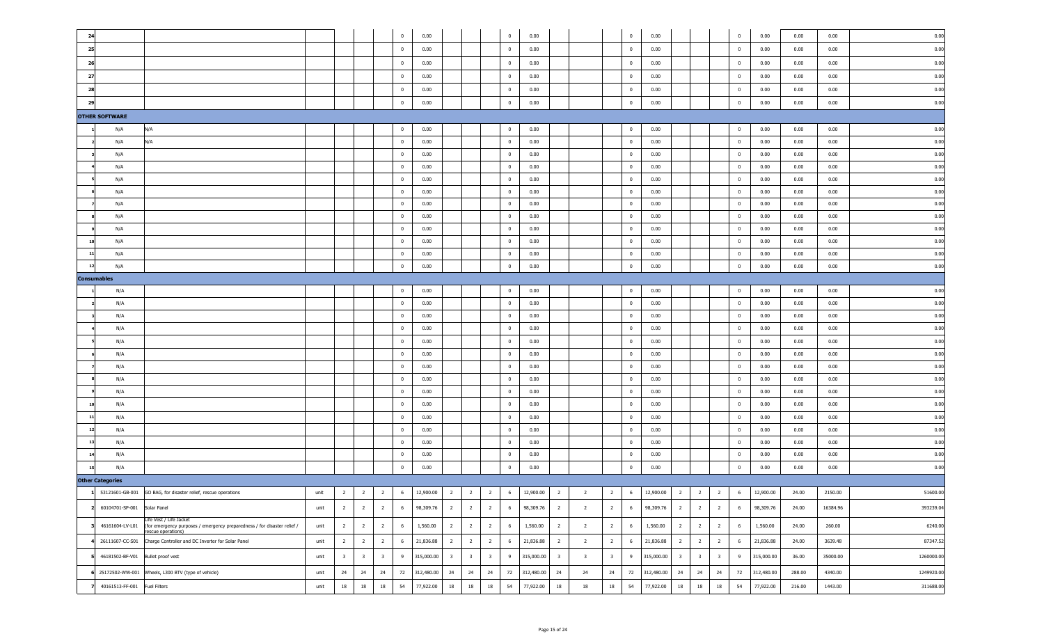| 24                                                                                                                                        |      |                         |                         |                         | $^{\circ}$   | 0.00          |                         |                         |                         | $\overline{0}$ | 0.00       |                         |                         |                         | $\overline{0}$          | 0.00                                                                                                          |                         |                         |                         | $\bf{0}$       | 0.00       | 0.00   | 0.00     | 0.00       |
|-------------------------------------------------------------------------------------------------------------------------------------------|------|-------------------------|-------------------------|-------------------------|--------------|---------------|-------------------------|-------------------------|-------------------------|----------------|------------|-------------------------|-------------------------|-------------------------|-------------------------|---------------------------------------------------------------------------------------------------------------|-------------------------|-------------------------|-------------------------|----------------|------------|--------|----------|------------|
| 25                                                                                                                                        |      |                         |                         |                         | $\mathbf 0$  | 0.00          |                         |                         |                         | $\overline{0}$ | 0.00       |                         |                         |                         | $\overline{0}$          | 0.00                                                                                                          |                         |                         |                         | $\bf{0}$       | 0.00       | 0.00   | 0.00     | 0.00       |
| 26                                                                                                                                        |      |                         |                         |                         | $\mathbf 0$  | 0.00          |                         |                         |                         | $\overline{0}$ | 0.00       |                         |                         |                         | $\overline{0}$          | 0.00                                                                                                          |                         |                         |                         | $\overline{0}$ | 0.00       | 0.00   | 0.00     | 0.00       |
| 27                                                                                                                                        |      |                         |                         |                         | $\bf{0}$     | 0.00          |                         |                         |                         | $\overline{0}$ | 0.00       |                         |                         |                         | $\overline{0}$          | 0.00                                                                                                          |                         |                         |                         | $\overline{0}$ | 0.00       | 0.00   | 0.00     | 0.00       |
| 28                                                                                                                                        |      |                         |                         |                         | $\mathbf{0}$ | 0.00          |                         |                         |                         | $\overline{0}$ | 0.00       |                         |                         |                         | $\overline{\mathbf{0}}$ | 0.00                                                                                                          |                         |                         |                         | $\bf{0}$       | 0.00       | 0.00   | 0.00     | 0.00       |
| 29                                                                                                                                        |      |                         |                         |                         | $\mathbf{0}$ | 0.00          |                         |                         |                         | $\overline{0}$ | 0.00       |                         |                         |                         | $\overline{0}$          | 0.00                                                                                                          |                         |                         |                         | $\bf{0}$       | 0.00       | 0.00   | 0.00     | 0.00       |
| <b>OTHER SOFTWARE</b>                                                                                                                     |      |                         |                         |                         |              |               |                         |                         |                         |                |            |                         |                         |                         |                         |                                                                                                               |                         |                         |                         |                |            |        |          |            |
| N/A<br>N/A                                                                                                                                |      |                         |                         |                         | $\mathbf{0}$ | 0.00          |                         |                         |                         | $\overline{0}$ | 0.00       |                         |                         |                         | $\overline{\mathbf{0}}$ | 0.00                                                                                                          |                         |                         |                         | $\bf{0}$       | 0.00       | 0.00   | 0.00     | 0.00       |
| N/A<br>N/A                                                                                                                                |      |                         |                         |                         | $\mathbf{0}$ | 0.00          |                         |                         |                         | $\overline{0}$ | 0.00       |                         |                         |                         | $\overline{0}$          | 0.00                                                                                                          |                         |                         |                         | $\overline{0}$ | 0.00       | 0.00   | 0.00     | 0.00       |
| N/A                                                                                                                                       |      |                         |                         |                         | $\mathbf{0}$ | 0.00          |                         |                         |                         | $\overline{0}$ | 0.00       |                         |                         |                         | $\overline{0}$          | 0.00                                                                                                          |                         |                         |                         | $\overline{0}$ | 0.00       | 0.00   | 0.00     | 0.00       |
| N/A                                                                                                                                       |      |                         |                         |                         | $\mathbf{0}$ | 0.00          |                         |                         |                         | $\overline{0}$ | 0.00       |                         |                         |                         | $\overline{0}$          | 0.00                                                                                                          |                         |                         |                         | $\overline{0}$ | 0.00       | 0.00   | 0.00     | 0.00       |
| N/A                                                                                                                                       |      |                         |                         |                         | $\mathbf{0}$ | 0.00          |                         |                         |                         | $\overline{0}$ | 0.00       |                         |                         |                         | $\overline{0}$          | 0.00                                                                                                          |                         |                         |                         | $\overline{0}$ | 0.00       | 0.00   | 0.00     | 0.00       |
| N/A                                                                                                                                       |      |                         |                         |                         | $\mathbf{0}$ | 0.00          |                         |                         |                         | $\overline{0}$ | 0.00       |                         |                         |                         | $\overline{0}$          | 0.00                                                                                                          |                         |                         |                         | $\overline{0}$ | 0.00       | 0.00   | 0.00     | 0.00       |
| N/A                                                                                                                                       |      |                         |                         |                         | $\mathbf{0}$ | 0.00          |                         |                         |                         | $\overline{0}$ | 0.00       |                         |                         |                         | $\overline{0}$          | 0.00                                                                                                          |                         |                         |                         | $\overline{0}$ | 0.00       | 0.00   | 0.00     | 0.00       |
| N/A                                                                                                                                       |      |                         |                         |                         | $\mathbf{0}$ | 0.00          |                         |                         |                         | $\overline{0}$ | 0.00       |                         |                         |                         | $\overline{0}$          | 0.00                                                                                                          |                         |                         |                         | $\overline{0}$ | 0.00       | 0.00   | 0.00     | 0.00       |
| N/A                                                                                                                                       |      |                         |                         |                         | $\mathbf{0}$ | 0.00          |                         |                         |                         | $\overline{0}$ | 0.00       |                         |                         |                         | $\overline{0}$          | 0.00                                                                                                          |                         |                         |                         | $\overline{0}$ | 0.00       | 0.00   | 0.00     | 0.00       |
| N/A                                                                                                                                       |      |                         |                         |                         | $\mathbf{0}$ | 0.00          |                         |                         |                         | $\overline{0}$ | 0.00       |                         |                         |                         | $\overline{0}$          | 0.00                                                                                                          |                         |                         |                         | $\overline{0}$ | 0.00       | 0.00   | 0.00     | 0.00       |
| N/A                                                                                                                                       |      |                         |                         |                         | $\mathbf{0}$ | 0.00          |                         |                         |                         | $\overline{0}$ | 0.00       |                         |                         |                         | $\overline{0}$          | 0.00                                                                                                          |                         |                         |                         | $\overline{0}$ | 0.00       | 0.00   | 0.00     | 0.00       |
| N/A<br>12                                                                                                                                 |      |                         |                         |                         | $\mathbf{0}$ | 0.00          |                         |                         |                         | $\overline{0}$ | 0.00       |                         |                         |                         | $\overline{0}$          | 0.00                                                                                                          |                         |                         |                         | $\bf{0}$       | 0.00       | 0.00   | 0.00     | 0.00       |
| <b>Consumables</b>                                                                                                                        |      |                         |                         |                         |              |               |                         |                         |                         |                |            |                         |                         |                         |                         |                                                                                                               |                         |                         |                         |                |            |        |          |            |
| N/A                                                                                                                                       |      |                         |                         |                         | $\mathbf{0}$ | 0.00          |                         |                         |                         | $\overline{0}$ | 0.00       |                         |                         |                         | $\overline{\mathbf{0}}$ | 0.00                                                                                                          |                         |                         |                         | $\bf{0}$       | 0.00       | 0.00   | 0.00     | 0.00       |
| N/A                                                                                                                                       |      |                         |                         |                         | $\mathbf{0}$ | 0.00          |                         |                         |                         | $\overline{0}$ | 0.00       |                         |                         |                         | $\overline{0}$          | 0.00                                                                                                          |                         |                         |                         | $\overline{0}$ | 0.00       | 0.00   | 0.00     | 0.00       |
| N/A                                                                                                                                       |      |                         |                         |                         | $\mathbf{0}$ | 0.00          |                         |                         |                         | $\overline{0}$ | 0.00       |                         |                         |                         | $\overline{0}$          | 0.00                                                                                                          |                         |                         |                         | $\overline{0}$ | 0.00       | 0.00   | 0.00     | 0.00       |
| N/A                                                                                                                                       |      |                         |                         |                         | $\mathbf{0}$ | 0.00          |                         |                         |                         | $\overline{0}$ | 0.00       |                         |                         |                         | $\overline{0}$          | 0.00                                                                                                          |                         |                         |                         | $\overline{0}$ | 0.00       | 0.00   | 0.00     | 0.00       |
| N/A                                                                                                                                       |      |                         |                         |                         | $\bf{0}$     | 0.00          |                         |                         |                         | $\overline{0}$ | 0.00       |                         |                         |                         | $\overline{0}$          | 0.00                                                                                                          |                         |                         |                         | $\bf{0}$       | 0.00       | 0.00   | 0.00     | 0.00       |
| N/A                                                                                                                                       |      |                         |                         |                         | $\bf{0}$     | 0.00          |                         |                         |                         | $\overline{0}$ | 0.00       |                         |                         |                         | $\overline{\mathbf{0}}$ | 0.00                                                                                                          |                         |                         |                         | $\overline{0}$ | 0.00       | 0.00   | 0.00     | 0.00       |
| N/A                                                                                                                                       |      |                         |                         |                         | $\bf{0}$     | 0.00          |                         |                         |                         | $\overline{0}$ | 0.00       |                         |                         |                         | $\overline{\mathbf{0}}$ | 0.00                                                                                                          |                         |                         |                         | $\overline{0}$ | 0.00       | 0.00   | 0.00     | 0.00       |
|                                                                                                                                           |      |                         |                         |                         | $\bf{0}$     | 0.00          |                         |                         |                         | $\overline{0}$ | 0.00       |                         |                         |                         | $\overline{\mathbf{0}}$ | 0.00                                                                                                          |                         |                         |                         | $\overline{0}$ | 0.00       | 0.00   | 0.00     | 0.00       |
| N/A<br>N/A                                                                                                                                |      |                         |                         |                         | $\bf{0}$     | 0.00          |                         |                         |                         | $\overline{0}$ | 0.00       |                         |                         |                         | $\overline{\mathbf{0}}$ | 0.00                                                                                                          |                         |                         |                         | $\overline{0}$ | 0.00       | 0.00   | 0.00     | 0.00       |
|                                                                                                                                           |      |                         |                         |                         |              |               |                         |                         |                         |                |            |                         |                         |                         |                         |                                                                                                               |                         |                         |                         |                |            |        |          |            |
| N/A                                                                                                                                       |      |                         |                         |                         | $\mathbf{0}$ | 0.00          |                         |                         |                         | $\overline{0}$ | 0.00       |                         |                         |                         | $\overline{\mathbf{0}}$ | 0.00                                                                                                          |                         |                         |                         | $\overline{0}$ | 0.00       | 0.00   | 0.00     | 0.00       |
| N/A<br>11                                                                                                                                 |      |                         |                         |                         | $\mathbf 0$  | 0.00          |                         |                         |                         | $\overline{0}$ | 0.00       |                         |                         |                         | $\overline{0}$          | 0.00                                                                                                          |                         |                         |                         | $\bf{0}$       | 0.00       | 0.00   | 0.00     | 0.00       |
| N/A<br>12                                                                                                                                 |      |                         |                         |                         | $\mathbf 0$  | 0.00          |                         |                         |                         | $\overline{0}$ | 0.00       |                         |                         |                         | $\overline{0}$          | 0.00                                                                                                          |                         |                         |                         | $\bf{0}$       | 0.00       | 0.00   | 0.00     | 0.00       |
| N/A<br>13                                                                                                                                 |      |                         |                         |                         | $\bf{0}$     | 0.00          |                         |                         |                         | $\overline{0}$ | 0.00       |                         |                         |                         | $\overline{0}$          | 0.00                                                                                                          |                         |                         |                         | $\bf{0}$       | 0.00       | 0.00   | 0.00     | 0.00       |
| N/A<br>14                                                                                                                                 |      |                         |                         |                         | $\mathbf 0$  | 0.00          |                         |                         |                         | $\bf{0}$       | 0.00       |                         |                         |                         | $\mathbf{0}$            | 0.00                                                                                                          |                         |                         |                         | $\bf{0}$       | 0.00       | 0.00   | 0.00     | 0.00       |
| N/A<br>15                                                                                                                                 |      |                         |                         |                         | $^{\circ}$   | 0.00          |                         |                         |                         | $\mathbf 0$    | 0.00       |                         |                         |                         | $\overline{0}$          | 0.00                                                                                                          |                         |                         |                         | $\mathbf 0$    | 0.00       | 0.00   | 0.00     | 0.00       |
| <b>Other Categories</b>                                                                                                                   |      |                         |                         |                         |              |               |                         |                         |                         |                |            |                         |                         |                         |                         |                                                                                                               |                         |                         |                         |                |            |        |          |            |
| 1 53121601-GB-001 GO BAG, for disaster relief, rescue operations                                                                          |      |                         |                         |                         |              |               |                         |                         |                         |                |            |                         |                         |                         |                         | unit 2 2 2 6 12,900.00 2 2 2 6 12,900.00 2 2 2 6 12,900.00 2 2 3 6 12,900.00 2 2 3 6 12,900.00 2 2 3 6 12,900 |                         |                         |                         |                |            |        | 2150.00  | 51600.00   |
| 60104701-SP-001 Solar Panel                                                                                                               | unit | $2^{\circ}$             | $\overline{2}$          | $\overline{2}$          | 6            | 98,309.76     | $\overline{2}$          | $\overline{2}$          | $\overline{2}$          | 6              | 98,309.76  | $\overline{2}$          | $\overline{2}$          | $2^{\circ}$             | 6                       | 98,309.76                                                                                                     | $\overline{2}$          | $\overline{2}$          | $\overline{2}$          | 6              | 98,309.76  | 24.00  | 16384.96 | 393239.04  |
| Life Vest / Life Jacket<br>46161604-LV-L01 (for emergency purposes / emergency preparedness / for disaster relief /<br>rescue operations) | unit | $\overline{2}$          | $\overline{2}$          | $\overline{2}$          | 6            | 1,560.00      | $\overline{2}$          | $\overline{2}$          | $\overline{2}$          | 6              | 1,560.00   | $\overline{2}$          | $\overline{2}$          | $\overline{2}$          | 6                       | 1,560.00                                                                                                      | $\overline{2}$          | $\overline{2}$          | $\overline{2}$          | 6              | 1,560.00   | 24.00  | 260.00   | 6240.00    |
| 26111607-CC-S01 Charge Controller and DC Inverter for Solar Panel                                                                         | unit | $\overline{2}$          | $\overline{2}$          | $\overline{2}$          | 6            | 21,836.88     | $\overline{2}$          | $\overline{2}$          | $\overline{2}$          | 6              | 21,836.88  | $\overline{2}$          | $\overline{2}$          | $\overline{2}$          | 6                       | 21,836.88                                                                                                     | $\overline{2}$          | $\overline{2}$          | $\overline{2}$          | 6              | 21,836.88  | 24.00  | 3639.48  | 87347.52   |
| 46181502-BF-V01 Bullet proof vest                                                                                                         | unit | $\overline{\mathbf{3}}$ | $\overline{\mathbf{3}}$ | $\overline{\mathbf{3}}$ | 9            | 315,000.00    | $\overline{\mathbf{3}}$ | $\overline{\mathbf{3}}$ | $\overline{\mathbf{3}}$ | 9              | 315,000.00 | $\overline{\mathbf{3}}$ | $\overline{\mathbf{3}}$ | $\overline{\mathbf{3}}$ | 9                       | 315,000.00                                                                                                    | $\overline{\mathbf{3}}$ | $\overline{\mathbf{3}}$ | $\overline{\mathbf{3}}$ | 9              | 315,000.00 | 36.00  | 35000.00 | 1260000.00 |
| 25172502-WW-001 Wheels, L300 BTV (type of vehicle)                                                                                        | unit | 24                      | 24                      | 24                      |              | 72 312,480.00 | 24                      | 24                      | 24                      | 72             | 312,480.00 | 24                      | 24                      | 24                      | 72                      | 312,480.00                                                                                                    | 24                      | 24                      | 24                      | 72             | 312,480.00 | 288.00 | 4340.00  | 1249920.00 |
| 40161513-FF-001 Fuel Filters                                                                                                              | unit | 18                      | 18                      | 18                      | 54           | 77,922.00     | 18                      | 18                      | 18                      | 54             | 77,922.00  | 18                      | 18                      | $18\,$                  | 54                      | 77,922.00                                                                                                     | 18                      | $18\,$                  | 18                      | 54             | 77,922.00  | 216.00 | 1443.00  | 311688.00  |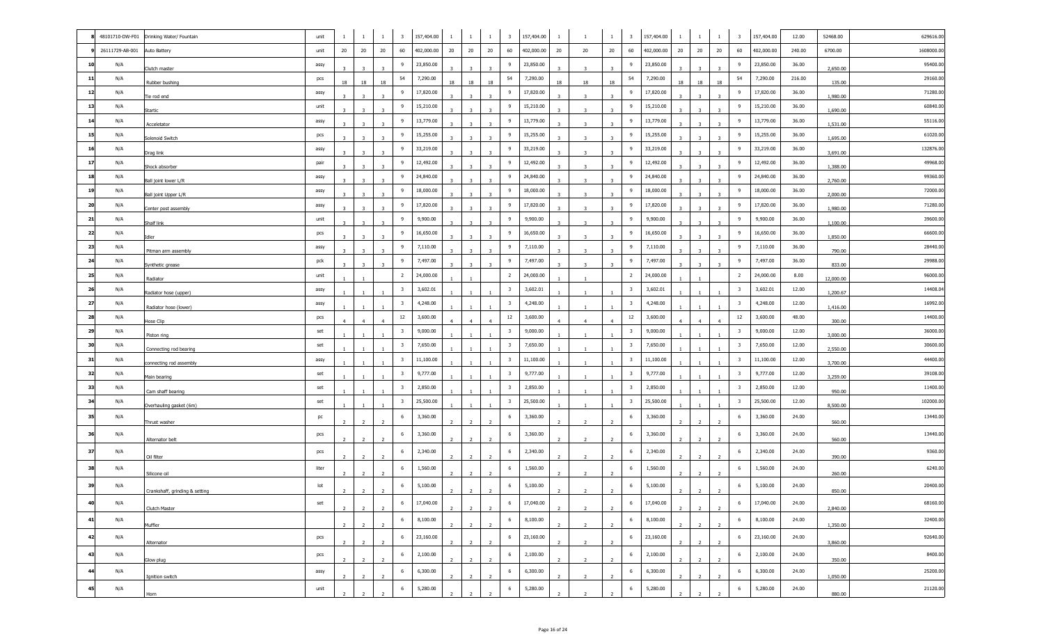|                 | 48101710-DW-F01 Drinking Water/ Fountain | unit           |                | $\mathbf{1}$            | $\mathbf{1}$            | $\overline{\mathbf{3}}$ | 157,404.00 | -1             | -1                      |                | $\overline{\mathbf{3}}$ | 157,404.00 | $\mathbf{1}$   | -1                      | $\mathbf{1}$   | $\overline{\mathbf{3}}$ | 157,404.00 | 1                       | $\mathbf{1}$                              | $\overline{\mathbf{3}}$ | 157,404.00 | 12.00  | 52468.00  | 629616.00  |
|-----------------|------------------------------------------|----------------|----------------|-------------------------|-------------------------|-------------------------|------------|----------------|-------------------------|----------------|-------------------------|------------|----------------|-------------------------|----------------|-------------------------|------------|-------------------------|-------------------------------------------|-------------------------|------------|--------|-----------|------------|
| 26111729-AB-001 | Auto Battery                             | unit           | 20             | 20                      | 20                      | 60                      | 402,000.00 | 20             | 20                      | 20             | 60                      | 402,000.00 | 20             | 20                      | 20             | 60                      | 402,000.00 | 20                      | 20<br>20                                  | 60                      | 402,000.00 | 240.00 | 6700.00   | 1608000.00 |
| 10<br>N/A       | Clutch master                            | assy           |                | 3                       | 3                       |                         | 23,850.00  |                | 3                       |                | 9                       | 23,850.00  |                | 3                       | 3              | 9                       | 23,850.00  | 3                       |                                           | 9                       | 23,850.00  | 36.00  | 2,650.00  | 95400.00   |
| N/A<br> 11      | Rubber bushing                           | pcs            | 18             | 18                      | 18                      | 54                      | 7,290.00   | 18             | 18                      | 18             | 54                      | 7,290.00   | 18             | 18                      | 18             | 54                      | 7,290.00   | 18                      | 18<br>18                                  | 54                      | 7,290.00   | 216.00 | 135.00    | 29160.0    |
| 12<br>N/A       | Tie rod end                              | assy           | $\overline{3}$ | $\overline{\mathbf{3}}$ | $\overline{\mathbf{3}}$ | 9                       | 17,820.00  | $\overline{3}$ | $\overline{\mathbf{3}}$ | 3              | 9                       | 17,820.00  | 3              | $\overline{3}$          | 3              | 9                       | 17,820.00  | 3                       | $\overline{\mathbf{3}}$<br>$\overline{3}$ | 9                       | 17,820.00  | 36.00  | 1,980.00  | 71280.0    |
| 13<br>N/A       | <b>Startic</b>                           | unit           |                |                         |                         | -9                      | 15,210.00  |                |                         |                | 9                       | 15,210.00  |                |                         |                | 9                       | 15,210.00  |                         |                                           | 9                       | 15,210.00  | 36.00  | 1,690.00  | 60840.00   |
| 14<br>N/A       | Acceletator                              | assy           |                |                         |                         | -9                      | 13,779.00  |                |                         |                | 9                       | 13,779.00  |                |                         |                | 9                       | 13,779.00  |                         |                                           | 9                       | 13,779.00  | 36.00  | 1,531.00  | 55116.00   |
| 15<br>N/A       | Solenoid Switch                          | pcs            |                | $\overline{3}$          | $\overline{\mathbf{3}}$ | -9                      | 15,255.00  |                | $\overline{3}$          |                | 9                       | 15,255.00  |                | -3                      | $\mathbf{R}$   | 9                       | 15,255.00  |                         |                                           | - 9                     | 15,255.00  | 36.00  | 1,695.00  | 61020.0    |
| 16<br>N/A       | Drag link                                | assy           | $\mathbf{R}$   | $\overline{3}$          | $\overline{\mathbf{3}}$ | -9                      | 33,219.00  | <sup>3</sup>   | $\overline{\mathbf{3}}$ |                | 9                       | 33,219.00  | -3             | -3                      | $\mathbf{R}$   | 9                       | 33,219.00  | 3                       | $\overline{\mathbf{3}}$<br>$\overline{3}$ | 9                       | 33,219.00  | 36.00  | 3,691.00  | 132876.0   |
| 17<br>N/A       | Shock absorber                           | pair           |                | $\overline{3}$          | 3                       |                         | 12,492.00  |                |                         |                | 9                       | 12,492.00  |                | ె                       |                | 9                       | 12,492.00  |                         |                                           | 9                       | 12,492.00  | 36.00  | 1,388.00  | 49968.00   |
| 18<br>N/A       | Ball joint lower L/R                     | assy           |                | $\overline{3}$          | 3                       |                         | 24,840.00  |                | 3                       |                | 9                       | 24,840.00  |                |                         |                | 9                       | 24,840.00  |                         |                                           | 9                       | 24,840.00  | 36.00  | 2,760.00  | 99360.0    |
| 19<br>N/A       | Ball joint Upper L/R                     | assy           |                | $\overline{\mathbf{z}}$ |                         |                         | 18,000.00  |                |                         |                | 9                       | 18,000.00  |                |                         |                | 9                       | 18,000.00  |                         |                                           | 9                       | 18,000.00  | 36.00  | 2,000.00  | 72000.0    |
| 20<br>N/A       | Center post assembly                     | assy           |                |                         |                         | -9                      | 17,820.00  |                |                         |                | 9                       | 17,820.00  |                |                         |                | 9                       | 17,820.00  |                         |                                           | 9                       | 17,820.00  | 36.00  | 1,980.00  | 71280.0    |
| 21<br>N/A       | Shalf link                               | unit           |                |                         |                         |                         | 9,900.00   |                |                         |                | 9                       | 9,900.00   |                |                         |                | 9                       | 9,900.00   |                         |                                           | 9                       | 9,900.00   | 36.00  | 1,100.00  | 39600.00   |
| 22<br>N/A       | Idler                                    | pcs            |                | $\overline{\mathbf{3}}$ | 3                       |                         | 16,650.00  |                | 3                       |                | 9                       | 16,650.00  | 3              | 3                       | 3              | 9                       | 16,650.00  |                         | 3                                         | 9                       | 16,650.00  | 36.00  | 1,850.00  | 66600.00   |
| 23<br>N/A       | Pitman arm assembly                      | assy           |                | $\overline{\mathbf{3}}$ | $\overline{\mathbf{3}}$ | -9                      | 7,110.00   |                | $\overline{\mathbf{3}}$ |                | 9                       | 7,110.00   | 3              | $\overline{\mathbf{3}}$ | $\overline{3}$ | 9                       | 7,110.00   |                         | 3                                         | 9                       | 7,110.00   | 36.00  | 790.00    | 28440.00   |
| 24<br>N/A       | Synthetic grease                         | pck            | 3.             | $\overline{\mathbf{3}}$ | 3                       | -9                      | 7,497.00   | <sup>3</sup>   | $\overline{\mathbf{3}}$ | -3             | 9                       | 7,497.00   | 3              | 3                       |                | 9                       | 7,497.00   | $\overline{\mathbf{3}}$ | $\overline{\mathbf{3}}$<br>$\overline{3}$ | 9                       | 7,497.00   | 36.00  | 833.00    | 29988.00   |
| 25<br>N/A       | Radiator                                 | unit           |                |                         |                         | $\overline{2}$          | 24,000.00  |                |                         |                | $\overline{2}$          | 24,000.00  |                |                         |                | $\overline{2}$          | 24,000.00  |                         |                                           | $\overline{2}$          | 24,000.00  | 8.00   | 12,000.00 | 96000.00   |
| 26<br>N/A       | Radiator hose (upper)                    | assy           |                |                         |                         | -3                      | 3,602.01   |                |                         |                | $\overline{\mathbf{3}}$ | 3,602.01   |                |                         |                | $\overline{\mathbf{3}}$ | 3,602.01   |                         |                                           | $\overline{\mathbf{3}}$ | 3,602.01   | 12.00  | 1,200.67  | 14408.0    |
| 27<br>N/A       | Radiator hose (lower)                    | assy           |                |                         |                         | $\overline{\mathbf{3}}$ | 4,248.00   |                |                         |                | $\overline{\mathbf{3}}$ | 4,248.00   |                |                         |                | $\overline{\mathbf{3}}$ | 4,248.00   |                         |                                           | $\overline{\mathbf{3}}$ | 4,248.00   | 12.00  | 1,416.00  | 16992.00   |
| 28<br>N/A       | Hose Clip                                | pcs            | $\overline{4}$ | $\overline{4}$          | $\overline{4}$          | 12                      | 3,600.00   | $\overline{4}$ | 4                       | $\overline{4}$ | $12\,$                  | 3,600.00   | $\overline{4}$ | $\overline{4}$          | $\overline{4}$ | $12\,$                  | 3,600.00   | $\overline{4}$          | $\overline{4}$<br>$\overline{4}$          | 12                      | 3,600.00   | 48.00  | 300.00    | 14400.00   |
| 29<br>N/A       | Piston ring                              | set            |                |                         | $\mathbf{1}$            | $\overline{\mathbf{3}}$ | 9,000.00   |                |                         |                | $\overline{\mathbf{3}}$ | 9,000.00   |                |                         |                | $\overline{\mathbf{3}}$ | 9,000.00   |                         |                                           | $\overline{\mathbf{3}}$ | 9,000.00   | 12.00  | 3,000.00  | 36000.00   |
| 30<br>N/A       | Connecting rod bearing                   | $\mathsf{set}$ |                | <sup>1</sup>            | $\mathbf{1}$            | -3                      | 7,650.00   |                |                         |                | $\overline{\mathbf{3}}$ | 7,650.00   |                | -1                      |                | $\overline{\mathbf{3}}$ | 7,650.00   |                         |                                           | 3                       | 7,650.00   | 12.00  | 2,550.00  | 30600.0    |
| 31<br>N/A       | connecting rod assembly                  | assy           |                |                         |                         | $\overline{\mathbf{3}}$ | 11,100.00  |                |                         |                | $\overline{\mathbf{3}}$ | 11,100.00  |                |                         |                | $\overline{\mathbf{3}}$ | 11,100.00  |                         |                                           | $\overline{\mathbf{3}}$ | 11,100.00  | 12.00  | 3,700.00  | 44400.00   |
| N/A<br>32       | Main bearing                             | set            |                |                         |                         | $\overline{\mathbf{3}}$ | 9,777.00   |                |                         |                | $\overline{\mathbf{3}}$ | 9,777.00   |                |                         |                | $\overline{\mathbf{3}}$ | 9,777.00   |                         |                                           | $\overline{\mathbf{3}}$ | 9,777.00   | 12.00  | 3,259.00  | 39108.00   |
| 33<br>N/A       | Cam shaff bearing                        | set            |                |                         |                         |                         | 2,850.00   |                |                         |                | $\overline{\mathbf{3}}$ | 2,850.00   |                |                         |                | 3                       | 2,850.00   |                         |                                           | 3                       | 2,850.00   | 12.00  | 950.00    | 11400.0    |
| 34<br>N/A       | Overhauling gasket (6m)                  | set            |                |                         |                         |                         | 25,500.00  |                |                         |                | $\overline{\mathbf{3}}$ | 25,500.00  |                |                         |                | $\overline{\mathbf{3}}$ | 25,500.00  |                         |                                           | 3                       | 25,500.00  | 12.00  | 8,500.00  | 102000.0   |
| N/A<br>35       | Thrust washer                            | pc             | $\overline{2}$ | $\overline{2}$          | $\overline{2}$          | -6                      | 3,360.00   | $\overline{2}$ | $\overline{2}$          | $\overline{2}$ | 6                       | 3,360.00   | $\overline{2}$ | $\overline{2}$          | $\overline{2}$ | 6                       | 3,360.00   | $\overline{2}$          | $\overline{2}$<br>$\overline{2}$          | 6                       | 3,360.00   | 24.00  | 560.00    | 13440.00   |
| 36<br>N/A       |                                          | pcs            | $\overline{2}$ | $\overline{2}$          | $\overline{2}$          | 6                       | 3,360.00   | $\overline{2}$ | $\overline{z}$          |                | 6                       | 3,360.00   | $\overline{z}$ | $\overline{2}$          | $\overline{z}$ | 6                       | 3,360.00   | $\overline{2}$          | $\overline{2}$                            | 6                       | 3,360.00   | 24.00  |           | 13440.00   |
| N/A<br>-37      | Alternator belt                          | pcs            |                |                         |                         | 6                       | 2,340.00   |                |                         |                | 6                       | 2,340.00   |                |                         |                | 6                       | 2,340.00   |                         |                                           | 6                       | 2,340.00   | 24.00  | 560.00    | 9360.00    |
|                 | Oil filter                               |                | $\overline{2}$ | $\overline{2}$          | $\overline{2}$          |                         |            | $\overline{2}$ | $\overline{2}$          | $\overline{z}$ |                         |            | $\overline{2}$ | $\overline{2}$          | $\overline{2}$ |                         |            | 2                       | $\overline{2}$<br>$\overline{2}$          |                         |            |        | 390.00    |            |
| N/A<br>38       | Silicone oil                             | liter          |                | $\overline{z}$          |                         | 6                       | 1,560.00   |                | $\overline{2}$          |                | 6                       | 1,560.00   |                |                         |                | 6                       | 1,560.00   |                         |                                           | 6                       | 1,560.00   | 24.00  | 260.00    | 6240.00    |
| N/A<br>39       | Crankshaff, grinding & setting           | lot            |                |                         |                         |                         | 5,100.00   |                |                         |                | 6                       | 5,100.00   |                |                         |                | 6                       | 5,100.00   |                         |                                           | 6                       | 5,100.00   | 24.00  | 850.00    | 20400.00   |
| 40<br>N/A       | Clutch Master                            | set            |                | $\overline{2}$          |                         | 6                       | 17,040.00  | $\overline{2}$ | $\overline{z}$          |                | 6                       | 17,040.00  |                |                         |                | 6                       | 17,040.00  | $\overline{2}$          | $\overline{2}$                            | 6                       | 17,040.00  | 24.00  | 2,840.00  | 68160.00   |
| 41<br>N/A       |                                          |                |                | $\overline{2}$          | $\overline{z}$          | 6                       | 8,100.00   |                |                         |                | 6                       | 8,100.00   |                |                         |                | 6                       | 8,100.00   |                         | $\overline{2}$                            | 6                       | 8,100.00   | 24.00  |           | 32400.00   |
| 42<br>N/A       | Muffler                                  | pcs            |                |                         |                         | 6                       | 23,160.00  | $\overline{2}$ | $\overline{2}$          |                | 6                       | 23,160.00  |                | $\overline{2}$          |                | 6                       | 23,160.00  | 2                       |                                           | 6                       | 23,160.00  | 24.00  | 1,350.00  | 92640.00   |
|                 | Alternator                               |                | $\overline{2}$ | $\overline{2}$          | $\overline{2}$          |                         |            | $\overline{2}$ | $\overline{2}$          | $\overline{2}$ |                         |            | $\overline{2}$ | $\overline{2}$          | $\overline{2}$ |                         |            | $\overline{2}$          | $\overline{2}$<br>$\overline{2}$          |                         |            |        | 3,860.00  |            |
| 43<br>N/A       | Glow plug                                | pcs            | $\overline{2}$ | $\overline{2}$          | $\overline{2}$          | 6                       | 2,100.00   | $\overline{2}$ | $\overline{2}$          | $\overline{2}$ | 6                       | 2,100.00   | $\overline{z}$ | $\overline{2}$          | $\overline{2}$ | 6                       | 2,100.00   | $\overline{2}$          | $\overline{2}$<br>$\overline{2}$          | 6                       | 2,100.00   | 24.00  | 350.00    | 8400.00    |
| 44<br>N/A       | Ignition switch                          | assy           |                | $\overline{z}$          | $\overline{2}$          | 6                       | 6,300.00   |                | $\overline{z}$          |                | 6                       | 6,300.00   |                | $\overline{2}$          |                | 6                       | 6,300.00   |                         |                                           | 6                       | 6,300.00   | 24.00  | 1,050.00  | 25200.00   |
| 45<br>N/A       | Horn                                     | unit           |                |                         |                         | 6                       | 5,280.00   |                |                         |                | 6                       | 5,280.00   |                |                         |                | 6                       | 5,280.00   |                         |                                           | 6                       | 5,280.00   | 24.00  | 880.00    | 21120.00   |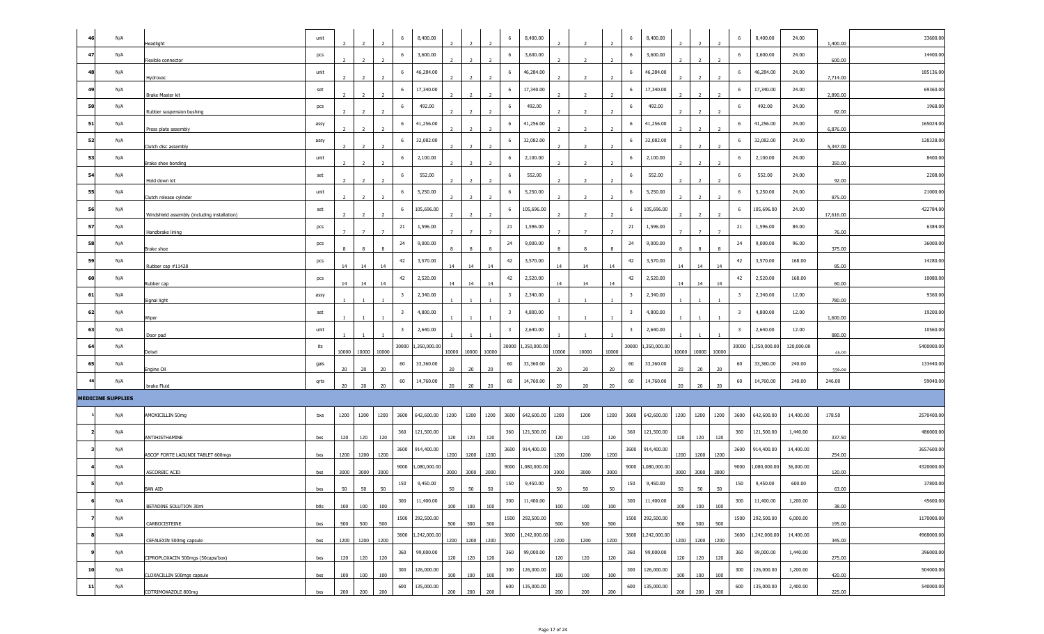|    | N/A                      | Headlight                                    | unit |                | $\overline{2}$ | $\overline{2}$ | 6                       | 8,400.00     | $\overline{2}$ | 2              | $\overline{z}$ | 6                       | 8,400.00        |                |                |                | 6                       | 8,400.00        |                  | $\overline{2}$                   | 6                       | 8,400.00        | 24.00      | 1,400.00  | 33600.00   |
|----|--------------------------|----------------------------------------------|------|----------------|----------------|----------------|-------------------------|--------------|----------------|----------------|----------------|-------------------------|-----------------|----------------|----------------|----------------|-------------------------|-----------------|------------------|----------------------------------|-------------------------|-----------------|------------|-----------|------------|
| 47 | N/A                      | Flexible connector                           | pcs  |                | $\overline{ }$ |                | 6                       | 3,600.00     |                |                |                | 6                       | 3,600.00        |                |                |                | 6                       | 3,600.00        |                  |                                  | 6                       | 3,600.00        | 24.00      | 600.00    | 14400.00   |
| 48 | N/A                      | Hydrovac                                     | unit | $\overline{2}$ | $\overline{2}$ | $\overline{z}$ | 6                       | 46,284.00    | $\overline{2}$ | $\overline{2}$ | $\overline{z}$ | 6                       | 46,284.00       |                |                |                | 6                       | 46,284.00       |                  | $\overline{2}$                   | 6                       | 46,284.00       | 24.00      | 7,714.00  | 185136.00  |
| 49 | N/A                      | Brake Master kit                             | set  | $\overline{2}$ | $\overline{2}$ | $\overline{2}$ | 6                       | 17,340.00    | $\overline{2}$ | $\overline{2}$ | $\overline{z}$ | 6                       | 17,340.00       |                | $\overline{2}$ | $\overline{z}$ | 6                       | 17,340.00       |                  | $\overline{2}$                   | 6                       | 17,340.00       | 24.00      | 2,890.00  | 69360.00   |
| 50 | N/A                      | Rubber suspension bushing                    | pcs  |                | $\overline{2}$ | $\overline{2}$ | 6                       | 492.00       |                | $\overline{2}$ | $\overline{2}$ | 6                       | 492.00          |                |                | $\overline{2}$ | 6                       | 492.00          |                  | $\overline{2}$                   | 6                       | 492.00          | 24.00      | 82.00     | 1968.00    |
| 51 | N/A                      | Press plate assembly                         | assy |                |                |                | 6                       | 41,256.00    |                |                |                | 6                       | 41,256.00       |                |                |                | 6                       | 41,256.00       |                  |                                  | -6                      | 41,256.00       | 24.00      | 6,876.00  | 165024.00  |
| 52 | N/A                      | Clutch disc assembly                         | assy |                |                |                | 6                       | 32,082.00    |                |                |                | 6                       | 32,082.00       |                |                |                | 6                       | 32,082.00       |                  |                                  | 6                       | 32,082.00       | 24.00      | 5,347.00  | 128328.00  |
| 53 | N/A                      | Brake shoe bonding                           | unit |                | $\overline{2}$ |                | 6                       | 2,100.00     |                |                |                | 6                       | 2,100.00        |                |                |                | 6                       | 2,100.00        |                  |                                  | 6                       | 2,100.00        | 24.00      | 350.00    | 8400.00    |
| 54 | N/A                      | Hold down kit                                | set  |                | $\overline{2}$ | $\overline{2}$ | 6                       | 552.00       |                | $\overline{2}$ |                | 6                       | 552.00          |                |                | $\overline{2}$ | 6                       | 552.00          |                  | $\overline{2}$                   | 6                       | 552.00          | 24.00      | 92.00     | 2208.00    |
| 55 | N/A                      | Clutch release cylinder                      | unit | $\overline{2}$ | $\overline{2}$ | $\overline{2}$ | 6                       | 5,250.00     | $\overline{2}$ | $\overline{2}$ | $\overline{z}$ | 6                       | 5,250.00        |                | $\overline{2}$ | $\overline{z}$ | 6                       | 5,250.00        |                  | $\overline{2}$<br>$\overline{2}$ | -6                      | 5,250.00        | 24.00      | 875.00    | 21000.00   |
| 56 | N/A                      | Windshield assembly (including installation) | set  | 2              | $\overline{2}$ | $\overline{2}$ | 6                       | 105,696.00   | $\overline{2}$ | $\overline{2}$ | $\overline{2}$ | 6                       | 105,696.00      | $\overline{2}$ | $\overline{2}$ | $\overline{2}$ | -6                      | 105,696.00      | $\overline{2}$   | $\overline{2}$<br>$\overline{2}$ | -6                      | 105,696.00      | 24.00      | 17,616.00 | 422784.00  |
| 57 | N/A                      | Handbrake lining                             | pcs  | $7^{\circ}$    | $\overline{7}$ |                | 21                      | 1,596.00     | $\overline{7}$ | $\overline{7}$ |                | 21                      | 1,596.00        |                | $\overline{7}$ |                | 21                      | 1,596.00        |                  | $\overline{7}$                   | 21                      | 1,596.00        | 84.00      | 76.00     | 6384.00    |
| 58 | N/A                      | Brake shoe                                   | pcs  |                | 8              |                | 24                      | 9,000.00     |                |                |                | 24                      | 9,000.00        |                |                |                | 24                      | 9,000.00        |                  | $\mathbf{R}$                     | 24                      | 9,000.00        | 96.00      | 375.00    | 36000.00   |
| 59 | N/A                      | Rubber cap #11428                            | pcs  | 14             | 14             | 14             | 42                      | 3,570.00     | 14             | 14             | 14             | 42                      | 3,570.00        | 14             | 14             | 14             | 42                      | 3,570.00        | 14               | 14<br>$14\,$                     | 42                      | 3,570.00        | 168.00     | 85.00     | 14280.00   |
| 60 | N/A                      | Rubber cap                                   | pcs  | 14             | 14             | 14             | 42                      | 2,520.00     | 14             | 14             | 14             | 42                      | 2,520.00        | 14             | 14             | 14             | 42                      | 2,520.00        | 14 <sup>14</sup> | 14<br>14                         | 42                      | 2,520.00        | 168.00     | 60.00     | 10080.00   |
| 61 | N/A                      | Signal light                                 | assy |                |                |                | $\overline{\mathbf{3}}$ | 2,340.00     |                |                |                | $\overline{\mathbf{3}}$ | 2,340.00        |                |                |                | $\overline{\mathbf{3}}$ | 2,340.00        |                  |                                  | $\overline{\mathbf{3}}$ | 2,340.00        | 12.00      | 780.00    | 9360.00    |
| 62 | N/A                      | Wiper                                        | set  |                |                |                | $\overline{\mathbf{3}}$ | 4,800.00     |                |                |                | $\overline{\mathbf{3}}$ | 4,800.00        |                |                |                | $\overline{\mathbf{3}}$ | 4,800.00        |                  |                                  | $\overline{\mathbf{3}}$ | 4,800.00        | 12.00      | 1,600.00  | 19200.00   |
| 63 | N/A                      | Door pad                                     | unit |                |                |                | $\overline{\mathbf{3}}$ | 2,640.00     |                |                |                | $\overline{\mathbf{3}}$ | 2,640.00        |                |                |                | $\overline{\mathbf{3}}$ | 2,640.00        |                  |                                  | $\overline{\mathbf{3}}$ | 2,640.00        | 12.00      | 880.00    | 10560.00   |
| 64 | N/A                      | Deisel                                       | its  | 10000          |                | 10000 10000    | 30000                   | 1,350,000.00 |                | 10000 10000    | 10000          | 30000                   | 1,350,000.00    | 10000          | 10000          | 10000          | 30000                   | 1,350,000.0     |                  | 10000 10000 10000                | 30000                   | ,350,000.00     | 120,000.00 | 45.00     | 5400000.00 |
| 65 | N/A                      | Engine Oil                                   | gals | 20             | 20             | 20             | 60                      | 33,360.00    | 20             | 20             | 20             | 60                      | 33,360.00       | 20             | 20             | 20             | 60                      | 33,360.00       | 20               | 20<br>20                         | 60                      | 33,360.00       | 240.00     | 556.00    | 133440.00  |
|    | N/A                      | brake Fluid                                  | qrts | 20             | 20             | 20             | 60                      | 14,760.00    | 20             | 20             | 20             | 60                      | 14,760.00       | 20             | 20             | 20             | 60                      | 14,760.00       | 20               | 20<br>20                         | 60                      | 14,760.00       | 240.00     | 246.00    | 59040.00   |
|    | <b>MEDICINE SUPPLIES</b> |                                              |      |                |                |                |                         |              |                |                |                |                         |                 |                |                |                |                         |                 |                  |                                  |                         |                 |            |           |            |
|    | N/A                      | AMOXICILLIN 50mg                             | bxs  | 1200           | 1200           | 1200           | 3600                    | 642,600.00   | 1200           | 1200           | 1200           | 3600                    | 642,600.00      | 1200           | 1200           | 1200           | 3600                    | 642,600.00      | 1200             | 1200<br>1200                     | 3600                    | 642,600.00      | 14,400.00  | 178.50    | 2570400.00 |
|    | N/A                      | ANTIHISTHAMINE                               | bxs  | 120            | 120            | 120            | 360                     | 121,500.00   | 120            | 120            | 120            | 360                     | 121,500.00      | 120            | 120            | 120            | 360                     | 121,500.00      | 120              | 120<br>120                       | 360                     | 121,500.00      | 1,440.00   | 337.50    | 486000.00  |
|    | N/A                      | ASCOF FORTE LAGUNDI TABLET 600mgs            | bxs  | 1200           | 1200           | 1200           | 3600                    | 914,400.00   |                | 1200 1200      | 1200           | 3600                    | 914,400.00      | 1200           | 1200           | 1200           | 3600                    | 914,400.00      | 1200 1200        | 1200                             | 3600                    | 914,400.00      | 14,400.00  | 254.00    | 3657600.00 |
|    | N/A                      | ASCORBIC ACID                                | bxs  | 3000           | 3000           | 3000           | 9000                    | ,080,000.00  | 3000           | 3000           | 3000           | 9000                    | 1,080,000.00    | 3000           | 3000           | 3000           | 9000                    | 1,080,000.00    | 3000             | 3000<br>3000                     | 9000                    | ,080,000.00     | 36,000.00  | 120.00    | 4320000.00 |
|    | N/A                      | <b>BAN AID</b>                               | bxs  | 50             | 50             | 50             | 150                     | 9,450.00     | 50             | 50             | 50             | 150                     | 9,450.00        | 50             | 50             | 50             | 150                     | 9,450.00        | 50               | 50<br>50                         | 150                     | 9,450.00        | 600.00     | 63.00     | 37800.00   |
|    | N/A                      | BETADINE SOLUTION 30ml                       | btls | 100            | 100            | 100            | 300                     | 11,400.00    | 100            | 100            | 100            | 300                     | 11,400.00       | 100            | 100            | 100            | 300                     | 11,400.00       | 100              | 100<br>100                       | 300                     | 11,400.00       | 1,200.00   | 38.00     | 45600.00   |
|    | N/A                      | CARBOCISTEINE                                | bxs  | 500            | 500            | 500            | 1500                    | 292,500.00   | 500            | 500            | 500            |                         | 1500 292,500.00 | 500            | 500            | 500            |                         | 1500 292,500.00 | 500              | 500<br>500                       |                         | 1500 292,500.00 | 6,000.00   | 195.00    | 1170000.00 |
|    | N/A                      | CEFALEXIN 500mg capsule                      | bxs  | 1200           |                | 1200 1200      | 3600                    | 1,242,000.00 |                | 1200 1200      | 1200           | 3600                    | 1,242,000.00    | 1200           | 1200           | 1200           | 3600                    | 1,242,000.00    | 1200 1200        | 1200                             | 3600                    | 1,242,000.00    | 14,400.00  | 345.00    | 4968000.00 |
|    | N/A                      | CIPROPLOXACIN 500mgs (50caps/box)            | bxs  | 120            | 120            | 120            | 360                     | 99,000.00    | 120            | 120            | 120            | 360                     | 99,000.00       | 120            | 120            | 120            | 360                     | 99,000.00       | 120              | 120<br>120                       | 360                     | 99,000.00       | 1,440.00   | 275.00    | 396000.00  |
| 10 | N/A                      | CLOXACILLIN 500mgs capsule                   | bxs  | 100            | 100            | 100            | 300                     | 126,000.00   | 100            | 100            | 100            | 300                     | 126,000.00      | 100            | 100            | 100            | 300                     | 126,000.00      | 100              | 100<br>100                       | 300                     | 126,000.00      | 1,200.00   | 420.00    | 504000.00  |
| 11 | N/A                      | COTRIMOXAZOLE 800mg                          | bxs  | 200            | 200            | 200            | 600                     | 135,000.00   |                | 200 200        | 200            | 600                     | 135,000.00      | 200            | 200            | 200            | 600                     | 135,000.00      | 200              | 200<br>200                       | 600                     | 135,000.00      | 2,400.00   | 225.00    | 540000.00  |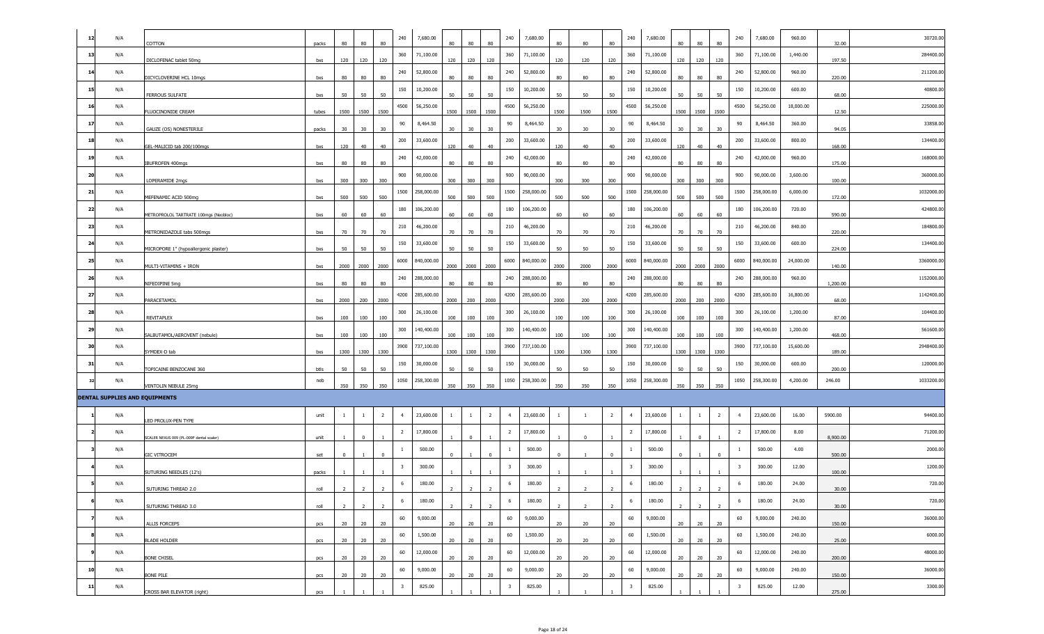| 12  | N/A                            | COTTON                                   | packs | 80             | 80              | 80             | 240                     | 7,680.00   | 80              | $80\,$         | 80             | 240                     | 7,680.00   | 80           | 80             | 80             | 240                     | 7,680.00   |      | 80             | 80             | 240                     | 7,680.00   | 960.00    | 32.00    | 30720.00   |
|-----|--------------------------------|------------------------------------------|-------|----------------|-----------------|----------------|-------------------------|------------|-----------------|----------------|----------------|-------------------------|------------|--------------|----------------|----------------|-------------------------|------------|------|----------------|----------------|-------------------------|------------|-----------|----------|------------|
| 13  | N/A                            | DICLOFENAC tablet 50mg                   | bxs   | 120            | 120             | 120            | 360                     | 71,100.00  | 120             | 120            | 120            | 360                     | 71,100.00  | 120          | 120            | 120            | 360                     | 71,100.00  | 120  | 120            | 120            | 360                     | 71,100.00  | 1,440.00  | 197.50   | 284400.00  |
| 14  | N/A                            | DICYCLOVERINE HCL 10mgs                  | bxs   | 80             | 80              | 80             | 240                     | 52,800.00  | 80              | 80             | 80             | 240                     | 52,800.00  | 80           | 80             | 80             | 240                     | 52,800.00  | 80   | 80             | 80             | 240                     | 52,800.00  | 960.00    | 220.00   | 211200.00  |
| 15  | N/A                            | <b>FERROUS SULFATE</b>                   | bxs   | 50             | 50              | 50             | 150                     | 10,200.00  | 50              | 50             | 50             | 150                     | 10,200.00  | 50           | 50             | 50             | 150                     | 10,200.00  | 50   | 50             | 50             | 150                     | 10,200.00  | 600.00    | 68.00    | 40800.00   |
| -16 | N/A                            | FLUOCINONIDE CREAM                       | tubes | 1500           | 1500            | 1500           | 4500                    | 56,250.00  | 1500            | 1500           | 1500           | 4500                    | 56,250.00  | 1500         | 1500           | 1500           | 4500                    | 56,250.00  |      | 1500 1500      | 1500           | 4500                    | 56,250.00  | 18,000.00 | 12.50    | 225000.00  |
| -17 | N/A                            | <b>GAUZE (OS) NONESTERILE</b>            | packs | 30             | 30 <sub>o</sub> | 30             | 90                      | 8,464.50   | 30 <sub>o</sub> | 30             | 30             | 90                      | 8,464.50   | 30           | 30             | 30             | 90                      | 8,464.50   | 30   | 30             | 30             | 90                      | 8,464.50   | 360.00    | 94.05    | 33858.00   |
| 18  | N/A                            | GEL-MALICID tab 200/100mgs               | bxs   | 120            | 40              | 40             | 200                     | 33,600.00  | 120             | 40             | 40             | 200                     | 33,600.00  | 120          | 40             | 40             | 200                     | 33,600.00  | 120  | 40             | 40             | 200                     | 33,600.00  | 800.00    | 168.00   | 134400.00  |
| -19 | N/A                            | BUFROFEN 400mgs                          | bxs   | 80             | 80              | 80             | 240                     | 42,000.00  | 80              | 80             | 80             | 240                     | 42,000.00  | 80           | 80             | 80             | 240                     | 42,000.00  | 80   | 80             | 80             | 240                     | 42,000.00  | 960.00    | 175.00   | 168000.00  |
| 20  | N/A                            | LOPERAMIDE 2mgs                          | bxs   | 300            | 300             | 300            | 900                     | 90,000.00  | 300             | 300            | 300            | 900                     | 90,000.00  | 300          | 300            | 300            | 900                     | 90,000.00  | 300  | 300            | 300            | 900                     | 90,000.00  | 3,600.00  | 100.00   | 360000.00  |
| 21  | N/A                            | MEFENAMIC ACID 500mg                     | bxs   | 500            | 500             | 500            | 1500                    | 258,000.00 | 500             | 500            | 500            | 1500                    | 258,000.00 | 500          | 500            | 500            | 1500                    | 258,000.00 | 500  | 500            | 500            | 1500                    | 258,000.00 | 6,000.00  | 172.00   | 1032000.00 |
| 22  | N/A                            | METROPROLOL TARTRATE 100mgs (Neobloc)    | bxs   | 60             | 60              | 60             | 180                     | 106,200.00 | 60              | 60             | 60             | 180                     | 106,200.00 | 60           | 60             | 60             | 180                     | 106,200.00 | 60   | 60             | 60             | 180                     | 106,200.00 | 720.00    | 590.00   | 424800.00  |
| 23  | N/A                            | METRONIDAZOLE tabs 500mgs                | bxs   | 70             | 70              | 70             | 210                     | 46,200.00  | 70              | 70             | 70             | 210                     | 46,200.00  | 70           | 70             | 70             | 210                     | 46,200.00  | 70   | 70             | 70             | 210                     | 46,200.00  | 840.00    | 220.00   | 184800.00  |
| 24  | N/A                            | MICROPORE 1" (hypoallergenic plaster)    | bxs   | 50             | 50              | 50             | 150                     | 33,600.00  | 50              | 50             | 50             | 150                     | 33,600.00  | 50           | 50             | 50             | 150                     | 33,600.00  | 50   | 50             | 50             | 150                     | 33,600.00  | 600.00    | 224.00   | 134400.00  |
| 25  | N/A                            | MULTI-VITAMINS + IRON                    | bxs   | 2000           | 2000            | 2000           | 6000                    | 840,000.00 | 2000            | 2000           | 2000           | 6000                    | 840,000.00 | 2000         | 2000           | 2000           | 6000                    | 840,000.00 | 2000 | 2000           | 2000           | 6000                    | 840,000.00 | 24,000.00 | 140.00   | 3360000.0  |
| 26  | N/A                            | NIFEDIPINE 5mg                           | bxs   | 80             | 80              | 80             | 240                     | 288,000.00 | 80              | 80             | 80             | 240                     | 288,000.00 | 80           | 80             | 80             | 240                     | 288,000.00 | 80   | 80             | 80             | 240                     | 288,000.00 | 960.00    | 1,200.00 | 1152000.00 |
| 27  | N/A                            | PARACETAMOL                              | bxs   | 2000           | 200             | 2000           | 4200                    | 285,600.00 | 2000            | 200            | 2000           | 4200                    | 285,600.00 | 2000         | 200            | 2000           | 4200                    | 285,600.00 | 2000 | 200            | 2000           | 4200                    | 285,600.00 | 16,800.00 | 68.00    | 1142400.00 |
| 28  | N/A                            | REVITAPLEX                               | bxs   | 100            | 100             | 100            | 300                     | 26,100.00  | 100             | 100            | 100            | 300                     | 26,100.00  | 100          | 100            | 100            | 300                     | 26,100.00  | 100  | 100            | 100            | 300                     | 26,100.00  | 1,200.00  | 87.00    | 104400.00  |
| 29  | N/A                            | SALBUTAMOL/AEROVENT (nebule)             | bxs   | 100            | 100             | 100            | 300                     | 140,400.00 | 100             | 100            | 100            | 300                     | 140,400.00 | 100          | 100            | 100            | 300                     | 140,400.00 | 100  | 100            | 100            | 300                     | 140,400.00 | 1,200.00  | 468.00   | 561600.00  |
| 30  | N/A                            | SYMDEX-D tab                             | bxs   | 1300           | 1300            | 1300           | 3900                    | 737,100.00 | 1300            | 1300           | 1300           | 3900                    | 737,100.00 | 1300         | 1300           | 1300           | 3900                    | 737,100.00 | 1300 | 1300           | 1300           | 3900                    | 737,100.00 | 15,600.00 | 189.00   | 2948400.00 |
| 31  | N/A                            | TOPICAINE BENZOCANE 360                  | btls  | 50             | 50              | 50             | 150                     | 30,000.00  | 50              | 50             | 50             | 150                     | 30,000.00  | 50           | 50             | 50             | 150                     | 30,000.00  | 50   | 50             | 50             | 150                     | 30,000.00  | 600.00    | 200.00   | 120000.00  |
|     | N/A                            | VENTOLIN NEBULE 25mg                     | neb   | 350            | 350             | 350            | 1050                    | 258,300.00 | 350             | 350            | 350            | 1050                    | 258,300.00 | 350          | 350            | 350            | 1050                    | 258,300.00 | 350  | 350            | 350            | 1050                    | 258,300.00 | 4,200.00  | 246.00   | 1033200.00 |
|     | DENTAL SUPPLIES AND EQUIPMENTS |                                          |       |                |                 |                |                         |            |                 |                |                |                         |            |              |                |                |                         |            |      |                |                |                         |            |           |          |            |
|     | N/A                            | LED PROLUX-PEN TYPE                      | unit  | -1             | $\overline{1}$  | $\overline{2}$ | $\overline{4}$          | 23,600.00  | $\overline{1}$  | $\mathbf{1}$   | $\overline{2}$ | $\overline{4}$          | 23,600.00  | $\mathbf{1}$ |                | $\overline{2}$ | $\overline{4}$          | 23,600.00  | -1   | $\mathbf{1}$   | $\overline{2}$ | $\overline{4}$          | 23,600.00  | 16.00     | 5900.00  | 94400.00   |
|     | N/A                            | SCALER NEXUS 009 (PL-009F dental scaler) | unit  |                | $\mathbf 0$     |                | $\overline{2}$          | 17,800.00  |                 | $\mathbf 0$    |                | $\overline{2}$          | 17,800.00  |              | $\Omega$       |                | $\overline{2}$          | 17,800.00  |      | $\mathbf 0$    |                | $\overline{2}$          | 17,800.00  | 8.00      | 8,900.00 | 71200.00   |
|     | N/A                            | <b>GIC VITROCEM</b>                      | set   | $\Omega$       |                 |                | -1                      | 500.00     |                 |                | $\Omega$       | <sup>1</sup>            | 500.00     |              |                | $\Omega$       | -1                      | 500.00     |      |                |                | -1                      | 500.00     | 4.00      | 500.00   | 2000.00    |
|     | N/A                            | SUTURING NEEDLES (12's)                  | packs |                |                 |                | 3                       | 300.00     |                 |                |                | $\overline{\mathbf{3}}$ | 300.00     |              |                |                | $\overline{\mathbf{3}}$ | 300.00     |      |                |                | 3                       | 300.00     | 12.00     | 100.00   | 1200.00    |
|     | N/A                            | SUTURING THREAD 2.0                      | roll  |                |                 |                | 6                       | 180.00     |                 |                |                | 6                       | 180.00     |              |                |                | -6                      | 180.00     |      |                |                |                         | 180.00     | 24.00     | 30.00    | 720.00     |
|     | N/A                            | SUTURING THREAD 3.0                      | roll  | $\overline{2}$ | $\overline{2}$  | $\overline{2}$ | 6                       | 180.00     | $\overline{2}$  | $\overline{2}$ | $\overline{2}$ | 6                       | 180.00     | 2            | $\overline{2}$ |                | 6                       | 180.00     |      | $\overline{2}$ | $\overline{2}$ | 6                       | 180.00     | 24.00     | 30.00    | 720.00     |
|     | N/A                            | ALLIS FORCEPS                            | pcs   | 20             | 20              | 20             | 60                      | 9,000.00   | 20              | 20             | 20             | 60                      | 9,000.00   | 20           | 20             | 20             | 60                      | 9,000.00   | 20   | 20             | 20             | 60                      | 9,000.00   | 240.00    | 150.00   | 36000.00   |
|     | N/A                            | <b>BLADE HOLDER</b>                      | pcs   | 20             | 20              | 20             | 60                      | 1,500.00   | 20              | 20             | 20             | 60                      | 1,500.00   | 20           | 20             | 20             | 60                      | 1,500.00   | 20   | 20             | 20             | 60                      | 1,500.00   | 240.00    | 25.00    | 6000.00    |
|     | N/A                            | BONE CHISEL                              | pcs   | 20             | 20              | 20             | 60                      | 12,000.00  | 20              | 20             | 20             | 60                      | 12,000.00  | 20           | 20             | 20             | 60                      | 12,000.00  | 20   | 20             | 20             | 60                      | 12,000.00  | 240.00    | 200.00   | 48000.00   |
| 10  | N/A                            | Bone Pile                                | pcs   | 20             | 20              | 20             | 60                      | 9,000.00   | 20              | 20             | 20             | 60                      | 9,000.00   | 20           | 20             | 20             | 60                      | 9,000.00   | 20   | 20             | 20             | 60                      | 9,000.00   | 240.00    | 150.00   | 36000.00   |
| 11  | N/A                            | CROSS BAR ELEVATOR (right)               | pcs   |                |                 |                | $\overline{\mathbf{3}}$ | 825.00     |                 |                |                | $\overline{\mathbf{3}}$ | 825.00     |              |                |                | $\overline{\mathbf{3}}$ | 825.00     |      |                |                | $\overline{\mathbf{3}}$ | 825.00     | 12.00     | 275.00   | 3300.00    |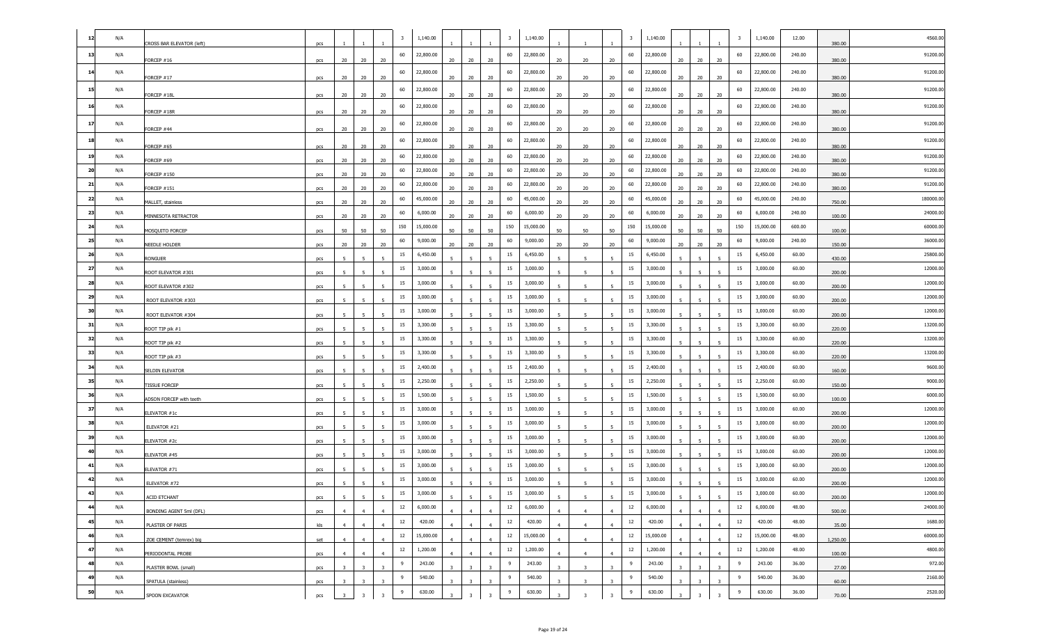| 12 | N/A |                           | $\overline{\mathbf{3}}$                                                                   | 1,140.00  |                          |                          | $\overline{\mathbf{3}}$        | 1,140.00  |                |                         |                          | 3   | 1,140.00  |                |                          |                          | 3   | 1,140.00  | 12.00  |          | 4560.00   |
|----|-----|---------------------------|-------------------------------------------------------------------------------------------|-----------|--------------------------|--------------------------|--------------------------------|-----------|----------------|-------------------------|--------------------------|-----|-----------|----------------|--------------------------|--------------------------|-----|-----------|--------|----------|-----------|
| 13 | N/A | CROSS BAR ELEVATOR (left) | pcs<br>60                                                                                 | 22,800.00 |                          |                          | 60                             | 22,800.00 |                |                         |                          | 60  | 22,800.00 |                |                          |                          | 60  | 22,800.00 | 240.00 | 380.00   | 91200.00  |
| 14 | N/A | FORCEP #16                | 20<br>20<br>20<br>pcs<br>60                                                               | 22,800.00 | 20                       | 20                       | 20<br>60                       | 22,800.00 | 20             | 20                      | 20                       | 60  | 22,800.00 | 20             | 20                       | 20                       | 60  | 22,800.00 | 240.00 | 380.00   | 91200.00  |
|    |     | FORCEP #17                | 20<br>20<br>20<br>pcs                                                                     |           | 20                       | 20                       | 20                             |           | 20             | 20                      | 20                       |     |           | 20             | 20                       | 20                       |     |           |        | 380.00   |           |
| 15 | N/A | FORCEP #18L               | 60<br>20<br>20<br>20<br>pcs                                                               | 22,800.00 | 20                       | 20                       | 60<br>20                       | 22,800.00 | 20             | 20                      | 20                       | 60  | 22,800.00 | 20             | 20                       | 20                       | 60  | 22,800.00 | 240.00 | 380.00   | 91200.00  |
| 16 | N/A | FORCEP #18R               | 60<br>20<br>20<br>20<br>pcs                                                               | 22,800.00 | 20                       | 20                       | 60<br>20                       | 22,800.00 | 20             | 20                      | 20                       | 60  | 22,800.00 | 20             | 20                       | 20                       | 60  | 22,800.00 | 240.00 | 380.00   | 91200.00  |
| 17 | N/A | FORCEP #44                | 60<br>20<br>20<br>20<br>pcs                                                               | 22,800.00 | 20                       | 20                       | 60<br>20                       | 22,800.00 | 20             | 20                      | 20                       | 60  | 22,800.00 | 20             | 20                       | 20                       | 60  | 22,800.00 | 240.00 | 380.00   | 91200.00  |
| 18 | N/A | FORCEP #65                | 60<br>20<br>20<br>20                                                                      | 22,800.00 |                          | 20                       | 60<br>20                       | 22,800.00 |                | 20                      | 20                       | 60  | 22,800.00 | 20             | 20                       | 20                       | 60  | 22,800.00 | 240.00 | 380.00   | 91200.00  |
| 19 | N/A | FORCEP #69                | pcs<br>60<br>20<br>20<br>20<br>pcs                                                        | 22,800.00 | 20<br>20                 | 20                       | 60<br>20                       | 22,800.00 | 20<br>20       | 20                      | 20                       | 60  | 22,800.00 | 20             | 20                       | 20                       | 60  | 22,800.00 | 240.00 | 380.00   | 91200.00  |
| 20 | N/A | FORCEP #150               | 60<br>20<br>20<br>20<br>pcs                                                               | 22,800.00 | 20                       | 20                       | 60<br>20                       | 22,800.00 | 20             | 20                      | 20                       | 60  | 22,800.00 | 20             | 20                       | 20                       | 60  | 22,800.00 | 240.00 | 380.00   | 91200.00  |
| 21 | N/A | FORCEP #151               | 60<br>20<br>20<br>20<br>pcs                                                               | 22,800.00 | 20                       | 20                       | 60<br>20                       | 22,800.00 | 20             | 20                      | 20                       | 60  | 22,800.00 | 20             | 20                       | 20                       | 60  | 22,800.00 | 240.00 | 380.00   | 91200.00  |
| 22 | N/A | MALLET, stainless         | 60<br>20<br>20<br>20<br>pcs                                                               | 45,000.00 | 20                       | 20                       | 60<br>20                       | 45,000.00 | 20             | 20                      | 20                       | 60  | 45,000.00 | 20             | 20                       | 20                       | 60  | 45,000.00 | 240.00 | 750.00   | 180000.00 |
| 23 | N/A | MINNESOTA RETRACTOR       | 60<br>20<br>20<br>20<br>pcs                                                               | 6,000.00  | 20                       | 20                       | 60<br>20                       | 6,000.00  | 20             | 20                      | 20                       | 60  | 6,000.00  | 20             | 20                       | 20                       | 60  | 6,000.00  | 240.00 | 100.00   | 24000.00  |
| 24 | N/A | MOSQUITO FORCEP           | 150<br>50<br>50<br>50<br>pcs                                                              | 15,000.00 | 50                       | 50                       | 150<br>50                      | 15,000.00 | 50             | 50                      | 50                       | 150 | 15,000.00 | 50             | 50                       | 50                       | 150 | 15,000.00 | 600.00 | 100.00   | 60000.0   |
| 25 | N/A | NEEDLE HOLDER             | 60<br>20<br>20<br>20<br>pcs                                                               | 9,000.00  | 20                       | 20                       | 60<br>20                       | 9,000.00  | 20             | 20                      | 20                       | 60  | 9,000.00  | 20             | 20                       | 20                       | 60  | 9,000.00  | 240.00 | 150.00   | 36000.0   |
| 26 | N/A | <b>RONGUER</b>            | 15<br>5<br>5<br>-5<br>pcs                                                                 | 6,450.00  | 5                        | $\overline{5}$           | 15<br>5                        | 6,450.00  | -5             | -5                      |                          | 15  | 6,450.00  |                | $\overline{\phantom{a}}$ |                          | 15  | 6,450.00  | 60.00  | 430.00   | 25800.00  |
| 27 | N/A | ROOT ELEVATOR #301        | 15<br>5<br>5<br>5<br>pcs                                                                  | 3,000.00  | 5                        | -5                       | $15\,$<br>5                    | 3,000.00  |                | -5                      |                          | 15  | 3,000.00  |                | 5                        |                          | 15  | 3,000.00  | 60.00  | 200.00   | 12000.00  |
| 28 | N/A | ROOT ELEVATOR #302        | 15<br>- 5<br>-5<br>5<br>pcs                                                               | 3,000.00  | 5                        | 5                        | 15<br>- 5                      | 3,000.00  | -5             | -5                      | -5                       | 15  | 3,000.00  |                | -5                       | 5                        | 15  | 3,000.00  | 60.00  | 200.00   | 12000.00  |
| 29 | N/A | ROOT ELEVATOR #303        | 15<br>pcs                                                                                 | 3,000.00  |                          |                          | 15                             | 3,000.00  |                |                         |                          | 15  | 3,000.00  |                |                          |                          | 15  | 3,000.00  | 60.00  | 200.00   | 12000.0   |
| 30 | N/A | ROOT ELEVATOR #304        | 15<br>pcs                                                                                 | 3,000.00  |                          |                          | 15                             | 3,000.00  |                |                         |                          | 15  | 3,000.00  |                |                          |                          | 15  | 3,000.00  | 60.00  | 200.00   | 12000.00  |
| 31 | N/A | ROOT TIP pik #1           | 15<br>pcs                                                                                 | 3,300.00  |                          |                          | 15                             | 3,300.00  |                |                         |                          | 15  | 3,300.00  |                |                          |                          | 15  | 3,300.00  | 60.00  | 220.00   | 13200.00  |
| 32 | N/A | ROOT TIP pik #2           | 15<br>5<br>5<br>5<br>pcs                                                                  | 3,300.00  | 5                        | 5                        | 15<br>5                        | 3,300.00  |                | - 5                     | $\overline{5}$           | 15  | 3,300.00  |                | 5                        | 5                        | 15  | 3,300.00  | 60.00  | 220.00   | 13200.0   |
| 33 | N/A | ROOT TIP pik #3           | 15<br>5<br>5<br>5<br>pcs                                                                  | 3,300.00  | 5                        | 5 <sup>5</sup>           | 15<br>- 5                      | 3,300.00  | 5              | - 5                     | 5                        | 15  | 3,300.00  | 5.             | 5                        | 5                        | 15  | 3,300.00  | 60.00  | 220.00   | 13200.0   |
| 34 | N/A | <b>SELDIN ELEVATOR</b>    | 15<br>5<br>5<br>5<br>pcs                                                                  | 2,400.00  | $\overline{\phantom{a}}$ | 5 <sup>1</sup>           | 15<br>-5                       | 2,400.00  | $\overline{5}$ | -5                      | $\overline{\phantom{a}}$ | 15  | 2,400.00  | 5              | $\overline{5}$           | $\overline{a}$           | 15  | 2,400.00  | 60.00  | 160.00   | 9600.00   |
| 35 | N/A | <b>TISSUE FORCEP</b>      | 15<br>$5\overline{5}$<br>5<br>5<br>pcs                                                    | 2,250.00  | $5\overline{5}$          | 5                        | 15<br>5                        | 2,250.00  | 5              | - 5                     | 5                        | 15  | 2,250.00  | 5              | 5                        | $5^{\circ}$              | 15  | 2,250.00  | 60.00  | 150.00   | 9000.00   |
| 36 | N/A | ADSON FORCEP with teeth   | 15<br>pcs                                                                                 | 1,500.00  |                          |                          | 15                             | 1,500.00  |                |                         |                          | 15  | 1,500.00  |                |                          |                          | 15  | 1,500.00  | 60.00  | 100.00   | 6000.00   |
| 37 | N/A | ELEVATOR #1               | 15<br>5<br>pcs                                                                            | 3,000.00  |                          |                          | 15                             | 3,000.00  |                |                         |                          | 15  | 3,000.00  |                |                          |                          | 15  | 3,000.00  | 60.00  | 200.00   | 12000.00  |
| 38 | N/A | ELEVATOR #21              | 15<br>5<br>pcs                                                                            | 3,000.00  |                          |                          | 15                             | 3,000.00  |                |                         |                          | 15  | 3,000.00  |                |                          |                          | 15  | 3,000.00  | 60.00  | 200.00   | 12000.00  |
| 39 | N/A | ELEVATOR #2c              | 15<br>-5<br>-5<br>-5<br>pcs                                                               | 3,000.00  | 5                        | 5                        | 15<br>5                        | 3,000.00  | -5             | - 5                     | 5                        | 15  | 3,000.00  | 5.             | -5                       | 5                        | 15  | 3,000.00  | 60.00  | 200.00   | 12000.00  |
| 40 | N/A | ELEVATOR #45              | 15<br>5<br>5<br>5<br>pcs                                                                  | 3,000.00  | 5                        | $5^{\circ}$              | 15<br>5                        | 3,000.00  |                |                         |                          | 15  | 3,000.00  |                | 5                        | $\overline{\phantom{a}}$ | 15  | 3,000.00  | 60.00  | 200.00   | 12000.00  |
| 41 | N/A | ELEVATOR #71              | 15<br>5<br>5<br>pcs                                                                       | 3,000.00  |                          | $\overline{\phantom{a}}$ | 15                             | 3,000.00  |                |                         |                          | 15  | 3,000.00  |                | $\overline{\phantom{a}}$ |                          | 15  | 3,000.00  | 60.00  | 200.00   | 12000.00  |
| 42 | N/A | ELEVATOR #72              | 15<br>5<br>$\overline{5}$<br>5<br>pcs                                                     | 3,000.00  | $\overline{\phantom{a}}$ | $\mathbf{r}$             | 15<br>$\overline{\phantom{a}}$ | 3,000.00  |                |                         |                          | 15  | 3,000.00  |                |                          |                          | 15  | 3,000.00  | 60.00  | 200.00   | 12000.00  |
| 43 | N/A | ACID ETCHANT              | 15<br>5 <sup>5</sup><br>5<br>5<br>pcs                                                     | 3,000.00  | 5                        | 5                        | 15<br>5                        | 3,000.00  | 5              |                         | -5                       | 15  | 3,000.00  | 5              | -5                       | 5                        | 15  | 3,000.00  | 60.00  | 200.00   | 12000.00  |
| 44 | N/A | BONDING AGENT 5ml (DFL)   | 12<br>$\overline{4}$<br>4<br>$\overline{4}$<br>pcs                                        | 6,000.00  | $\overline{4}$           | $\overline{4}$           | 12                             | 6,000.00  |                | $\overline{4}$          | $\overline{4}$           | 12  | 6,000.00  | $\overline{4}$ | $\overline{4}$           |                          | 12  | 6,000.00  | 48.00  | 500.00   | 24000.00  |
| 45 | N/A | PLASTER OF PARIS          | 12<br>kls<br>$\overline{4}$<br>4<br>$\overline{4}$                                        | 420.00    | $\overline{4}$           | 4                        | 12<br>$\overline{4}$           | 420.00    | 4              | $\overline{4}$          | $\overline{4}$           | 12  | 420.00    | 4              | $\overline{4}$           | $\overline{4}$           | 12  | 420.00    | 48.00  | 35.00    | 1680.00   |
| 46 | N/A | ZOE CEMENT (temrex) big   | 12<br>4<br>set<br>$\overline{4}$<br>$\overline{4}$                                        | 15,000.00 | $\overline{4}$           | 4                        | 12<br>$\overline{4}$           | 15,000.00 | $\overline{4}$ | $\overline{4}$          | $\overline{4}$           | 12  | 15,000.00 | $\overline{4}$ | $\overline{4}$           | $\overline{4}$           | 12  | 15,000.00 | 48.00  | 1,250.00 | 60000.00  |
| 47 | N/A | PERIODONTAL PROBE         | 12<br>4<br>4<br>4<br>pcs                                                                  | 1,200.00  | $\overline{4}$           | 4                        | 12<br>$\overline{4}$           | 1,200.00  | $\overline{4}$ | $\overline{4}$          | $\overline{4}$           | 12  | 1,200.00  | 4              | $\overline{4}$           | $\overline{4}$           | 12  | 1,200.00  | 48.00  | 100.00   | 4800.00   |
| 48 | N/A | PLASTER BOWL (small)      | 9<br>pcs<br>3                                                                             | 243.00    |                          |                          | 9                              | 243.00    |                |                         |                          | 9   | 243.00    |                |                          |                          | 9   | 243.00    | 36.00  | 27.00    | 972.00    |
| 49 | N/A | SPATULA (stainless)       | 9<br>$\overline{3}$<br>pcs                                                                | 540.00    |                          | $\mathbf{R}$             | 9                              | 540.00    |                |                         |                          | 9   | 540.00    |                |                          |                          | 9   | 540.00    | 36.00  | 60.00    | 2160.00   |
| 50 | N/A | SPOON EXCAVATOR           | 9<br>$\overline{\mathbf{3}}$<br>$\overline{\mathbf{3}}$<br>pcs<br>$\overline{\mathbf{3}}$ | 630.00    |                          | $\overline{\mathbf{3}}$  | 9<br>$\overline{\mathbf{3}}$   | 630.00    |                | $\overline{\mathbf{3}}$ | $\overline{\mathbf{3}}$  | 9   | 630.00    |                | $\overline{\mathbf{3}}$  | $\overline{3}$           | 9   | 630.00    | 36.00  | 70.00    | 2520.00   |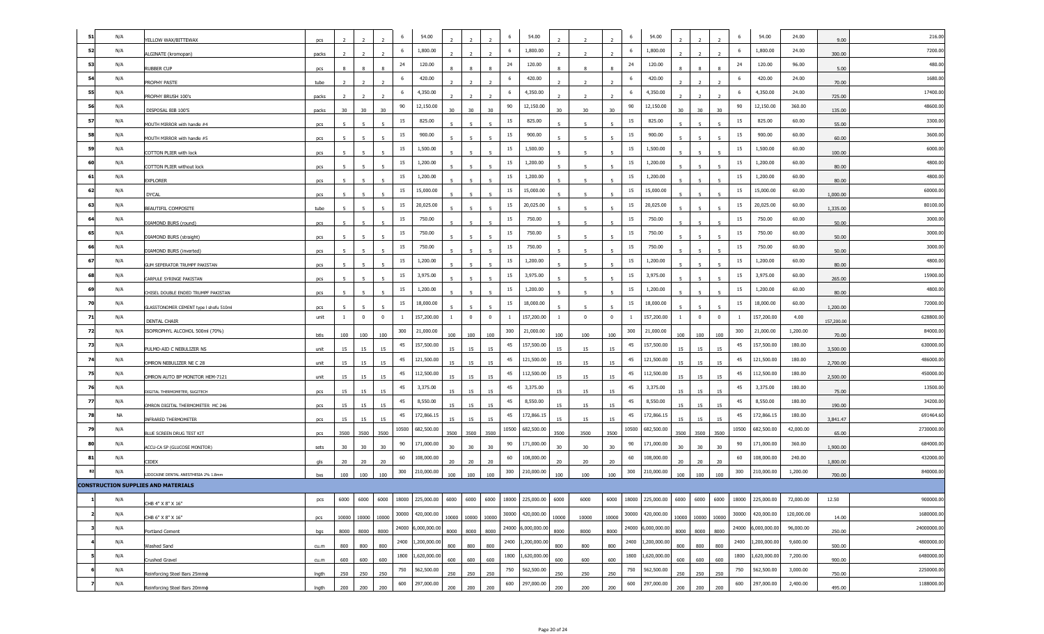| -51 | N/A       | YELLOW WAX/BITTEWAX                                                                | pcs         |                |                |                          | 6     | 54.00                 |                          |                |                | 6     | 54.00        |              |              |                | 6     | 54.00              |                |                   |             | 6     | 54.00        | 24.00      | 9.00       | 216.00      |
|-----|-----------|------------------------------------------------------------------------------------|-------------|----------------|----------------|--------------------------|-------|-----------------------|--------------------------|----------------|----------------|-------|--------------|--------------|--------------|----------------|-------|--------------------|----------------|-------------------|-------------|-------|--------------|------------|------------|-------------|
| 52  | N/A       | ALGINATE (kromopan)                                                                | packs       |                |                |                          | 6     | 1,800.00              |                          |                |                | 6     | 1,800.00     |              |              |                | 6     | 1,800.00           |                |                   |             | 6     | 1,800.00     | 24.00      | 300.00     | 7200.00     |
| 53  | N/A       | RUBBER CUP                                                                         | pcs         |                | 8              | 8                        | 24    | 120.00                | 8                        | 8              |                | 24    | 120.00       |              |              |                | 24    | 120.00             |                | 8                 | 8           | 24    | 120.00       | 96.00      | 5.00       | 480.00      |
| 54  | N/A       | PROPHY PASTE                                                                       | tube        | $\overline{2}$ | $\overline{2}$ |                          | 6     | 420.00                |                          | $\overline{2}$ |                | 6     | 420.00       |              |              |                | 6     | 420.00             |                |                   |             | 6     | 420.00       | 24.00      | 70.00      | 1680.0      |
| 55  | N/A       | PROPHY BRUSH 100's                                                                 | packs       | $\overline{2}$ | $\overline{2}$ | $\overline{\phantom{0}}$ | 6     | 4,350.00              | $\overline{2}$           | $\overline{2}$ |                | 6     | 4,350.00     |              |              |                | 6     | 4,350.00           | $\overline{2}$ | $\overline{z}$    |             | -6    | 4,350.00     | 24.00      | 725.00     | 17400.0     |
| 56  | N/A       | DISPOSAL BIB 100'S                                                                 | packs       | 30             | 30             | 30                       | 90    | 12,150.00             | 30                       | 30             | 30             | 90    | 12,150.00    | 30           | 30           | 30             | 90    | 12,150.00          | 30             | 30                | 30          | 90    | 12,150.00    | 360.00     | 135.00     | 48600.00    |
| 57  | N/A       | MOUTH MIRROR with handle #4                                                        |             |                |                |                          | 15    | 825.00                |                          |                |                | 15    | 825.00       |              |              |                | 15    | 825.00             |                |                   |             | 15    | 825.00       | 60.00      | 55.00      | 3300.00     |
| 58  | N/A       | MOUTH MIRROR with handle #5                                                        | pcs         |                |                |                          | 15    | 900.00                |                          |                |                | 15    | 900.00       |              |              |                | 15    | 900.00             |                |                   |             | 15    | 900.00       | 60.00      | 60.00      | 3600.0      |
| 59  | N/A       | COTTON PLIER with lock                                                             | pcs         | 5              | 5              | -5                       | 15    | 1,500.00              | -5                       | 5              | 5              | 15    | 1,500.00     | -5           | -5           |                | 15    | 1,500.00           | 5              | -5                | 5           | 15    | 1,500.00     | 60.00      | 100.00     | 6000.00     |
| 60  | N/A       | COTTON PLIER without lock                                                          | pcs<br>pcs  | -5             | 5              | 5                        | 15    | 1,200.00              | 5                        | 5              | 5              | 15    | 1,200.00     |              | -5           | $\overline{5}$ | 15    | 1,200.00           | 5              | 5                 | 5           | 15    | 1,200.00     | 60.00      | 80.00      | 4800.00     |
| 61  | N/A       | <b>EXPLORER</b>                                                                    | pcs         | 5              | 5              | 5                        | 15    | 1,200.00              | -5                       | 5              | -5             | 15    | 1,200.00     | -5           |              | -5             | 15    | 1,200.00           | 5              | -5                | 5           | 15    | 1,200.00     | 60.00      | 80.00      | 4800.0      |
| 62  | N/A       | <b>DYCAL</b>                                                                       |             |                |                |                          | 15    | 15,000.00             |                          |                |                | 15    | 15,000.00    |              |              |                | 15    | 15,000.00          |                |                   |             | 15    | 15,000.00    | 60.00      | 1,000.00   | 60000.0     |
| 63  | N/A       | BEAUTIFIL COMPOSITE                                                                | pcs         | 5              |                |                          | 15    | 20,025.00             |                          |                |                | 15    | 20,025.00    |              |              |                | 15    | 20,025.00          |                |                   |             | 15    | 20,025.00    | 60.00      | 1,335.00   | 80100.00    |
| 64  | N/A       | DIAMOND BURS (round)                                                               | tube        |                |                |                          | 15    | 750.00                |                          |                |                | 15    | 750.00       |              |              |                | 15    | 750.00             |                |                   |             | 15    | 750.00       | 60.00      | 50.00      | 3000.00     |
| 65  | N/A       |                                                                                    | pcs         | -5             | 5              | 5                        | 15    | 750.00                | -5                       | 5              | 5              | 15    | 750.00       | -5           | -5           | $\overline{5}$ | 15    | 750.00             | 5              | -5                | -5          | 15    | 750.00       | 60.00      | 50.00      | 3000.00     |
| 66  | N/A       | DIAMOND BURS (straight)<br>DIAMOND BURS (inverted)                                 | pcs         | 5              |                |                          | 15    | 750.00                |                          |                |                | 15    | 750.00       |              |              |                | 15    | 750.00             | 5              | $\mathbf{r}$      |             | 15    | 750.00       | 60.00      | 50.00      | 3000.0      |
| 67  | N/A       |                                                                                    | pcs         | 5              | -5             | 5                        | 15    | 1,200.00              | $\overline{\phantom{a}}$ |                | 5              | 15    | 1,200.00     |              |              |                | 15    | 1,200.00           | 5              | -5                |             | 15    | 1,200.00     | 60.00      |            | 4800.00     |
| 68  | N/A       | GUM SEPERATOR TRUMPF PAKISTAN                                                      | pcs         |                |                |                          | 15    | 3,975.00              |                          |                |                | 15    | 3,975.00     |              |              |                | 15    | 3,975.00           |                |                   |             | 15    | 3,975.00     | 60.00      | 80.00      | 15900.0     |
| 69  | N/A       | CARPULE SYRINGE PAKISTAN                                                           | pcs         |                |                |                          | 15    | 1,200.00              |                          |                |                | 15    | 1,200.00     |              |              |                | 15    | 1,200.00           |                |                   |             | 15    | 1,200.00     | 60.00      | 265.00     | 4800.0      |
| 70  | N/A       | CHISEL DOUBLE ENDED TRUMPF PAKISTAN                                                | pcs         | $\overline{5}$ |                |                          | 15    | 18,000.00             |                          |                |                | 15    | 18,000.00    |              |              |                | 15    | 18,000.00          |                |                   |             | 15    | 18,000.00    | 60.00      | 80.00      | 72000.0     |
| 71  | N/A       | GLASSTONOMER CEMENT type I shofu 510ml                                             | pcs<br>unit | $\mathbf{1}$   | $\overline{0}$ | $\overline{\mathbf{0}}$  | 1     | 157,200.00            | $\mathbf{1}$             | $\overline{0}$ | $\overline{0}$ | -1    | 157,200.00   | $\mathbf{1}$ | $\mathbf{0}$ | $\overline{0}$ | -1    | 157,200.00         | $\mathbf{1}$   | $\mathbf 0$       | $\mathbf 0$ | -1    | 157,200.00   | 4.00       | 1,200.00   | 628800.00   |
| 72  | N/A       | DENTAL CHAIR<br>ISOPROPHYL ALCOHOL 500ml (70%)                                     |             |                |                |                          | 300   | 21,000.00             |                          |                |                | 300   | 21,000.00    |              |              |                | 300   | 21,000.00          |                |                   |             | 300   | 21,000.00    | 1,200.00   | 157,200.00 | 84000.0     |
| 73  | N/A       |                                                                                    | btls        | 100            | 100            | 100                      | 45    | 157,500.00            | 100                      | 100            | 100            | 45    | 157,500.00   | 100          | 100          | 100            | 45    | 157,500.00         | 100            | 100               | 100         | 45    | 157,500.00   | 180.00     | 70.00      | 630000.0    |
| 74  | N/A       | PULMO-AID C NEBULIZER NS                                                           | unit        | 15             | 15             | 15                       | 45    | 121,500.00            | 15                       | 15             | 15             | 45    | 121,500.00   | 15           | 15           | 15             | 45    | 121,500.00         | 15             | 15                | 15          | 45    | 121,500.00   | 180.00     | 3,500.00   | 486000.0    |
| 75  | N/A       | OMRON NEBULIZER NE C 28                                                            | unit        | 15             | 15             | 15                       | 45    | 112,500.00            | 15                       | 15             | 15             | 45    | 112,500.00   | 15           | 15           | 15             | 45    | 112,500.00         | 15             | 15                | 15          | 45    | 112,500.00   | 180.00     | 2,700.00   | 450000.00   |
| 76  | N/A       | OMRON AUTO BP MONITOR HEM-7121                                                     | unit        | 15             | 15             | 15                       | 45    | 3,375.00              | 15                       | 15             | 15             | 45    | 3,375.00     | 15           | 15           | 15             | 45    | 3,375.00           | 15             | 15                | 15          | 45    | 3,375.00     | 180.00     | 2,500.00   | 13500.0     |
| 77  | N/A       | DIGITAL THERMOMETER, SUGITECH                                                      | pcs         | 15             | 15             | 15                       | 45    | 8,550.00              | 15                       | 15             | 15             | 45    | 8,550.00     | 15           | 15           | 15             | 45    | 8,550.00           | 15             | 15                | 15          | 45    | 8,550.00     | 180.00     | 75.00      | 34200.00    |
| 78  | <b>NA</b> | OMRON DIGITAL THERMOMETER MC 246                                                   | pcs         | 15             | 15             | 15                       | 45    | 172,866.15            | 15                       | 15             | 15             | 45    | 172,866.15   | 15           | 15           | 15             | 45    | 172,866.15         | 15             | 15                | 15          | 45    | 172,866.15   | 180.00     | 190.00     | 691464.6    |
| 79  | N/A       | INFRARED THERMOMETER                                                               | pcs         | 15             | 15             | 15                       | 10500 | 682,500.00            | 15                       | 15             | 15             | 10500 | 682,500.00   | 15           | 15           | 15             | 10500 | 682,500.00         | 15             | 15                | 15          | 10500 | 682,500.00   | 42,000.00  | 3,841.47   | 2730000.00  |
| 80  | N/A       | BLUE SCREEN DRUG TEST KIT                                                          | pcs         | 3500           | 3500           | 3500                     | 90    | 171,000.00            | 3500                     | 3500           | 3500           | 90    | 171,000.00   | 3500         | 3500         | 3500           | 90    | 171,000.00         | 3500           | 3500              | 3500        | 90    | 171,000.00   | 360.00     | 65.00      | 684000.0    |
| 81  | N/A       | ACCU-CA SP (GLUCOSE MONITOR)                                                       | sets        | 30             | 30             | 30                       | 60    | 108,000.00            | 30                       | 30             | 30             | 60    | 108,000.00   | 30           | 30           | 30             | 60    | 108,000.00         | 30             | 30                | 30          | 60    | 108,000.00   | 240.00     | 1,900.00   | 432000.0    |
| 82  | N/A       | CIDEX                                                                              | als         | 20             | 20             | 20                       | 300   | 210,000.00            | 20                       | 20             | 20             | 300   | 210,000.00   | 20           | 20           | 20             | 300   | 210,000.00         | 20             | 20                | 20          | 300   | 210,000.00   | 1,200.00   | 1,800.00   | 840000.0    |
|     |           | LIDOCAINE DENTAL ANESTHESIA 2% 1.8mm<br><b>CONSTRUCTION SUPPLIES AND MATERIALS</b> | bxs         | 100            | 100            | 100                      |       |                       | 100                      | 100            | 100            |       |              | 100          | 100          | 100            |       |                    | 100            | 100               | 100         |       |              |            | 700.00     |             |
|     | N/A       |                                                                                    | pcs         | 6000           | 6000           | 6000                     |       | 18000 225,000.00 6000 |                          | 6000           | 6000           | 18000 | 225,000.00   | 6000         | 6000         | 6000           |       | 18000 225,000.00   | 6000           | 6000              | 6000        | 18000 | 225,000.00   | 72,000.00  | 12.50      | 900000.00   |
|     | N/A       | CHB 4" X 8" X 16"                                                                  |             |                |                |                          |       | 30000 420,000.00      |                          |                |                | 30000 | 420,000.00   |              |              |                |       | 30000 420,000.00   |                |                   |             | 30000 | 420,000.00   | 120,000.00 |            | 1680000.00  |
|     | N/A       | CHB 6" X 8" X 16"                                                                  | pcs         |                | 10000 10000    | 10000                    |       | 24000 6,000,000.00    | 10000                    |                | 10000 10000    | 24000 | 6,000,000.00 | 10000        | 10000        | 10000          |       | 24000 6,000,000.00 |                | 10000 10000 10000 |             | 24000 | 6,000,000.00 | 96,000.00  | 14.00      | 24000000.00 |
|     | N/A       | Portland Cement                                                                    | bgs         |                | 8000 8000      | 8000                     |       | 2400 1,200,000.00     | 8000                     |                | 8000 8000      | 2400  | 1,200,000.00 | 8000         | 8000         | 8000           | 2400  | 1,200,000.00       |                | 8000 8000 8000    |             | 2400  | 1,200,000.00 | 9,600.00   | 250.00     | 4800000.00  |
|     | N/A       | <b>Washed Sand</b>                                                                 | cu.m        | 800            | 800            | 800                      |       | 1800 1,620,000.00     | 800                      | 800            | 800            | 1800  | 1,620,000.00 | 800          | 800          | 800            | 1800  | 1,620,000.00       | 800            | 800               | 800         | 1800  | 1,620,000.00 | 7,200.00   | 500.00     | 6480000.00  |
|     |           | Crushed Gravel                                                                     | cu.m        | 600            | 600            | 600                      |       |                       | 600                      | 600            | 600            |       |              | 600          | 600          | 600            |       |                    | 600            | 600               | 600         |       |              |            | 900.00     |             |
|     | N/A       | Reinforcing Steel Bars 25mm¢                                                       | Ingth       | 250            | 250            | 250                      | 750   | 562,500.00            | 250                      | 250            | 250            | 750   | 562,500.00   | 250          | 250          | 250            | 750   | 562,500.00         | 250            | 250               | 250         | 750   | 562,500.00   | 3,000.00   | 750.00     | 2250000.00  |
|     | N/A       | Reinforcing Steel Bars 20mm¢                                                       | Ingth       | 200            | 200            | 200                      | 600   | 297,000.00            | 200                      | 200            | 200            | 600   | 297,000.00   | 200          | 200          | 200            | 600   | 297,000.00         | 200            | 200               | 200         | 600   | 297,000.00   | 2,400.00   | 495.00     | 1188000.00  |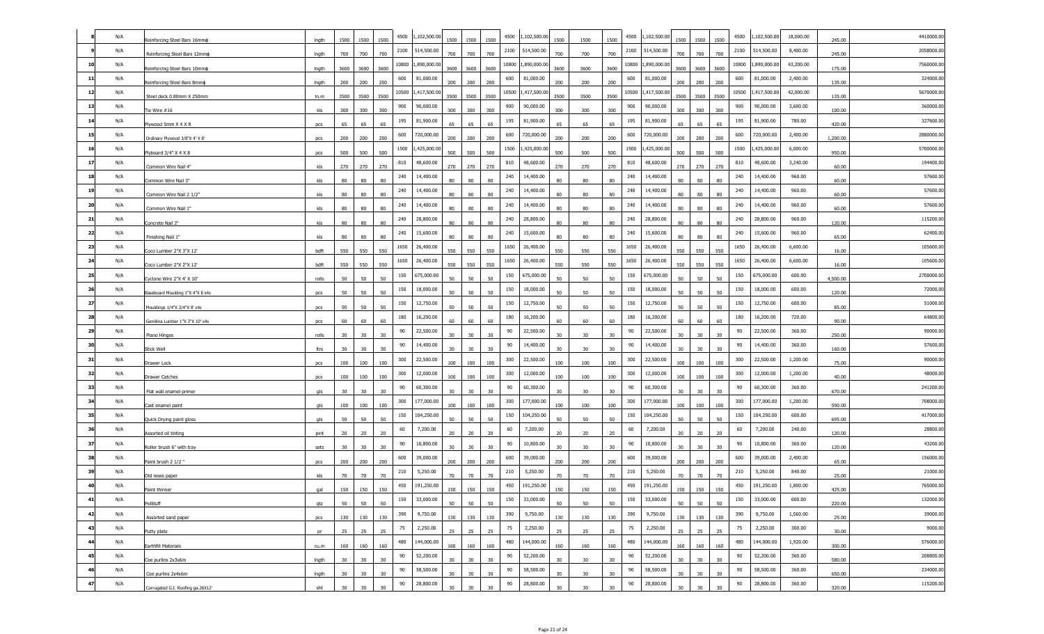|    | N/A | Reinforcing Steel Bars 16mm¢      | Ingth | 1500            | 1500            | 1500            | 4500   | 1,102,500.00 | 1500            | 1500            | 1500 | 4500  | 1,102,500.00 | 1500            | 1500 | 1500 | 4500  | ,102,500.00  | 1500            | 1500   | 4500<br>1500  | 1,102,500.00 | 18,000.00 | 245.00   | 4410000.0  |
|----|-----|-----------------------------------|-------|-----------------|-----------------|-----------------|--------|--------------|-----------------|-----------------|------|-------|--------------|-----------------|------|------|-------|--------------|-----------------|--------|---------------|--------------|-----------|----------|------------|
|    | N/A | Reinforcing Steel Bars 12mmd      | Ingth | 700             | 700             | 700             | 2100   | 514,500.00   | 700             | 700             | 700  | 2100  | 514,500.00   | 700             | 700  | 700  | 2100  | 514,500.00   | 700             | 700    | 2100<br>700   | 514,500.00   | 8,400.00  | 245.00   | 2058000.00 |
| 10 | N/A | Reinforcing Steel Bars 10mm¢      | Ingth | 3600            | 3600            | 3600            | 10800  | 1,890,000.00 | 3600            | 3600            | 3600 | 10800 | 1,890,000.00 | 3600            | 3600 | 3600 | 10800 | 1,890,000.00 | 3600            | 3600   | 10800<br>3600 | 1,890,000.00 | 43,200.00 | 175.00   | 7560000.0  |
| 11 | N/A | Reinforcing Steel Bars 8mm¢       | Ingth | 200             | 200             | 200             | 600    | 81,000.00    | 200             | 200             | 200  | 600   | 81,000.00    | 200             | 200  | 200  | 600   | 81,000.00    | 200             | 200    | 600<br>200    | 81,000.00    | 2,400.00  | 135.00   | 324000.0   |
| 12 | N/A | Steel deck 0.80mm X 250mm         | In.m  | 3500            | 3500            | 3500            | 10500  | 1,417,500.00 | 3500            | 3500            | 3500 | 10500 | 1,417,500.00 | 3500            | 3500 | 3500 | 10500 | 1,417,500.00 | 3500 3500       |        | 10500<br>3500 | ,417,500.00  | 42,000.00 | 135.00   | 5670000.0  |
| 13 | N/A | Tie Wire #16                      | kls   | 300             | 300             | 300             | 900    | 90,000.00    | 300             | 300             | 300  | 900   | 90,000.00    | 300             | 300  | 300  | 900   | 90,000.00    | 300             | 300    | 900<br>300    | 90,000.00    | 3,600.00  | 100.00   | 360000.00  |
| 14 | N/A | Plywood 5mm X 4 X 8               | pcs   | 65              | 65              | 65              | 195    | 81,900.00    | 65              | 65              | 65   | 195   | 81,900.00    | 65              | 65   | 65   | 195   | 81,900.00    | 65              | 65     | 195<br>65     | 81,900.00    | 780.00    | 420.00   | 327600.00  |
| 15 | N/A | Ordinary Plywood 3/8"X 4' X 8"    | pcs   | 200             | 200             | 200             | 600    | 720,000.00   | 200             | 200             | 200  | 600   | 720,000.00   | 200             | 200  | 200  | 600   | 720,000.00   | 200             | 200    | 600<br>200    | 720,000.00   | 2,400.00  | 1,200.00 | 2880000.00 |
| 16 | N/A | Plyboard 3/4" X 4 X 8             | pcs   | 500             | 500             | 500             | 1500   | ,425,000.00  | 500             | 500             | 500  | 1500  | ,425,000.00  | 500             | 500  | 500  | 1500  | ,425,000.00  | 500             | 500    | 1500<br>500   | ,425,000.00  | 6,000.00  | 950.00   | 5700000.0  |
| 17 | N/A | Common Wire Nail 4"               | kls   | 270             | 270             | 270             | 810    | 48,600.00    | 270             | 270             | 270  | 810   | 48,600.00    | 270             | 270  | 270  | 810   | 48,600.00    | 270             | 270    | 810<br>270    | 48,600.00    | 3,240.00  | 60.00    | 194400.00  |
| 18 | N/A | Common Wire Nail 3"               | kls   | 80              | 80              | 80              | 240    | 14,400.00    | 80              | 80              | 80   | 240   | 14,400.00    | 80              | 80   | 80   | 240   | 14,400.00    | 80              | 80     | 240<br>80     | 14,400.00    | 960.00    | 60.00    | 57600.00   |
| 19 | N/A | Common Wire Nail 2 1/2"           | kls   | 80              | 80              | 80              | 240    | 14,400.00    | 80              | 80              |      | 240   | 14,400.00    | 80              | 80   | 80   | 240   | 14,400.00    | R٥              | 80     | 240<br>80     | 14,400.00    | 960.00    | 60.00    | 57600.0    |
| 20 | N/A | Common Wire Nail 1"               | kls   | 80              | 80              | 80              | 240    | 14,400.00    | 80              | 80              | 80   | 240   | 14,400.00    | 80              | 80   | 80   | 240   | 14,400.00    | 80              | 80     | 240<br>80     | 14,400.00    | 960.00    | 60.00    | 57600.00   |
| 21 | N/A | Concrete Nail 3"                  | kls   | 80              | 80              | 80              | 240    | 28,800.00    | 80              | 80              | 80   | 240   | 28,800.00    | 80              | 80   | 80   | 240   | 28,800.00    | 80              | 80     | 240<br>80     | 28,800.00    | 960.00    | 120.00   | 115200.00  |
| 22 | N/A | Finishing Nail 1"                 | kls   | 80              | 80              | 80              | 240    | 15,600.00    | 80              | 80              | 80   | 240   | 15,600.00    | 80              | 80   | 80   | 240   | 15,600.00    | 80              | 80     | 240<br>80     | 15,600.00    | 960.00    | 65.00    | 62400.00   |
| 23 | N/A | Coco Lumber 2"X 3"X 12"           | bdft  | 550             | 550             | 550             | 1650   | 26,400.00    | 550             | 550             | 550  | 1650  | 26,400.00    | 550             | 550  | 550  | 1650  | 26,400.00    | 550             | 550    | 1650<br>550   | 26,400.00    | 6,600.00  | 16.00    | 105600.0   |
| 24 | N/A | Coco Lumber 2"X 2"X 12"           | bdft  | 550             | 550             | 550             | 1650   | 26,400.00    | 550             | 550             | 550  | 1650  | 26,400.00    | 550             | 550  | 550  | 1650  | 26,400.00    | 550             | 550    | 1650<br>550   | 26,400.00    | 6,600.00  | 16.00    | 105600.00  |
| 25 | N/A | Cyclone Wire 2"X 4' X 10"         | rolls | 50              | 50              | 50              | 150    | 675,000.00   | 50              | 50              | 50   | 150   | 675,000.00   | 50              | 50   | 50   | 150   | 675,000.00   | 50              | 50     | 150<br>50     | 675,000.00   | 600.00    | 4,500.00 | 2700000.00 |
| 26 | N/A | Baseboard Moulding 1"X 4"X 8 s4s  | pcs   | 50              | 50              | 50              | 150    | 18,000.00    | 50              | 50              | 50   | 150   | 18,000.00    | 50              | 50   | 50   | 150   | 18,000.00    | 50              | 50     | 150<br>50     | 18,000.00    | 600.00    | 120.00   | 72000.0    |
| 27 | N/A | Mouldings 1/4"X 3/4"X 8' s4s      | pcs   | 50              | 50              | 50              | 150    | 12,750.00    | 50              | 50              | 50   | 150   | 12,750.00    | 50              | 50   | 50   | 150   | 12,750.00    | 50              | 50     | 150<br>50     | 12,750.00    | 600.00    | 85.00    | 51000.0    |
| 28 | N/A | Gemilina Lumber 1"X 3"X 10' s4s   | pcs   | 60              | 60              | 60              | 180    | 16,200.00    | 60              | 60              | 60   | 180   | 16,200.00    | 60              | 60   | 60   | 180   | 16,200.00    | 60              | 60     | 180<br>60     | 16,200.00    | 720.00    | 90.00    | 64800.00   |
| 29 | N/A | Piano Hinges                      | rolls | 30              | 30              | 30              | 90     | 22,500.00    | 30              | 30 <sub>o</sub> | 30   | 90    | 22,500.00    | 30 <sub>o</sub> | 30   | 30   | 90    | 22,500.00    | 30 <sub>2</sub> | 30     | 90<br>30      | 22,500.00    | 360.00    | 250.00   | 90000.00   |
| 30 | N/A | Stick Well                        | ltrs  | 30              | 30              | 30              | 90     | 14,400.00    | 30              | 30              | 30   | 90    | 14,400.00    | 30 <sub>o</sub> | 30   | 30   | 90    | 14,400.00    | 30              | $30\,$ | 90<br>30      | 14,400.00    | 360.00    | 160.00   | 57600.00   |
| 31 | N/A | Drawer Lock                       | pcs   | 100             | 100             | 100             | 300    | 22,500.00    | 100             | 100             | 100  | 300   | 22,500.00    | 100             | 100  | 100  | 300   | 22,500.00    | 100             | 100    | 300<br>100    | 22,500.00    | 1,200.00  | 75.00    | 90000.0    |
| 32 | N/A | Drawer Catches                    | pcs   | 100             | 100             | 100             | 300    | 12,000.00    | 100             | 100             | 100  | 300   | 12,000.00    | 100             | 100  | 100  | 300   | 12,000.00    | 100             | 100    | 300<br>100    | 12,000.00    | 1,200.00  | 40.00    | 48000.00   |
| 33 | N/A | Flat wall enamel primer           | gls   | 30              | 30              | 30              | 90     | 60,300.00    | 30              | 30              | 30   | 90    | 60,300.00    | 30              | 30   | 30   | 90    | 60,300.00    | 30              | 30     | 90<br>30      | 60,300.00    | 360.00    | 670.00   | 241200.00  |
| 34 | N/A | Cast enamel paint                 | gls   | 100             | 100             | 100             | 300    | 177,000.00   | 100             | 100             | 100  | 300   | 177,000.00   | 100             | 100  | 100  | 300   | 177,000.00   | 100             | 100    | 300<br>100    | 177,000.00   | 1,200.00  | 590.00   | 708000.0   |
| 35 | N/A | Quick Drying paint gloss          | gls   | 50              | 50              | 50              | 150    | 104,250.00   | 50              | 50              | 50   | 150   | 104,250.00   | 50              | 50   | 50   | 150   | 104,250.00   | 50              | 50     | 150<br>50     | 104,250.00   | 600.00    | 695.00   | 417000.0   |
| 36 | N/A | Assorted oil tinting              | pint  | 20              | 20              | 20              | 60     | 7,200.00     | 20              | 20              | 20   | 60    | 7,200.00     | 20              | 20   | 20   | 60    | 7,200.00     | 20              | 20     | 60<br>20      | 7,200.00     | 240.00    | 120.00   | 28800.00   |
| 37 | N/A | Roller brush 6" with tray         | sets  | 30 <sup>°</sup> | 30              | 30 <sub>o</sub> | 90     | 10,800.00    | 30 <sub>o</sub> | 30              | 30   | 90    | 10,800.00    | 30 <sub>o</sub> | 30   | 30   | 90    | 10,800.00    | 30              | 30     | 90<br>30      | 10,800.00    | 360.00    | 120.00   | 43200.00   |
| 38 | N/A | Paint brush 2 1/2"                | pcs   | 200             | 200             | 200             | 600    | 39,000.00    | 200             | 200             | 200  | 600   | 39,000.00    | 200             | 200  | 200  | 600   | 39,000.00    | 200             | 200    | 600<br>200    | 39,000.00    | 2,400.00  | 65.00    | 156000.0   |
| 39 | N/A | Old news paper                    | kls   | 70              | 70              | 70              | 210    | 5,250.00     | 70              | 70              | 70   | 210   | 5,250.00     | 70              | 70   | 70   | 210   | 5,250.00     | 70              | 70     | 210<br>70     | 5,250.00     | 840.00    | 25.00    | 21000.00   |
|    | N/A | Paint thinner                     | gal   | 150             | 150             | 150             | 450    | 191,250.00   | 150             | 150             | 150  | 450   | 191,250.00   | 150             | 150  | 150  | 450   | 191,250.00   | 150             | 150    | 450<br>150    | 191,250.00   | 1,800.00  | 425.00   | 765000.00  |
| 41 | N/A | Pollituff                         | qtz   | 50              | 50              | 50              | 150    | 33,000.00    | 50              | 50              | 50   | 150   | 33,000.00    | 50              | 50   | 50   | 150   | 33,000.00    | 50              | 50     | 150<br>50     | 33,000.00    | 600.00    | 220.00   | 132000.00  |
| 42 | N/A | Assorted sand paper               | pcs   | 130             | 130             | 130             | 390    | 9,750.00     | 130             | 130             | 130  | 390   | 9,750.00     | 130             | 130  | 130  | 390   | 9,750.00     | 130             | 130    | 390<br>130    | 9,750.00     | 1,560.00  | 25.00    | 39000.00   |
| 43 | N/A | Putty plate                       | pr    | 25              | 25              | 25              | 75     | 2,250.00     | 25              | 25              | 25   | 75    | 2,250.00     | 25              | 25   | 25   | 75    | 2,250.00     | 25              | 25     | 75<br>25      | 2,250.00     | 300.00    | 30.00    | 9000.00    |
| 44 | N/A | Earthfill Materials               | cu.m  | 160             | 160             | 160             | 480    | 144,000.00   | 160             | 160             | 160  | 480   | 144,000.00   | 160             | 160  | 160  | 480   | 144,000.00   | 160             | 160    | 480<br>160    | 144,000.00   | 1,920.00  | 300.00   | 576000.00  |
| 45 | N/A | Cee purlins 2x3x6m                | Ingth | 30 <sup>°</sup> | 30 <sup>2</sup> | 30              | 90     | 52,200.00    | 30 <sub>o</sub> | 30              | 30   | 90    | 52,200.00    | 30 <sub>o</sub> | 30   | 30   | 90    | 52,200.00    | 30              | 30     | 90<br>30      | 52,200.00    | 360.00    | 580.00   | 208800.00  |
| 46 | N/A | Cee purlins 2x4x6m                | Ingth | 30              | 30              | 30 <sub>o</sub> | 90     | 58,500.00    | 30 <sub>2</sub> | 30 <sub>o</sub> | 30   | 90    | 58,500.00    | 30              | 30   | 30   | 90    | 58,500.00    | 30              | 30     | 90<br>30      | 58,500.00    | 360.00    | 650.00   | 234000.00  |
| 47 | N/A | Corrugated G.I. Roofing ga.26X12' | sht   | 30              | 30              | 30 <sub>o</sub> | $90\,$ | 28,800.00    | 30              | 30              | 30   | 90    | 28,800.00    | 30 <sub>2</sub> | 30   | 30   | 90    | 28,800.00    | 30 <sup>°</sup> | 30     | 90<br>30      | 28,800.00    | 360.00    | 320.00   | 115200.00  |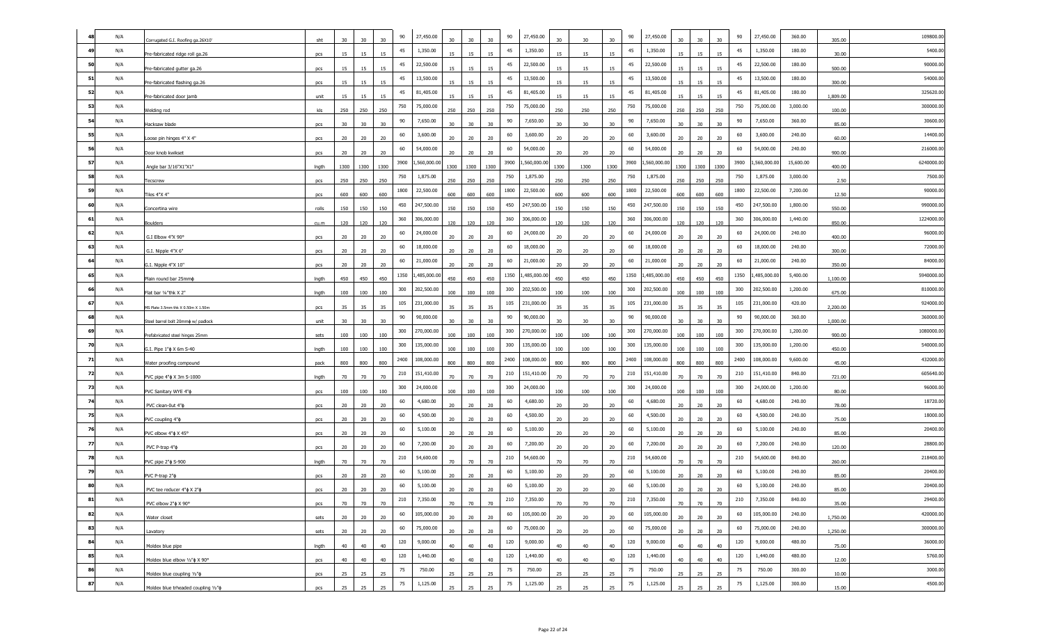|    | N/A | Corrugated G.I. Roofing ga.26X10          | sht   | 30   | 30   | 30   | 90   | 27,450.00    | 30              |                 |      | 90   | 27,450.00   | 30   |      | 30   | 90   | 27,450.00    | 30   | 30     |      | 90   | 27,450.00   | 360.00    | 305.00   | 109800.0   |
|----|-----|-------------------------------------------|-------|------|------|------|------|--------------|-----------------|-----------------|------|------|-------------|------|------|------|------|--------------|------|--------|------|------|-------------|-----------|----------|------------|
| 49 | N/A | Pre-fabricated ridge roll ga.26           | pcs   | 15   | 15   | 15   | 45   | 1,350.00     | 15              | 15              | 15   | 45   | 1,350.00    | 15   | 15   | 15   | 45   | 1,350.00     | 15   | 15     | 15   | 45   | 1,350.00    | 180.00    | 30.00    | 5400.00    |
| 50 | N/A | Pre-fabricated gutter ga.26               | pcs   | 15   | 15   | 15   | 45   | 22,500.00    | 15              | 15              | 15   | 45   | 22,500.00   | 15   | 15   | 15   | 45   | 22,500.00    | 15   | 15     | 15   | 45   | 22,500.00   | 180.00    | 500.00   | 90000.0    |
| 51 | N/A | Pre-fabricated flashing ga.26             | pcs   | 15   | 15   | 15   | 45   | 13,500.00    | 15              | 15              | 15   | 45   | 13,500.00   | 15   | 15   | 15   | 45   | 13,500.00    | 15   | 15     | 15   | 45   | 13,500.00   | 180.00    | 300.00   | 54000.0    |
| 52 | N/A | Pre-fabricated door jamb                  | unit  | 15   | 15   | 15   | 45   | 81,405.00    | 15              | 15              | 15   | 45   | 81,405.00   | 15   | 15   | 15   | 45   | 81,405.00    | 15   | 15     | 15   | 45   | 81,405.00   | 180.00    | 1,809.00 | 325620.0   |
| 53 | N/A | Welding rod                               | kls   | 250  | 250  | 250  | 750  | 75,000.00    | 250             | 250             | 250  | 750  | 75,000.00   | 250  | 250  | 250  | 750  | 75,000.00    | 250  | 250    | 250  | 750  | 75,000.00   | 3,000.00  | 100.00   | 300000.00  |
| 54 | N/A | Hacksaw blade                             | pcs   | 30   | 30   | 30   | 90   | 7,650.00     | 30              | 30              | 30   | 90   | 7,650.00    | 30   | 30   | 30   | 90   | 7,650.00     | 30   | 30     | 30   | 90   | 7,650.00    | 360.00    | 85.00    | 30600.00   |
| 55 | N/A | Loose pin hinges 4" X 4"                  | pcs   | 20   | 20   | 20   | 60   | 3,600.00     | 20              | 20              | 20   | 60   | 3,600.00    | 20   | 20   | 20   | 60   | 3,600.00     | 20   | 20     | 20   | 60   | 3,600.00    | 240.00    | 60.00    | 14400.00   |
| 56 | N/A | Door knob kwikset                         | pcs   | 20   | 20   | 20   | 60   | 54,000.00    | 20              | 20              | 20   | 60   | 54,000.00   | 20   | 20   | 20   | 60   | 54,000.00    | 20   | 20     | 20   | 60   | 54,000.00   | 240.00    | 900.00   | 216000.0   |
| 57 | N/A | Angle bar 3/16"X1"X1"                     | Ingth | 1300 | 1300 | 1300 | 3900 | 1,560,000.00 | 1300            | 1300            | 1300 | 3900 | ,560,000.00 | 1300 | 1300 | 1300 | 3900 | 1,560,000.00 | 1300 | 1300   | 1300 | 3900 | ,560,000.00 | 15,600.00 | 400.00   | 6240000.00 |
| 58 | N/A | Tecscrew                                  | pcs   | 250  | 250  | 250  | 750  | 1,875.00     | 250             | 250             | 250  | 750  | 1,875.00    | 250  | 250  | 250  | 750  | 1,875.00     | 250  | 250    | 250  | 750  | 1,875.00    | 3,000.00  | 2.50     | 7500.00    |
| 59 | N/A | Tiles 4"X 4"                              | pcs   | 600  | 600  | 600  | 1800 | 22,500.00    | 600             | 600             | 600  | 1800 | 22,500.00   | 600  | 600  | 600  | 1800 | 22,500.00    | 600  | 600    | 600  | 1800 | 22,500.00   | 7,200.00  | 12.50    | 90000.0    |
| 60 | N/A | Concertina wire                           | rolls | 150  | 150  | 150  | 450  | 247,500.00   | 150             | 150             | 150  | 450  | 247,500.00  | 150  | 150  | 150  | 450  | 247,500.00   | 150  | 150    | 150  | 450  | 247,500.00  | 1,800.00  | 550.00   | 990000.0   |
| 61 | N/A | Boulders                                  | cu.m  | 120  | 120  | 120  | 360  | 306,000.00   | 120             | 120             | 120  | 360  | 306,000.00  | 120  | 120  | 120  | 360  | 306,000.00   | 120  | 120    | 120  | 360  | 306,000.00  | 1,440.00  | 850.00   | 1224000.00 |
| 62 | N/A | G.I Elbow 4"X 90°                         | pcs   | 20   | 20   | 20   | 60   | 24,000.00    | 20              | 20              | 20   | 60   | 24,000.00   | 20   | 20   | 20   | 60   | 24,000.00    | 20   | 20     | 20   | 60   | 24,000.00   | 240.00    | 400.00   | 96000.0    |
| 63 | N/A | G.I. Nipple 4"X 6"                        | pcs   | 20   | 20   | 20   | 60   | 18,000.00    | 20              | 20              | 20   | 60   | 18,000.00   | 20   | 20   | 20   | 60   | 18,000.00    | 20   | 20     | 20   | 60   | 18,000.00   | 240.00    | 300.00   | 72000.0    |
| 64 | N/A | G.I. Nipple 4"X 10"                       | pcs   | 20   | 20   | 20   | 60   | 21,000.00    | 20              | 20              | 20   | 60   | 21,000.00   | 20   | 20   | 20   | 60   | 21,000.00    | 20   | 20     | 20   | 60   | 21,000.00   | 240.00    | 350.00   | 84000.00   |
| 65 | N/A | Plain round bar 25mmd                     | Ingth | 450  | 450  | 450  | 1350 | 1,485,000.00 | 450             | 450             | 450  | 1350 | ,485,000.00 | 450  | 450  | 450  | 1350 | l,485,000.00 | 450  | 450    | 450  | 1350 | ,485,000.00 | 5,400.00  | 1,100.00 | 5940000.00 |
| 66 | N/A | Flat bar 1/4"thk X 2"                     | Ingth | 100  | 100  | 100  | 300  | 202,500.00   | 100             | 100             | 100  | 300  | 202,500.00  | 100  | 100  | 100  | 300  | 202,500.00   | 100  | 100    | 100  | 300  | 202,500.00  | 1,200.00  | 675.00   | 810000.0   |
| 67 | N/A | 4S Plate 3.5mm thk X 0.50m X 1.50m        | pcs   | 35   | 35   | 35   | 105  | 231,000.00   | 35              | 35              | 35   | 105  | 231,000.00  | 35   | 35   | 35   | 105  | 231,000.00   | 35   | 35     | 35   | 105  | 231,000.00  | 420.00    | 2,200.00 | 924000.0   |
| 68 | N/A | Steel barrel bolt 20mm¢ w/ padlock        | unit  | 30   | 30   | 30   | 90   | 90,000.00    | 30              | 30              | 30   | 90   | 90,000.00   | 30   | 30   | 30   | 90   | 90,000.00    | 30   | 30     | 30   | 90   | 90,000.00   | 360.00    | 1,000.00 | 360000.00  |
| 69 | N/A | Prefabricated steel hinges 25mm           | sets  | 100  | 100  | 100  | 300  | 270,000.00   | 100             | 100             | 100  | 300  | 270,000.00  | 100  | 100  | 100  | 300  | 270,000.00   | 100  | 100    | 100  | 300  | 270,000.00  | 1,200.00  | 900.00   | 1080000.0  |
| 70 | N/A | G.I. Pipe 1"φ X 6m S-40                   | Ingth | 100  | 100  | 100  | 300  | 135,000.00   | 100             | 100             | 100  | 300  | 135,000.00  | 100  | 100  | 100  | 300  | 135,000.00   | 100  | 100    | 100  | 300  | 135,000.00  | 1,200.00  | 450.00   | 540000.00  |
| 71 | N/A | Water proofing compound                   | pack  | 800  | 800  | 800  | 2400 | 108,000.00   | 800             | 800             | 800  | 2400 | 108,000.00  | 800  | 800  | 800  | 2400 | 108,000.00   | 800  | 800    | 800  | 2400 | 108,000.00  | 9,600.00  | 45.00    | 432000.0   |
| 72 | N/A | PVC pipe 4" $\phi$ X 3m S-1000            | Ingth | 70   | 70   | 70   | 210  | 151,410.00   | 70              | 70              | 70   | 210  | 151,410.00  | 70   | 70   | 70   | 210  | 151,410.00   | 70   | 70     | 70   | 210  | 151,410.00  | 840.00    | 721.00   | 605640.00  |
| 73 | N/A | PVC Sanitary WYE 4"¢                      | pcs   | 100  | 100  | 100  | 300  | 24,000.00    | 100             | 100             | 100  | 300  | 24,000.00   | 100  | 100  | 100  | 300  | 24,000.00    | 100  | 100    | 100  | 300  | 24,000.00   | 1,200.00  | 80.00    | 96000.0    |
| 74 | N/A | PVC clean-0ut 4"¢                         | pcs   | 20   | 20   | 20   | 60   | 4,680.00     | 20              | 20              | 20   | 60   | 4,680.00    | 20   | 20   | 20   | 60   | 4,680.00     | 20   | $20\,$ | 20   | 60   | 4,680.00    | 240.00    | 78.00    | 18720.0    |
| 75 | N/A | PVC coupling 4"¢                          | pcs   | 20   | 20   | 20   | 60   | 4,500.00     | 20              | 20              | 20   | 60   | 4,500.00    | 20   | 20   | 20   | 60   | 4,500.00     | 20   | 20     | 20   | 60   | 4,500.00    | 240.00    | 75.00    | 18000.0    |
| 76 | N/A | PVC elbow 4" $\phi$ X 45°                 | pcs   | 20   | 20   | 20   | 60   | 5,100.00     | 20              | 20              | 20   | 60   | 5,100.00    | 20   | 20   | 20   | 60   | 5,100.00     | 20   | $20\,$ | 20   | 60   | 5,100.00    | 240.00    | 85.00    | 20400.00   |
| 77 | N/A | PVC P-trap 4" $\phi$                      | pcs   | 20   | 20   | 20   | 60   | 7,200.00     | 20              | 20              | 20   | 60   | 7,200.00    | 20   | 20   | 20   | 60   | 7,200.00     | 20   | 20     | 20   | 60   | 7,200.00    | 240.00    | 120.00   | 28800.00   |
| 78 | N/A | PVC pipe 2" o S-900                       | Ingth | 70   | 70   | 70   | 210  | 54,600.00    | 70              | 70              | 70   | 210  | 54,600.00   | 70   | 70   | 70   | 210  | 54,600.00    | 70   | 70     | 70   | 210  | 54,600.00   | 840.00    | 260.00   | 218400.0   |
| 79 | N/A | PVC P-trap 2"¢                            | pcs   | 20   | 20   | 20   | 60   | 5,100.00     | 20              | 20              | 20   | 60   | 5,100.00    | 20   | 20   | 20   | 60   | 5,100.00     | 20   | 20     | 20   | 60   | 5,100.00    | 240.00    | 85.00    | 20400.00   |
| 80 | N/A | PVC tee reducer 4" $\phi$ X 2" $\phi$     | pcs   | 20   | 20   | 20   | 60   | 5,100.00     | 20              | 20              | 20   | 60   | 5,100.00    | 20   | 20   | 20   | 60   | 5,100.00     | 20   | 20     | 20   | 60   | 5,100.00    | 240.00    | 85.00    | 20400.00   |
| 81 | N/A | PVC elbow 2" $\phi$ X 90°                 | pcs   | 70   | 70   | 70   | 210  | 7,350.00     | 70              | 70              | 70   | 210  | 7,350.00    | 70   | 70   | 70   | 210  | 7,350.00     | 70   | 70     | 70   | 210  | 7,350.00    | 840.00    | 35.00    | 29400.00   |
| 82 | N/A | Water closet                              | sets  | 20   | 20   | 20   | 60   | 105,000.00   | 20              | 20              | 20   | 60   | 105,000.00  | 20   | 20   | 20   | 60   | 105,000.00   | 20   | 20     | 20   | 60   | 105,000.00  | 240.00    | 1,750.00 | 420000.00  |
| 83 | N/A | Lavatory                                  | sets  | 20   | 20   | 20   | 60   | 75,000.00    | 20 <sub>2</sub> | 20 <sub>2</sub> | 20   | 60   | 75,000.00   | 20   | 20   | 20   | 60   | 75,000.00    | 20   | 20     | 20   | 60   | 75,000.00   | 240.00    | 1,250.00 | 300000.00  |
| 84 | N/A | Moldex blue pipe                          | Ingth | 40   | 40   | 40   | 120  | 9,000.00     | 40              | 40              | 40   | 120  | 9,000.00    | 40   | 40   | 40   | 120  | 9,000.00     | 40   | 40     | 40   | 120  | 9,000.00    | 480.00    | 75.00    | 36000.00   |
| 85 | N/A | Moldex blue elbow 1/2" $\phi$ X 90°       | pcs   | 40   | 40   | 40   | 120  | 1,440.00     | 40              | 40              | 40   | 120  | 1,440.00    | 40   | 40   | 40   | 120  | 1,440.00     | 40   | 40     | 40   | 120  | 1,440.00    | 480.00    | 12.00    | 5760.00    |
| 86 | N/A | Moldex blue coupling 1/2"¢                | pcs   | 25   | 25   | 25   | 75   | 750.00       | 25              | 25              | 25   | 75   | 750.00      | 25   | 25   | 25   | 75   | 750.00       | 25   | 25     | 25   | 75   | 750.00      | 300.00    | 10.00    | 3000.00    |
| 87 | N/A | Moldex blue trheaded coupling 1/2" $\phi$ | pcs   | 25   | 25   | 25   | 75   | 1,125.00     | 25              | 25              | 25   | 75   | 1,125.00    | 25   | 25   | 25   | 75   | 1,125.00     | 25   | 25     | 25   | 75   | 1,125.00    | 300.00    | 15.00    | 4500.00    |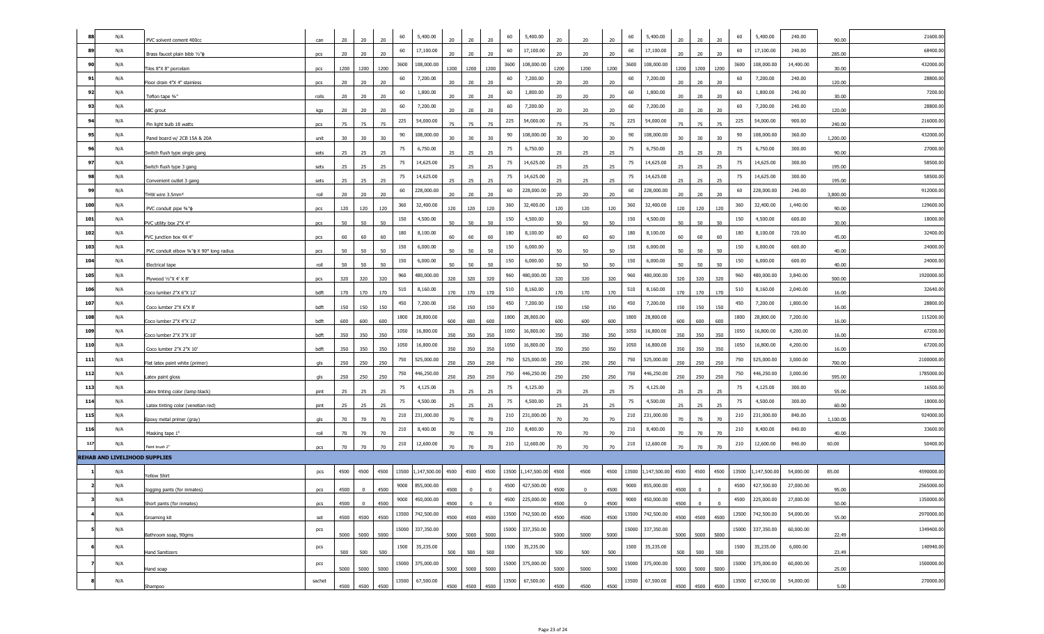|     | N/A                                  | PVC solvent cement 400cc                        | can    | 20   | 20              | 60<br>20       | 5,400.00                | 20   | 20             | 20             | 60    | 5,400.00         | 20   |                | 20   | 60    | 5,400.00         | 20     | 20             | 20             | 60    | 5,400.00         | 240.00    | 90.00    | 21600.00   |
|-----|--------------------------------------|-------------------------------------------------|--------|------|-----------------|----------------|-------------------------|------|----------------|----------------|-------|------------------|------|----------------|------|-------|------------------|--------|----------------|----------------|-------|------------------|-----------|----------|------------|
| 89  | N/A                                  | Brass faucet plain bibb 1/2"¢                   | pcs    | 20   | 20              | 60<br>20       | 17,100.00               | 20   | 20             | 20             | 60    | 17,100.00        | 20   | 20             | 20   | 60    | 17,100.00        | 20     | 20             | 20             | 60    | 17,100.00        | 240.00    | 285.00   | 68400.00   |
| 90  | N/A                                  | Tiles 8"X 8" porcelain                          | pcs    | 1200 | 1200            | 3600<br>1200   | 108,000.00              | 1200 | 1200           | 1200           | 3600  | 108,000.00       | 1200 | 1200           | 1200 | 3600  | 108,000.00       | 1200   | 1200           | 1200           | 3600  | 108,000.00       | 14,400.00 | 30.00    | 432000.00  |
| 91  | N/A                                  | Floor drain 4"X 4" stainless                    | pcs    | 20   | 20              | 60<br>20       | 7,200.00                | 20   | 20             | 20             | 60    | 7,200.00         | 20   | 20             | 20   | 60    | 7,200.00         | 20     | 20             | 20             | 60    | 7,200.00         | 240.00    | 120.00   | 28800.00   |
| 92  | N/A                                  | Teflon tape 3/4"                                | rolls  | 20   | 20              | 60<br>20       | 1,800.00                | 20   | 20             | 20             | 60    | 1,800.00         | 20   | 20             | 20   | 60    | 1,800.00         | 20     | 20             | 20             | 60    | 1,800.00         | 240.00    | 30.00    | 7200.00    |
| 93  | N/A                                  | ABC grout                                       | kgs    | 20   | 20              | 60<br>20       | 7,200.00                | 20   | 20             | 20             | 60    | 7,200.00         | 20   | 20             | 20   | 60    | 7,200.00         | 20     | 20             | 20             | 60    | 7,200.00         | 240.00    | 120.00   | 28800.00   |
| 94  | N/A                                  | Pin light bulb 18 watts                         | pcs    | 75   | 75              | 225<br>75      | 54,000.00               | 75   | 75             | 75             | 225   | 54,000.00        | 75   | 75             | 75   | 225   | 54,000.00        | 75     | 75             | 75             | 225   | 54,000.00        | 900.00    | 240.00   | 216000.00  |
| 95  | N/A                                  | Panel board w/ 2CB 15A & 20A                    | unit   | 30   | 30 <sup>°</sup> | 90<br>30       | 108,000.00              | 30   | 30             | 30             | 90    | 108,000.00       | 30   | 30             | 30   | 90    | 108,000.00       | 30     | 30             | 30             | 90    | 108,000.00       | 360.00    | 1,200.00 | 432000.00  |
| 96  | N/A                                  | Switch flush type single gang                   | sets   | 25   | 25              | 75<br>25       | 6,750.00                | 25   | 25             | 25             | 75    | 6,750.00         | 25   | 25             | 25   | 75    | 6,750.00         | 25     | 25             | 25             | 75    | 6,750.00         | 300.00    | 90.00    | 27000.00   |
| 97  | N/A                                  | Switch flush type 3 gang                        | sets   | 25   | 25              | 75<br>25       | 14,625.00               | 25   | 25             | 25             | 75    | 14,625.00        | 25   | 25             | 25   | 75    | 14,625.00        | 25     | 25             | 25             | 75    | 14,625.00        | 300.00    | 195.00   | 58500.00   |
| 98  | N/A                                  | Convenient outlet 3 gang                        | sets   | 25   | 25              | 75<br>25       | 14,625.00               | 25   | 25             | 25             | 75    | 14,625.00        | 25   | 25             | 25   | 75    | 14,625.00        | 25     | 25             | 25             | 75    | 14,625.00        | 300.00    | 195.00   | 58500.00   |
| 99  | N/A                                  | THW wire 3.5mm <sup>2</sup>                     | roll   | 20   | 20              | 60<br>$20\,$   | 228,000.00              | 20   | 20             | 20             | 60    | 228,000.00       | 20   | 20             | 20   | 60    | 228,000.00       | 20     | 20             | 20             | 60    | 228,000.00       | 240.00    | 3,800.00 | 912000.00  |
| 100 | N/A                                  | PVC conduit pipe 3/4"¢                          | pcs    | 120  | 120             | 360<br>120     | 32,400.00               | 120  | 120            | 120            | 360   | 32,400.00        | 120  | 120            | 120  | 360   | 32,400.00        | 120    | 120            | 120            | 360   | 32,400.00        | 1,440.00  | 90.00    | 129600.00  |
| 101 | N/A                                  | PVC utility box 2"X 4"                          | pcs    | 50   | 50              | 150<br>50      | 4,500.00                | 50   | 50             | 50             | 150   | 4,500.00         | 50   | 50             | 50   | 150   | 4,500.00         | 50     | 50             | 50             | 150   | 4,500.00         | 600.00    | 30.00    | 18000.00   |
| 102 | N/A                                  | PVC junction box 4X 4"                          | pcs    | 60   | 60              | 180<br>60      | 8,100.00                | 60   | 60             | 60             | 180   | 8,100.00         | 60   | 60             | 60   | 180   | 8,100.00         | 60     | 60             | 60             | 180   | 8,100.00         | 720.00    | 45.00    | 32400.00   |
| 103 | N/A                                  | PVC conduit elbow 3/4" $\phi$ X 90° long radius | pcs    | 50   | 50              | 150<br>50      | 6,000.00                | 50   | 50             | 50             | 150   | 6,000.00         | 50   | 50             | 50   | 150   | 6,000.00         | 50     | 50             | 50             | 150   | 6,000.00         | 600.00    | 40.00    | 24000.00   |
| 104 | N/A                                  | Electrical tape                                 | roll   | 50   | 50              | 150<br>50      | 6,000.00                | 50   | 50             | 50             | 150   | 6,000.00         | 50   | 50             | 50   | 150   | 6,000.00         | 50     | 50             | 50             | 150   | 6,000.00         | 600.00    | 40.00    | 24000.00   |
| 105 | N/A                                  | Plywood 1/2"X 4' X 8"                           | pcs    | 320  | 320             | 960<br>320     | 480,000.00              | 320  | 320            | 320            | 960   | 480,000.00       | 320  | 320            | 320  | 960   | 480,000.00       | 320    | 320            | 320            | 960   | 480,000.00       | 3,840.00  | 500.00   | 1920000.00 |
| 106 | N/A                                  | Coco lumber 2"X 6"X 12'                         | bdft   | 170  | 170             | 510<br>170     | 8,160.00                | 170  | 170            | 170            | 510   | 8,160.00         | 170  | 170            | 170  | 510   | 8,160.00         | 170    | 170            | 170            | 510   | 8,160.00         | 2,040.00  | 16.00    | 32640.00   |
| 107 | N/A                                  | Coco lumber 2"X 6"X 8"                          | bdft   | 150  | 150             | 450<br>150     | 7,200.00                | 150  | 150            | 150            | 450   | 7,200.00         | 150  | 150            | 150  | 450   | 7,200.00         | 150    | 150            | 150            | 450   | 7,200.00         | 1,800.00  | 16.00    | 28800.00   |
| 108 | N/A                                  | Coco lumber 2"X 4"X 12'                         | bdft   | 600  | 600             | 1800<br>600    | 28,800.00               | 600  | 600            | 600            | 1800  | 28,800.00        | 600  | 600            | 600  | 1800  | 28,800.00        | 600    | 600            | 600            | 1800  | 28,800.00        | 7,200.00  | 16.00    | 115200.00  |
| 109 | N/A                                  | Coco lumber 2"X 3"X 10'                         | bdft   | 350  | 350             | 1050<br>350    | 16,800.00               | 350  | 350            | 350            | 1050  | 16,800.00        | 350  | 350            | 350  | 1050  | 16,800.00        | 350    | 350            | 350            | 1050  | 16,800.00        | 4,200.00  | 16.00    | 67200.00   |
| 110 | N/A                                  | Coco lumber 2"X 2"X 10"                         | bdft   | 350  | 350             | 1050<br>350    | 16,800.00               | 350  | 350            | 350            | 1050  | 16,800.00        | 350  | 350            | 350  | 1050  | 16,800.00        | 350    | 350            | 350            | 1050  | 16,800.00        | 4,200.00  | 16.00    | 67200.00   |
| 111 | N/A                                  | Flat latex paint white (primer)                 | als    | 250  | 250             | 750<br>250     | 525,000.00              | 250  | 250            | 250            | 750   | 525,000.00       | 250  | 250            | 250  | 750   | 525,000.00       | 250    | 250            | 250            | 750   | 525,000.00       | 3,000.00  | 700.00   | 2100000.00 |
| 112 | N/A                                  | Latex paint gloss                               | gls    | 250  | 250             | 750<br>250     | 446,250.00              | 250  | 250            | 250            | 750   | 446,250.00       | 250  | 250            | 250  | 750   | 446,250.00       | 250    | 250            | 250            | 750   | 446,250.00       | 3,000.00  | 595.00   | 1785000.00 |
| 113 | N/A                                  | Latex tinting color (lamp black)                | pint   | 25   | 25              | 75<br>25       | 4,125.00                | 25   | 25             | 25             | 75    | 4,125.00         | 25   | 25             | 25   | 75    | 4,125.00         | 25     | 25             | 25             | 75    | 4,125.00         | 300.00    | 55.00    | 16500.00   |
| 114 | N/A                                  | Latex tinting color (venetian red)              | pint   | 25   | 25              | 75<br>25       | 4,500.00                | 25   | 25             | 25             | 75    | 4,500.00         | 25   | 25             | 25   | 75    | 4,500.00         | 25     | 25             | 25             | 75    | 4,500.00         | 300.00    | 60.00    | 18000.00   |
| 115 | N/A                                  | Epoxy metal primer (gray)                       | gls    | 70   | 70              | 210<br>70      | 231,000.00              | 70   | 70             | 70             | 210   | 231,000.00       | 70   | 70             | 70   | 210   | 231,000.00       | 70     | 70             | 70             | 210   | 231,000.00       | 840.00    | 1,100.00 | 924000.00  |
| 116 | N/A                                  | Masking tape 1"                                 | roll   | 70   | 70              | 210<br>70      | 8,400.00                | 70   | 70             | 70             | 210   | 8,400.00         | 70   | 70             | 70   | 210   | 8,400.00         | 70     | 70             | 70             | 210   | 8,400.00         | 840.00    | 40.00    | 33600.00   |
| 117 | N/A                                  | Paint brush 2"                                  | pcs    | 70   | 70              | 210<br>70      | 12,600.00               | 70   | 70             | 70             | 210   | 12,600.00        | 70   | 70             | 70   | 210   | 12,600.00        | 70     | 70             | 70             | 210   | 12,600.00        | 840.00    | 60.00    | 50400.00   |
|     | <b>REHAB AND LIVELIHOOD SUPPLIES</b> |                                                 |        |      |                 |                |                         |      |                |                |       |                  |      |                |      |       |                  |        |                |                |       |                  |           |          |            |
|     | N/A                                  | Yellow Shirt                                    | pcs    | 4500 | 4500            | 4500           | 13500 1,147,500.00 4500 |      | 4500           | 4500           | 13500 | 1,147,500.00     | 4500 | 4500           | 4500 | 13500 | 1,147,500.00     | 4500   | 4500           | 4500           | 13500 | ,147,500.00      | 54,000.00 | 85.00    | 4590000.0  |
|     | N/A                                  | Jogging pants (for inmates)                     | pcs    | 4500 | $\mathbf{0}$    | 9000<br>4500   | 855,000.00              | 4500 |                |                | 4500  | 427,500.00       | 4500 |                | 4500 | 9000  | 855,000.00       | 4500   |                |                | 4500  | 427,500.00       | 27,000.00 | 95.00    | 2565000.00 |
|     | N/A                                  | Short pants (for inmates)                       | pcs    | 4500 | $\overline{0}$  | 4500           | 9000 450,000.00         | 4500 | $\overline{0}$ | $\overline{0}$ |       | 4500 225,000.00  | 4500 | $\overline{0}$ | 4500 |       | 9000 450,000.00  | 4500 0 |                | $\overline{0}$ |       | 4500 225,000.00  | 27,000.00 | 50.00    | 1350000.00 |
|     | N/A                                  | Groaming kit                                    | set    |      |                 | 4500 4500 4500 | 13500 742,500.00        |      | 4500 4500 4500 |                |       | 13500 742,500.00 | 4500 | 4500           | 4500 |       | 13500 742,500.00 |        | 4500 4500 4500 |                |       | 13500 742,500.00 | 54,000.00 | 55.00    | 2970000.00 |
|     | N/A                                  | Bathroom soap, 90gms                            | pcs    |      | 5000 5000 5000  |                | 15000 337,350.00        |      | 5000 5000 5000 |                |       | 15000 337,350.00 | 5000 | 5000           | 5000 |       | 15000 337,350.00 |        | 5000 5000 5000 |                |       | 15000 337,350.00 | 60,000.00 | 22.49    | 1349400.00 |
|     | N/A                                  | <b>Hand Sanitizers</b>                          | pcs    | 500  | 500             | 500            | 1500 35,235.00          |      | 500 500 500    |                | 1500  | 35,235.00        | 500  | 500            | 500  |       | 1500 35,235.00   |        | 500 500        | 500            | 1500  | 35,235.00        | 6,000.00  | 23.49    | 140940.00  |
|     | N/A                                  | Hand soap                                       | pcs    |      | 5000 5000 5000  |                | 15000 375,000.00        |      | 5000 5000 5000 |                |       | 15000 375,000.00 | 5000 | 5000           | 5000 |       | 15000 375,000.00 |        | 5000 5000 5000 |                |       | 15000 375,000.00 | 60,000.00 | 25.00    | 1500000.00 |
|     | N/A                                  | Shampoo                                         | sachet |      | 4500 4500       | 4500           | 13500 67,500.00         |      | 4500 4500 4500 |                | 13500 | 67,500.00        | 4500 | 4500           | 4500 |       | 13500 67,500.00  |        | 4500 4500 4500 |                |       | 13500 67,500.00  | 54,000.00 | 5.00     | 270000.00  |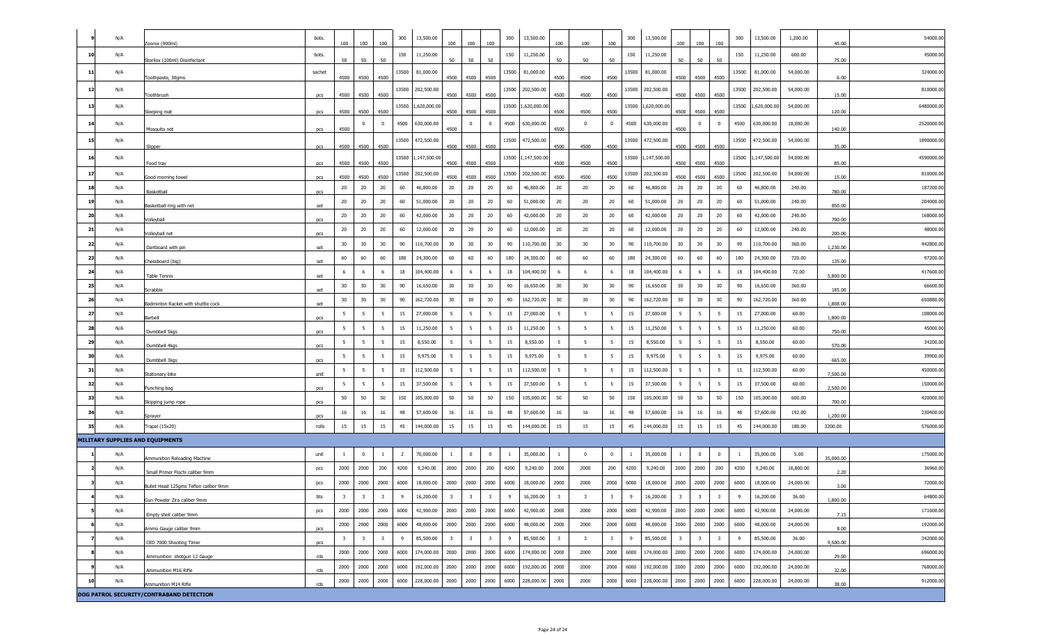|    | N/A |                                          | bots.      |                         |                         |                         |                |              |                         |                         |                         |              | 13,500.00    |                         |                         |                         | 300            | 13,500.00          |                         |                         |                         | 300   |             | 1,200.00  |           | 54000.00   |
|----|-----|------------------------------------------|------------|-------------------------|-------------------------|-------------------------|----------------|--------------|-------------------------|-------------------------|-------------------------|--------------|--------------|-------------------------|-------------------------|-------------------------|----------------|--------------------|-------------------------|-------------------------|-------------------------|-------|-------------|-----------|-----------|------------|
|    |     | Zonrox (900ml)                           |            | 100                     | 100                     | 100                     | 300            | 13,500.00    | 100                     | 100                     | 100                     | 300          |              | 100                     | 100                     | 100                     |                |                    | 100                     | 100                     | 100                     |       | 13,500.00   |           | 45.00     |            |
| 10 | N/A | Sterilox (100ml) Disinfectant            | bots.      | 50                      | 50                      | 50                      | 150            | 11,250.00    | 50                      | 50                      | 50                      | 150          | 11,250.00    | 50                      | 50                      | 50                      | 150            | 11,250.00          | 50                      | 50                      | 50                      | 150   | 11,250.00   | 600.00    | 75.00     | 45000.0    |
| 11 | N/A | Toothpaste, 30gms                        | sachet     | 4500                    | 4500                    | 4500                    | 13500          | 81,000.00    | 4500                    | 4500                    | 4500                    | 13500        | 81,000.00    | 4500                    | 4500                    | 4500                    | 13500          | 81,000.00          |                         | 4500 4500               | 4500                    | 13500 | 81,000.00   | 54,000.00 | 6.00      | 324000.00  |
| 12 | N/A | Toothbrush                               | pcs        | 4500                    | 4500                    | 4500                    | 13500          | 202,500.00   | 4500                    | 4500                    | 4500                    | 13500        | 202,500.00   | 4500                    | 4500                    | 4500                    | 13500          | 202,500.00         | 4500                    | 4500                    | 4500                    | 13500 | 202,500.00  | 54,000.00 | 15.00     | 810000.00  |
| 13 | N/A | Sleeping mat                             | pcs        | 4500                    | 4500                    | 4500                    | 13500          | 1,620,000.00 | 4500                    | 4500                    | 4500                    | 13500        | 1,620,000.00 | 4500                    | 4500                    | 4500                    | 13500          | 1,620,000.00       | 4500                    | 4500                    | 4500                    | 13500 | ,620,000.00 | 54,000.00 | 120.00    | 6480000.0  |
| 14 | N/A |                                          |            |                         | 0                       | $\mathbf{0}$            | 4500           | 630,000.00   |                         | $^{\circ}$              | $\overline{\mathbf{0}}$ | 4500         | 630,000.00   |                         | $\Omega$                | $^{\circ}$              | 4500           | 630,000.00         |                         | $^{\circ}$              | $\overline{0}$          | 4500  | 630,000.00  | 18,000.00 |           | 2520000.0  |
| 15 | N/A | Mosquito net                             | pcs        | 4500                    |                         |                         | 13500          | 472,500.00   | 4500                    |                         |                         | 13500        | 472,500.00   | 4500                    |                         |                         | 13500          | 472,500.00         | 4500                    |                         |                         | 13500 | 472,500.00  | 54,000.00 | 140.00    | 1890000.0  |
| 16 | N/A | Slipper                                  | pcs        | 4500                    | 4500                    | 4500                    | 13500          | 1,147,500.00 |                         | 4500 4500 4500          |                         | 13500        | 1,147,500.00 | 4500                    | 4500                    | 4500                    |                | 13500 1,147,500.00 |                         | 4500 4500               | 4500                    | 13500 | ,147,500.00 | 54,000.00 | 35.00     | 4590000.00 |
| 17 | N/A | Food tray                                | pcs        | 4500                    | 4500                    | 4500                    | 13500          | 202,500.00   | 4500                    | 4500                    | 4500                    |              | 202,500.00   | 4500                    | 4500                    | 4500                    | 13500          | 202,500.00         | 4500                    | 4500                    | 4500                    | 13500 | 202,500.00  | 54,000.00 | 85.00     | 810000.0   |
|    |     | Good morning towel                       | pcs        | 4500                    | 4500                    | 4500                    |                |              | 4500                    | 4500                    | 4500                    | 13500        |              | 4500                    | 4500                    | 4500                    |                |                    | 4500                    | 4500                    | 4500                    |       |             |           | 15.00     |            |
| 18 | N/A | Basketball                               | pcs        | 20                      | 20                      | 20                      | 60             | 46,800.00    | 20                      | 20                      | 20                      | 60           | 46,800.00    | 20                      | 20                      | 20                      | 60             | 46,800.00          | 20                      | 20                      | 20                      | 60    | 46,800.00   | 240.00    | 780.00    | 187200.00  |
| 19 | N/A | Basketball ring with net                 | set        | 20                      | 20                      | 20                      | 60             | 51,000.00    | 20                      | 20                      | 20                      | 60           | 51,000.00    | 20                      | 20                      | 20                      | 60             | 51,000.00          | 20                      | 20                      | 20                      | 60    | 51,000.00   | 240.00    | 850.00    | 204000.00  |
| 20 | N/A | Volleyball                               | pcs        | 20                      | 20                      | 20                      | 60             | 42,000.00    | 20                      | 20                      | 20                      | 60           | 42,000.00    | 20                      | 20                      | 20                      | 60             | 42,000.00          | 20                      | 20                      | 20                      | 60    | 42,000.00   | 240.00    | 700.00    | 168000.00  |
| 21 | N/A | Volleyball net                           | pcs        | 20                      | 20                      | 20                      | 60             | 12,000.00    | 20                      | 20                      | 20                      | 60           | 12,000.00    | 20                      | 20                      | 20                      | 60             | 12,000.00          | 20                      | 20                      | 20                      | 60    | 12,000.00   | 240.00    | 200.00    | 48000.00   |
| 22 | N/A | Dartboard with pin                       | set        | 30                      | 30                      | 30                      | 90             | 110,700.00   | 30                      | 30                      | 30                      | 90           | 110,700.00   | 30                      | 30                      | 30                      | 90             | 110,700.00         | 30                      | 30                      | 30                      | 90    | 110,700.00  | 360.00    | 1,230.00  | 442800.00  |
| 23 | N/A | Chessboard (big)                         | set        | 60                      | 60                      | 60                      | 180            | 24,300.00    | 60                      | 60                      | 60                      | 180          | 24,300.00    | 60                      | 60                      | 60                      | 180            | 24,300.00          | 60                      | 60                      | 60                      | 180   | 24,300.00   | 720.00    | 135.00    | 97200.00   |
| 24 | N/A | <b>Table Tennis</b>                      | set        | 6                       | 6                       | 6                       | 18             | 104,400.00   | 6                       | 6                       | - 6                     | 18           | 104,400.00   | 6                       | - 6                     | 6                       | 18             | 104,400.00         | 6                       | - 6                     | 6                       | 18    | 104,400.00  | 72.00     | 5,800.00  | 417600.00  |
| 25 | N/A | Scrabble                                 | set        | 30                      | 30                      | 30                      | 90             | 16,650.00    | 30                      | 30                      | 30                      | 90           | 16,650.00    | 30                      | 30                      | 30                      | 90             | 16,650.00          | 30                      | 30                      | 30                      | 90    | 16,650.00   | 360.00    | 185.00    | 66600.00   |
| 26 | N/A | Badminton Racket with shuttle cock       | set        | 30                      | $30\,$                  | 30                      | 90             | 162,720.00   | 30                      | $30\,$                  | 30                      | 90           | 162,720.00   | 30                      | 30                      | $30\,$                  | 90             | 162,720.00         | 30                      | 30                      | 30                      | 90    | 162,720.00  | 360.00    | 1,808.00  | 650880.00  |
| 27 | N/A | Barbell                                  |            | 5                       | 5                       | -5                      | 15             | 27,000.00    | 5                       | 5                       | 5                       | 15           | 27,000.00    | -5                      | - 5                     | 5                       | 15             | 27,000.00          | -5                      | 5                       | 5                       | 15    | 27,000.00   | 60.00     | 1,800.00  | 108000.0   |
| 28 | N/A | Dumbbell 5kgs                            | pcs        | 5                       | -5                      | 5                       | 15             | 11,250.00    | 5                       | -5                      | 5                       | 15           | 11,250.00    | 5                       | - 5                     | -5                      | 15             | 11,250.00          | -5                      | 5                       | 5                       | 15    | 11,250.00   | 60.00     | 750.00    | 45000.0    |
| 29 | N/A | Dumbbell 4kgs                            | pcs<br>pcs | 5                       | $5\phantom{.0}$         | -5                      | 15             | 8,550.00     | 5                       | 5                       | 5                       | 15           | 8,550.00     | - 5                     | - 5                     | 5                       | 15             | 8,550.00           | -5                      | 5                       | 5                       | 15    | 8,550.00    | 60.00     | 570.00    | 34200.00   |
| 30 | N/A | Dumbbell 3kgs                            | pcs        | 5                       | $5\overline{5}$         | 5                       | 15             | 9,975.00     | 5                       | 5                       | $5\overline{5}$         | 15           | 9,975.00     | 5                       | - 5                     | $5\overline{5}$         | 15             | 9,975.00           | 5                       | 5                       | 5 <sup>5</sup>          | 15    | 9,975.00    | 60.00     | 665.00    | 39900.00   |
| 31 | N/A | Stationary bike                          | unit       | 5                       | 5                       | -5                      | 15             | 112,500.00   | - 5                     | -5                      | - 5                     | 15           | 112,500.00   | - 5                     | -5                      | 5                       | 15             | 112,500.00         | -5                      | -5                      | 5                       | 15    | 112,500.00  | 60.00     | 7,500.00  | 450000.00  |
| 32 | N/A | Punching bag                             | pcs        | 5                       | 5                       | 5                       | 15             | 37,500.00    | - 5                     | 5                       | 5                       | 15           | 37,500.00    | 5                       | - 5                     | -5                      | 15             | 37,500.00          | 5                       | -5                      | 5                       | 15    | 37,500.00   | 60.00     | 2,500.00  | 150000.0   |
| 33 | N/A | Skipping jump rope                       | pcs        | 50                      | 50                      | 50                      | 150            | 105,000.00   | 50                      | 50                      | 50                      | 150          | 105,000.00   | 50                      | 50                      | 50                      | 150            | 105,000.00         | 50                      | 50                      | 50                      | 150   | 105,000.00  | 600.00    | 700.00    | 420000.00  |
| 34 | N/A | Sprayer                                  | pcs        | 16                      | 16                      | 16                      | 48             | 57,600.00    | 16                      | 16                      | 16                      | 48           | 57,600.00    | 16                      | 16                      | 16                      | 48             | 57,600.00          | 16                      | 16                      | 16                      | 48    | 57,600.00   | 192.00    | 1,200.00  | 230400.00  |
| 35 | N/A | Trapal (15x20)                           | rolls      | 15                      | 15                      | 15                      | 45             | 144,000.00   | 15                      | 15                      | 15                      | 45           | 144,000.00   | 15                      | 15                      | 15                      | 45             | 144,000.00         | 15                      | 15                      | 15                      | 45    | 144,000.00  | 180.00    | 3200.00   | 576000.0   |
|    |     | MILITARY SUPPLIES AND EQUIPMENTS         |            |                         |                         |                         |                |              |                         |                         |                         |              |              |                         |                         |                         |                |                    |                         |                         |                         |       |             |           |           |            |
|    | N/A |                                          | unit       | $\mathbf{1}$            | $\mathbf 0$             | -1                      | $\overline{2}$ | 70,000.00    | <sup>1</sup>            | $^{\circ}$              | $\overline{\mathbf{0}}$ | $\mathbf{1}$ | 35,000.00    | $\overline{1}$          | $\overline{0}$          | $\overline{0}$          | $\overline{1}$ | 35,000.00          | -1                      | $\overline{0}$          | $\overline{0}$          | -1    | 35,000.00   | 5.00      |           | 175000.00  |
|    | N/A | Ammunition Reloading Machine             | pcs        | 2000                    | 2000                    | 200                     | 4200           | 9,240.00     | 2000                    | 2000                    | 200                     | 4200         | 9,240.00     | 2000                    | 2000                    | 200                     | 4200           | 9,240.00           | 2000                    | 2000                    | 200                     | 4200  | 9,240.00    | 16,800.00 | 35,000.00 | 36960.00   |
|    | N/A | Small Primer Flochi caliber 9mm          | pcs        | 2000                    | 2000                    | 2000                    | 6000           | 18,000.00    | 2000                    | 2000                    | 2000                    | 6000         | 18,000.00    | 2000                    | 2000                    | 2000                    | 6000           | 18,000.00          | 2000                    | 2000                    | 2000                    | 6000  | 18,000.00   | 24,000.00 | 2.20      | 72000.00   |
|    | N/A | Bullet Head 125gms Teflon caliber 9mm    | bts        | $\overline{\mathbf{3}}$ | $\overline{\mathbf{3}}$ | $\overline{\mathbf{3}}$ | 9              | 16,200.00    | $\overline{\mathbf{3}}$ | 3                       | $\overline{\mathbf{3}}$ | 9            | 16,200.00    | 3                       | $\overline{\mathbf{3}}$ | $\overline{\mathbf{3}}$ | 9              | 16,200.00          | $\overline{\mathbf{3}}$ | $\overline{\mathbf{3}}$ | $\overline{\mathbf{3}}$ | 9     | 16,200.00   | 36.00     | 3.00      | 64800.00   |
|    | N/A | Gun Powder Zira caliber 9mm              | pcs        | 2000                    | 2000                    | 2000                    | 6000           | 42,900.00    | 2000                    | 2000                    | 2000                    | 6000         | 42,900.00    | 2000                    | 2000                    | 2000                    | 6000           | 42,900.00          | 2000                    | 2000                    | 2000                    | 6000  | 42,900.00   | 24,000.00 | 1,800.00  | 171600.00  |
|    | N/A | Empty shell caliber 9mm                  |            | 2000                    | 2000                    | 2000                    | 6000           | 48,000.00    | 2000                    | 2000                    | 2000                    | 6000         | 48,000.00    | 2000                    | 2000                    | 2000                    | 6000           | 48,000.00          | 2000                    | 2000                    | 2000                    | 6000  | 48,000.00   | 24,000.00 | 7.15      | 192000.00  |
|    | N/A | Ammo Gauge caliber 9mm                   | pcs        | $\overline{\mathbf{3}}$ | $\overline{\mathbf{3}}$ | $\overline{\mathbf{3}}$ | 9              | 85,500.00    | $\overline{\mathbf{3}}$ | $\overline{\mathbf{3}}$ | $\overline{\mathbf{3}}$ | 9            | 85,500.00    | $\overline{\mathbf{3}}$ | $\overline{\mathbf{3}}$ | $\overline{\mathbf{3}}$ | 9              | 85,500.00          | $\overline{\mathbf{3}}$ | $\overline{\mathbf{3}}$ | $\overline{\mathbf{3}}$ | 9     | 85,500.00   | 36.00     | 8.00      | 342000.00  |
|    | N/A | CED 7000 Shooting Timer                  | pcs        | 2000                    | 2000                    | 2000                    | 6000           | 174,000.00   | 2000                    | 2000                    | 2000                    | 6000         | 174,000.00   | 2000                    | 2000                    | 2000                    | 6000           | 174,000.00         | 2000                    | 2000                    | 2000                    | 6000  | 174,000.00  | 24,000.00 | 9,500.00  | 696000.00  |
|    | N/A | Ammunition shotgun 12 Gauge              | rds        | 2000                    | 2000                    | 2000                    | 6000           | 192,000.00   | 2000                    | 2000                    | 2000                    | 6000         | 192,000.00   | 2000                    | 2000                    | 2000                    | 6000           | 192,000.00         | 2000                    | 2000                    | 2000                    | 6000  | 192,000.00  | 24,000.00 | 29.00     | 768000.00  |
| 10 |     | Ammunition M16 Rifle                     | rds        |                         |                         |                         | 6000           | 228,000.00   | 2000                    | 2000                    |                         |              | 228,000.00   |                         | 2000                    |                         |                |                    | 2000                    |                         | 2000                    |       | 228,000.00  | 24,000.00 | 32.00     |            |
|    | N/A | Ammunition M14 Rifle                     | rds        | 2000                    | 2000                    | 2000                    |                |              |                         |                         | 2000                    | 6000         |              | 2000                    |                         | 2000                    | 6000           | 228,000.00         |                         | 2000                    |                         | 6000  |             |           | 38.00     | 912000.00  |
|    |     | DOG PATROL SECURITY/CONTRABAND DETECTION |            |                         |                         |                         |                |              |                         |                         |                         |              |              |                         |                         |                         |                |                    |                         |                         |                         |       |             |           |           |            |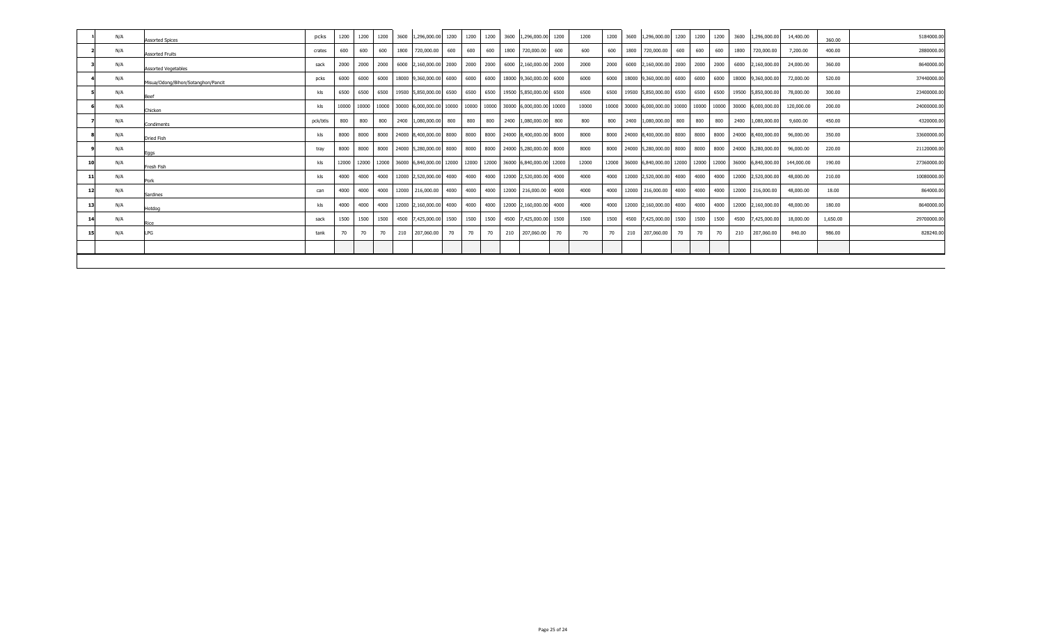| N/A | <b>Assorted Spices</b>             | pcks     | 1200  | 1200 | 1200 | 3600 | 1,296,000.00 1200                 |     | 1200 | 1200 | 3600 | 1,296,000.00 1200                                                                                 | 1200  | 1200 | 3600 | 1,296,000.00 1200                      |     | 1200 | 1200 | 3600 | 1,296,000.00                                                  | 14,400.00  | 360.00   | 5184000.00  |
|-----|------------------------------------|----------|-------|------|------|------|-----------------------------------|-----|------|------|------|---------------------------------------------------------------------------------------------------|-------|------|------|----------------------------------------|-----|------|------|------|---------------------------------------------------------------|------------|----------|-------------|
| N/A | <b>Assorted Fruits</b>             | crates   | 600   | 600  | 600  |      | 1800 720,000.00                   | 600 | 600  | 600  | 1800 | 720,000.00 600                                                                                    | 600   | 600  | 1800 | 720,000.00                             | 600 | 600  | 600  | 1800 | 720,000.00                                                    | 7,200.00   | 400.00   | 2880000.00  |
| N/A | <b>Assorted Vegetables</b>         | sack     | 2000  | 2000 |      |      | 2000 6000 2,160,000.00 2000       |     | 2000 | 2000 |      | 6000 2,160,000.00 2000                                                                            | 2000  |      |      | 2000 6000 2,160,000.00 2000 2000       |     |      | 2000 | 6000 | 2,160,000.00                                                  | 24,000.00  | 360.00   | 8640000.00  |
| N/A | Misua/Odong/Bihon/Sotanghon/Pancit | pcks     | 6000  | 6000 |      |      |                                   |     |      |      |      | 6000   18000   9,360,000.00   6000   6000   6000   18000   9,360,000.00   6000                    | 6000  |      |      | 6000 18000 9,360,000.00 6000 6000      |     |      | 6000 |      | 18000 9,360,000.00                                            | 72,000.00  | 520.00   | 37440000.00 |
| N/A | <b>Beef</b>                        | kls      | 6500  | 6500 |      |      |                                   |     |      |      |      | 6500   19500   5,850,000.00   6500   6500   6500   19500   5,850,000.00   6500                    | 6500  |      |      | 6500 19500 5,850,000.00 6500 6500      |     |      | 6500 |      | 19500 5,850,000.00                                            | 78,000.00  | 300.00   | 23400000.00 |
| N/A | Chicken                            | kls      |       |      |      |      |                                   |     |      |      |      | 10000   10000   10000   30000  6,000,000.00   10000   10000   10000   30000  6,000,000.00   10000 | 10000 |      |      |                                        |     |      |      |      | 10000 30000 6,000,000.00 10000 10000 10000 30000 6,000,000.00 | 120,000,00 | 200.00   | 24000000.00 |
| N/A | Condiments                         | pck/btls | 800   | 800  | 800  |      | 2400 1,080,000.00 800             |     | 800  | 800  |      | 2400 1,080,000.00 800                                                                             | 800   | 800  |      | 2400 1,080,000.00 800                  |     | 800  | 800  |      | 2400 1,080,000.00                                             | 9,600.00   | 450.00   | 4320000.00  |
| N/A | <b>Dried Fish</b>                  | kls      | 8000  | 8000 |      |      | 8000 24000 8,400,000.00 8000 8000 |     |      |      |      | 8000 24000 8.400.000.00 8000                                                                      | 8000  |      |      | 8000 24000 8.400.000.00 8000 8000      |     |      | 8000 |      | 24000 8,400,000.00                                            | 96,000,00  | 350.00   | 33600000.00 |
| N/A | Eggs                               | trav     | 8000  | 8000 |      |      | 8000 24000 5,280,000.00 8000 8000 |     |      |      |      | 8000 24000 5.280.000.00 8000                                                                      | 8000  |      |      | 8000 24000 5,280,000.00 8000 8000      |     |      | 8000 |      | 24000 5,280,000.00                                            | 96,000.00  | 220.00   | 21120000.00 |
| N/A | Fresh Fish                         | kls      | 12000 |      |      |      |                                   |     |      |      |      | 12000   12000   36000   6,840,000.00   12000   12000   12000   36000   6,840,000.00   12000       | 12000 |      |      |                                        |     |      |      |      | 12000 36000 6,840,000.00 12000 12000 12000 36000 6,840,000.00 | 144,000.00 | 190.00   | 27360000.00 |
| N/A | Pork                               | kls      | 4000  | 4000 |      |      |                                   |     |      |      |      | 4000   12000   2,520,000.00   4000   4000   4000   12000   2,520,000.00   4000                    | 4000  |      |      | 4000 12000 2,520,000.00 4000 4000 4000 |     |      |      |      | 12000 2,520,000.00                                            | 48,000,00  | 210.00   | 10080000.00 |
| N/A | Sardines                           | can      | 4000  | 4000 |      |      | 4000 12000 216,000.00 4000 4000   |     |      |      |      | 4000 12000 216,000.00 4000                                                                        | 4000  |      |      | 4000 12000 216,000.00 4000 4000 4000   |     |      |      |      | 12000 216,000.00                                              | 48,000.00  | 18.00    | 864000.00   |
| N/A | Hotdog                             | kls      | 4000  | 4000 |      |      | 4000 12000 2,160,000.00 4000      |     | 4000 |      |      | 4000 12000 2,160,000.00 4000                                                                      | 4000  |      |      | 4000 12000 2,160,000.00 4000 4000      |     |      | 4000 |      | 12000 2,160,000.00                                            | 48,000.00  | 180.00   | 8640000.00  |
| N/A | Rice                               | sack     | 1500  | 1500 | 1500 |      | 4500 7,425,000.00 1500            |     | 1500 | 1500 |      | 4500 7,425,000.00 1500                                                                            | 1500  | 1500 | 4500 | 7,425,000.00 1500                      |     | 1500 | 1500 | 4500 | 7,425,000.00                                                  | 18,000.00  | 1,650.00 | 29700000.00 |
| N/A | LPG                                | tank     | 70    | 70   | 70   |      | 210 207,060.00                    | 70  | 70   | 70   | 210  | 207,060.00 70                                                                                     | 70    | 70   | 210  | 207,060.00                             | 70  | 70   | 70   | 210  | 207,060.00                                                    | 840.00     | 986.00   | 828240.00   |
|     |                                    |          |       |      |      |      |                                   |     |      |      |      |                                                                                                   |       |      |      |                                        |     |      |      |      |                                                               |            |          |             |
|     |                                    |          |       |      |      |      |                                   |     |      |      |      |                                                                                                   |       |      |      |                                        |     |      |      |      |                                                               |            |          |             |